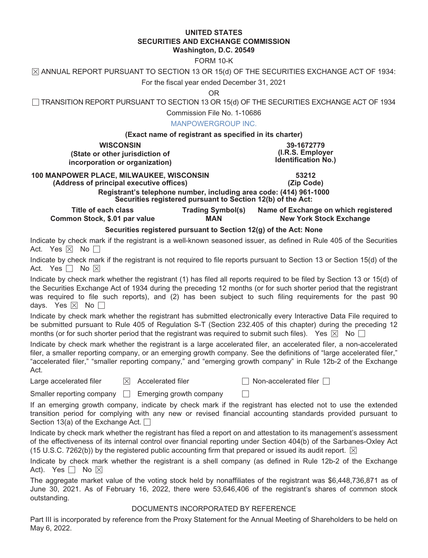#### **UNITED STATES SECURITIES AND EXCHANGE COMMISSION Washington, D.C. 20549**

FORM 10-K

 $\boxtimes$  ANNUAL REPORT PURSUANT TO SECTION 13 OR 15(d) OF THE SECURITIES EXCHANGE ACT OF 1934:

For the fiscal year ended December 31, 2021

OR

 $\Box$  TRANSITION REPORT PURSUANT TO SECTION 13 OR 15(d) OF THE SECURITIES EXCHANGE ACT OF 1934

Commission File No. 1-10686

#### MANPOWERGROUP INC.

#### **(Exact name of registrant as specified in its charter)**

**WISCONSIN 39-1672779 (State or other jurisdiction of incorporation or organization)**

**(I.R.S. Employer Identification No.)**

## **100 MANPOWER PLACE, MILWAUKEE, WISCONSIN 53212**

(Address of principal executive offices) **Registrant's telephone number, including area code: (414) 961-1000 Securities registered pursuant to Section 12(b) of the Act:**

**Title of each class Trading Symbol(s) Name of Exchange on which registered Common Stock, \$.01 par value MAN New York Stock Exchange** 

#### **Securities registered pursuant to Section 12(g) of the Act: None**

Indicate by check mark if the registrant is a well-known seasoned issuer, as defined in Rule 405 of the Securities Act. Yes  $\boxtimes$  No  $\Box$ 

Indicate by check mark if the registrant is not required to file reports pursuant to Section 13 or Section 15(d) of the Act. Yes  $\Box$  No  $\boxtimes$ 

Indicate by check mark whether the registrant (1) has filed all reports required to be filed by Section 13 or 15(d) of the Securities Exchange Act of 1934 during the preceding 12 months (or for such shorter period that the registrant was required to file such reports), and (2) has been subject to such filing requirements for the past 90 days. Yes  $\boxtimes$  No  $\Box$ 

Indicate by check mark whether the registrant has submitted electronically every Interactive Data File required to be submitted pursuant to Rule 405 of Regulation S-T (Section 232.405 of this chapter) during the preceding 12 months (or for such shorter period that the registrant was required to submit such files). Yes  $\boxtimes$  No  $\Box$ 

Indicate by check mark whether the registrant is a large accelerated filer, an accelerated filer, a non-accelerated filer, a smaller reporting company, or an emerging growth company. See the definitions of "large accelerated filer," "accelerated filer," "smaller reporting company," and "emerging growth company" in Rule 12b-2 of the Exchange Act.

Large accelerated filer  $\boxdot$  Accelerated filer  $\Box$  Non-accelerated filer  $\Box$ 

Smaller reporting company  $\Box$  Emerging growth company  $\Box$ 

If an emerging growth company, indicate by check mark if the registrant has elected not to use the extended transition period for complying with any new or revised financial accounting standards provided pursuant to Section 13(a) of the Exchange Act.  $\Box$ 

Indicate by check mark whether the registrant has filed a report on and attestation to its management's assessment of the effectiveness of its internal control over financial reporting under Section 404(b) of the Sarbanes-Oxley Act (15 U.S.C. 7262(b)) by the registered public accounting firm that prepared or issued its audit report.  $\boxtimes$ 

|                                 |  |  |  |  |  |  |  |  | Indicate by check mark whether the registrant is a shell company (as defined in Rule 12b-2 of the Exchange |
|---------------------------------|--|--|--|--|--|--|--|--|------------------------------------------------------------------------------------------------------------|
| Act). Yes $\Box$ No $\boxtimes$ |  |  |  |  |  |  |  |  |                                                                                                            |

The aggregate market value of the voting stock held by nonaffiliates of the registrant was \$6,448,736,871 as of June 30, 2021. As of February 16, 2022, there were 53,646,406 of the registrant's shares of common stock outstanding.

#### DOCUMENTS INCORPORATED BY REFERENCE

Part III is incorporated by reference from the Proxy Statement for the Annual Meeting of Shareholders to be held on May 6, 2022.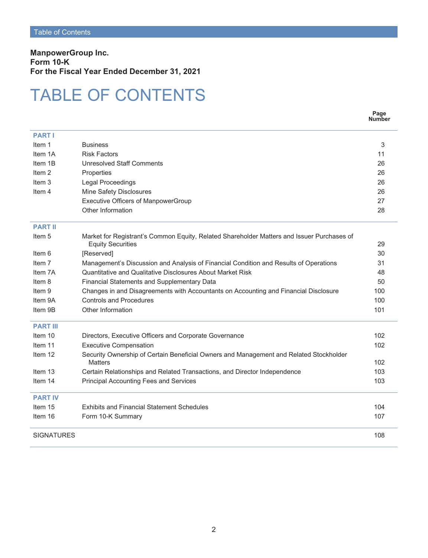**ManpowerGroup Inc. Form 10-K For the Fiscal Year Ended December 31, 2021**

## TABLE OF CONTENTS

|                   |                                                                                                                        | Page<br><b>Number</b> |
|-------------------|------------------------------------------------------------------------------------------------------------------------|-----------------------|
| <b>PART I</b>     |                                                                                                                        |                       |
| Item 1            | <b>Business</b>                                                                                                        | 3                     |
| Item 1A           | <b>Risk Factors</b>                                                                                                    | 11                    |
| Item 1B           | <b>Unresolved Staff Comments</b>                                                                                       | 26                    |
| Item <sub>2</sub> | Properties                                                                                                             | 26                    |
| Item 3            | <b>Legal Proceedings</b>                                                                                               | 26                    |
| Item 4            | Mine Safety Disclosures                                                                                                | 26                    |
|                   | <b>Executive Officers of ManpowerGroup</b>                                                                             | 27                    |
|                   | Other Information                                                                                                      | 28                    |
| <b>PART II</b>    |                                                                                                                        |                       |
| Item 5            | Market for Registrant's Common Equity, Related Shareholder Matters and Issuer Purchases of<br><b>Equity Securities</b> | 29                    |
| Item 6            | [Reserved]                                                                                                             | 30                    |
| Item <sub>7</sub> | Management's Discussion and Analysis of Financial Condition and Results of Operations                                  | 31                    |
| Item 7A           | Quantitative and Qualitative Disclosures About Market Risk                                                             | 48                    |
| Item 8            | Financial Statements and Supplementary Data                                                                            | 50                    |
| Item 9            | Changes in and Disagreements with Accountants on Accounting and Financial Disclosure                                   | 100                   |
| Item 9A           | Controls and Procedures                                                                                                | 100                   |
| Item 9B           | Other Information                                                                                                      | 101                   |
| <b>PART III</b>   |                                                                                                                        |                       |
| Item 10           | Directors, Executive Officers and Corporate Governance                                                                 | 102                   |
| Item 11           | <b>Executive Compensation</b>                                                                                          | 102                   |
| Item 12           | Security Ownership of Certain Beneficial Owners and Management and Related Stockholder<br><b>Matters</b>               | 102                   |
| Item 13           | Certain Relationships and Related Transactions, and Director Independence                                              | 103                   |
| Item 14           | <b>Principal Accounting Fees and Services</b>                                                                          | 103                   |
| <b>PART IV</b>    |                                                                                                                        |                       |
| Item 15           | <b>Exhibits and Financial Statement Schedules</b>                                                                      | 104                   |
| Item 16           | Form 10-K Summary                                                                                                      | 107                   |
| <b>SIGNATURES</b> |                                                                                                                        | 108                   |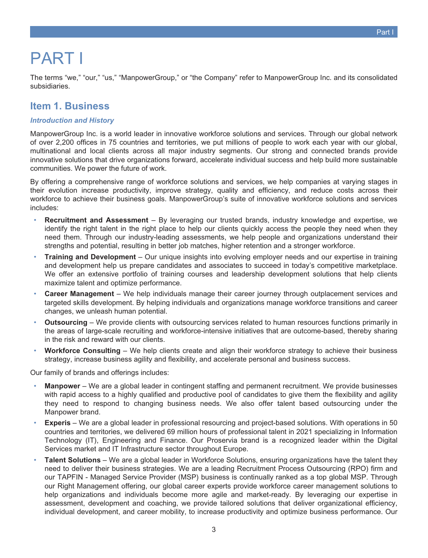# <span id="page-2-0"></span>PART I

<span id="page-2-1"></span>The terms "we," "our," "us," "ManpowerGroup," or "the Company" refer to ManpowerGroup Inc. and its consolidated subsidiaries.

## **Item 1. Business**

#### *Introduction and History*

ManpowerGroup Inc. is a world leader in innovative workforce solutions and services. Through our global network of over 2,200 offices in 75 countries and territories, we put millions of people to work each year with our global, multinational and local clients across all major industry segments. Our strong and connected brands provide innovative solutions that drive organizations forward, accelerate individual success and help build more sustainable communities. We power the future of work.

By offering a comprehensive range of workforce solutions and services, we help companies at varying stages in their evolution increase productivity, improve strategy, quality and efficiency, and reduce costs across their workforce to achieve their business goals. ManpowerGroup's suite of innovative workforce solutions and services includes:

- **Recruitment and Assessment** By leveraging our trusted brands, industry knowledge and expertise, we identify the right talent in the right place to help our clients quickly access the people they need when they need them. Through our industry-leading assessments, we help people and organizations understand their strengths and potential, resulting in better job matches, higher retention and a stronger workforce.
- **Training and Development** Our unique insights into evolving employer needs and our expertise in training and development help us prepare candidates and associates to succeed in today's competitive marketplace. We offer an extensive portfolio of training courses and leadership development solutions that help clients maximize talent and optimize performance.
- **Career Management** We help individuals manage their career journey through outplacement services and targeted skills development. By helping individuals and organizations manage workforce transitions and career changes, we unleash human potential.
- **Outsourcing** We provide clients with outsourcing services related to human resources functions primarily in the areas of large-scale recruiting and workforce-intensive initiatives that are outcome-based, thereby sharing in the risk and reward with our clients.
- Workforce Consulting We help clients create and align their workforce strategy to achieve their business strategy, increase business agility and flexibility, and accelerate personal and business success.

Our family of brands and offerings includes:

- **Manpower** We are a global leader in contingent staffing and permanent recruitment. We provide businesses with rapid access to a highly qualified and productive pool of candidates to give them the flexibility and agility they need to respond to changing business needs. We also offer talent based outsourcing under the Manpower brand.
- **Experis** We are a global leader in professional resourcing and project-based solutions. With operations in 50 countries and territories, we delivered 69 million hours of professional talent in 2021 specializing in Information Technology (IT), Engineering and Finance. Our Proservia brand is a recognized leader within the Digital Services market and IT Infrastructure sector throughout Europe.
- **Talent Solutions** We are a global leader in Workforce Solutions, ensuring organizations have the talent they need to deliver their business strategies. We are a leading Recruitment Process Outsourcing (RPO) firm and our TAPFIN - Managed Service Provider (MSP) business is continually ranked as a top global MSP. Through our Right Management offering, our global career experts provide workforce career management solutions to help organizations and individuals become more agile and market-ready. By leveraging our expertise in assessment, development and coaching, we provide tailored solutions that deliver organizational efficiency, individual development, and career mobility, to increase productivity and optimize business performance. Our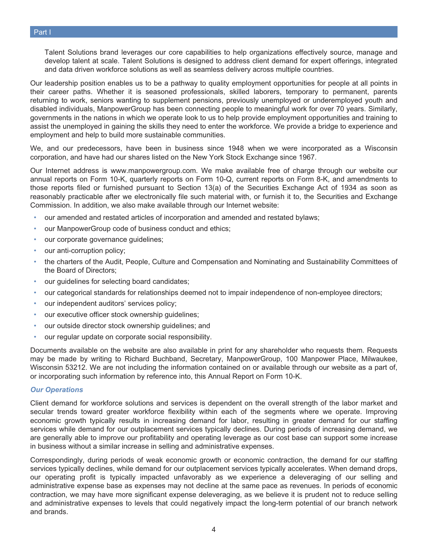Talent Solutions brand leverages our core capabilities to help organizations effectively source, manage and develop talent at scale. Talent Solutions is designed to address client demand for expert offerings, integrated and data driven workforce solutions as well as seamless delivery across multiple countries.

Our leadership position enables us to be a pathway to quality employment opportunities for people at all points in their career paths. Whether it is seasoned professionals, skilled laborers, temporary to permanent, parents returning to work, seniors wanting to supplement pensions, previously unemployed or underemployed youth and disabled individuals, ManpowerGroup has been connecting people to meaningful work for over 70 years. Similarly, governments in the nations in which we operate look to us to help provide employment opportunities and training to assist the unemployed in gaining the skills they need to enter the workforce. We provide a bridge to experience and employment and help to build more sustainable communities.

We, and our predecessors, have been in business since 1948 when we were incorporated as a Wisconsin corporation, and have had our shares listed on the New York Stock Exchange since 1967.

Our Internet address is www.manpowergroup.com. We make available free of charge through our website our annual reports on Form 10-K, quarterly reports on Form 10-Q, current reports on Form 8-K, and amendments to those reports filed or furnished pursuant to Section 13(a) of the Securities Exchange Act of 1934 as soon as reasonably practicable after we electronically file such material with, or furnish it to, the Securities and Exchange Commission. In addition, we also make available through our Internet website:

- our amended and restated articles of incorporation and amended and restated bylaws;
- our ManpowerGroup code of business conduct and ethics;
- our corporate governance guidelines;
- our anti-corruption policy;
- the charters of the Audit, People, Culture and Compensation and Nominating and Sustainability Committees of the Board of Directors;
- our guidelines for selecting board candidates;
- our categorical standards for relationships deemed not to impair independence of non-employee directors;
- our independent auditors' services policy;
- our executive officer stock ownership guidelines;
- our outside director stock ownership guidelines; and
- our regular update on corporate social responsibility.

Documents available on the website are also available in print for any shareholder who requests them. Requests may be made by writing to Richard Buchband, Secretary, ManpowerGroup, 100 Manpower Place, Milwaukee, Wisconsin 53212. We are not including the information contained on or available through our website as a part of, or incorporating such information by reference into, this Annual Report on Form 10-K.

#### *Our Operations*

Client demand for workforce solutions and services is dependent on the overall strength of the labor market and secular trends toward greater workforce flexibility within each of the segments where we operate. Improving economic growth typically results in increasing demand for labor, resulting in greater demand for our staffing services while demand for our outplacement services typically declines. During periods of increasing demand, we are generally able to improve our profitability and operating leverage as our cost base can support some increase in business without a similar increase in selling and administrative expenses.

Correspondingly, during periods of weak economic growth or economic contraction, the demand for our staffing services typically declines, while demand for our outplacement services typically accelerates. When demand drops, our operating profit is typically impacted unfavorably as we experience a deleveraging of our selling and administrative expense base as expenses may not decline at the same pace as revenues. In periods of economic contraction, we may have more significant expense deleveraging, as we believe it is prudent not to reduce selling and administrative expenses to levels that could negatively impact the long-term potential of our branch network and brands.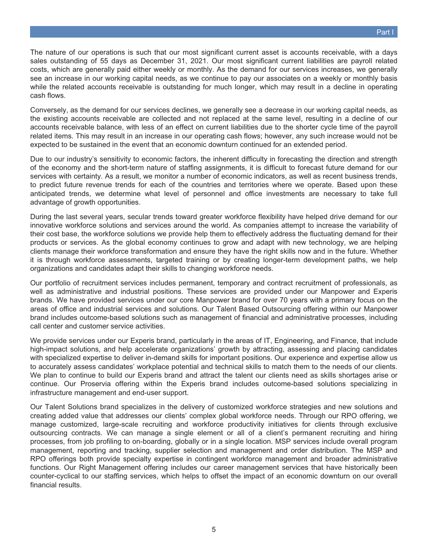The nature of our operations is such that our most significant current asset is accounts receivable, with a days sales outstanding of 55 days as December 31, 2021. Our most significant current liabilities are payroll related costs, which are generally paid either weekly or monthly. As the demand for our services increases, we generally see an increase in our working capital needs, as we continue to pay our associates on a weekly or monthly basis while the related accounts receivable is outstanding for much longer, which may result in a decline in operating cash flows.

Conversely, as the demand for our services declines, we generally see a decrease in our working capital needs, as the existing accounts receivable are collected and not replaced at the same level, resulting in a decline of our accounts receivable balance, with less of an effect on current liabilities due to the shorter cycle time of the payroll related items. This may result in an increase in our operating cash flows; however, any such increase would not be expected to be sustained in the event that an economic downturn continued for an extended period.

Due to our industry's sensitivity to economic factors, the inherent difficulty in forecasting the direction and strength of the economy and the short-term nature of staffing assignments, it is difficult to forecast future demand for our services with certainty. As a result, we monitor a number of economic indicators, as well as recent business trends, to predict future revenue trends for each of the countries and territories where we operate. Based upon these anticipated trends, we determine what level of personnel and office investments are necessary to take full advantage of growth opportunities.

During the last several years, secular trends toward greater workforce flexibility have helped drive demand for our innovative workforce solutions and services around the world. As companies attempt to increase the variability of their cost base, the workforce solutions we provide help them to effectively address the fluctuating demand for their products or services. As the global economy continues to grow and adapt with new technology, we are helping clients manage their workforce transformation and ensure they have the right skills now and in the future. Whether it is through workforce assessments, targeted training or by creating longer-term development paths, we help organizations and candidates adapt their skills to changing workforce needs.

Our portfolio of recruitment services includes permanent, temporary and contract recruitment of professionals, as well as administrative and industrial positions. These services are provided under our Manpower and Experis brands. We have provided services under our core Manpower brand for over 70 years with a primary focus on the areas of office and industrial services and solutions. Our Talent Based Outsourcing offering within our Manpower brand includes outcome-based solutions such as management of financial and administrative processes, including call center and customer service activities.

We provide services under our Experis brand, particularly in the areas of IT, Engineering, and Finance, that include high-impact solutions, and help accelerate organizations' growth by attracting, assessing and placing candidates with specialized expertise to deliver in-demand skills for important positions. Our experience and expertise allow us to accurately assess candidates' workplace potential and technical skills to match them to the needs of our clients. We plan to continue to build our Experis brand and attract the talent our clients need as skills shortages arise or continue. Our Proservia offering within the Experis brand includes outcome-based solutions specializing in infrastructure management and end-user support.

Our Talent Solutions brand specializes in the delivery of customized workforce strategies and new solutions and creating added value that addresses our clients' complex global workforce needs. Through our RPO offering, we manage customized, large-scale recruiting and workforce productivity initiatives for clients through exclusive outsourcing contracts. We can manage a single element or all of a client's permanent recruiting and hiring processes, from job profiling to on-boarding, globally or in a single location. MSP services include overall program management, reporting and tracking, supplier selection and management and order distribution. The MSP and RPO offerings both provide specialty expertise in contingent workforce management and broader administrative functions. Our Right Management offering includes our career management services that have historically been counter-cyclical to our staffing services, which helps to offset the impact of an economic downturn on our overall financial results.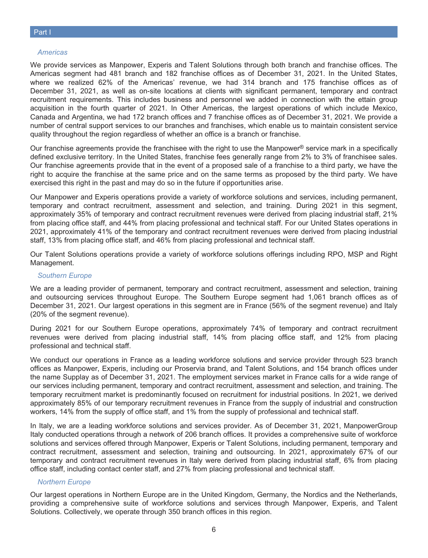#### *Americas*

We provide services as Manpower, Experis and Talent Solutions through both branch and franchise offices. The Americas segment had 481 branch and 182 franchise offices as of December 31, 2021. In the United States, where we realized 62% of the Americas' revenue, we had 314 branch and 175 franchise offices as of December 31, 2021, as well as on-site locations at clients with significant permanent, temporary and contract recruitment requirements. This includes business and personnel we added in connection with the ettain group acquisition in the fourth quarter of 2021. In Other Americas, the largest operations of which include Mexico, Canada and Argentina, we had 172 branch offices and 7 franchise offices as of December 31, 2021. We provide a number of central support services to our branches and franchises, which enable us to maintain consistent service quality throughout the region regardless of whether an office is a branch or franchise.

Our franchise agreements provide the franchisee with the right to use the Manpower<sup>®</sup> service mark in a specifically defined exclusive territory. In the United States, franchise fees generally range from 2% to 3% of franchisee sales. Our franchise agreements provide that in the event of a proposed sale of a franchise to a third party, we have the right to acquire the franchise at the same price and on the same terms as proposed by the third party. We have exercised this right in the past and may do so in the future if opportunities arise.

Our Manpower and Experis operations provide a variety of workforce solutions and services, including permanent, temporary and contract recruitment, assessment and selection, and training. During 2021 in this segment, approximately 35% of temporary and contract recruitment revenues were derived from placing industrial staff, 21% from placing office staff, and 44% from placing professional and technical staff. For our United States operations in 2021, approximately 41% of the temporary and contract recruitment revenues were derived from placing industrial staff, 13% from placing office staff, and 46% from placing professional and technical staff.

Our Talent Solutions operations provide a variety of workforce solutions offerings including RPO, MSP and Right Management.

#### *Southern Europe*

We are a leading provider of permanent, temporary and contract recruitment, assessment and selection, training and outsourcing services throughout Europe. The Southern Europe segment had 1,061 branch offices as of December 31, 2021. Our largest operations in this segment are in France (56% of the segment revenue) and Italy (20% of the segment revenue).

During 2021 for our Southern Europe operations, approximately 74% of temporary and contract recruitment revenues were derived from placing industrial staff, 14% from placing office staff, and 12% from placing professional and technical staff.

We conduct our operations in France as a leading workforce solutions and service provider through 523 branch offices as Manpower, Experis, including our Proservia brand, and Talent Solutions, and 154 branch offices under the name Supplay as of December 31, 2021. The employment services market in France calls for a wide range of our services including permanent, temporary and contract recruitment, assessment and selection, and training. The temporary recruitment market is predominantly focused on recruitment for industrial positions. In 2021, we derived approximately 85% of our temporary recruitment revenues in France from the supply of industrial and construction workers, 14% from the supply of office staff, and 1% from the supply of professional and technical staff.

In Italy, we are a leading workforce solutions and services provider. As of December 31, 2021, ManpowerGroup Italy conducted operations through a network of 206 branch offices. It provides a comprehensive suite of workforce solutions and services offered through Manpower, Experis or Talent Solutions, including permanent, temporary and contract recruitment, assessment and selection, training and outsourcing. In 2021, approximately 67% of our temporary and contract recruitment revenues in Italy were derived from placing industrial staff, 6% from placing office staff, including contact center staff, and 27% from placing professional and technical staff.

#### *Northern Europe*

Our largest operations in Northern Europe are in the United Kingdom, Germany, the Nordics and the Netherlands, providing a comprehensive suite of workforce solutions and services through Manpower, Experis, and Talent Solutions. Collectively, we operate through 350 branch offices in this region.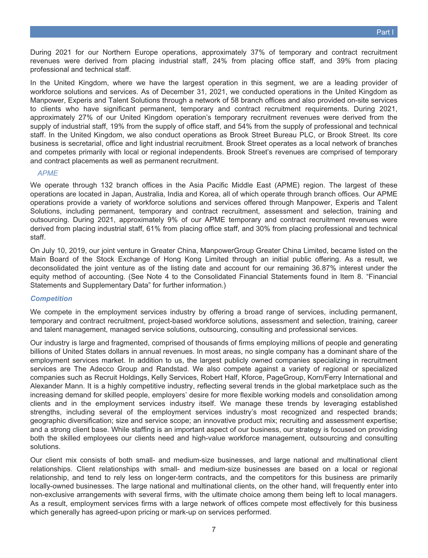During 2021 for our Northern Europe operations, approximately 37% of temporary and contract recruitment revenues were derived from placing industrial staff, 24% from placing office staff, and 39% from placing professional and technical staff.

In the United Kingdom, where we have the largest operation in this segment, we are a leading provider of workforce solutions and services. As of December 31, 2021, we conducted operations in the United Kingdom as Manpower, Experis and Talent Solutions through a network of 58 branch offices and also provided on-site services to clients who have significant permanent, temporary and contract recruitment requirements. During 2021, approximately 27% of our United Kingdom operation's temporary recruitment revenues were derived from the supply of industrial staff, 19% from the supply of office staff, and 54% from the supply of professional and technical staff. In the United Kingdom, we also conduct operations as Brook Street Bureau PLC, or Brook Street. Its core business is secretarial, office and light industrial recruitment. Brook Street operates as a local network of branches and competes primarily with local or regional independents. Brook Street's revenues are comprised of temporary and contract placements as well as permanent recruitment.

#### *APME*

We operate through 132 branch offices in the Asia Pacific Middle East (APME) region. The largest of these operations are located in Japan, Australia, India and Korea, all of which operate through branch offices. Our APME operations provide a variety of workforce solutions and services offered through Manpower, Experis and Talent Solutions, including permanent, temporary and contract recruitment, assessment and selection, training and outsourcing. During 2021, approximately 9% of our APME temporary and contract recruitment revenues were derived from placing industrial staff, 61% from placing office staff, and 30% from placing professional and technical staff.

On July 10, 2019, our joint venture in Greater China, ManpowerGroup Greater China Limited, became listed on the Main Board of the Stock Exchange of Hong Kong Limited through an initial public offering. As a result, we deconsolidated the joint venture as of the listing date and account for our remaining 36.87% interest under the equity method of accounting. (See Note 4 to the Consolidated Financial Statements found in Item 8. "Financial Statements and Supplementary Data" for further information.)

#### *Competition*

We compete in the employment services industry by offering a broad range of services, including permanent, temporary and contract recruitment, project-based workforce solutions, assessment and selection, training, career and talent management, managed service solutions, outsourcing, consulting and professional services.

Our industry is large and fragmented, comprised of thousands of firms employing millions of people and generating billions of United States dollars in annual revenues. In most areas, no single company has a dominant share of the employment services market. In addition to us, the largest publicly owned companies specializing in recruitment services are The Adecco Group and Randstad. We also compete against a variety of regional or specialized companies such as Recruit Holdings, Kelly Services, Robert Half, Kforce, PageGroup, Korn/Ferry International and Alexander Mann. It is a highly competitive industry, reflecting several trends in the global marketplace such as the increasing demand for skilled people, employers' desire for more flexible working models and consolidation among clients and in the employment services industry itself. We manage these trends by leveraging established strengths, including several of the employment services industry's most recognized and respected brands; geographic diversification; size and service scope; an innovative product mix; recruiting and assessment expertise; and a strong client base. While staffing is an important aspect of our business, our strategy is focused on providing both the skilled employees our clients need and high-value workforce management, outsourcing and consulting solutions.

Our client mix consists of both small- and medium-size businesses, and large national and multinational client relationships. Client relationships with small- and medium-size businesses are based on a local or regional relationship, and tend to rely less on longer-term contracts, and the competitors for this business are primarily locally-owned businesses. The large national and multinational clients, on the other hand, will frequently enter into non-exclusive arrangements with several firms, with the ultimate choice among them being left to local managers. As a result, employment services firms with a large network of offices compete most effectively for this business which generally has agreed-upon pricing or mark-up on services performed.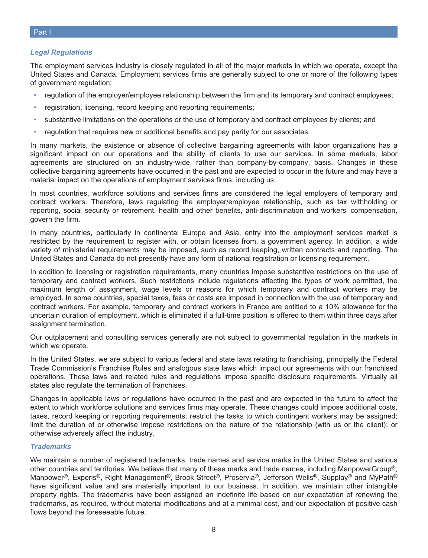#### *Legal Regulations*

The employment services industry is closely regulated in all of the major markets in which we operate, except the United States and Canada. Employment services firms are generally subject to one or more of the following types of government regulation:

- regulation of the employer/employee relationship between the firm and its temporary and contract employees;
- registration, licensing, record keeping and reporting requirements;
- substantive limitations on the operations or the use of temporary and contract employees by clients; and
- regulation that requires new or additional benefits and pay parity for our associates.

In many markets, the existence or absence of collective bargaining agreements with labor organizations has a significant impact on our operations and the ability of clients to use our services. In some markets, labor agreements are structured on an industry-wide, rather than company-by-company, basis. Changes in these collective bargaining agreements have occurred in the past and are expected to occur in the future and may have a material impact on the operations of employment services firms, including us.

In most countries, workforce solutions and services firms are considered the legal employers of temporary and contract workers. Therefore, laws regulating the employer/employee relationship, such as tax withholding or reporting, social security or retirement, health and other benefits, anti-discrimination and workers' compensation, govern the firm.

In many countries, particularly in continental Europe and Asia, entry into the employment services market is restricted by the requirement to register with, or obtain licenses from, a government agency. In addition, a wide variety of ministerial requirements may be imposed, such as record keeping, written contracts and reporting. The United States and Canada do not presently have any form of national registration or licensing requirement.

In addition to licensing or registration requirements, many countries impose substantive restrictions on the use of temporary and contract workers. Such restrictions include regulations affecting the types of work permitted, the maximum length of assignment, wage levels or reasons for which temporary and contract workers may be employed. In some countries, special taxes, fees or costs are imposed in connection with the use of temporary and contract workers. For example, temporary and contract workers in France are entitled to a 10% allowance for the uncertain duration of employment, which is eliminated if a full-time position is offered to them within three days after assignment termination.

Our outplacement and consulting services generally are not subject to governmental regulation in the markets in which we operate.

In the United States, we are subject to various federal and state laws relating to franchising, principally the Federal Trade Commission's Franchise Rules and analogous state laws which impact our agreements with our franchised operations. These laws and related rules and regulations impose specific disclosure requirements. Virtually all states also regulate the termination of franchises.

Changes in applicable laws or regulations have occurred in the past and are expected in the future to affect the extent to which workforce solutions and services firms may operate. These changes could impose additional costs, taxes, record keeping or reporting requirements; restrict the tasks to which contingent workers may be assigned; limit the duration of or otherwise impose restrictions on the nature of the relationship (with us or the client); or otherwise adversely affect the industry.

#### *Trademarks*

We maintain a number of registered trademarks, trade names and service marks in the United States and various other countries and territories. We believe that many of these marks and trade names, including ManpowerGroup®, Manpower®, Experis®, Right Management®, Brook Street®, Proservia®, Jefferson Wells®, Supplay® and MyPath® have significant value and are materially important to our business. In addition, we maintain other intangible property rights. The trademarks have been assigned an indefinite life based on our expectation of renewing the trademarks, as required, without material modifications and at a minimal cost, and our expectation of positive cash flows beyond the foreseeable future.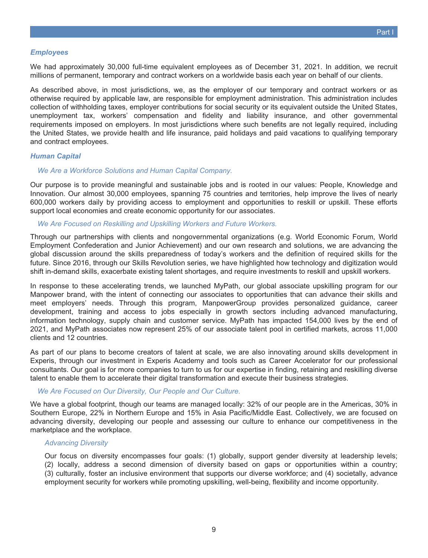#### *Employees*

We had approximately 30,000 full-time equivalent employees as of December 31, 2021. In addition, we recruit millions of permanent, temporary and contract workers on a worldwide basis each year on behalf of our clients.

As described above, in most jurisdictions, we, as the employer of our temporary and contract workers or as otherwise required by applicable law, are responsible for employment administration. This administration includes collection of withholding taxes, employer contributions for social security or its equivalent outside the United States, unemployment tax, workers' compensation and fidelity and liability insurance, and other governmental requirements imposed on employers. In most jurisdictions where such benefits are not legally required, including the United States, we provide health and life insurance, paid holidays and paid vacations to qualifying temporary and contract employees.

#### *Human Capital*

#### *We Are a Workforce Solutions and Human Capital Company.*

Our purpose is to provide meaningful and sustainable jobs and is rooted in our values: People, Knowledge and Innovation. Our almost 30,000 employees, spanning 75 countries and territories, help improve the lives of nearly 600,000 workers daily by providing access to employment and opportunities to reskill or upskill. These efforts support local economies and create economic opportunity for our associates.

#### *We Are Focused on Reskilling and Upskilling Workers and Future Workers.*

Through our partnerships with clients and nongovernmental organizations (e.g. World Economic Forum, World Employment Confederation and Junior Achievement) and our own research and solutions, we are advancing the global discussion around the skills preparedness of today's workers and the definition of required skills for the future. Since 2016, through our Skills Revolution series, we have highlighted how technology and digitization would shift in-demand skills, exacerbate existing talent shortages, and require investments to reskill and upskill workers.

In response to these accelerating trends, we launched MyPath, our global associate upskilling program for our Manpower brand, with the intent of connecting our associates to opportunities that can advance their skills and meet employers' needs. Through this program, ManpowerGroup provides personalized guidance, career development, training and access to jobs especially in growth sectors including advanced manufacturing, information technology, supply chain and customer service. MyPath has impacted 154,000 lives by the end of 2021, and MyPath associates now represent 25% of our associate talent pool in certified markets, across 11,000 clients and 12 countries.

As part of our plans to become creators of talent at scale, we are also innovating around skills development in Experis, through our investment in Experis Academy and tools such as Career Accelerator for our professional consultants. Our goal is for more companies to turn to us for our expertise in finding, retaining and reskilling diverse talent to enable them to accelerate their digital transformation and execute their business strategies.

#### *We Are Focused on Our Diversity, Our People and Our Culture.*

We have a global footprint, though our teams are managed locally: 32% of our people are in the Americas, 30% in Southern Europe, 22% in Northern Europe and 15% in Asia Pacific/Middle East. Collectively, we are focused on advancing diversity, developing our people and assessing our culture to enhance our competitiveness in the marketplace and the workplace.

#### *Advancing Diversity*

Our focus on diversity encompasses four goals: (1) globally, support gender diversity at leadership levels; (2) locally, address a second dimension of diversity based on gaps or opportunities within a country; (3) culturally, foster an inclusive environment that supports our diverse workforce; and (4) societally, advance employment security for workers while promoting upskilling, well-being, flexibility and income opportunity.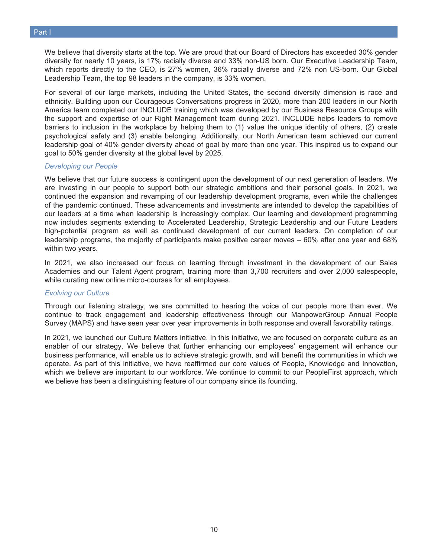We believe that diversity starts at the top. We are proud that our Board of Directors has exceeded 30% gender diversity for nearly 10 years, is 17% racially diverse and 33% non-US born. Our Executive Leadership Team, which reports directly to the CEO, is 27% women, 36% racially diverse and 72% non US-born. Our Global Leadership Team, the top 98 leaders in the company, is 33% women.

For several of our large markets, including the United States, the second diversity dimension is race and ethnicity. Building upon our Courageous Conversations progress in 2020, more than 200 leaders in our North America team completed our INCLUDE training which was developed by our Business Resource Groups with the support and expertise of our Right Management team during 2021. INCLUDE helps leaders to remove barriers to inclusion in the workplace by helping them to (1) value the unique identity of others, (2) create psychological safety and (3) enable belonging. Additionally, our North American team achieved our current leadership goal of 40% gender diversity ahead of goal by more than one year. This inspired us to expand our goal to 50% gender diversity at the global level by 2025.

#### *Developing our People*

We believe that our future success is contingent upon the development of our next generation of leaders. We are investing in our people to support both our strategic ambitions and their personal goals. In 2021, we continued the expansion and revamping of our leadership development programs, even while the challenges of the pandemic continued. These advancements and investments are intended to develop the capabilities of our leaders at a time when leadership is increasingly complex. Our learning and development programming now includes segments extending to Accelerated Leadership, Strategic Leadership and our Future Leaders high-potential program as well as continued development of our current leaders. On completion of our leadership programs, the majority of participants make positive career moves – 60% after one year and 68% within two years.

In 2021, we also increased our focus on learning through investment in the development of our Sales Academies and our Talent Agent program, training more than 3,700 recruiters and over 2,000 salespeople, while curating new online micro-courses for all employees.

#### *Evolving our Culture*

Through our listening strategy, we are committed to hearing the voice of our people more than ever. We continue to track engagement and leadership effectiveness through our ManpowerGroup Annual People Survey (MAPS) and have seen year over year improvements in both response and overall favorability ratings.

In 2021, we launched our Culture Matters initiative. In this initiative, we are focused on corporate culture as an enabler of our strategy. We believe that further enhancing our employees' engagement will enhance our business performance, will enable us to achieve strategic growth, and will benefit the communities in which we operate. As part of this initiative, we have reaffirmed our core values of People, Knowledge and Innovation, which we believe are important to our workforce. We continue to commit to our PeopleFirst approach, which we believe has been a distinguishing feature of our company since its founding.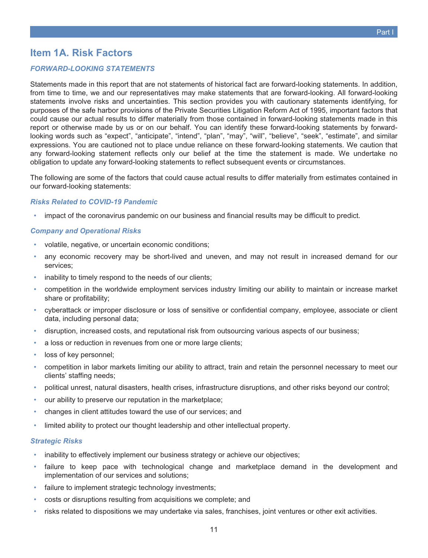## <span id="page-10-0"></span>**Item 1A. Risk Factors**

#### *FORWARD-LOOKING STATEMENTS*

Statements made in this report that are not statements of historical fact are forward-looking statements. In addition, from time to time, we and our representatives may make statements that are forward-looking. All forward-looking statements involve risks and uncertainties. This section provides you with cautionary statements identifying, for purposes of the safe harbor provisions of the Private Securities Litigation Reform Act of 1995, important factors that could cause our actual results to differ materially from those contained in forward-looking statements made in this report or otherwise made by us or on our behalf. You can identify these forward-looking statements by forwardlooking words such as "expect", "anticipate", "intend", "plan", "may", "will", "believe", "seek", "estimate", and similar expressions. You are cautioned not to place undue reliance on these forward-looking statements. We caution that any forward-looking statement reflects only our belief at the time the statement is made. We undertake no obligation to update any forward-looking statements to reflect subsequent events or circumstances.

The following are some of the factors that could cause actual results to differ materially from estimates contained in our forward-looking statements:

#### *Risks Related to COVID-19 Pandemic*

• impact of the coronavirus pandemic on our business and financial results may be difficult to predict.

#### *Company and Operational Risks*

- volatile, negative, or uncertain economic conditions;
- any economic recovery may be short-lived and uneven, and may not result in increased demand for our services;
- inability to timely respond to the needs of our clients;
- competition in the worldwide employment services industry limiting our ability to maintain or increase market share or profitability;
- cyberattack or improper disclosure or loss of sensitive or confidential company, employee, associate or client data, including personal data;
- disruption, increased costs, and reputational risk from outsourcing various aspects of our business;
- a loss or reduction in revenues from one or more large clients;
- loss of key personnel;
- competition in labor markets limiting our ability to attract, train and retain the personnel necessary to meet our clients' staffing needs;
- political unrest, natural disasters, health crises, infrastructure disruptions, and other risks beyond our control;
- our ability to preserve our reputation in the marketplace;
- changes in client attitudes toward the use of our services; and
- limited ability to protect our thought leadership and other intellectual property.

#### *Strategic Risks*

- inability to effectively implement our business strategy or achieve our objectives;
- failure to keep pace with technological change and marketplace demand in the development and implementation of our services and solutions;
- failure to implement strategic technology investments;
- costs or disruptions resulting from acquisitions we complete; and
- risks related to dispositions we may undertake via sales, franchises, joint ventures or other exit activities.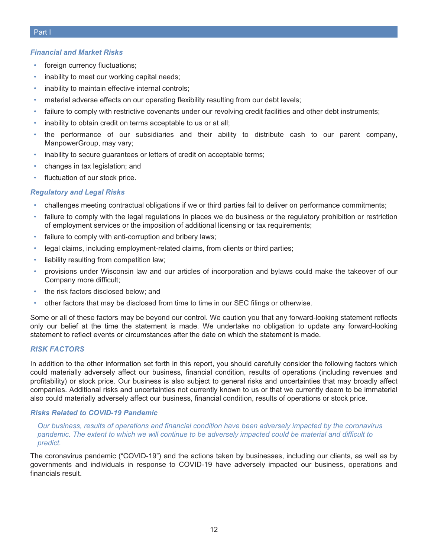#### *Financial and Market Risks*

- foreign currency fluctuations;
- inability to meet our working capital needs;
- inability to maintain effective internal controls;
- material adverse effects on our operating flexibility resulting from our debt levels;
- failure to comply with restrictive covenants under our revolving credit facilities and other debt instruments;
- inability to obtain credit on terms acceptable to us or at all;
- the performance of our subsidiaries and their ability to distribute cash to our parent company, ManpowerGroup, may vary;
- inability to secure guarantees or letters of credit on acceptable terms;
- changes in tax legislation; and
- fluctuation of our stock price.

#### *Regulatory and Legal Risks*

- challenges meeting contractual obligations if we or third parties fail to deliver on performance commitments;
- failure to comply with the legal regulations in places we do business or the regulatory prohibition or restriction of employment services or the imposition of additional licensing or tax requirements;
- failure to comply with anti-corruption and bribery laws;
- legal claims, including employment-related claims, from clients or third parties;
- liability resulting from competition law;
- provisions under Wisconsin law and our articles of incorporation and bylaws could make the takeover of our Company more difficult;
- the risk factors disclosed below; and
- other factors that may be disclosed from time to time in our SEC filings or otherwise.

Some or all of these factors may be beyond our control. We caution you that any forward-looking statement reflects only our belief at the time the statement is made. We undertake no obligation to update any forward-looking statement to reflect events or circumstances after the date on which the statement is made.

#### *RISK FACTORS*

In addition to the other information set forth in this report, you should carefully consider the following factors which could materially adversely affect our business, financial condition, results of operations (including revenues and profitability) or stock price. Our business is also subject to general risks and uncertainties that may broadly affect companies. Additional risks and uncertainties not currently known to us or that we currently deem to be immaterial also could materially adversely affect our business, financial condition, results of operations or stock price.

#### *Risks Related to COVID-19 Pandemic*

*Our business, results of operations and financial condition have been adversely impacted by the coronavirus pandemic. The extent to which we will continue to be adversely impacted could be material and difficult to predict.*

The coronavirus pandemic ("COVID-19") and the actions taken by businesses, including our clients, as well as by governments and individuals in response to COVID-19 have adversely impacted our business, operations and financials result.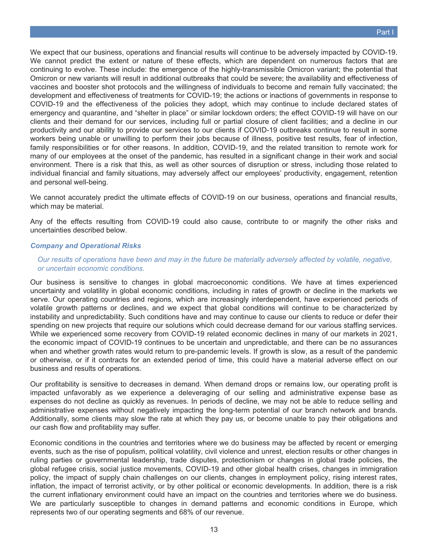We expect that our business, operations and financial results will continue to be adversely impacted by COVID-19. We cannot predict the extent or nature of these effects, which are dependent on numerous factors that are continuing to evolve. These include: the emergence of the highly-transmissible Omicron variant; the potential that Omicron or new variants will result in additional outbreaks that could be severe; the availability and effectiveness of vaccines and booster shot protocols and the willingness of individuals to become and remain fully vaccinated; the development and effectiveness of treatments for COVID-19; the actions or inactions of governments in response to COVID-19 and the effectiveness of the policies they adopt, which may continue to include declared states of emergency and quarantine, and "shelter in place" or similar lockdown orders; the effect COVID-19 will have on our clients and their demand for our services, including full or partial closure of client facilities; and a decline in our productivity and our ability to provide our services to our clients if COVID-19 outbreaks continue to result in some workers being unable or unwilling to perform their jobs because of illness, positive test results, fear of infection, family responsibilities or for other reasons. In addition, COVID-19, and the related transition to remote work for many of our employees at the onset of the pandemic, has resulted in a significant change in their work and social environment. There is a risk that this, as well as other sources of disruption or stress, including those related to individual financial and family situations, may adversely affect our employees' productivity, engagement, retention and personal well-being.

We cannot accurately predict the ultimate effects of COVID-19 on our business, operations and financial results, which may be material.

Any of the effects resulting from COVID-19 could also cause, contribute to or magnify the other risks and uncertainties described below.

#### *Company and Operational Risks*

#### *Our results of operations have been and may in the future be materially adversely affected by volatile, negative, or uncertain economic conditions.*

Our business is sensitive to changes in global macroeconomic conditions. We have at times experienced uncertainty and volatility in global economic conditions, including in rates of growth or decline in the markets we serve. Our operating countries and regions, which are increasingly interdependent, have experienced periods of volatile growth patterns or declines, and we expect that global conditions will continue to be characterized by instability and unpredictability. Such conditions have and may continue to cause our clients to reduce or defer their spending on new projects that require our solutions which could decrease demand for our various staffing services. While we experienced some recovery from COVID-19 related economic declines in many of our markets in 2021, the economic impact of COVID-19 continues to be uncertain and unpredictable, and there can be no assurances when and whether growth rates would return to pre-pandemic levels. If growth is slow, as a result of the pandemic or otherwise, or if it contracts for an extended period of time, this could have a material adverse effect on our business and results of operations.

Our profitability is sensitive to decreases in demand. When demand drops or remains low, our operating profit is impacted unfavorably as we experience a deleveraging of our selling and administrative expense base as expenses do not decline as quickly as revenues. In periods of decline, we may not be able to reduce selling and administrative expenses without negatively impacting the long-term potential of our branch network and brands. Additionally, some clients may slow the rate at which they pay us, or become unable to pay their obligations and our cash flow and profitability may suffer.

Economic conditions in the countries and territories where we do business may be affected by recent or emerging events, such as the rise of populism, political volatility, civil violence and unrest, election results or other changes in ruling parties or governmental leadership, trade disputes, protectionism or changes in global trade policies, the global refugee crisis, social justice movements, COVID-19 and other global health crises, changes in immigration policy, the impact of supply chain challenges on our clients, changes in employment policy, rising interest rates, inflation, the impact of terrorist activity, or by other political or economic developments. In addition, there is a risk the current inflationary environment could have an impact on the countries and territories where we do business. We are particularly susceptible to changes in demand patterns and economic conditions in Europe, which represents two of our operating segments and 68% of our revenue.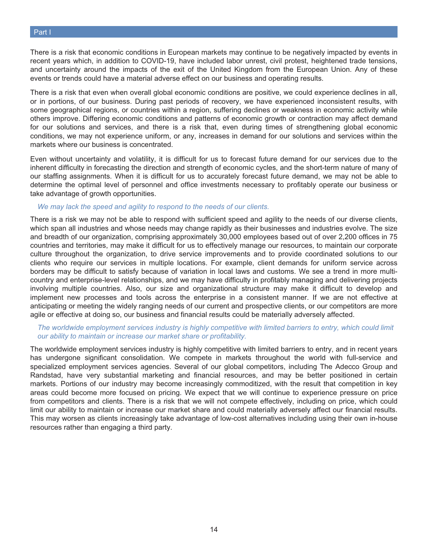There is a risk that economic conditions in European markets may continue to be negatively impacted by events in recent years which, in addition to COVID-19, have included labor unrest, civil protest, heightened trade tensions, and uncertainty around the impacts of the exit of the United Kingdom from the European Union. Any of these events or trends could have a material adverse effect on our business and operating results.

There is a risk that even when overall global economic conditions are positive, we could experience declines in all, or in portions, of our business. During past periods of recovery, we have experienced inconsistent results, with some geographical regions, or countries within a region, suffering declines or weakness in economic activity while others improve. Differing economic conditions and patterns of economic growth or contraction may affect demand for our solutions and services, and there is a risk that, even during times of strengthening global economic conditions, we may not experience uniform, or any, increases in demand for our solutions and services within the markets where our business is concentrated.

Even without uncertainty and volatility, it is difficult for us to forecast future demand for our services due to the inherent difficulty in forecasting the direction and strength of economic cycles, and the short-term nature of many of our staffing assignments. When it is difficult for us to accurately forecast future demand, we may not be able to determine the optimal level of personnel and office investments necessary to profitably operate our business or take advantage of growth opportunities.

#### *We may lack the speed and agility to respond to the needs of our clients.*

There is a risk we may not be able to respond with sufficient speed and agility to the needs of our diverse clients, which span all industries and whose needs may change rapidly as their businesses and industries evolve. The size and breadth of our organization, comprising approximately 30,000 employees based out of over 2,200 offices in 75 countries and territories, may make it difficult for us to effectively manage our resources, to maintain our corporate culture throughout the organization, to drive service improvements and to provide coordinated solutions to our clients who require our services in multiple locations. For example, client demands for uniform service across borders may be difficult to satisfy because of variation in local laws and customs. We see a trend in more multicountry and enterprise-level relationships, and we may have difficulty in profitably managing and delivering projects involving multiple countries. Also, our size and organizational structure may make it difficult to develop and implement new processes and tools across the enterprise in a consistent manner. If we are not effective at anticipating or meeting the widely ranging needs of our current and prospective clients, or our competitors are more agile or effective at doing so, our business and financial results could be materially adversely affected.

#### *The worldwide employment services industry is highly competitive with limited barriers to entry, which could limit our ability to maintain or increase our market share or profitability.*

The worldwide employment services industry is highly competitive with limited barriers to entry, and in recent years has undergone significant consolidation. We compete in markets throughout the world with full-service and specialized employment services agencies. Several of our global competitors, including The Adecco Group and Randstad, have very substantial marketing and financial resources, and may be better positioned in certain markets. Portions of our industry may become increasingly commoditized, with the result that competition in key areas could become more focused on pricing. We expect that we will continue to experience pressure on price from competitors and clients. There is a risk that we will not compete effectively, including on price, which could limit our ability to maintain or increase our market share and could materially adversely affect our financial results. This may worsen as clients increasingly take advantage of low-cost alternatives including using their own in-house resources rather than engaging a third party.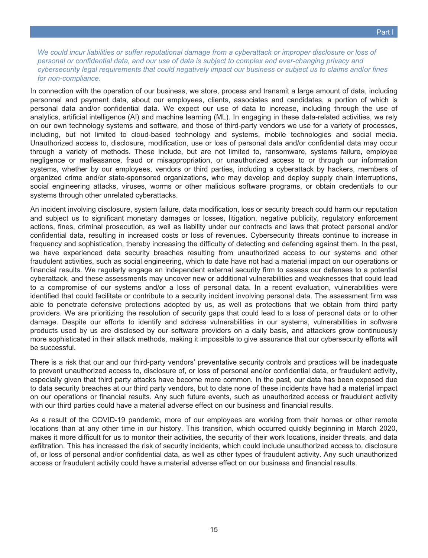*We could incur liabilities or suffer reputational damage from a cyberattack or improper disclosure or loss of personal or confidential data, and our use of data is subject to complex and ever-changing privacy and cybersecurity legal requirements that could negatively impact our business or subject us to claims and/or fines for non-compliance.*

In connection with the operation of our business, we store, process and transmit a large amount of data, including personnel and payment data, about our employees, clients, associates and candidates, a portion of which is personal data and/or confidential data. We expect our use of data to increase, including through the use of analytics, artificial intelligence (AI) and machine learning (ML). In engaging in these data-related activities, we rely on our own technology systems and software, and those of third-party vendors we use for a variety of processes, including, but not limited to cloud-based technology and systems, mobile technologies and social media. Unauthorized access to, disclosure, modification, use or loss of personal data and/or confidential data may occur through a variety of methods. These include, but are not limited to, ransomware, systems failure, employee negligence or malfeasance, fraud or misappropriation, or unauthorized access to or through our information systems, whether by our employees, vendors or third parties, including a cyberattack by hackers, members of organized crime and/or state-sponsored organizations, who may develop and deploy supply chain interruptions, social engineering attacks, viruses, worms or other malicious software programs, or obtain credentials to our systems through other unrelated cyberattacks.

An incident involving disclosure, system failure, data modification, loss or security breach could harm our reputation and subject us to significant monetary damages or losses, litigation, negative publicity, regulatory enforcement actions, fines, criminal prosecution, as well as liability under our contracts and laws that protect personal and/or confidential data, resulting in increased costs or loss of revenues. Cybersecurity threats continue to increase in frequency and sophistication, thereby increasing the difficulty of detecting and defending against them. In the past, we have experienced data security breaches resulting from unauthorized access to our systems and other fraudulent activities, such as social engineering, which to date have not had a material impact on our operations or financial results. We regularly engage an independent external security firm to assess our defenses to a potential cyberattack, and these assessments may uncover new or additional vulnerabilities and weaknesses that could lead to a compromise of our systems and/or a loss of personal data. In a recent evaluation, vulnerabilities were identified that could facilitate or contribute to a security incident involving personal data. The assessment firm was able to penetrate defensive protections adopted by us, as well as protections that we obtain from third party providers. We are prioritizing the resolution of security gaps that could lead to a loss of personal data or to other damage. Despite our efforts to identify and address vulnerabilities in our systems, vulnerabilities in software products used by us are disclosed by our software providers on a daily basis, and attackers grow continuously more sophisticated in their attack methods, making it impossible to give assurance that our cybersecurity efforts will be successful.

There is a risk that our and our third-party vendors' preventative security controls and practices will be inadequate to prevent unauthorized access to, disclosure of, or loss of personal and/or confidential data, or fraudulent activity, especially given that third party attacks have become more common. In the past, our data has been exposed due to data security breaches at our third party vendors, but to date none of these incidents have had a material impact on our operations or financial results. Any such future events, such as unauthorized access or fraudulent activity with our third parties could have a material adverse effect on our business and financial results.

As a result of the COVID-19 pandemic, more of our employees are working from their homes or other remote locations than at any other time in our history. This transition, which occurred quickly beginning in March 2020, makes it more difficult for us to monitor their activities, the security of their work locations, insider threats, and data exfiltration. This has increased the risk of security incidents, which could include unauthorized access to, disclosure of, or loss of personal and/or confidential data, as well as other types of fraudulent activity. Any such unauthorized access or fraudulent activity could have a material adverse effect on our business and financial results.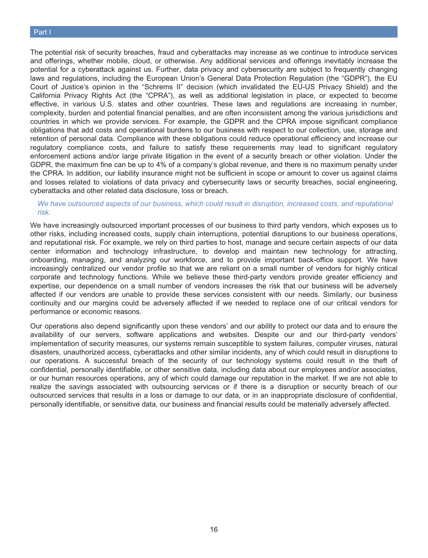#### Part I

The potential risk of security breaches, fraud and cyberattacks may increase as we continue to introduce services and offerings, whether mobile, cloud, or otherwise. Any additional services and offerings inevitably increase the potential for a cyberattack against us. Further, data privacy and cybersecurity are subject to frequently changing laws and regulations, including the European Union's General Data Protection Regulation (the "GDPR"), the EU Court of Justice's opinion in the "Schrems II" decision (which invalidated the EU-US Privacy Shield) and the California Privacy Rights Act (the "CPRA"), as well as additional legislation in place, or expected to become effective, in various U.S. states and other countries. These laws and regulations are increasing in number, complexity, burden and potential financial penalties, and are often inconsistent among the various jurisdictions and countries in which we provide services. For example, the GDPR and the CPRA impose significant compliance obligations that add costs and operational burdens to our business with respect to our collection, use, storage and retention of personal data. Compliance with these obligations could reduce operational efficiency and increase our regulatory compliance costs, and failure to satisfy these requirements may lead to significant regulatory enforcement actions and/or large private litigation in the event of a security breach or other violation. Under the GDPR, the maximum fine can be up to 4% of a company's global revenue, and there is no maximum penalty under the CPRA. In addition, our liability insurance might not be sufficient in scope or amount to cover us against claims and losses related to violations of data privacy and cybersecurity laws or security breaches, social engineering, cyberattacks and other related data disclosure, loss or breach.

#### *We have outsourced aspects of our business, which could result in disruption, increased costs, and reputational risk.*

We have increasingly outsourced important processes of our business to third party vendors, which exposes us to other risks, including increased costs, supply chain interruptions, potential disruptions to our business operations, and reputational risk. For example, we rely on third parties to host, manage and secure certain aspects of our data center information and technology infrastructure, to develop and maintain new technology for attracting, onboarding, managing, and analyzing our workforce, and to provide important back-office support. We have increasingly centralized our vendor profile so that we are reliant on a small number of vendors for highly critical corporate and technology functions. While we believe these third-party vendors provide greater efficiency and expertise, our dependence on a small number of vendors increases the risk that our business will be adversely affected if our vendors are unable to provide these services consistent with our needs. Similarly, our business continuity and our margins could be adversely affected if we needed to replace one of our critical vendors for performance or economic reasons.

Our operations also depend significantly upon these vendors' and our ability to protect our data and to ensure the availability of our servers, software applications and websites. Despite our and our third-party vendors' implementation of security measures, our systems remain susceptible to system failures, computer viruses, natural disasters, unauthorized access, cyberattacks and other similar incidents, any of which could result in disruptions to our operations. A successful breach of the security of our technology systems could result in the theft of confidential, personally identifiable, or other sensitive data, including data about our employees and/or associates, or our human resources operations, any of which could damage our reputation in the market. If we are not able to realize the savings associated with outsourcing services or if there is a disruption or security breach of our outsourced services that results in a loss or damage to our data, or in an inappropriate disclosure of confidential, personally identifiable, or sensitive data, our business and financial results could be materially adversely affected.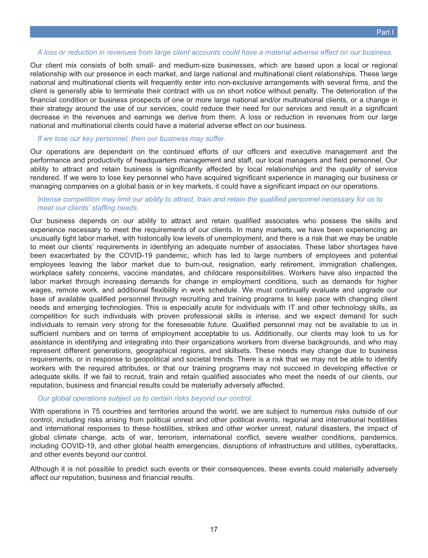#### *A loss or reduction in revenues from large client accounts could have a material adverse effect on our business.*

Our client mix consists of both small- and medium-size businesses, which are based upon a local or regional relationship with our presence in each market, and large national and multinational client relationships. These large national and multinational clients will frequently enter into non-exclusive arrangements with several firms, and the client is generally able to terminate their contract with us on short notice without penalty. The deterioration of the financial condition or business prospects of one or more large national and/or multinational clients, or a change in their strategy around the use of our services, could reduce their need for our services and result in a significant decrease in the revenues and earnings we derive from them. A loss or reduction in revenues from our large national and multinational clients could have a material adverse effect on our business.

#### *If we lose our key personnel, then our business may suffer.*

Our operations are dependent on the continued efforts of our officers and executive management and the performance and productivity of headquarters management and staff, our local managers and field personnel. Our ability to attract and retain business is significantly affected by local relationships and the quality of service rendered. If we were to lose key personnel who have acquired significant experience in managing our business or managing companies on a global basis or in key markets, it could have a significant impact on our operations.

#### *Intense competition may limit our ability to attract, train and retain the qualified personnel necessary for us to meet our clients' staffing needs.*

Our business depends on our ability to attract and retain qualified associates who possess the skills and experience necessary to meet the requirements of our clients. In many markets, we have been experiencing an unusually tight labor market, with historically low levels of unemployment, and there is a risk that we may be unable to meet our clients' requirements in identifying an adequate number of associates. These labor shortages have been exacerbated by the COVID-19 pandemic, which has led to large numbers of employees and potential employees leaving the labor market due to burn-out, resignation, early retirement, immigration challenges, workplace safety concerns, vaccine mandates, and childcare responsibilities. Workers have also impacted the labor market through increasing demands for change in employment conditions, such as demands for higher wages, remote work, and additional flexibility in work schedule. We must continually evaluate and upgrade our base of available qualified personnel through recruiting and training programs to keep pace with changing client needs and emerging technologies. This is especially acute for individuals with IT and other technology skills, as competition for such individuals with proven professional skills is intense, and we expect demand for such individuals to remain very strong for the foreseeable future. Qualified personnel may not be available to us in sufficient numbers and on terms of employment acceptable to us. Additionally, our clients may look to us for assistance in identifying and integrating into their organizations workers from diverse backgrounds, and who may represent different generations, geographical regions, and skillsets. These needs may change due to business requirements, or in response to geopolitical and societal trends. There is a risk that we may not be able to identify workers with the required attributes, or that our training programs may not succeed in developing effective or adequate skills. If we fail to recruit, train and retain qualified associates who meet the needs of our clients, our reputation, business and financial results could be materially adversely affected.

#### *Our global operations subject us to certain risks beyond our control.*

With operations in 75 countries and territories around the world, we are subject to numerous risks outside of our control, including risks arising from political unrest and other political events, regional and international hostilities and international responses to these hostilities, strikes and other worker unrest, natural disasters, the impact of global climate change, acts of war, terrorism, international conflict, severe weather conditions, pandemics, including COVID-19, and other global health emergencies, disruptions of infrastructure and utilities, cyberattacks, and other events beyond our control.

Although it is not possible to predict such events or their consequences, these events could materially adversely affect our reputation, business and financial results.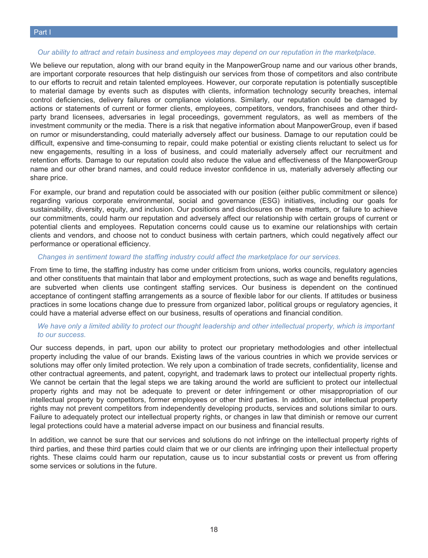#### *Our ability to attract and retain business and employees may depend on our reputation in the marketplace.*

We believe our reputation, along with our brand equity in the ManpowerGroup name and our various other brands, are important corporate resources that help distinguish our services from those of competitors and also contribute to our efforts to recruit and retain talented employees. However, our corporate reputation is potentially susceptible to material damage by events such as disputes with clients, information technology security breaches, internal control deficiencies, delivery failures or compliance violations. Similarly, our reputation could be damaged by actions or statements of current or former clients, employees, competitors, vendors, franchisees and other thirdparty brand licensees, adversaries in legal proceedings, government regulators, as well as members of the investment community or the media. There is a risk that negative information about ManpowerGroup, even if based on rumor or misunderstanding, could materially adversely affect our business. Damage to our reputation could be difficult, expensive and time-consuming to repair, could make potential or existing clients reluctant to select us for new engagements, resulting in a loss of business, and could materially adversely affect our recruitment and retention efforts. Damage to our reputation could also reduce the value and effectiveness of the ManpowerGroup name and our other brand names, and could reduce investor confidence in us, materially adversely affecting our share price.

For example, our brand and reputation could be associated with our position (either public commitment or silence) regarding various corporate environmental, social and governance (ESG) initiatives, including our goals for sustainability, diversity, equity, and inclusion. Our positions and disclosures on these matters, or failure to achieve our commitments, could harm our reputation and adversely affect our relationship with certain groups of current or potential clients and employees. Reputation concerns could cause us to examine our relationships with certain clients and vendors, and choose not to conduct business with certain partners, which could negatively affect our performance or operational efficiency.

#### *Changes in sentiment toward the staffing industry could affect the marketplace for our services.*

From time to time, the staffing industry has come under criticism from unions, works councils, regulatory agencies and other constituents that maintain that labor and employment protections, such as wage and benefits regulations, are subverted when clients use contingent staffing services. Our business is dependent on the continued acceptance of contingent staffing arrangements as a source of flexible labor for our clients. If attitudes or business practices in some locations change due to pressure from organized labor, political groups or regulatory agencies, it could have a material adverse effect on our business, results of operations and financial condition.

#### *We have only a limited ability to protect our thought leadership and other intellectual property, which is important to our success.*

Our success depends, in part, upon our ability to protect our proprietary methodologies and other intellectual property including the value of our brands. Existing laws of the various countries in which we provide services or solutions may offer only limited protection. We rely upon a combination of trade secrets, confidentiality, license and other contractual agreements, and patent, copyright, and trademark laws to protect our intellectual property rights. We cannot be certain that the legal steps we are taking around the world are sufficient to protect our intellectual property rights and may not be adequate to prevent or deter infringement or other misappropriation of our intellectual property by competitors, former employees or other third parties. In addition, our intellectual property rights may not prevent competitors from independently developing products, services and solutions similar to ours. Failure to adequately protect our intellectual property rights, or changes in law that diminish or remove our current legal protections could have a material adverse impact on our business and financial results.

In addition, we cannot be sure that our services and solutions do not infringe on the intellectual property rights of third parties, and these third parties could claim that we or our clients are infringing upon their intellectual property rights. These claims could harm our reputation, cause us to incur substantial costs or prevent us from offering some services or solutions in the future.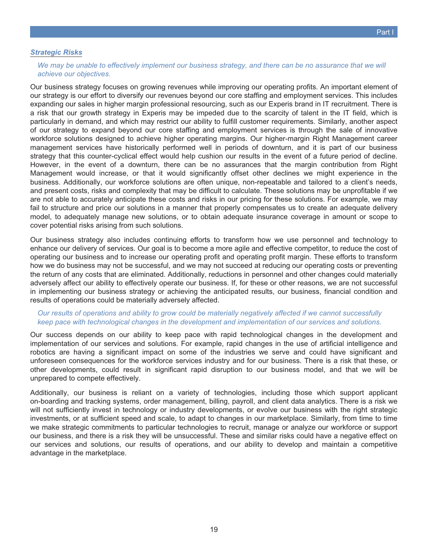*We may be unable to effectively implement our business strategy, and there can be no assurance that we will achieve our objectives.*

Our business strategy focuses on growing revenues while improving our operating profits. An important element of our strategy is our effort to diversify our revenues beyond our core staffing and employment services. This includes expanding our sales in higher margin professional resourcing, such as our Experis brand in IT recruitment. There is a risk that our growth strategy in Experis may be impeded due to the scarcity of talent in the IT field, which is particularly in demand, and which may restrict our ability to fulfill customer requirements. Similarly, another aspect of our strategy to expand beyond our core staffing and employment services is through the sale of innovative workforce solutions designed to achieve higher operating margins. Our higher-margin Right Management career management services have historically performed well in periods of downturn, and it is part of our business strategy that this counter-cyclical effect would help cushion our results in the event of a future period of decline. However, in the event of a downturn, there can be no assurances that the margin contribution from Right Management would increase, or that it would significantly offset other declines we might experience in the business. Additionally, our workforce solutions are often unique, non-repeatable and tailored to a client's needs, and present costs, risks and complexity that may be difficult to calculate. These solutions may be unprofitable if we are not able to accurately anticipate these costs and risks in our pricing for these solutions. For example, we may fail to structure and price our solutions in a manner that properly compensates us to create an adequate delivery model, to adequately manage new solutions, or to obtain adequate insurance coverage in amount or scope to cover potential risks arising from such solutions.

Our business strategy also includes continuing efforts to transform how we use personnel and technology to enhance our delivery of services. Our goal is to become a more agile and effective competitor, to reduce the cost of operating our business and to increase our operating profit and operating profit margin. These efforts to transform how we do business may not be successful, and we may not succeed at reducing our operating costs or preventing the return of any costs that are eliminated. Additionally, reductions in personnel and other changes could materially adversely affect our ability to effectively operate our business. If, for these or other reasons, we are not successful in implementing our business strategy or achieving the anticipated results, our business, financial condition and results of operations could be materially adversely affected.

#### *Our results of operations and ability to grow could be materially negatively affected if we cannot successfully keep pace with technological changes in the development and implementation of our services and solutions.*

Our success depends on our ability to keep pace with rapid technological changes in the development and implementation of our services and solutions. For example, rapid changes in the use of artificial intelligence and robotics are having a significant impact on some of the industries we serve and could have significant and unforeseen consequences for the workforce services industry and for our business. There is a risk that these, or other developments, could result in significant rapid disruption to our business model, and that we will be unprepared to compete effectively.

Additionally, our business is reliant on a variety of technologies, including those which support applicant on-boarding and tracking systems, order management, billing, payroll, and client data analytics. There is a risk we will not sufficiently invest in technology or industry developments, or evolve our business with the right strategic investments, or at sufficient speed and scale, to adapt to changes in our marketplace. Similarly, from time to time we make strategic commitments to particular technologies to recruit, manage or analyze our workforce or support our business, and there is a risk they will be unsuccessful. These and similar risks could have a negative effect on our services and solutions, our results of operations, and our ability to develop and maintain a competitive advantage in the marketplace.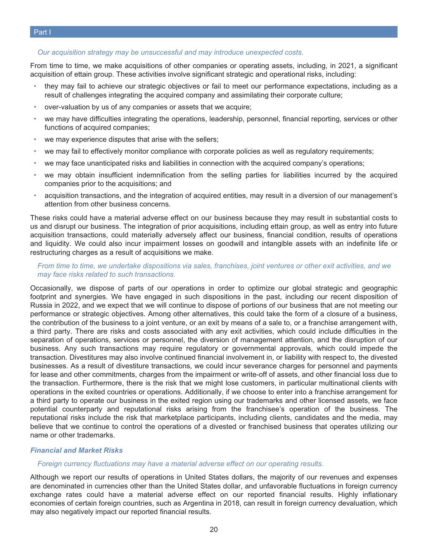#### *Our acquisition strategy may be unsuccessful and may introduce unexpected costs.*

From time to time, we make acquisitions of other companies or operating assets, including, in 2021, a significant acquisition of ettain group. These activities involve significant strategic and operational risks, including:

- they may fail to achieve our strategic objectives or fail to meet our performance expectations, including as a result of challenges integrating the acquired company and assimilating their corporate culture;
- over-valuation by us of any companies or assets that we acquire;
- we may have difficulties integrating the operations, leadership, personnel, financial reporting, services or other functions of acquired companies;
- we may experience disputes that arise with the sellers;
- we may fail to effectively monitor compliance with corporate policies as well as regulatory requirements;
- we may face unanticipated risks and liabilities in connection with the acquired company's operations;
- we may obtain insufficient indemnification from the selling parties for liabilities incurred by the acquired companies prior to the acquisitions; and
- acquisition transactions, and the integration of acquired entities, may result in a diversion of our management's attention from other business concerns.

These risks could have a material adverse effect on our business because they may result in substantial costs to us and disrupt our business. The integration of prior acquisitions, including ettain group, as well as entry into future acquisition transactions, could materially adversely affect our business, financial condition, results of operations and liquidity. We could also incur impairment losses on goodwill and intangible assets with an indefinite life or restructuring charges as a result of acquisitions we make.

#### *From time to time, we undertake dispositions via sales, franchises, joint ventures or other exit activities, and we may face risks related to such transactions.*

Occasionally, we dispose of parts of our operations in order to optimize our global strategic and geographic footprint and synergies. We have engaged in such dispositions in the past, including our recent disposition of Russia in 2022, and we expect that we will continue to dispose of portions of our business that are not meeting our performance or strategic objectives. Among other alternatives, this could take the form of a closure of a business, the contribution of the business to a joint venture, or an exit by means of a sale to, or a franchise arrangement with, a third party. There are risks and costs associated with any exit activities, which could include difficulties in the separation of operations, services or personnel, the diversion of management attention, and the disruption of our business. Any such transactions may require regulatory or governmental approvals, which could impede the transaction. Divestitures may also involve continued financial involvement in, or liability with respect to, the divested businesses. As a result of divestiture transactions, we could incur severance charges for personnel and payments for lease and other commitments, charges from the impairment or write-off of assets, and other financial loss due to the transaction. Furthermore, there is the risk that we might lose customers, in particular multinational clients with operations in the exited countries or operations. Additionally, if we choose to enter into a franchise arrangement for a third party to operate our business in the exited region using our trademarks and other licensed assets, we face potential counterparty and reputational risks arising from the franchisee's operation of the business. The reputational risks include the risk that marketplace participants, including clients, candidates and the media, may believe that we continue to control the operations of a divested or franchised business that operates utilizing our name or other trademarks.

#### *Financial and Market Risks*

#### *Foreign currency fluctuations may have a material adverse effect on our operating results.*

Although we report our results of operations in United States dollars, the majority of our revenues and expenses are denominated in currencies other than the United States dollar, and unfavorable fluctuations in foreign currency exchange rates could have a material adverse effect on our reported financial results. Highly inflationary economies of certain foreign countries, such as Argentina in 2018, can result in foreign currency devaluation, which may also negatively impact our reported financial results.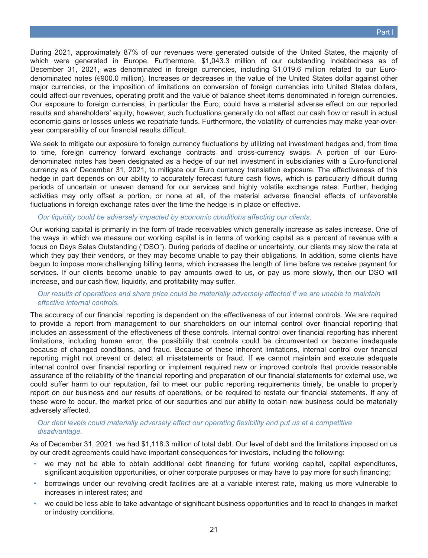During 2021, approximately 87% of our revenues were generated outside of the United States, the majority of which were generated in Europe. Furthermore, \$1,043.3 million of our outstanding indebtedness as of December 31, 2021, was denominated in foreign currencies, including \$1,019.6 million related to our Eurodenominated notes (€900.0 million). Increases or decreases in the value of the United States dollar against other major currencies, or the imposition of limitations on conversion of foreign currencies into United States dollars, could affect our revenues, operating profit and the value of balance sheet items denominated in foreign currencies. Our exposure to foreign currencies, in particular the Euro, could have a material adverse effect on our reported results and shareholders' equity, however, such fluctuations generally do not affect our cash flow or result in actual economic gains or losses unless we repatriate funds. Furthermore, the volatility of currencies may make year-overyear comparability of our financial results difficult.

We seek to mitigate our exposure to foreign currency fluctuations by utilizing net investment hedges and, from time to time, foreign currency forward exchange contracts and cross-currency swaps. A portion of our Eurodenominated notes has been designated as a hedge of our net investment in subsidiaries with a Euro-functional currency as of December 31, 2021, to mitigate our Euro currency translation exposure. The effectiveness of this hedge in part depends on our ability to accurately forecast future cash flows, which is particularly difficult during periods of uncertain or uneven demand for our services and highly volatile exchange rates. Further, hedging activities may only offset a portion, or none at all, of the material adverse financial effects of unfavorable fluctuations in foreign exchange rates over the time the hedge is in place or effective.

#### *Our liquidity could be adversely impacted by economic conditions affecting our clients.*

Our working capital is primarily in the form of trade receivables which generally increase as sales increase. One of the ways in which we measure our working capital is in terms of working capital as a percent of revenue with a focus on Days Sales Outstanding ("DSO"). During periods of decline or uncertainty, our clients may slow the rate at which they pay their vendors, or they may become unable to pay their obligations. In addition, some clients have begun to impose more challenging billing terms, which increases the length of time before we receive payment for services. If our clients become unable to pay amounts owed to us, or pay us more slowly, then our DSO will increase, and our cash flow, liquidity, and profitability may suffer.

#### *Our results of operations and share price could be materially adversely affected if we are unable to maintain effective internal controls.*

The accuracy of our financial reporting is dependent on the effectiveness of our internal controls. We are required to provide a report from management to our shareholders on our internal control over financial reporting that includes an assessment of the effectiveness of these controls. Internal control over financial reporting has inherent limitations, including human error, the possibility that controls could be circumvented or become inadequate because of changed conditions, and fraud. Because of these inherent limitations, internal control over financial reporting might not prevent or detect all misstatements or fraud. If we cannot maintain and execute adequate internal control over financial reporting or implement required new or improved controls that provide reasonable assurance of the reliability of the financial reporting and preparation of our financial statements for external use, we could suffer harm to our reputation, fail to meet our public reporting requirements timely, be unable to properly report on our business and our results of operations, or be required to restate our financial statements. If any of these were to occur, the market price of our securities and our ability to obtain new business could be materially adversely affected.

#### *Our debt levels could materially adversely affect our operating flexibility and put us at a competitive disadvantage.*

As of December 31, 2021, we had \$1,118.3 million of total debt. Our level of debt and the limitations imposed on us by our credit agreements could have important consequences for investors, including the following:

- we may not be able to obtain additional debt financing for future working capital, capital expenditures, significant acquisition opportunities, or other corporate purposes or may have to pay more for such financing;
- borrowings under our revolving credit facilities are at a variable interest rate, making us more vulnerable to increases in interest rates; and
- we could be less able to take advantage of significant business opportunities and to react to changes in market or industry conditions.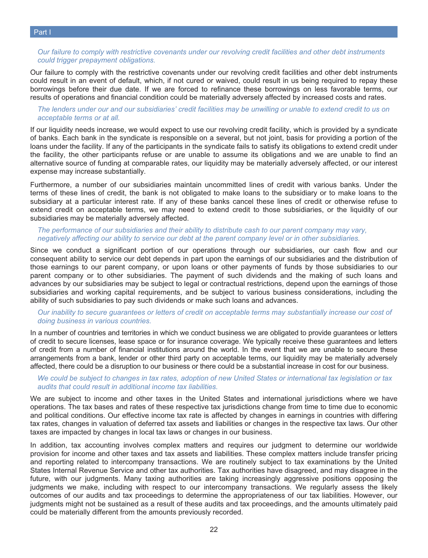*Our failure to comply with restrictive covenants under our revolving credit facilities and other debt instruments could trigger prepayment obligations.*

Our failure to comply with the restrictive covenants under our revolving credit facilities and other debt instruments could result in an event of default, which, if not cured or waived, could result in us being required to repay these borrowings before their due date. If we are forced to refinance these borrowings on less favorable terms, our results of operations and financial condition could be materially adversely affected by increased costs and rates.

#### *The lenders under our and our subsidiaries' credit facilities may be unwilling or unable to extend credit to us on acceptable terms or at all.*

If our liquidity needs increase, we would expect to use our revolving credit facility, which is provided by a syndicate of banks. Each bank in the syndicate is responsible on a several, but not joint, basis for providing a portion of the loans under the facility. If any of the participants in the syndicate fails to satisfy its obligations to extend credit under the facility, the other participants refuse or are unable to assume its obligations and we are unable to find an alternative source of funding at comparable rates, our liquidity may be materially adversely affected, or our interest expense may increase substantially.

Furthermore, a number of our subsidiaries maintain uncommitted lines of credit with various banks. Under the terms of these lines of credit, the bank is not obligated to make loans to the subsidiary or to make loans to the subsidiary at a particular interest rate. If any of these banks cancel these lines of credit or otherwise refuse to extend credit on acceptable terms, we may need to extend credit to those subsidiaries, or the liquidity of our subsidiaries may be materially adversely affected.

#### *The performance of our subsidiaries and their ability to distribute cash to our parent company may vary, negatively affecting our ability to service our debt at the parent company level or in other subsidiaries.*

Since we conduct a significant portion of our operations through our subsidiaries, our cash flow and our consequent ability to service our debt depends in part upon the earnings of our subsidiaries and the distribution of those earnings to our parent company, or upon loans or other payments of funds by those subsidiaries to our parent company or to other subsidiaries. The payment of such dividends and the making of such loans and advances by our subsidiaries may be subject to legal or contractual restrictions, depend upon the earnings of those subsidiaries and working capital requirements, and be subject to various business considerations, including the ability of such subsidiaries to pay such dividends or make such loans and advances.

#### *Our inability to secure guarantees or letters of credit on acceptable terms may substantially increase our cost of doing business in various countries.*

In a number of countries and territories in which we conduct business we are obligated to provide guarantees or letters of credit to secure licenses, lease space or for insurance coverage. We typically receive these guarantees and letters of credit from a number of financial institutions around the world. In the event that we are unable to secure these arrangements from a bank, lender or other third party on acceptable terms, our liquidity may be materially adversely affected, there could be a disruption to our business or there could be a substantial increase in cost for our business.

#### *We could be subject to changes in tax rates, adoption of new United States or international tax legislation or tax audits that could result in additional income tax liabilities.*

We are subject to income and other taxes in the United States and international jurisdictions where we have operations. The tax bases and rates of these respective tax jurisdictions change from time to time due to economic and political conditions. Our effective income tax rate is affected by changes in earnings in countries with differing tax rates, changes in valuation of deferred tax assets and liabilities or changes in the respective tax laws. Our other taxes are impacted by changes in local tax laws or changes in our business.

In addition, tax accounting involves complex matters and requires our judgment to determine our worldwide provision for income and other taxes and tax assets and liabilities. These complex matters include transfer pricing and reporting related to intercompany transactions. We are routinely subject to tax examinations by the United States Internal Revenue Service and other tax authorities. Tax authorities have disagreed, and may disagree in the future, with our judgments. Many taxing authorities are taking increasingly aggressive positions opposing the judgments we make, including with respect to our intercompany transactions. We regularly assess the likely outcomes of our audits and tax proceedings to determine the appropriateness of our tax liabilities. However, our judgments might not be sustained as a result of these audits and tax proceedings, and the amounts ultimately paid could be materially different from the amounts previously recorded.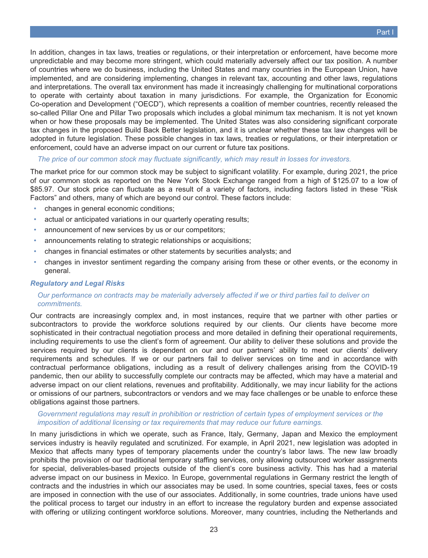In addition, changes in tax laws, treaties or regulations, or their interpretation or enforcement, have become more unpredictable and may become more stringent, which could materially adversely affect our tax position. A number of countries where we do business, including the United States and many countries in the European Union, have implemented, and are considering implementing, changes in relevant tax, accounting and other laws, regulations and interpretations. The overall tax environment has made it increasingly challenging for multinational corporations to operate with certainty about taxation in many jurisdictions. For example, the Organization for Economic Co-operation and Development ("OECD"), which represents a coalition of member countries, recently released the so-called Pillar One and Pillar Two proposals which includes a global minimum tax mechanism. It is not yet known when or how these proposals may be implemented. The United States was also considering significant corporate tax changes in the proposed Build Back Better legislation, and it is unclear whether these tax law changes will be adopted in future legislation. These possible changes in tax laws, treaties or regulations, or their interpretation or enforcement, could have an adverse impact on our current or future tax positions.

*The price of our common stock may fluctuate significantly, which may result in losses for investors.*

The market price for our common stock may be subject to significant volatility. For example, during 2021, the price of our common stock as reported on the New York Stock Exchange ranged from a high of \$125.07 to a low of \$85.97. Our stock price can fluctuate as a result of a variety of factors, including factors listed in these "Risk Factors" and others, many of which are beyond our control. These factors include:

- changes in general economic conditions;
- actual or anticipated variations in our quarterly operating results;
- announcement of new services by us or our competitors;
- announcements relating to strategic relationships or acquisitions;
- changes in financial estimates or other statements by securities analysts; and
- changes in investor sentiment regarding the company arising from these or other events, or the economy in general.

#### *Regulatory and Legal Risks*

#### *Our performance on contracts may be materially adversely affected if we or third parties fail to deliver on commitments.*

Our contracts are increasingly complex and, in most instances, require that we partner with other parties or subcontractors to provide the workforce solutions required by our clients. Our clients have become more sophisticated in their contractual negotiation process and more detailed in defining their operational requirements, including requirements to use the client's form of agreement. Our ability to deliver these solutions and provide the services required by our clients is dependent on our and our partners' ability to meet our clients' delivery requirements and schedules. If we or our partners fail to deliver services on time and in accordance with contractual performance obligations, including as a result of delivery challenges arising from the COVID-19 pandemic, then our ability to successfully complete our contracts may be affected, which may have a material and adverse impact on our client relations, revenues and profitability. Additionally, we may incur liability for the actions or omissions of our partners, subcontractors or vendors and we may face challenges or be unable to enforce these obligations against those partners.

#### *Government regulations may result in prohibition or restriction of certain types of employment services or the imposition of additional licensing or tax requirements that may reduce our future earnings.*

In many jurisdictions in which we operate, such as France, Italy, Germany, Japan and Mexico the employment services industry is heavily regulated and scrutinized. For example, in April 2021, new legislation was adopted in Mexico that affects many types of temporary placements under the country's labor laws. The new law broadly prohibits the provision of our traditional temporary staffing services, only allowing outsourced worker assignments for special, deliverables-based projects outside of the client's core business activity. This has had a material adverse impact on our business in Mexico. In Europe, governmental regulations in Germany restrict the length of contracts and the industries in which our associates may be used. In some countries, special taxes, fees or costs are imposed in connection with the use of our associates. Additionally, in some countries, trade unions have used the political process to target our industry in an effort to increase the regulatory burden and expense associated with offering or utilizing contingent workforce solutions. Moreover, many countries, including the Netherlands and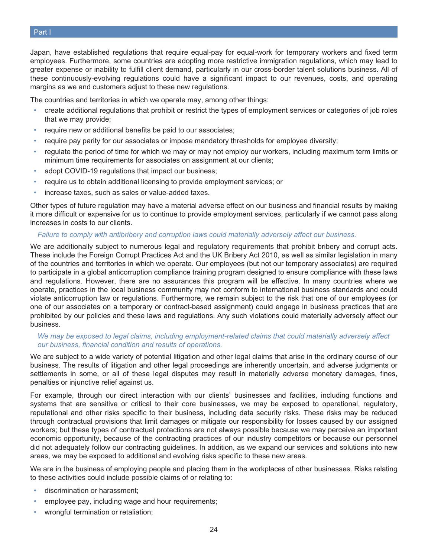Japan, have established regulations that require equal-pay for equal-work for temporary workers and fixed term employees. Furthermore, some countries are adopting more restrictive immigration regulations, which may lead to greater expense or inability to fulfill client demand, particularly in our cross-border talent solutions business. All of these continuously-evolving regulations could have a significant impact to our revenues, costs, and operating margins as we and customers adjust to these new regulations.

The countries and territories in which we operate may, among other things:

- create additional regulations that prohibit or restrict the types of employment services or categories of job roles that we may provide;
- require new or additional benefits be paid to our associates;
- require pay parity for our associates or impose mandatory thresholds for employee diversity;
- regulate the period of time for which we may or may not employ our workers, including maximum term limits or minimum time requirements for associates on assignment at our clients;
- adopt COVID-19 regulations that impact our business;
- require us to obtain additional licensing to provide employment services; or
- increase taxes, such as sales or value-added taxes.

Other types of future regulation may have a material adverse effect on our business and financial results by making it more difficult or expensive for us to continue to provide employment services, particularly if we cannot pass along increases in costs to our clients.

#### *Failure to comply with antibribery and corruption laws could materially adversely affect our business.*

We are additionally subject to numerous legal and regulatory requirements that prohibit bribery and corrupt acts. These include the Foreign Corrupt Practices Act and the UK Bribery Act 2010, as well as similar legislation in many of the countries and territories in which we operate. Our employees (but not our temporary associates) are required to participate in a global anticorruption compliance training program designed to ensure compliance with these laws and regulations. However, there are no assurances this program will be effective. In many countries where we operate, practices in the local business community may not conform to international business standards and could violate anticorruption law or regulations. Furthermore, we remain subject to the risk that one of our employees (or one of our associates on a temporary or contract-based assignment) could engage in business practices that are prohibited by our policies and these laws and regulations. Any such violations could materially adversely affect our business.

#### *We may be exposed to legal claims, including employment-related claims that could materially adversely affect our business, financial condition and results of operations.*

We are subject to a wide variety of potential litigation and other legal claims that arise in the ordinary course of our business. The results of litigation and other legal proceedings are inherently uncertain, and adverse judgments or settlements in some, or all of these legal disputes may result in materially adverse monetary damages, fines, penalties or injunctive relief against us.

For example, through our direct interaction with our clients' businesses and facilities, including functions and systems that are sensitive or critical to their core businesses, we may be exposed to operational, regulatory, reputational and other risks specific to their business, including data security risks. These risks may be reduced through contractual provisions that limit damages or mitigate our responsibility for losses caused by our assigned workers; but these types of contractual protections are not always possible because we may perceive an important economic opportunity, because of the contracting practices of our industry competitors or because our personnel did not adequately follow our contracting guidelines. In addition, as we expand our services and solutions into new areas, we may be exposed to additional and evolving risks specific to these new areas.

We are in the business of employing people and placing them in the workplaces of other businesses. Risks relating to these activities could include possible claims of or relating to:

- discrimination or harassment;
- employee pay, including wage and hour requirements;
- wrongful termination or retaliation;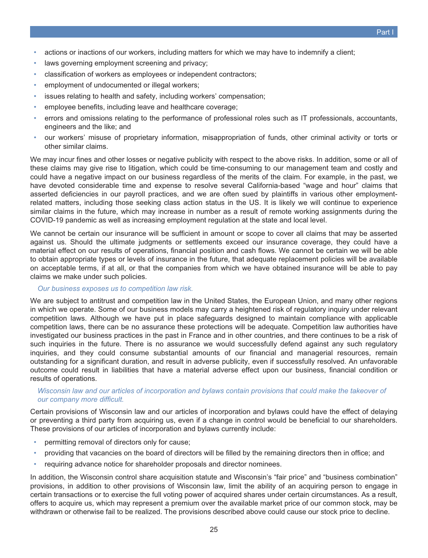- actions or inactions of our workers, including matters for which we may have to indemnify a client;
- laws governing employment screening and privacy;
- classification of workers as employees or independent contractors;
- employment of undocumented or illegal workers;
- issues relating to health and safety, including workers' compensation;
- employee benefits, including leave and healthcare coverage;
- errors and omissions relating to the performance of professional roles such as IT professionals, accountants, engineers and the like; and
- our workers' misuse of proprietary information, misappropriation of funds, other criminal activity or torts or other similar claims.

We may incur fines and other losses or negative publicity with respect to the above risks. In addition, some or all of these claims may give rise to litigation, which could be time-consuming to our management team and costly and could have a negative impact on our business regardless of the merits of the claim. For example, in the past, we have devoted considerable time and expense to resolve several California-based "wage and hour" claims that asserted deficiencies in our payroll practices, and we are often sued by plaintiffs in various other employmentrelated matters, including those seeking class action status in the US. It is likely we will continue to experience similar claims in the future, which may increase in number as a result of remote working assignments during the COVID-19 pandemic as well as increasing employment regulation at the state and local level.

We cannot be certain our insurance will be sufficient in amount or scope to cover all claims that may be asserted against us. Should the ultimate judgments or settlements exceed our insurance coverage, they could have a material effect on our results of operations, financial position and cash flows. We cannot be certain we will be able to obtain appropriate types or levels of insurance in the future, that adequate replacement policies will be available on acceptable terms, if at all, or that the companies from which we have obtained insurance will be able to pay claims we make under such policies.

#### *Our business exposes us to competition law risk.*

We are subject to antitrust and competition law in the United States, the European Union, and many other regions in which we operate. Some of our business models may carry a heightened risk of regulatory inquiry under relevant competition laws. Although we have put in place safeguards designed to maintain compliance with applicable competition laws, there can be no assurance these protections will be adequate. Competition law authorities have investigated our business practices in the past in France and in other countries, and there continues to be a risk of such inquiries in the future. There is no assurance we would successfully defend against any such regulatory inquiries, and they could consume substantial amounts of our financial and managerial resources, remain outstanding for a significant duration, and result in adverse publicity, even if successfully resolved. An unfavorable outcome could result in liabilities that have a material adverse effect upon our business, financial condition or results of operations.

#### *Wisconsin law and our articles of incorporation and bylaws contain provisions that could make the takeover of our company more difficult.*

Certain provisions of Wisconsin law and our articles of incorporation and bylaws could have the effect of delaying or preventing a third party from acquiring us, even if a change in control would be beneficial to our shareholders. These provisions of our articles of incorporation and bylaws currently include:

- permitting removal of directors only for cause;
- providing that vacancies on the board of directors will be filled by the remaining directors then in office; and
- requiring advance notice for shareholder proposals and director nominees.

In addition, the Wisconsin control share acquisition statute and Wisconsin's "fair price" and "business combination" provisions, in addition to other provisions of Wisconsin law, limit the ability of an acquiring person to engage in certain transactions or to exercise the full voting power of acquired shares under certain circumstances. As a result, offers to acquire us, which may represent a premium over the available market price of our common stock, may be withdrawn or otherwise fail to be realized. The provisions described above could cause our stock price to decline.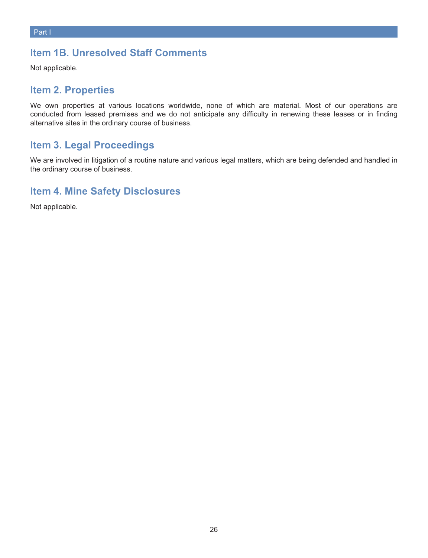## <span id="page-25-0"></span>**Item 1B. Unresolved Staff Comments**

<span id="page-25-1"></span>Not applicable.

### **Item 2. Properties**

We own properties at various locations worldwide, none of which are material. Most of our operations are conducted from leased premises and we do not anticipate any difficulty in renewing these leases or in finding alternative sites in the ordinary course of business.

## <span id="page-25-2"></span>**Item 3. Legal Proceedings**

We are involved in litigation of a routine nature and various legal matters, which are being defended and handled in the ordinary course of business.

## <span id="page-25-3"></span>**Item 4. Mine Safety Disclosures**

Not applicable.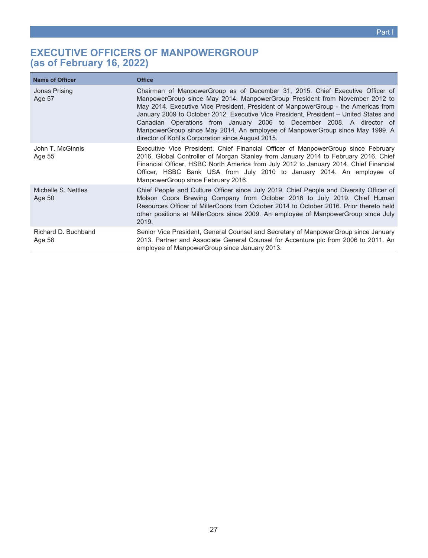## <span id="page-26-0"></span>**EXECUTIVE OFFICERS OF MANPOWERGROUP (as of February 16, 2022)**

| <b>Name of Officer</b>        | <b>Office</b>                                                                                                                                                                                                                                                                                                                                                                                                                                                                                                                                             |
|-------------------------------|-----------------------------------------------------------------------------------------------------------------------------------------------------------------------------------------------------------------------------------------------------------------------------------------------------------------------------------------------------------------------------------------------------------------------------------------------------------------------------------------------------------------------------------------------------------|
| Jonas Prising<br>Age 57       | Chairman of ManpowerGroup as of December 31, 2015. Chief Executive Officer of<br>ManpowerGroup since May 2014. ManpowerGroup President from November 2012 to<br>May 2014. Executive Vice President, President of ManpowerGroup - the Americas from<br>January 2009 to October 2012. Executive Vice President, President - United States and<br>Canadian Operations from January 2006 to December 2008. A director of<br>ManpowerGroup since May 2014. An employee of ManpowerGroup since May 1999. A<br>director of Kohl's Corporation since August 2015. |
| John T. McGinnis<br>Age 55    | Executive Vice President, Chief Financial Officer of ManpowerGroup since February<br>2016. Global Controller of Morgan Stanley from January 2014 to February 2016. Chief<br>Financial Officer, HSBC North America from July 2012 to January 2014. Chief Financial<br>Officer, HSBC Bank USA from July 2010 to January 2014. An employee of<br>ManpowerGroup since February 2016.                                                                                                                                                                          |
| Michelle S. Nettles<br>Age 50 | Chief People and Culture Officer since July 2019. Chief People and Diversity Officer of<br>Molson Coors Brewing Company from October 2016 to July 2019. Chief Human<br>Resources Officer of MillerCoors from October 2014 to October 2016. Prior thereto held<br>other positions at MillerCoors since 2009. An employee of ManpowerGroup since July<br>2019.                                                                                                                                                                                              |
| Richard D. Buchband<br>Age 58 | Senior Vice President, General Counsel and Secretary of ManpowerGroup since January<br>2013. Partner and Associate General Counsel for Accenture plc from 2006 to 2011. An<br>employee of ManpowerGroup since January 2013.                                                                                                                                                                                                                                                                                                                               |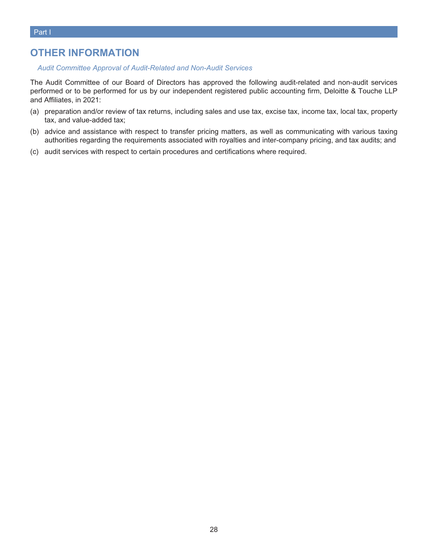## <span id="page-27-0"></span>**OTHER INFORMATION**

#### *Audit Committee Approval of Audit-Related and Non-Audit Services*

The Audit Committee of our Board of Directors has approved the following audit-related and non-audit services performed or to be performed for us by our independent registered public accounting firm, Deloitte & Touche LLP and Affiliates, in 2021:

- (a) preparation and/or review of tax returns, including sales and use tax, excise tax, income tax, local tax, property tax, and value-added tax;
- (b) advice and assistance with respect to transfer pricing matters, as well as communicating with various taxing authorities regarding the requirements associated with royalties and inter-company pricing, and tax audits; and
- (c) audit services with respect to certain procedures and certifications where required.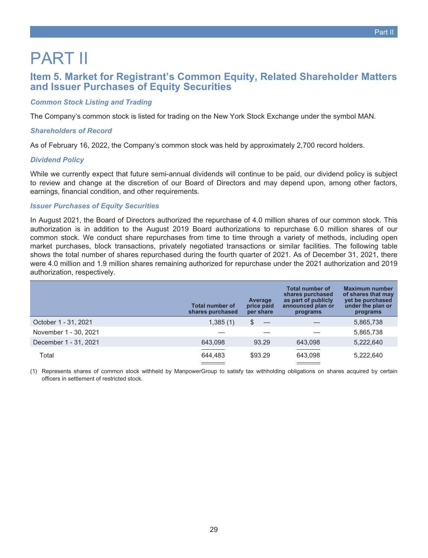# <span id="page-28-1"></span><span id="page-28-0"></span>PART II

## **Item 5. Market for Registrant's Common Equity, Related Shareholder Matters and Issuer Purchases of Equity Securities**

#### *Common Stock Listing and Trading*

The Company's common stock is listed for trading on the New York Stock Exchange under the symbol MAN.

#### *Shareholders of Record*

As of February 16, 2022, the Company's common stock was held by approximately 2,700 record holders.

#### *Dividend Policy*

While we currently expect that future semi-annual dividends will continue to be paid, our dividend policy is subject to review and change at the discretion of our Board of Directors and may depend upon, among other factors, earnings, financial condition, and other requirements.

#### *Issuer Purchases of Equity Securities*

In August 2021, the Board of Directors authorized the repurchase of 4.0 million shares of our common stock. This authorization is in addition to the August 2019 Board authorizations to repurchase 6.0 million shares of our common stock. We conduct share repurchases from time to time through a variety of methods, including open market purchases, block transactions, privately negotiated transactions or similar facilities. The following table shows the total number of shares repurchased during the fourth quarter of 2021. As of December 31, 2021, there were 4.0 million and 1.9 million shares remaining authorized for repurchase under the 2021 authorization and 2019 authorization, respectively.

|                       | <b>Total number of</b><br>shares purchased | Average<br>price paid<br>per share | <b>Total number of</b><br>shares purchased<br>as part of publicly<br>announced plan or<br>programs | <b>Maximum number</b><br>of shares that may<br>yet be purchased<br>under the plan or<br>programs |
|-----------------------|--------------------------------------------|------------------------------------|----------------------------------------------------------------------------------------------------|--------------------------------------------------------------------------------------------------|
| October 1 - 31, 2021  | 1,385(1)                                   | \$                                 |                                                                                                    | 5,865,738                                                                                        |
| November 1 - 30, 2021 |                                            |                                    |                                                                                                    | 5,865,738                                                                                        |
| December 1 - 31, 2021 | 643.098                                    | 93.29                              | 643,098                                                                                            | 5,222,640                                                                                        |
| Total                 | 644.483                                    | \$93.29                            | 643,098                                                                                            | 5,222,640                                                                                        |

(1) Represents shares of common stock withheld by ManpowerGroup to satisfy tax withholding obligations on shares acquired by certain officers in settlement of restricted stock.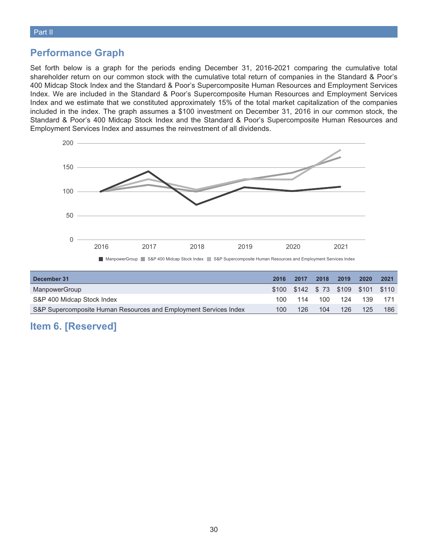## **Performance Graph**

Set forth below is a graph for the periods ending December 31, 2016-2021 comparing the cumulative total shareholder return on our common stock with the cumulative total return of companies in the Standard & Poor's 400 Midcap Stock Index and the Standard & Poor's Supercomposite Human Resources and Employment Services Index. We are included in the Standard & Poor's Supercomposite Human Resources and Employment Services Index and we estimate that we constituted approximately 15% of the total market capitalization of the companies included in the index. The graph assumes a \$100 investment on December 31, 2016 in our common stock, the Standard & Poor's 400 Midcap Stock Index and the Standard & Poor's Supercomposite Human Resources and Employment Services Index and assumes the reinvestment of all dividends.



| December 31                                                      | 2016 | 2017 | 2018 | 2019 | 2020                               | 2021  |
|------------------------------------------------------------------|------|------|------|------|------------------------------------|-------|
| ManpowerGroup                                                    |      |      |      |      | \$100 \$142 \$73 \$109 \$101 \$110 |       |
| S&P 400 Midcap Stock Index                                       | 100- | 114  | 100  | 124  | 139                                | - 171 |
| S&P Supercomposite Human Resources and Employment Services Index | 100  | 126  | 104  | 126  | 125                                | 186   |

## <span id="page-29-0"></span>**Item 6. [Reserved]**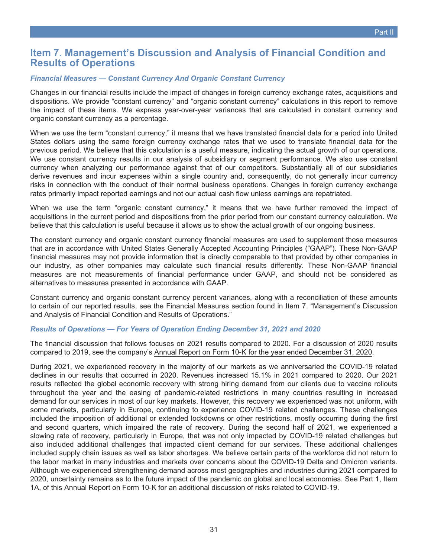## <span id="page-30-0"></span>**Item 7. Management's Discussion and Analysis of Financial Condition and Results of Operations**

#### *Financial Measures — Constant Currency And Organic Constant Currency*

Changes in our financial results include the impact of changes in foreign currency exchange rates, acquisitions and dispositions. We provide "constant currency" and "organic constant currency" calculations in this report to remove the impact of these items. We express year-over-year variances that are calculated in constant currency and organic constant currency as a percentage.

When we use the term "constant currency," it means that we have translated financial data for a period into United States dollars using the same foreign currency exchange rates that we used to translate financial data for the previous period. We believe that this calculation is a useful measure, indicating the actual growth of our operations. We use constant currency results in our analysis of subsidiary or segment performance. We also use constant currency when analyzing our performance against that of our competitors. Substantially all of our subsidiaries derive revenues and incur expenses within a single country and, consequently, do not generally incur currency risks in connection with the conduct of their normal business operations. Changes in foreign currency exchange rates primarily impact reported earnings and not our actual cash flow unless earnings are repatriated.

When we use the term "organic constant currency," it means that we have further removed the impact of acquisitions in the current period and dispositions from the prior period from our constant currency calculation. We believe that this calculation is useful because it allows us to show the actual growth of our ongoing business.

The constant currency and organic constant currency financial measures are used to supplement those measures that are in accordance with United States Generally Accepted Accounting Principles ("GAAP"). These Non-GAAP financial measures may not provide information that is directly comparable to that provided by other companies in our industry, as other companies may calculate such financial results differently. These Non-GAAP financial measures are not measurements of financial performance under GAAP, and should not be considered as alternatives to measures presented in accordance with GAAP.

Constant currency and organic constant currency percent variances, along with a reconciliation of these amounts to certain of our reported results, see the Financial Measures section found in Item 7. "Management's Discussion and Analysis of Financial Condition and Results of Operations."

#### *Results of Operations — For Years of Operation Ending December 31, 2021 and 2020*

The financial discussion that follows focuses on 2021 results compared to 2020. For a discussion of 2020 results compared to 2019, see the company's Annual Report on Form 10-K for the year ended December 31, 2020.

During 2021, we experienced recovery in the majority of our markets as we anniversaried the COVID-19 related declines in our results that occurred in 2020. Revenues increased 15.1% in 2021 compared to 2020. Our 2021 results reflected the global economic recovery with strong hiring demand from our clients due to vaccine rollouts throughout the year and the easing of pandemic-related restrictions in many countries resulting in increased demand for our services in most of our key markets. However, this recovery we experienced was not uniform, with some markets, particularly in Europe, continuing to experience COVID-19 related challenges. These challenges included the imposition of additional or extended lockdowns or other restrictions, mostly occurring during the first and second quarters, which impaired the rate of recovery. During the second half of 2021, we experienced a slowing rate of recovery, particularly in Europe, that was not only impacted by COVID-19 related challenges but also included additional challenges that impacted client demand for our services. These additional challenges included supply chain issues as well as labor shortages. We believe certain parts of the workforce did not return to the labor market in many industries and markets over concerns about the COVID-19 Delta and Omicron variants. Although we experienced strengthening demand across most geographies and industries during 2021 compared to 2020, uncertainty remains as to the future impact of the pandemic on global and local economies. See Part 1, Item 1A, of this Annual Report on Form 10-K for an additional discussion of risks related to COVID-19.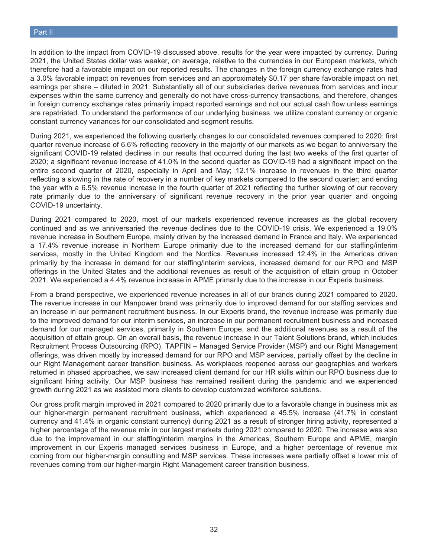In addition to the impact from COVID-19 discussed above, results for the year were impacted by currency. During 2021, the United States dollar was weaker, on average, relative to the currencies in our European markets, which therefore had a favorable impact on our reported results. The changes in the foreign currency exchange rates had a 3.0% favorable impact on revenues from services and an approximately \$0.17 per share favorable impact on net earnings per share – diluted in 2021. Substantially all of our subsidiaries derive revenues from services and incur expenses within the same currency and generally do not have cross-currency transactions, and therefore, changes in foreign currency exchange rates primarily impact reported earnings and not our actual cash flow unless earnings are repatriated. To understand the performance of our underlying business, we utilize constant currency or organic constant currency variances for our consolidated and segment results.

During 2021, we experienced the following quarterly changes to our consolidated revenues compared to 2020: first quarter revenue increase of 6.6% reflecting recovery in the majority of our markets as we began to anniversary the significant COVID-19 related declines in our results that occurred during the last two weeks of the first quarter of 2020; a significant revenue increase of 41.0% in the second quarter as COVID-19 had a significant impact on the entire second quarter of 2020, especially in April and May; 12.1% increase in revenues in the third quarter reflecting a slowing in the rate of recovery in a number of key markets compared to the second quarter; and ending the year with a 6.5% revenue increase in the fourth quarter of 2021 reflecting the further slowing of our recovery rate primarily due to the anniversary of significant revenue recovery in the prior year quarter and ongoing COVID-19 uncertainty.

During 2021 compared to 2020, most of our markets experienced revenue increases as the global recovery continued and as we anniversaried the revenue declines due to the COVID-19 crisis. We experienced a 19.0% revenue increase in Southern Europe, mainly driven by the increased demand in France and Italy. We experienced a 17.4% revenue increase in Northern Europe primarily due to the increased demand for our staffing/interim services, mostly in the United Kingdom and the Nordics. Revenues increased 12.4% in the Americas driven primarily by the increase in demand for our staffing/interim services, increased demand for our RPO and MSP offerings in the United States and the additional revenues as result of the acquisition of ettain group in October 2021. We experienced a 4.4% revenue increase in APME primarily due to the increase in our Experis business.

From a brand perspective, we experienced revenue increases in all of our brands during 2021 compared to 2020. The revenue increase in our Manpower brand was primarily due to improved demand for our staffing services and an increase in our permanent recruitment business. In our Experis brand, the revenue increase was primarily due to the improved demand for our interim services, an increase in our permanent recruitment business and increased demand for our managed services, primarily in Southern Europe, and the additional revenues as a result of the acquisition of ettain group. On an overall basis, the revenue increase in our Talent Solutions brand, which includes Recruitment Process Outsourcing (RPO), TAPFIN – Managed Service Provider (MSP) and our Right Management offerings, was driven mostly by increased demand for our RPO and MSP services, partially offset by the decline in our Right Management career transition business. As workplaces reopened across our geographies and workers returned in phased approaches, we saw increased client demand for our HR skills within our RPO business due to significant hiring activity. Our MSP business has remained resilient during the pandemic and we experienced growth during 2021 as we assisted more clients to develop customized workforce solutions.

Our gross profit margin improved in 2021 compared to 2020 primarily due to a favorable change in business mix as our higher-margin permanent recruitment business, which experienced a 45.5% increase (41.7% in constant currency and 41.4% in organic constant currency) during 2021 as a result of stronger hiring activity, represented a higher percentage of the revenue mix in our largest markets during 2021 compared to 2020. The increase was also due to the improvement in our staffing/interim margins in the Americas, Southern Europe and APME, margin improvement in our Experis managed services business in Europe, and a higher percentage of revenue mix coming from our higher-margin consulting and MSP services. These increases were partially offset a lower mix of revenues coming from our higher-margin Right Management career transition business.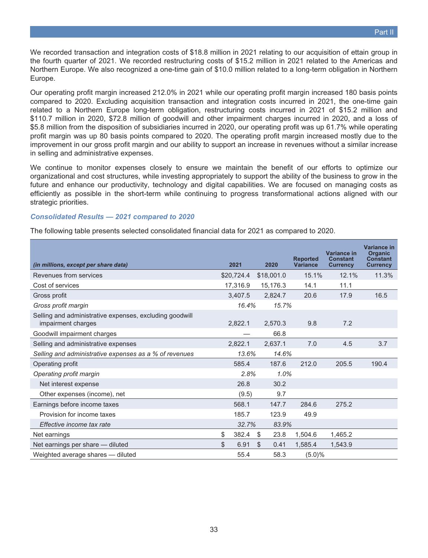We recorded transaction and integration costs of \$18.8 million in 2021 relating to our acquisition of ettain group in the fourth quarter of 2021. We recorded restructuring costs of \$15.2 million in 2021 related to the Americas and Northern Europe. We also recognized a one-time gain of \$10.0 million related to a long-term obligation in Northern Europe.

Our operating profit margin increased 212.0% in 2021 while our operating profit margin increased 180 basis points compared to 2020. Excluding acquisition transaction and integration costs incurred in 2021, the one-time gain related to a Northern Europe long-term obligation, restructuring costs incurred in 2021 of \$15.2 million and \$110.7 million in 2020, \$72.8 million of goodwill and other impairment charges incurred in 2020, and a loss of \$5.8 million from the disposition of subsidiaries incurred in 2020, our operating profit was up 61.7% while operating profit margin was up 80 basis points compared to 2020. The operating profit margin increased mostly due to the improvement in our gross profit margin and our ability to support an increase in revenues without a similar increase in selling and administrative expenses.

We continue to monitor expenses closely to ensure we maintain the benefit of our efforts to optimize our organizational and cost structures, while investing appropriately to support the ability of the business to grow in the future and enhance our productivity, technology and digital capabilities. We are focused on managing costs as efficiently as possible in the short-term while continuing to progress transformational actions aligned with our strategic priorities.

#### *Consolidated Results — 2021 compared to 2020*

The following table presents selected consolidated financial data for 2021 as compared to 2020.

| (in millions, except per share data)                                          | 2021        | 2020       | <b>Reported</b><br><b>Variance</b> | Variance in<br><b>Constant</b><br><b>Currency</b> | Variance in<br><b>Organic</b><br><b>Constant</b><br><b>Currency</b> |
|-------------------------------------------------------------------------------|-------------|------------|------------------------------------|---------------------------------------------------|---------------------------------------------------------------------|
| Revenues from services                                                        | \$20,724.4  | \$18,001.0 | 15.1%                              | 12.1%                                             | 11.3%                                                               |
| Cost of services                                                              | 17,316.9    | 15,176.3   | 14.1                               | 11.1                                              |                                                                     |
| Gross profit                                                                  | 3,407.5     | 2,824.7    | 20.6                               | 17.9                                              | 16.5                                                                |
| Gross profit margin                                                           | 16.4%       | 15.7%      |                                    |                                                   |                                                                     |
| Selling and administrative expenses, excluding goodwill<br>impairment charges | 2,822.1     | 2,570.3    | 9.8                                | 7.2                                               |                                                                     |
| Goodwill impairment charges                                                   |             | 66.8       |                                    |                                                   |                                                                     |
| Selling and administrative expenses                                           | 2,822.1     | 2,637.1    | 7.0                                | 4.5                                               | 3.7                                                                 |
| Selling and administrative expenses as a % of revenues                        | 13.6%       | 14.6%      |                                    |                                                   |                                                                     |
| Operating profit                                                              | 585.4       | 187.6      | 212.0                              | 205.5                                             | 190.4                                                               |
| Operating profit margin                                                       | 2.8%        | 1.0%       |                                    |                                                   |                                                                     |
| Net interest expense                                                          | 26.8        | 30.2       |                                    |                                                   |                                                                     |
| Other expenses (income), net                                                  | (9.5)       | 9.7        |                                    |                                                   |                                                                     |
| Earnings before income taxes                                                  | 568.1       | 147.7      | 284.6                              | 275.2                                             |                                                                     |
| Provision for income taxes                                                    | 185.7       | 123.9      | 49.9                               |                                                   |                                                                     |
| Effective income tax rate                                                     | 32.7%       | 83.9%      |                                    |                                                   |                                                                     |
| Net earnings                                                                  | \$<br>382.4 | \$<br>23.8 | 1,504.6                            | 1,465.2                                           |                                                                     |
| Net earnings per share - diluted                                              | \$<br>6.91  | \$<br>0.41 | 1,585.4                            | 1,543.9                                           |                                                                     |
| Weighted average shares - diluted                                             | 55.4        | 58.3       | (5.0)%                             |                                                   |                                                                     |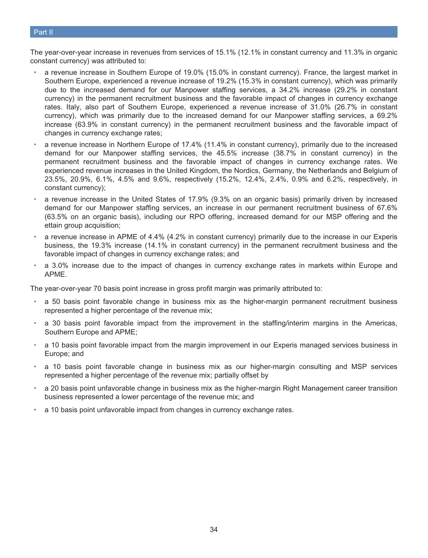#### Part II

The year-over-year increase in revenues from services of 15.1% (12.1% in constant currency and 11.3% in organic constant currency) was attributed to:

- a revenue increase in Southern Europe of 19.0% (15.0% in constant currency). France, the largest market in Southern Europe, experienced a revenue increase of 19.2% (15.3% in constant currency), which was primarily due to the increased demand for our Manpower staffing services, a 34.2% increase (29.2% in constant currency) in the permanent recruitment business and the favorable impact of changes in currency exchange rates. Italy, also part of Southern Europe, experienced a revenue increase of 31.0% (26.7% in constant currency), which was primarily due to the increased demand for our Manpower staffing services, a 69.2% increase (63.9% in constant currency) in the permanent recruitment business and the favorable impact of changes in currency exchange rates;
- a revenue increase in Northern Europe of 17.4% (11.4% in constant currency), primarily due to the increased demand for our Manpower staffing services, the 45.5% increase (38.7% in constant currency) in the permanent recruitment business and the favorable impact of changes in currency exchange rates. We experienced revenue increases in the United Kingdom, the Nordics, Germany, the Netherlands and Belgium of 23.5%, 20.9%, 6.1%, 4.5% and 9.6%, respectively (15.2%, 12.4%, 2.4%, 0.9% and 6.2%, respectively, in constant currency);
- a revenue increase in the United States of 17.9% (9.3% on an organic basis) primarily driven by increased demand for our Manpower staffing services, an increase in our permanent recruitment business of 67.6% (63.5% on an organic basis), including our RPO offering, increased demand for our MSP offering and the ettain group acquisition;
- a revenue increase in APME of 4.4% (4.2% in constant currency) primarily due to the increase in our Experis business, the 19.3% increase (14.1% in constant currency) in the permanent recruitment business and the favorable impact of changes in currency exchange rates; and
- a 3.0% increase due to the impact of changes in currency exchange rates in markets within Europe and APME.

The year-over-year 70 basis point increase in gross profit margin was primarily attributed to:

- a 50 basis point favorable change in business mix as the higher-margin permanent recruitment business represented a higher percentage of the revenue mix;
- a 30 basis point favorable impact from the improvement in the staffing/interim margins in the Americas, Southern Europe and APME;
- a 10 basis point favorable impact from the margin improvement in our Experis managed services business in Europe; and
- a 10 basis point favorable change in business mix as our higher-margin consulting and MSP services represented a higher percentage of the revenue mix; partially offset by
- a 20 basis point unfavorable change in business mix as the higher-margin Right Management career transition business represented a lower percentage of the revenue mix; and
- a 10 basis point unfavorable impact from changes in currency exchange rates.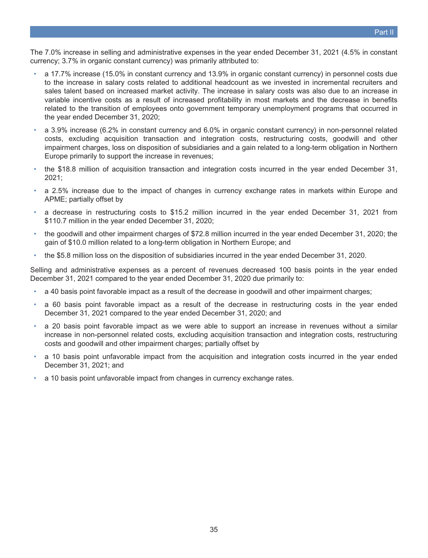The 7.0% increase in selling and administrative expenses in the year ended December 31, 2021 (4.5% in constant currency; 3.7% in organic constant currency) was primarily attributed to:

- a 17.7% increase (15.0% in constant currency and 13.9% in organic constant currency) in personnel costs due to the increase in salary costs related to additional headcount as we invested in incremental recruiters and sales talent based on increased market activity. The increase in salary costs was also due to an increase in variable incentive costs as a result of increased profitability in most markets and the decrease in benefits related to the transition of employees onto government temporary unemployment programs that occurred in the year ended December 31, 2020;
- a 3.9% increase (6.2% in constant currency and 6.0% in organic constant currency) in non-personnel related costs, excluding acquisition transaction and integration costs, restructuring costs, goodwill and other impairment charges, loss on disposition of subsidiaries and a gain related to a long-term obligation in Northern Europe primarily to support the increase in revenues;
- the \$18.8 million of acquisition transaction and integration costs incurred in the year ended December 31, 2021;
- a 2.5% increase due to the impact of changes in currency exchange rates in markets within Europe and APME; partially offset by
- a decrease in restructuring costs to \$15.2 million incurred in the year ended December 31, 2021 from \$110.7 million in the year ended December 31, 2020;
- the goodwill and other impairment charges of \$72.8 million incurred in the year ended December 31, 2020; the gain of \$10.0 million related to a long-term obligation in Northern Europe; and
- the \$5.8 million loss on the disposition of subsidiaries incurred in the year ended December 31, 2020.

Selling and administrative expenses as a percent of revenues decreased 100 basis points in the year ended December 31, 2021 compared to the year ended December 31, 2020 due primarily to:

- a 40 basis point favorable impact as a result of the decrease in goodwill and other impairment charges;
- a 60 basis point favorable impact as a result of the decrease in restructuring costs in the year ended December 31, 2021 compared to the year ended December 31, 2020; and
- a 20 basis point favorable impact as we were able to support an increase in revenues without a similar increase in non-personnel related costs, excluding acquisition transaction and integration costs, restructuring costs and goodwill and other impairment charges; partially offset by
- a 10 basis point unfavorable impact from the acquisition and integration costs incurred in the year ended December 31, 2021; and
- a 10 basis point unfavorable impact from changes in currency exchange rates.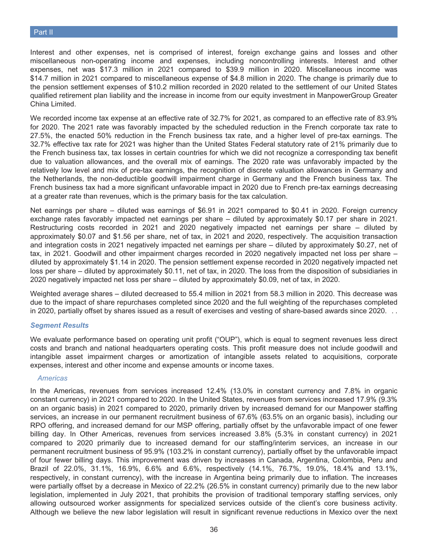Interest and other expenses, net is comprised of interest, foreign exchange gains and losses and other miscellaneous non-operating income and expenses, including noncontrolling interests. Interest and other expenses, net was \$17.3 million in 2021 compared to \$39.9 million in 2020. Miscellaneous income was \$14.7 million in 2021 compared to miscellaneous expense of \$4.8 million in 2020. The change is primarily due to the pension settlement expenses of \$10.2 million recorded in 2020 related to the settlement of our United States qualified retirement plan liability and the increase in income from our equity investment in ManpowerGroup Greater China Limited.

We recorded income tax expense at an effective rate of 32.7% for 2021, as compared to an effective rate of 83.9% for 2020. The 2021 rate was favorably impacted by the scheduled reduction in the French corporate tax rate to 27.5%, the enacted 50% reduction in the French business tax rate, and a higher level of pre-tax earnings. The 32.7% effective tax rate for 2021 was higher than the United States Federal statutory rate of 21% primarily due to the French business tax, tax losses in certain countries for which we did not recognize a corresponding tax benefit due to valuation allowances, and the overall mix of earnings. The 2020 rate was unfavorably impacted by the relatively low level and mix of pre-tax earnings, the recognition of discrete valuation allowances in Germany and the Netherlands, the non-deductible goodwill impairment charge in Germany and the French business tax. The French business tax had a more significant unfavorable impact in 2020 due to French pre-tax earnings decreasing at a greater rate than revenues, which is the primary basis for the tax calculation.

Net earnings per share – diluted was earnings of \$6.91 in 2021 compared to \$0.41 in 2020. Foreign currency exchange rates favorably impacted net earnings per share – diluted by approximately \$0.17 per share in 2021. Restructuring costs recorded in 2021 and 2020 negatively impacted net earnings per share – diluted by approximately \$0.07 and \$1.56 per share, net of tax, in 2021 and 2020, respectively. The acquisition transaction and integration costs in 2021 negatively impacted net earnings per share – diluted by approximately \$0.27, net of tax, in 2021. Goodwill and other impairment charges recorded in 2020 negatively impacted net loss per share – diluted by approximately \$1.14 in 2020. The pension settlement expense recorded in 2020 negatively impacted net loss per share – diluted by approximately \$0.11, net of tax, in 2020. The loss from the disposition of subsidiaries in 2020 negatively impacted net loss per share – diluted by approximately \$0.09, net of tax, in 2020.

Weighted average shares – diluted decreased to 55.4 million in 2021 from 58.3 million in 2020. This decrease was due to the impact of share repurchases completed since 2020 and the full weighting of the repurchases completed in 2020, partially offset by shares issued as a result of exercises and vesting of share-based awards since 2020. . .

#### *Segment Results*

We evaluate performance based on operating unit profit ("OUP"), which is equal to segment revenues less direct costs and branch and national headquarters operating costs. This profit measure does not include goodwill and intangible asset impairment charges or amortization of intangible assets related to acquisitions, corporate expenses, interest and other income and expense amounts or income taxes.

#### *Americas*

In the Americas, revenues from services increased 12.4% (13.0% in constant currency and 7.8% in organic constant currency) in 2021 compared to 2020. In the United States, revenues from services increased 17.9% (9.3% on an organic basis) in 2021 compared to 2020, primarily driven by increased demand for our Manpower staffing services, an increase in our permanent recruitment business of 67.6% (63.5% on an organic basis), including our RPO offering, and increased demand for our MSP offering, partially offset by the unfavorable impact of one fewer billing day. In Other Americas, revenues from services increased 3.8% (5.3% in constant currency) in 2021 compared to 2020 primarily due to increased demand for our staffing/interim services, an increase in our permanent recruitment business of 95.9% (103.2% in constant currency), partially offset by the unfavorable impact of four fewer billing days. This improvement was driven by increases in Canada, Argentina, Colombia, Peru and Brazil of 22.0%, 31.1%, 16.9%, 6.6% and 6.6%, respectively (14.1%, 76.7%, 19.0%, 18.4% and 13.1%, respectively, in constant currency), with the increase in Argentina being primarily due to inflation. The increases were partially offset by a decrease in Mexico of 22.2% (26.5% in constant currency) primarily due to the new labor legislation, implemented in July 2021, that prohibits the provision of traditional temporary staffing services, only allowing outsourced worker assignments for specialized services outside of the client's core business activity. Although we believe the new labor legislation will result in significant revenue reductions in Mexico over the next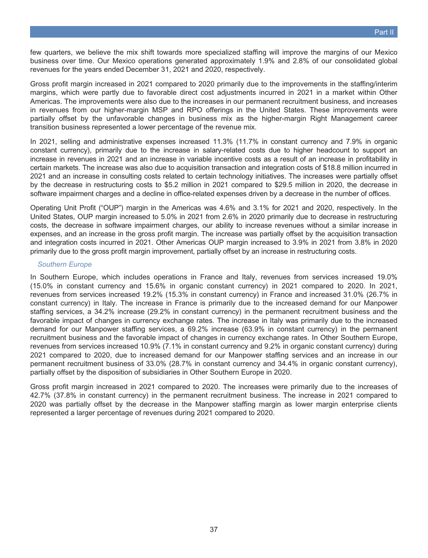few quarters, we believe the mix shift towards more specialized staffing will improve the margins of our Mexico business over time. Our Mexico operations generated approximately 1.9% and 2.8% of our consolidated global revenues for the years ended December 31, 2021 and 2020, respectively.

Gross profit margin increased in 2021 compared to 2020 primarily due to the improvements in the staffing/interim margins, which were partly due to favorable direct cost adjustments incurred in 2021 in a market within Other Americas. The improvements were also due to the increases in our permanent recruitment business, and increases in revenues from our higher-margin MSP and RPO offerings in the United States. These improvements were partially offset by the unfavorable changes in business mix as the higher-margin Right Management career transition business represented a lower percentage of the revenue mix.

In 2021, selling and administrative expenses increased 11.3% (11.7% in constant currency and 7.9% in organic constant currency), primarily due to the increase in salary-related costs due to higher headcount to support an increase in revenues in 2021 and an increase in variable incentive costs as a result of an increase in profitability in certain markets. The increase was also due to acquisition transaction and integration costs of \$18.8 million incurred in 2021 and an increase in consulting costs related to certain technology initiatives. The increases were partially offset by the decrease in restructuring costs to \$5.2 million in 2021 compared to \$29.5 million in 2020, the decrease in software impairment charges and a decline in office-related expenses driven by a decrease in the number of offices.

Operating Unit Profit ("OUP") margin in the Americas was 4.6% and 3.1% for 2021 and 2020, respectively. In the United States, OUP margin increased to 5.0% in 2021 from 2.6% in 2020 primarily due to decrease in restructuring costs, the decrease in software impairment charges, our ability to increase revenues without a similar increase in expenses, and an increase in the gross profit margin. The increase was partially offset by the acquisition transaction and integration costs incurred in 2021. Other Americas OUP margin increased to 3.9% in 2021 from 3.8% in 2020 primarily due to the gross profit margin improvement, partially offset by an increase in restructuring costs.

### *Southern Europe*

In Southern Europe, which includes operations in France and Italy, revenues from services increased 19.0% (15.0% in constant currency and 15.6% in organic constant currency) in 2021 compared to 2020. In 2021, revenues from services increased 19.2% (15.3% in constant currency) in France and increased 31.0% (26.7% in constant currency) in Italy. The increase in France is primarily due to the increased demand for our Manpower staffing services, a 34.2% increase (29.2% in constant currency) in the permanent recruitment business and the favorable impact of changes in currency exchange rates. The increase in Italy was primarily due to the increased demand for our Manpower staffing services, a 69.2% increase (63.9% in constant currency) in the permanent recruitment business and the favorable impact of changes in currency exchange rates. In Other Southern Europe, revenues from services increased 10.9% (7.1% in constant currency and 9.2% in organic constant currency) during 2021 compared to 2020, due to increased demand for our Manpower staffing services and an increase in our permanent recruitment business of 33.0% (28.7% in constant currency and 34.4% in organic constant currency), partially offset by the disposition of subsidiaries in Other Southern Europe in 2020.

Gross profit margin increased in 2021 compared to 2020. The increases were primarily due to the increases of 42.7% (37.8% in constant currency) in the permanent recruitment business. The increase in 2021 compared to 2020 was partially offset by the decrease in the Manpower staffing margin as lower margin enterprise clients represented a larger percentage of revenues during 2021 compared to 2020.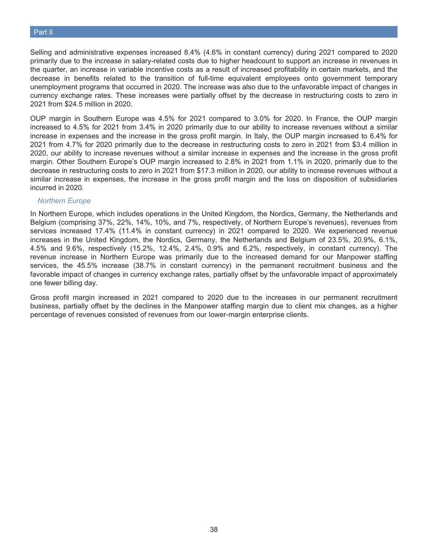### Part II

Selling and administrative expenses increased 8.4% (4.6% in constant currency) during 2021 compared to 2020 primarily due to the increase in salary-related costs due to higher headcount to support an increase in revenues in the quarter, an increase in variable incentive costs as a result of increased profitability in certain markets, and the decrease in benefits related to the transition of full-time equivalent employees onto government temporary unemployment programs that occurred in 2020. The increase was also due to the unfavorable impact of changes in currency exchange rates. These increases were partially offset by the decrease in restructuring costs to zero in 2021 from \$24.5 million in 2020.

OUP margin in Southern Europe was 4.5% for 2021 compared to 3.0% for 2020. In France, the OUP margin increased to 4.5% for 2021 from 3.4% in 2020 primarily due to our ability to increase revenues without a similar increase in expenses and the increase in the gross profit margin. In Italy, the OUP margin increased to 6.4% for 2021 from 4.7% for 2020 primarily due to the decrease in restructuring costs to zero in 2021 from \$3.4 million in 2020, our ability to increase revenues without a similar increase in expenses and the increase in the gross profit margin. Other Southern Europe's OUP margin increased to 2.8% in 2021 from 1.1% in 2020, primarily due to the decrease in restructuring costs to zero in 2021 from \$17.3 million in 2020, our ability to increase revenues without a similar increase in expenses, the increase in the gross profit margin and the loss on disposition of subsidiaries incurred in 2020.

#### *Northern Europe*

In Northern Europe, which includes operations in the United Kingdom, the Nordics, Germany, the Netherlands and Belgium (comprising 37%, 22%, 14%, 10%, and 7%, respectively, of Northern Europe's revenues), revenues from services increased 17.4% (11.4% in constant currency) in 2021 compared to 2020. We experienced revenue increases in the United Kingdom, the Nordics, Germany, the Netherlands and Belgium of 23.5%, 20.9%, 6.1%, 4.5% and 9.6%, respectively (15.2%, 12.4%, 2.4%, 0.9% and 6.2%, respectively, in constant currency). The revenue increase in Northern Europe was primarily due to the increased demand for our Manpower staffing services, the 45.5% increase (38.7% in constant currency) in the permanent recruitment business and the favorable impact of changes in currency exchange rates, partially offset by the unfavorable impact of approximately one fewer billing day.

Gross profit margin increased in 2021 compared to 2020 due to the increases in our permanent recruitment business, partially offset by the declines in the Manpower staffing margin due to client mix changes, as a higher percentage of revenues consisted of revenues from our lower-margin enterprise clients.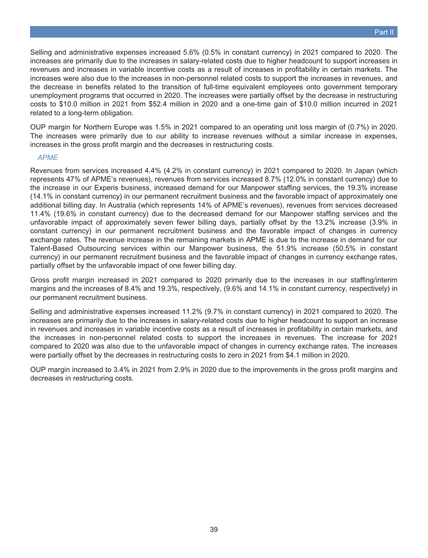Selling and administrative expenses increased 5.6% (0.5% in constant currency) in 2021 compared to 2020. The increases are primarily due to the increases in salary-related costs due to higher headcount to support increases in revenues and increases in variable incentive costs as a result of increases in profitability in certain markets. The increases were also due to the increases in non-personnel related costs to support the increases in revenues, and the decrease in benefits related to the transition of full-time equivalent employees onto government temporary unemployment programs that occurred in 2020. The increases were partially offset by the decrease in restructuring costs to \$10.0 million in 2021 from \$52.4 million in 2020 and a one-time gain of \$10.0 million incurred in 2021 related to a long-term obligation.

OUP margin for Northern Europe was 1.5% in 2021 compared to an operating unit loss margin of (0.7%) in 2020. The increases were primarily due to our ability to increase revenues without a similar increase in expenses, increases in the gross profit margin and the decreases in restructuring costs.

### *APME*

Revenues from services increased 4.4% (4.2% in constant currency) in 2021 compared to 2020. In Japan (which represents 47% of APME's revenues), revenues from services increased 8.7% (12.0% in constant currency) due to the increase in our Experis business, increased demand for our Manpower staffing services, the 19.3% increase (14.1% in constant currency) in our permanent recruitment business and the favorable impact of approximately one additional billing day. In Australia (which represents 14% of APME's revenues), revenues from services decreased 11.4% (19.6% in constant currency) due to the decreased demand for our Manpower staffing services and the unfavorable impact of approximately seven fewer billing days, partially offset by the 13.2% increase (3.9% in constant currency) in our permanent recruitment business and the favorable impact of changes in currency exchange rates. The revenue increase in the remaining markets in APME is due to the increase in demand for our Talent-Based Outsourcing services within our Manpower business, the 51.9% increase (50.5% in constant currency) in our permanent recruitment business and the favorable impact of changes in currency exchange rates, partially offset by the unfavorable impact of one fewer billing day.

Gross profit margin increased in 2021 compared to 2020 primarily due to the increases in our staffing/interim margins and the increases of 8.4% and 19.3%, respectively, (9.6% and 14.1% in constant currency, respectively) in our permanent recruitment business.

Selling and administrative expenses increased 11.2% (9.7% in constant currency) in 2021 compared to 2020. The increases are primarily due to the increases in salary-related costs due to higher headcount to support an increase in revenues and increases in variable incentive costs as a result of increases in profitability in certain markets, and the increases in non-personnel related costs to support the increases in revenues. The increase for 2021 compared to 2020 was also due to the unfavorable impact of changes in currency exchange rates. The increases were partially offset by the decreases in restructuring costs to zero in 2021 from \$4.1 million in 2020.

OUP margin increased to 3.4% in 2021 from 2.9% in 2020 due to the improvements in the gross profit margins and decreases in restructuring costs.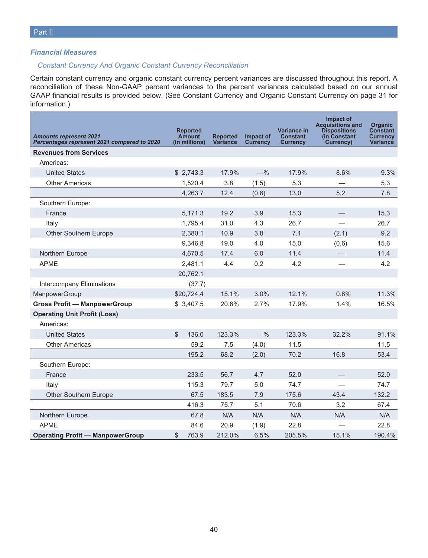### *Financial Measures*

### *Constant Currency And Organic Constant Currency Reconciliation*

Certain constant currency and organic constant currency percent variances are discussed throughout this report. A reconciliation of these Non-GAAP percent variances to the percent variances calculated based on our annual GAAP financial results is provided below. (See Constant Currency and Organic Constant Currency on page 31 for information.)

| <b>Amounts represent 2021</b><br>Percentages represent 2021 compared to 2020 | <b>Reported</b><br><b>Amount</b><br>(in millions) | <b>Reported</b><br><b>Variance</b> | Impact of<br><b>Currency</b> | Variance in<br><b>Constant</b><br><b>Currency</b> | Impact of<br><b>Acquisitions and</b><br><b>Dispositions</b><br>(in Constant)<br>Currency) | <b>Organic</b><br><b>Constant</b><br><b>Currency</b><br>Variance |
|------------------------------------------------------------------------------|---------------------------------------------------|------------------------------------|------------------------------|---------------------------------------------------|-------------------------------------------------------------------------------------------|------------------------------------------------------------------|
| <b>Revenues from Services</b>                                                |                                                   |                                    |                              |                                                   |                                                                                           |                                                                  |
| Americas:                                                                    |                                                   |                                    |                              |                                                   |                                                                                           |                                                                  |
| <b>United States</b>                                                         | \$2,743.3                                         | 17.9%                              | $-$ %                        | 17.9%                                             | 8.6%                                                                                      | 9.3%                                                             |
| <b>Other Americas</b>                                                        | 1,520.4                                           | 3.8                                | (1.5)                        | 5.3                                               |                                                                                           | 5.3                                                              |
|                                                                              | 4,263.7                                           | 12.4                               | (0.6)                        | 13.0                                              | 5.2                                                                                       | 7.8                                                              |
| Southern Europe:                                                             |                                                   |                                    |                              |                                                   |                                                                                           |                                                                  |
| France                                                                       | 5,171.3                                           | 19.2                               | 3.9                          | 15.3                                              |                                                                                           | 15.3                                                             |
| Italy                                                                        | 1,795.4                                           | 31.0                               | 4.3                          | 26.7                                              |                                                                                           | 26.7                                                             |
| Other Southern Europe                                                        | 2,380.1                                           | 10.9                               | 3.8                          | 7.1                                               | (2.1)                                                                                     | 9.2                                                              |
|                                                                              | 9,346.8                                           | 19.0                               | 4.0                          | 15.0                                              | (0.6)                                                                                     | 15.6                                                             |
| Northern Europe                                                              | 4,670.5                                           | 17.4                               | 6.0                          | 11.4                                              |                                                                                           | 11.4                                                             |
| <b>APME</b>                                                                  | 2,481.1                                           | 4.4                                | 0.2                          | 4.2                                               |                                                                                           | 4.2                                                              |
|                                                                              | 20,762.1                                          |                                    |                              |                                                   |                                                                                           |                                                                  |
| Intercompany Eliminations                                                    | (37.7)                                            |                                    |                              |                                                   |                                                                                           |                                                                  |
| ManpowerGroup                                                                | \$20,724.4                                        | 15.1%                              | 3.0%                         | 12.1%                                             | 0.8%                                                                                      | 11.3%                                                            |
| <b>Gross Profit - ManpowerGroup</b>                                          | \$3,407.5                                         | 20.6%                              | 2.7%                         | 17.9%                                             | 1.4%                                                                                      | 16.5%                                                            |
| <b>Operating Unit Profit (Loss)</b>                                          |                                                   |                                    |                              |                                                   |                                                                                           |                                                                  |
| Americas:                                                                    |                                                   |                                    |                              |                                                   |                                                                                           |                                                                  |
| <b>United States</b>                                                         | \$<br>136.0                                       | 123.3%                             | $-$ %                        | 123.3%                                            | 32.2%                                                                                     | 91.1%                                                            |
| <b>Other Americas</b>                                                        | 59.2                                              | 7.5                                | (4.0)                        | 11.5                                              |                                                                                           | 11.5                                                             |
|                                                                              | 195.2                                             | 68.2                               | (2.0)                        | 70.2                                              | 16.8                                                                                      | 53.4                                                             |
| Southern Europe:                                                             |                                                   |                                    |                              |                                                   |                                                                                           |                                                                  |
| France                                                                       | 233.5                                             | 56.7                               | 4.7                          | 52.0                                              |                                                                                           | 52.0                                                             |
| Italy                                                                        | 115.3                                             | 79.7                               | 5.0                          | 74.7                                              |                                                                                           | 74.7                                                             |
| Other Southern Europe                                                        | 67.5                                              | 183.5                              | 7.9                          | 175.6                                             | 43.4                                                                                      | 132.2                                                            |
|                                                                              | 416.3                                             | 75.7                               | 5.1                          | 70.6                                              | 3.2                                                                                       | 67.4                                                             |
| Northern Europe                                                              | 67.8                                              | N/A                                | N/A                          | N/A                                               | N/A                                                                                       | N/A                                                              |
| <b>APME</b>                                                                  | 84.6                                              | 20.9                               | (1.9)                        | 22.8                                              |                                                                                           | 22.8                                                             |
| <b>Operating Profit - ManpowerGroup</b>                                      | \$<br>763.9                                       | 212.0%                             | 6.5%                         | 205.5%                                            | 15.1%                                                                                     | 190.4%                                                           |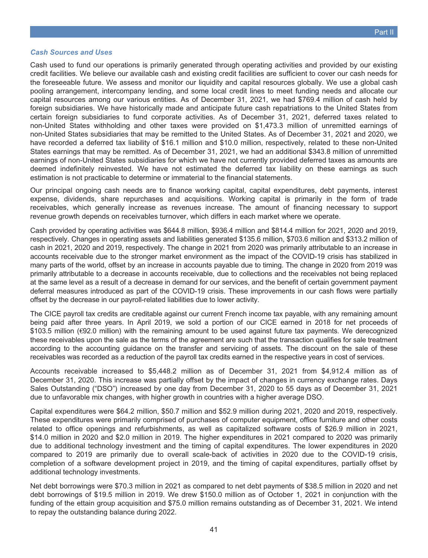#### *Cash Sources and Uses*

Cash used to fund our operations is primarily generated through operating activities and provided by our existing credit facilities. We believe our available cash and existing credit facilities are sufficient to cover our cash needs for the foreseeable future. We assess and monitor our liquidity and capital resources globally. We use a global cash pooling arrangement, intercompany lending, and some local credit lines to meet funding needs and allocate our capital resources among our various entities. As of December 31, 2021, we had \$769.4 million of cash held by foreign subsidiaries. We have historically made and anticipate future cash repatriations to the United States from certain foreign subsidiaries to fund corporate activities. As of December 31, 2021, deferred taxes related to non-United States withholding and other taxes were provided on \$1,473.3 million of unremitted earnings of non-United States subsidiaries that may be remitted to the United States. As of December 31, 2021 and 2020, we have recorded a deferred tax liability of \$16.1 million and \$10.0 million, respectively, related to these non-United States earnings that may be remitted. As of December 31, 2021, we had an additional \$343.8 million of unremitted earnings of non-United States subsidiaries for which we have not currently provided deferred taxes as amounts are deemed indefinitely reinvested. We have not estimated the deferred tax liability on these earnings as such estimation is not practicable to determine or immaterial to the financial statements.

Our principal ongoing cash needs are to finance working capital, capital expenditures, debt payments, interest expense, dividends, share repurchases and acquisitions. Working capital is primarily in the form of trade receivables, which generally increase as revenues increase. The amount of financing necessary to support revenue growth depends on receivables turnover, which differs in each market where we operate.

Cash provided by operating activities was \$644.8 million, \$936.4 million and \$814.4 million for 2021, 2020 and 2019, respectively. Changes in operating assets and liabilities generated \$135.6 million, \$703.6 million and \$313.2 million of cash in 2021, 2020 and 2019, respectively. The change in 2021 from 2020 was primarily attributable to an increase in accounts receivable due to the stronger market environment as the impact of the COVID-19 crisis has stabilized in many parts of the world, offset by an increase in accounts payable due to timing. The change in 2020 from 2019 was primarily attributable to a decrease in accounts receivable, due to collections and the receivables not being replaced at the same level as a result of a decrease in demand for our services, and the benefit of certain government payment deferral measures introduced as part of the COVID-19 crisis. These improvements in our cash flows were partially offset by the decrease in our payroll-related liabilities due to lower activity.

The CICE payroll tax credits are creditable against our current French income tax payable, with any remaining amount being paid after three years. In April 2019, we sold a portion of our CICE earned in 2018 for net proceeds of \$103.5 million (€92.0 million) with the remaining amount to be used against future tax payments. We derecognized these receivables upon the sale as the terms of the agreement are such that the transaction qualifies for sale treatment according to the accounting guidance on the transfer and servicing of assets. The discount on the sale of these receivables was recorded as a reduction of the payroll tax credits earned in the respective years in cost of services.

Accounts receivable increased to \$5,448.2 million as of December 31, 2021 from \$4,912.4 million as of December 31, 2020. This increase was partially offset by the impact of changes in currency exchange rates. Days Sales Outstanding ("DSO") increased by one day from December 31, 2020 to 55 days as of December 31, 2021 due to unfavorable mix changes, with higher growth in countries with a higher average DSO.

Capital expenditures were \$64.2 million, \$50.7 million and \$52.9 million during 2021, 2020 and 2019, respectively. These expenditures were primarily comprised of purchases of computer equipment, office furniture and other costs related to office openings and refurbishments, as well as capitalized software costs of \$26.9 million in 2021, \$14.0 million in 2020 and \$2.0 million in 2019. The higher expenditures in 2021 compared to 2020 was primarily due to additional technology investment and the timing of capital expenditures. The lower expenditures in 2020 compared to 2019 are primarily due to overall scale-back of activities in 2020 due to the COVID-19 crisis, completion of a software development project in 2019, and the timing of capital expenditures, partially offset by additional technology investments.

Net debt borrowings were \$70.3 million in 2021 as compared to net debt payments of \$38.5 million in 2020 and net debt borrowings of \$19.5 million in 2019. We drew \$150.0 million as of October 1, 2021 in conjunction with the funding of the ettain group acquisition and \$75.0 million remains outstanding as of December 31, 2021. We intend to repay the outstanding balance during 2022.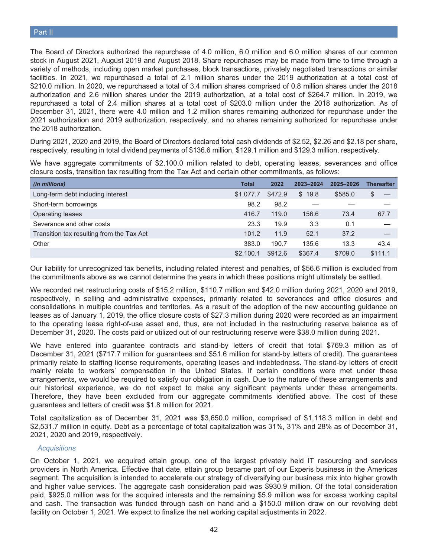The Board of Directors authorized the repurchase of 4.0 million, 6.0 million and 6.0 million shares of our common stock in August 2021, August 2019 and August 2018. Share repurchases may be made from time to time through a variety of methods, including open market purchases, block transactions, privately negotiated transactions or similar facilities. In 2021, we repurchased a total of 2.1 million shares under the 2019 authorization at a total cost of \$210.0 million. In 2020, we repurchased a total of 3.4 million shares comprised of 0.8 million shares under the 2018 authorization and 2.6 million shares under the 2019 authorization, at a total cost of \$264.7 million. In 2019, we repurchased a total of 2.4 million shares at a total cost of \$203.0 million under the 2018 authorization. As of December 31, 2021, there were 4.0 million and 1.2 million shares remaining authorized for repurchase under the 2021 authorization and 2019 authorization, respectively, and no shares remaining authorized for repurchase under the 2018 authorization.

During 2021, 2020 and 2019, the Board of Directors declared total cash dividends of \$2.52, \$2.26 and \$2.18 per share, respectively, resulting in total dividend payments of \$136.6 million, \$129.1 million and \$129.3 million, respectively.

We have aggregate commitments of \$2,100.0 million related to debt, operating leases, severances and office closure costs, transition tax resulting from the Tax Act and certain other commitments, as follows:

| (in millions)                             | <b>Total</b> | 2022    | 2023-2024 | 2025-2026 | <b>Thereafter</b> |
|-------------------------------------------|--------------|---------|-----------|-----------|-------------------|
| Long-term debt including interest         | \$1,077.7    | \$472.9 | \$19.8    | \$585.0   | S                 |
| Short-term borrowings                     | 98.2         | 98.2    |           |           |                   |
| Operating leases                          | 416.7        | 119.0   | 156.6     | 73.4      | 67.7              |
| Severance and other costs                 | 23.3         | 19.9    | 3.3       | 0.1       |                   |
| Transition tax resulting from the Tax Act | 101.2        | 11.9    | 52.1      | 37.2      |                   |
| Other                                     | 383.0        | 190.7   | 135.6     | 13.3      | 43.4              |
|                                           | \$2.100.1    | \$912.6 | \$367.4   | \$709.0   | \$111.1           |

Our liability for unrecognized tax benefits, including related interest and penalties, of \$56.6 million is excluded from the commitments above as we cannot determine the years in which these positions might ultimately be settled.

We recorded net restructuring costs of \$15.2 million, \$110.7 million and \$42.0 million during 2021, 2020 and 2019, respectively, in selling and administrative expenses, primarily related to severances and office closures and consolidations in multiple countries and territories. As a result of the adoption of the new accounting guidance on leases as of January 1, 2019, the office closure costs of \$27.3 million during 2020 were recorded as an impairment to the operating lease right-of-use asset and, thus, are not included in the restructuring reserve balance as of December 31, 2020. The costs paid or utilized out of our restructuring reserve were \$38.0 million during 2021.

We have entered into guarantee contracts and stand-by letters of credit that total \$769.3 million as of December 31, 2021 (\$717.7 million for guarantees and \$51.6 million for stand-by letters of credit). The guarantees primarily relate to staffing license requirements, operating leases and indebtedness. The stand-by letters of credit mainly relate to workers' compensation in the United States. If certain conditions were met under these arrangements, we would be required to satisfy our obligation in cash. Due to the nature of these arrangements and our historical experience, we do not expect to make any significant payments under these arrangements. Therefore, they have been excluded from our aggregate commitments identified above. The cost of these guarantees and letters of credit was \$1.8 million for 2021.

Total capitalization as of December 31, 2021 was \$3,650.0 million, comprised of \$1,118.3 million in debt and \$2,531.7 million in equity. Debt as a percentage of total capitalization was 31%, 31% and 28% as of December 31, 2021, 2020 and 2019, respectively.

#### *Acquisitions*

On October 1, 2021, we acquired ettain group, one of the largest privately held IT resourcing and services providers in North America. Effective that date, ettain group became part of our Experis business in the Americas segment. The acquisition is intended to accelerate our strategy of diversifying our business mix into higher growth and higher value services. The aggregate cash consideration paid was \$930.9 million. Of the total consideration paid, \$925.0 million was for the acquired interests and the remaining \$5.9 million was for excess working capital and cash. The transaction was funded through cash on hand and a \$150.0 million draw on our revolving debt facility on October 1, 2021. We expect to finalize the net working capital adjustments in 2022.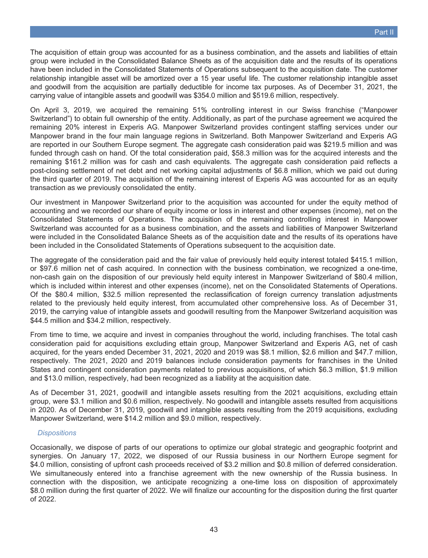The acquisition of ettain group was accounted for as a business combination, and the assets and liabilities of ettain group were included in the Consolidated Balance Sheets as of the acquisition date and the results of its operations have been included in the Consolidated Statements of Operations subsequent to the acquisition date. The customer relationship intangible asset will be amortized over a 15 year useful life. The customer relationship intangible asset and goodwill from the acquisition are partially deductible for income tax purposes. As of December 31, 2021, the carrying value of intangible assets and goodwill was \$354.0 million and \$519.6 million, respectively.

On April 3, 2019, we acquired the remaining 51% controlling interest in our Swiss franchise ("Manpower Switzerland") to obtain full ownership of the entity. Additionally, as part of the purchase agreement we acquired the remaining 20% interest in Experis AG. Manpower Switzerland provides contingent staffing services under our Manpower brand in the four main language regions in Switzerland. Both Manpower Switzerland and Experis AG are reported in our Southern Europe segment. The aggregate cash consideration paid was \$219.5 million and was funded through cash on hand. Of the total consideration paid, \$58.3 million was for the acquired interests and the remaining \$161.2 million was for cash and cash equivalents. The aggregate cash consideration paid reflects a post-closing settlement of net debt and net working capital adjustments of \$6.8 million, which we paid out during the third quarter of 2019. The acquisition of the remaining interest of Experis AG was accounted for as an equity transaction as we previously consolidated the entity.

Our investment in Manpower Switzerland prior to the acquisition was accounted for under the equity method of accounting and we recorded our share of equity income or loss in interest and other expenses (income), net on the Consolidated Statements of Operations. The acquisition of the remaining controlling interest in Manpower Switzerland was accounted for as a business combination, and the assets and liabilities of Manpower Switzerland were included in the Consolidated Balance Sheets as of the acquisition date and the results of its operations have been included in the Consolidated Statements of Operations subsequent to the acquisition date.

The aggregate of the consideration paid and the fair value of previously held equity interest totaled \$415.1 million, or \$97.6 million net of cash acquired. In connection with the business combination, we recognized a one-time, non-cash gain on the disposition of our previously held equity interest in Manpower Switzerland of \$80.4 million, which is included within interest and other expenses (income), net on the Consolidated Statements of Operations. Of the \$80.4 million, \$32.5 million represented the reclassification of foreign currency translation adjustments related to the previously held equity interest, from accumulated other comprehensive loss. As of December 31, 2019, the carrying value of intangible assets and goodwill resulting from the Manpower Switzerland acquisition was \$44.5 million and \$34.2 million, respectively.

From time to time, we acquire and invest in companies throughout the world, including franchises. The total cash consideration paid for acquisitions excluding ettain group, Manpower Switzerland and Experis AG, net of cash acquired, for the years ended December 31, 2021, 2020 and 2019 was \$8.1 million, \$2.6 million and \$47.7 million, respectively. The 2021, 2020 and 2019 balances include consideration payments for franchises in the United States and contingent consideration payments related to previous acquisitions, of which \$6.3 million, \$1.9 million and \$13.0 million, respectively, had been recognized as a liability at the acquisition date.

As of December 31, 2021, goodwill and intangible assets resulting from the 2021 acquisitions, excluding ettain group, were \$3.1 million and \$0.6 million, respectively. No goodwill and intangible assets resulted from acquisitions in 2020. As of December 31, 2019, goodwill and intangible assets resulting from the 2019 acquisitions, excluding Manpower Switzerland, were \$14.2 million and \$9.0 million, respectively.

### *Dispositions*

Occasionally, we dispose of parts of our operations to optimize our global strategic and geographic footprint and synergies. On January 17, 2022, we disposed of our Russia business in our Northern Europe segment for \$4.0 million, consisting of upfront cash proceeds received of \$3.2 million and \$0.8 million of deferred consideration. We simultaneously entered into a franchise agreement with the new ownership of the Russia business. In connection with the disposition, we anticipate recognizing a one-time loss on disposition of approximately \$8.0 million during the first quarter of 2022. We will finalize our accounting for the disposition during the first quarter of 2022.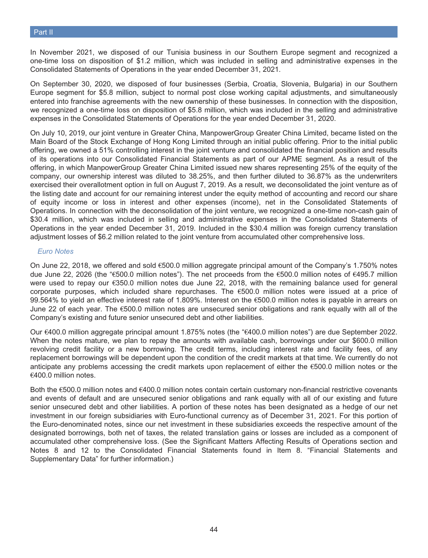In November 2021, we disposed of our Tunisia business in our Southern Europe segment and recognized a one-time loss on disposition of \$1.2 million, which was included in selling and administrative expenses in the Consolidated Statements of Operations in the year ended December 31, 2021.

On September 30, 2020, we disposed of four businesses (Serbia, Croatia, Slovenia, Bulgaria) in our Southern Europe segment for \$5.8 million, subject to normal post close working capital adjustments, and simultaneously entered into franchise agreements with the new ownership of these businesses. In connection with the disposition, we recognized a one-time loss on disposition of \$5.8 million, which was included in the selling and administrative expenses in the Consolidated Statements of Operations for the year ended December 31, 2020.

On July 10, 2019, our joint venture in Greater China, ManpowerGroup Greater China Limited, became listed on the Main Board of the Stock Exchange of Hong Kong Limited through an initial public offering. Prior to the initial public offering, we owned a 51% controlling interest in the joint venture and consolidated the financial position and results of its operations into our Consolidated Financial Statements as part of our APME segment. As a result of the offering, in which ManpowerGroup Greater China Limited issued new shares representing 25% of the equity of the company, our ownership interest was diluted to 38.25%, and then further diluted to 36.87% as the underwriters exercised their overallotment option in full on August 7, 2019. As a result, we deconsolidated the joint venture as of the listing date and account for our remaining interest under the equity method of accounting and record our share of equity income or loss in interest and other expenses (income), net in the Consolidated Statements of Operations. In connection with the deconsolidation of the joint venture, we recognized a one-time non-cash gain of \$30.4 million, which was included in selling and administrative expenses in the Consolidated Statements of Operations in the year ended December 31, 2019. Included in the \$30.4 million was foreign currency translation adjustment losses of \$6.2 million related to the joint venture from accumulated other comprehensive loss.

### *Euro Notes*

On June 22, 2018, we offered and sold €500.0 million aggregate principal amount of the Company's 1.750% notes due June 22, 2026 (the "€500.0 million notes"). The net proceeds from the €500.0 million notes of €495.7 million were used to repay our €350.0 million notes due June 22, 2018, with the remaining balance used for general corporate purposes, which included share repurchases. The  $\epsilon$ 500.0 million notes were issued at a price of 99.564% to yield an effective interest rate of 1.809%. Interest on the €500.0 million notes is payable in arrears on June 22 of each year. The €500.0 million notes are unsecured senior obligations and rank equally with all of the Company's existing and future senior unsecured debt and other liabilities.

Our €400.0 million aggregate principal amount 1.875% notes (the "€400.0 million notes") are due September 2022. When the notes mature, we plan to repay the amounts with available cash, borrowings under our \$600.0 million revolving credit facility or a new borrowing. The credit terms, including interest rate and facility fees, of any replacement borrowings will be dependent upon the condition of the credit markets at that time. We currently do not anticipate any problems accessing the credit markets upon replacement of either the €500.0 million notes or the €400.0 million notes.

Both the €500.0 million notes and €400.0 million notes contain certain customary non-financial restrictive covenants and events of default and are unsecured senior obligations and rank equally with all of our existing and future senior unsecured debt and other liabilities. A portion of these notes has been designated as a hedge of our net investment in our foreign subsidiaries with Euro-functional currency as of December 31, 2021. For this portion of the Euro-denominated notes, since our net investment in these subsidiaries exceeds the respective amount of the designated borrowings, both net of taxes, the related translation gains or losses are included as a component of accumulated other comprehensive loss. (See the Significant Matters Affecting Results of Operations section and Notes 8 and 12 to the Consolidated Financial Statements found in Item 8. "Financial Statements and Supplementary Data" for further information.)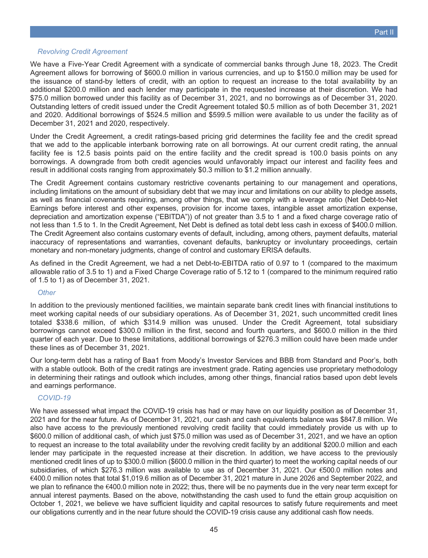### *Revolving Credit Agreement*

We have a Five-Year Credit Agreement with a syndicate of commercial banks through June 18, 2023. The Credit Agreement allows for borrowing of \$600.0 million in various currencies, and up to \$150.0 million may be used for the issuance of stand-by letters of credit, with an option to request an increase to the total availability by an additional \$200.0 million and each lender may participate in the requested increase at their discretion. We had \$75.0 million borrowed under this facility as of December 31, 2021, and no borrowings as of December 31, 2020. Outstanding letters of credit issued under the Credit Agreement totaled \$0.5 million as of both December 31, 2021 and 2020. Additional borrowings of \$524.5 million and \$599.5 million were available to us under the facility as of December 31, 2021 and 2020, respectively.

Under the Credit Agreement, a credit ratings-based pricing grid determines the facility fee and the credit spread that we add to the applicable interbank borrowing rate on all borrowings. At our current credit rating, the annual facility fee is 12.5 basis points paid on the entire facility and the credit spread is 100.0 basis points on any borrowings. A downgrade from both credit agencies would unfavorably impact our interest and facility fees and result in additional costs ranging from approximately \$0.3 million to \$1.2 million annually.

The Credit Agreement contains customary restrictive covenants pertaining to our management and operations, including limitations on the amount of subsidiary debt that we may incur and limitations on our ability to pledge assets, as well as financial covenants requiring, among other things, that we comply with a leverage ratio (Net Debt-to-Net Earnings before interest and other expenses, provision for income taxes, intangible asset amortization expense, depreciation and amortization expense ("EBITDA")) of not greater than 3.5 to 1 and a fixed charge coverage ratio of not less than 1.5 to 1. In the Credit Agreement, Net Debt is defined as total debt less cash in excess of \$400.0 million. The Credit Agreement also contains customary events of default, including, among others, payment defaults, material inaccuracy of representations and warranties, covenant defaults, bankruptcy or involuntary proceedings, certain monetary and non-monetary judgments, change of control and customary ERISA defaults.

As defined in the Credit Agreement, we had a net Debt-to-EBITDA ratio of 0.97 to 1 (compared to the maximum allowable ratio of 3.5 to 1) and a Fixed Charge Coverage ratio of 5.12 to 1 (compared to the minimum required ratio of 1.5 to 1) as of December 31, 2021.

### *Other*

In addition to the previously mentioned facilities, we maintain separate bank credit lines with financial institutions to meet working capital needs of our subsidiary operations. As of December 31, 2021, such uncommitted credit lines totaled \$338.6 million, of which \$314.9 million was unused. Under the Credit Agreement, total subsidiary borrowings cannot exceed \$300.0 million in the first, second and fourth quarters, and \$600.0 million in the third quarter of each year. Due to these limitations, additional borrowings of \$276.3 million could have been made under these lines as of December 31, 2021.

Our long-term debt has a rating of Baa1 from Moody's Investor Services and BBB from Standard and Poor's, both with a stable outlook. Both of the credit ratings are investment grade. Rating agencies use proprietary methodology in determining their ratings and outlook which includes, among other things, financial ratios based upon debt levels and earnings performance.

### *COVID-19*

We have assessed what impact the COVID-19 crisis has had or may have on our liquidity position as of December 31, 2021 and for the near future. As of December 31, 2021, our cash and cash equivalents balance was \$847.8 million. We also have access to the previously mentioned revolving credit facility that could immediately provide us with up to \$600.0 million of additional cash, of which just \$75.0 million was used as of December 31, 2021, and we have an option to request an increase to the total availability under the revolving credit facility by an additional \$200.0 million and each lender may participate in the requested increase at their discretion. In addition, we have access to the previously mentioned credit lines of up to \$300.0 million (\$600.0 million in the third quarter) to meet the working capital needs of our subsidiaries, of which \$276.3 million was available to use as of December 31, 2021. Our €500.0 million notes and €400.0 million notes that total \$1,019.6 million as of December 31, 2021 mature in June 2026 and September 2022, and we plan to refinance the €400.0 million note in 2022; thus, there will be no payments due in the very near term except for annual interest payments. Based on the above, notwithstanding the cash used to fund the ettain group acquisition on October 1, 2021, we believe we have sufficient liquidity and capital resources to satisfy future requirements and meet our obligations currently and in the near future should the COVID-19 crisis cause any additional cash flow needs.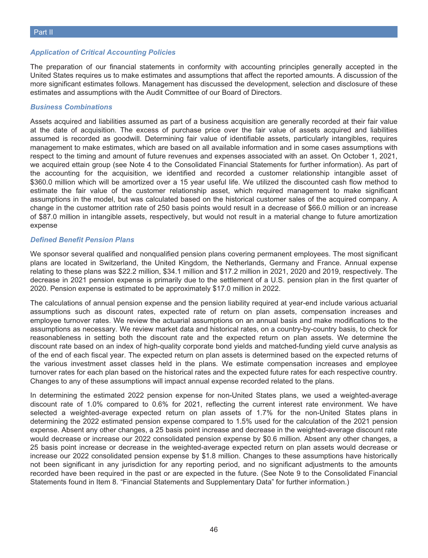### *Application of Critical Accounting Policies*

The preparation of our financial statements in conformity with accounting principles generally accepted in the United States requires us to make estimates and assumptions that affect the reported amounts. A discussion of the more significant estimates follows. Management has discussed the development, selection and disclosure of these estimates and assumptions with the Audit Committee of our Board of Directors.

### *Business Combinations*

Assets acquired and liabilities assumed as part of a business acquisition are generally recorded at their fair value at the date of acquisition. The excess of purchase price over the fair value of assets acquired and liabilities assumed is recorded as goodwill. Determining fair value of identifiable assets, particularly intangibles, requires management to make estimates, which are based on all available information and in some cases assumptions with respect to the timing and amount of future revenues and expenses associated with an asset. On October 1, 2021, we acquired ettain group (see Note 4 to the Consolidated Financial Statements for further information). As part of the accounting for the acquisition, we identified and recorded a customer relationship intangible asset of \$360.0 million which will be amortized over a 15 year useful life. We utilized the discounted cash flow method to estimate the fair value of the customer relationship asset, which required management to make significant assumptions in the model, but was calculated based on the historical customer sales of the acquired company. A change in the customer attrition rate of 250 basis points would result in a decrease of \$66.0 million or an increase of \$87.0 million in intangible assets, respectively, but would not result in a material change to future amortization expense

### *Defined Benefit Pension Plans*

We sponsor several qualified and nonqualified pension plans covering permanent employees. The most significant plans are located in Switzerland, the United Kingdom, the Netherlands, Germany and France. Annual expense relating to these plans was \$22.2 million, \$34.1 million and \$17.2 million in 2021, 2020 and 2019, respectively. The decrease in 2021 pension expense is primarily due to the settlement of a U.S. pension plan in the first quarter of 2020. Pension expense is estimated to be approximately \$17.0 million in 2022.

The calculations of annual pension expense and the pension liability required at year-end include various actuarial assumptions such as discount rates, expected rate of return on plan assets, compensation increases and employee turnover rates. We review the actuarial assumptions on an annual basis and make modifications to the assumptions as necessary. We review market data and historical rates, on a country-by-country basis, to check for reasonableness in setting both the discount rate and the expected return on plan assets. We determine the discount rate based on an index of high-quality corporate bond yields and matched-funding yield curve analysis as of the end of each fiscal year. The expected return on plan assets is determined based on the expected returns of the various investment asset classes held in the plans. We estimate compensation increases and employee turnover rates for each plan based on the historical rates and the expected future rates for each respective country. Changes to any of these assumptions will impact annual expense recorded related to the plans.

In determining the estimated 2022 pension expense for non-United States plans, we used a weighted-average discount rate of 1.0% compared to 0.6% for 2021, reflecting the current interest rate environment. We have selected a weighted-average expected return on plan assets of 1.7% for the non-United States plans in determining the 2022 estimated pension expense compared to 1.5% used for the calculation of the 2021 pension expense. Absent any other changes, a 25 basis point increase and decrease in the weighted-average discount rate would decrease or increase our 2022 consolidated pension expense by \$0.6 million. Absent any other changes, a 25 basis point increase or decrease in the weighted-average expected return on plan assets would decrease or increase our 2022 consolidated pension expense by \$1.8 million. Changes to these assumptions have historically not been significant in any jurisdiction for any reporting period, and no significant adjustments to the amounts recorded have been required in the past or are expected in the future. (See Note 9 to the Consolidated Financial Statements found in Item 8. "Financial Statements and Supplementary Data" for further information.)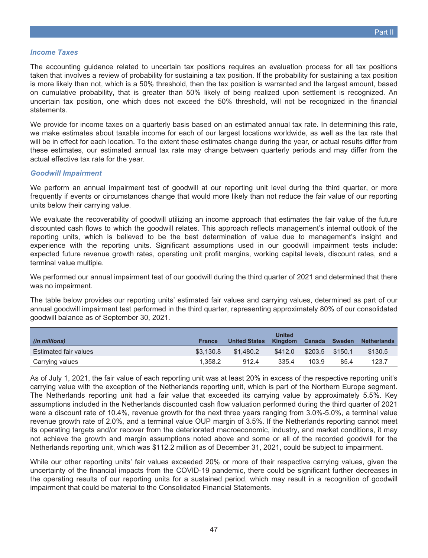### *Income Taxes*

The accounting guidance related to uncertain tax positions requires an evaluation process for all tax positions taken that involves a review of probability for sustaining a tax position. If the probability for sustaining a tax position is more likely than not, which is a 50% threshold, then the tax position is warranted and the largest amount, based on cumulative probability, that is greater than 50% likely of being realized upon settlement is recognized. An uncertain tax position, one which does not exceed the 50% threshold, will not be recognized in the financial statements.

We provide for income taxes on a quarterly basis based on an estimated annual tax rate. In determining this rate, we make estimates about taxable income for each of our largest locations worldwide, as well as the tax rate that will be in effect for each location. To the extent these estimates change during the year, or actual results differ from these estimates, our estimated annual tax rate may change between quarterly periods and may differ from the actual effective tax rate for the year.

### *Goodwill Impairment*

We perform an annual impairment test of goodwill at our reporting unit level during the third quarter, or more frequently if events or circumstances change that would more likely than not reduce the fair value of our reporting units below their carrying value.

We evaluate the recoverability of goodwill utilizing an income approach that estimates the fair value of the future discounted cash flows to which the goodwill relates. This approach reflects management's internal outlook of the reporting units, which is believed to be the best determination of value due to management's insight and experience with the reporting units. Significant assumptions used in our goodwill impairment tests include: expected future revenue growth rates, operating unit profit margins, working capital levels, discount rates, and a terminal value multiple.

We performed our annual impairment test of our goodwill during the third quarter of 2021 and determined that there was no impairment.

The table below provides our reporting units' estimated fair values and carrying values, determined as part of our annual goodwill impairment test performed in the third quarter, representing approximately 80% of our consolidated goodwill balance as of September 30, 2021.

| (in millions)                | <b>France</b> | <b>United States</b> | <b>United</b><br>Kingdom | Canada  | Sweden  | <b>Netherlands</b> |
|------------------------------|---------------|----------------------|--------------------------|---------|---------|--------------------|
| <b>Estimated fair values</b> | \$3,130.8     | \$1.480.2            | \$412.0                  | \$203.5 | \$150.1 | \$130.5            |
| Carrying values              | 1.358.2       | 912.4                | 335.4                    | 103.9   | 85.4    | 123.7              |

As of July 1, 2021, the fair value of each reporting unit was at least 20% in excess of the respective reporting unit's carrying value with the exception of the Netherlands reporting unit, which is part of the Northern Europe segment. The Netherlands reporting unit had a fair value that exceeded its carrying value by approximately 5.5%. Key assumptions included in the Netherlands discounted cash flow valuation performed during the third quarter of 2021 were a discount rate of 10.4%, revenue growth for the next three years ranging from 3.0%-5.0%, a terminal value revenue growth rate of 2.0%, and a terminal value OUP margin of 3.5%. If the Netherlands reporting cannot meet its operating targets and/or recover from the deteriorated macroeconomic, industry, and market conditions, it may not achieve the growth and margin assumptions noted above and some or all of the recorded goodwill for the Netherlands reporting unit, which was \$112.2 million as of December 31, 2021, could be subject to impairment.

While our other reporting units' fair values exceeded 20% or more of their respective carrying values, given the uncertainty of the financial impacts from the COVID-19 pandemic, there could be significant further decreases in the operating results of our reporting units for a sustained period, which may result in a recognition of goodwill impairment that could be material to the Consolidated Financial Statements.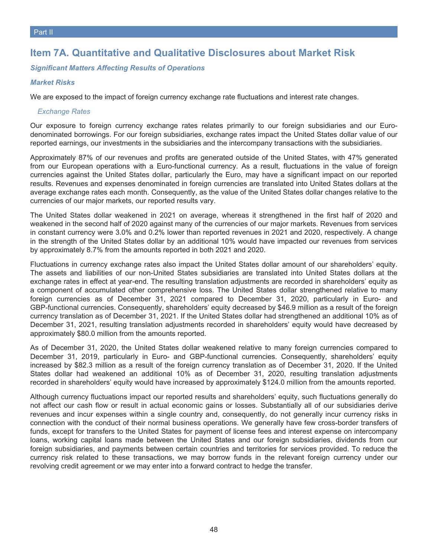### **Item 7A. Quantitative and Qualitative Disclosures about Market Risk**

### *Significant Matters Affecting Results of Operations*

### *Market Risks*

We are exposed to the impact of foreign currency exchange rate fluctuations and interest rate changes.

### *Exchange Rates*

Our exposure to foreign currency exchange rates relates primarily to our foreign subsidiaries and our Eurodenominated borrowings. For our foreign subsidiaries, exchange rates impact the United States dollar value of our reported earnings, our investments in the subsidiaries and the intercompany transactions with the subsidiaries.

Approximately 87% of our revenues and profits are generated outside of the United States, with 47% generated from our European operations with a Euro-functional currency. As a result, fluctuations in the value of foreign currencies against the United States dollar, particularly the Euro, may have a significant impact on our reported results. Revenues and expenses denominated in foreign currencies are translated into United States dollars at the average exchange rates each month. Consequently, as the value of the United States dollar changes relative to the currencies of our major markets, our reported results vary.

The United States dollar weakened in 2021 on average, whereas it strengthened in the first half of 2020 and weakened in the second half of 2020 against many of the currencies of our major markets. Revenues from services in constant currency were 3.0% and 0.2% lower than reported revenues in 2021 and 2020, respectively. A change in the strength of the United States dollar by an additional 10% would have impacted our revenues from services by approximately 8.7% from the amounts reported in both 2021 and 2020.

Fluctuations in currency exchange rates also impact the United States dollar amount of our shareholders' equity. The assets and liabilities of our non-United States subsidiaries are translated into United States dollars at the exchange rates in effect at year-end. The resulting translation adjustments are recorded in shareholders' equity as a component of accumulated other comprehensive loss. The United States dollar strengthened relative to many foreign currencies as of December 31, 2021 compared to December 31, 2020, particularly in Euro- and GBP-functional currencies. Consequently, shareholders' equity decreased by \$46.9 million as a result of the foreign currency translation as of December 31, 2021. If the United States dollar had strengthened an additional 10% as of December 31, 2021, resulting translation adjustments recorded in shareholders' equity would have decreased by approximately \$80.0 million from the amounts reported.

As of December 31, 2020, the United States dollar weakened relative to many foreign currencies compared to December 31, 2019, particularly in Euro- and GBP-functional currencies. Consequently, shareholders' equity increased by \$82.3 million as a result of the foreign currency translation as of December 31, 2020. If the United States dollar had weakened an additional 10% as of December 31, 2020, resulting translation adjustments recorded in shareholders' equity would have increased by approximately \$124.0 million from the amounts reported.

Although currency fluctuations impact our reported results and shareholders' equity, such fluctuations generally do not affect our cash flow or result in actual economic gains or losses. Substantially all of our subsidiaries derive revenues and incur expenses within a single country and, consequently, do not generally incur currency risks in connection with the conduct of their normal business operations. We generally have few cross-border transfers of funds, except for transfers to the United States for payment of license fees and interest expense on intercompany loans, working capital loans made between the United States and our foreign subsidiaries, dividends from our foreign subsidiaries, and payments between certain countries and territories for services provided. To reduce the currency risk related to these transactions, we may borrow funds in the relevant foreign currency under our revolving credit agreement or we may enter into a forward contract to hedge the transfer.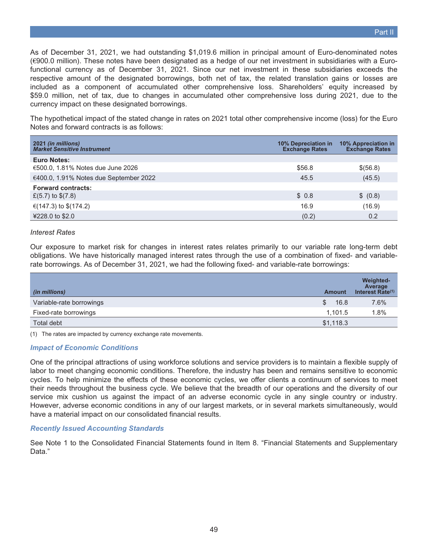Part II

As of December 31, 2021, we had outstanding \$1,019.6 million in principal amount of Euro-denominated notes (€900.0 million). These notes have been designated as a hedge of our net investment in subsidiaries with a Eurofunctional currency as of December 31, 2021. Since our net investment in these subsidiaries exceeds the respective amount of the designated borrowings, both net of tax, the related translation gains or losses are included as a component of accumulated other comprehensive loss. Shareholders' equity increased by \$59.0 million, net of tax, due to changes in accumulated other comprehensive loss during 2021, due to the currency impact on these designated borrowings.

The hypothetical impact of the stated change in rates on 2021 total other comprehensive income (loss) for the Euro Notes and forward contracts is as follows:

| 2021 (in millions)<br><b>Market Sensitive Instrument</b> | <b>10% Depreciation in</b><br><b>Exchange Rates</b> | 10% Appreciation in<br><b>Exchange Rates</b> |
|----------------------------------------------------------|-----------------------------------------------------|----------------------------------------------|
| <b>Euro Notes:</b>                                       |                                                     |                                              |
| €500.0, 1.81% Notes due June 2026                        | \$56.8                                              | \$(56.8)                                     |
| €400.0, 1.91% Notes due September 2022                   | 45.5                                                | (45.5)                                       |
| <b>Forward contracts:</b>                                |                                                     |                                              |
| £(5.7) to $$(7.8)$                                       | \$0.8                                               | \$ (0.8)                                     |
| €(147.3) to \$(174.2)                                    | 16.9                                                | (16.9)                                       |
| ¥228.0 to \$2.0                                          | (0.2)                                               | 0.2                                          |

### *Interest Rates*

Our exposure to market risk for changes in interest rates relates primarily to our variable rate long-term debt obligations. We have historically managed interest rates through the use of a combination of fixed- and variablerate borrowings. As of December 31, 2021, we had the following fixed- and variable-rate borrowings:

| (in millions)            | <b>Amount</b> | <b>Weighted-</b><br>Average<br>Interest Rate(1) |
|--------------------------|---------------|-------------------------------------------------|
| Variable-rate borrowings | S.<br>16.8    | 7.6%                                            |
| Fixed-rate borrowings    | 1.101.5       | 1.8%                                            |
| Total debt               | \$1,118.3     |                                                 |

(1) The rates are impacted by currency exchange rate movements.

### *Impact of Economic Conditions*

One of the principal attractions of using workforce solutions and service providers is to maintain a flexible supply of labor to meet changing economic conditions. Therefore, the industry has been and remains sensitive to economic cycles. To help minimize the effects of these economic cycles, we offer clients a continuum of services to meet their needs throughout the business cycle. We believe that the breadth of our operations and the diversity of our service mix cushion us against the impact of an adverse economic cycle in any single country or industry. However, adverse economic conditions in any of our largest markets, or in several markets simultaneously, would have a material impact on our consolidated financial results.

### *Recently Issued Accounting Standards*

See Note 1 to the Consolidated Financial Statements found in Item 8. "Financial Statements and Supplementary Data."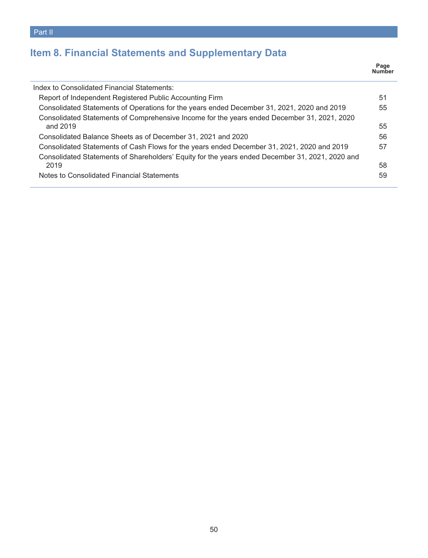# **Item 8. Financial Statements and Supplementary Data**

|                                                                                                                                                                                               | Page<br>Number |
|-----------------------------------------------------------------------------------------------------------------------------------------------------------------------------------------------|----------------|
| Index to Consolidated Financial Statements:                                                                                                                                                   |                |
| Report of Independent Registered Public Accounting Firm                                                                                                                                       | 51             |
| Consolidated Statements of Operations for the years ended December 31, 2021, 2020 and 2019                                                                                                    | 55             |
| Consolidated Statements of Comprehensive Income for the years ended December 31, 2021, 2020<br>and 2019                                                                                       | 55             |
| Consolidated Balance Sheets as of December 31, 2021 and 2020                                                                                                                                  | 56             |
| Consolidated Statements of Cash Flows for the years ended December 31, 2021, 2020 and 2019<br>Consolidated Statements of Shareholders' Equity for the years ended December 31, 2021, 2020 and | 57             |
| 2019                                                                                                                                                                                          | 58             |
| Notes to Consolidated Financial Statements                                                                                                                                                    | 59             |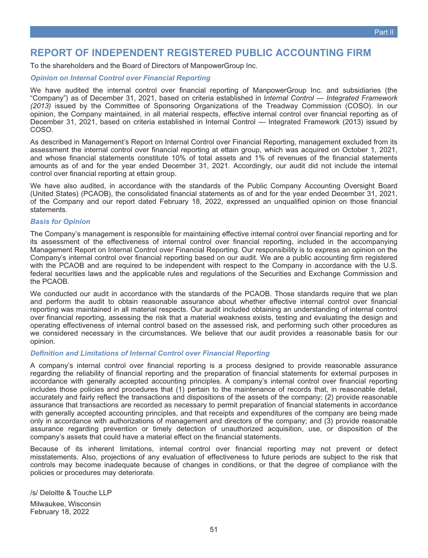<span id="page-50-0"></span>To the shareholders and the Board of Directors of ManpowerGroup Inc.

### *Opinion on Internal Control over Financial Reporting*

We have audited the internal control over financial reporting of ManpowerGroup Inc. and subsidiaries (the "Company") as of December 31, 2021, based on criteria established in I*nternal Control — Integrated Framework (2013)* issued by the Committee of Sponsoring Organizations of the Treadway Commission (COSO). In our opinion, the Company maintained, in all material respects, effective internal control over financial reporting as of December 31, 2021, based on criteria established in Internal Control — Integrated Framework (2013) issued by COSO.

As described in Management's Report on Internal Control over Financial Reporting, management excluded from its assessment the internal control over financial reporting at ettain group, which was acquired on October 1, 2021, and whose financial statements constitute 10% of total assets and 1% of revenues of the financial statements amounts as of and for the year ended December 31, 2021. Accordingly, our audit did not include the internal control over financial reporting at ettain group.

We have also audited, in accordance with the standards of the Public Company Accounting Oversight Board (United States) (PCAOB), the consolidated financial statements as of and for the year ended December 31, 2021, of the Company and our report dated February 18, 2022, expressed an unqualified opinion on those financial statements.

### *Basis for Opinion*

The Company's management is responsible for maintaining effective internal control over financial reporting and for its assessment of the effectiveness of internal control over financial reporting, included in the accompanying Management Report on Internal Control over Financial Reporting. Our responsibility is to express an opinion on the Company's internal control over financial reporting based on our audit. We are a public accounting firm registered with the PCAOB and are required to be independent with respect to the Company in accordance with the U.S. federal securities laws and the applicable rules and regulations of the Securities and Exchange Commission and the PCAOB.

We conducted our audit in accordance with the standards of the PCAOB. Those standards require that we plan and perform the audit to obtain reasonable assurance about whether effective internal control over financial reporting was maintained in all material respects. Our audit included obtaining an understanding of internal control over financial reporting, assessing the risk that a material weakness exists, testing and evaluating the design and operating effectiveness of internal control based on the assessed risk, and performing such other procedures as we considered necessary in the circumstances. We believe that our audit provides a reasonable basis for our opinion.

### *Definition and Limitations of Internal Control over Financial Reporting*

A company's internal control over financial reporting is a process designed to provide reasonable assurance regarding the reliability of financial reporting and the preparation of financial statements for external purposes in accordance with generally accepted accounting principles. A company's internal control over financial reporting includes those policies and procedures that (1) pertain to the maintenance of records that, in reasonable detail, accurately and fairly reflect the transactions and dispositions of the assets of the company; (2) provide reasonable assurance that transactions are recorded as necessary to permit preparation of financial statements in accordance with generally accepted accounting principles, and that receipts and expenditures of the company are being made only in accordance with authorizations of management and directors of the company; and (3) provide reasonable assurance regarding prevention or timely detection of unauthorized acquisition, use, or disposition of the company's assets that could have a material effect on the financial statements.

Because of its inherent limitations, internal control over financial reporting may not prevent or detect misstatements. Also, projections of any evaluation of effectiveness to future periods are subject to the risk that controls may become inadequate because of changes in conditions, or that the degree of compliance with the policies or procedures may deteriorate.

/s/ Deloitte & Touche LLP

Milwaukee, Wisconsin February 18, 2022

Part II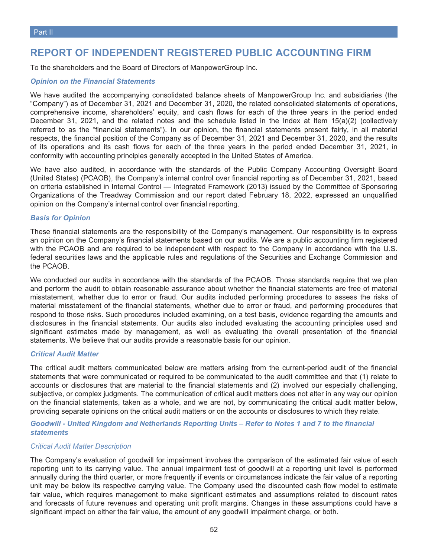### **REPORT OF INDEPENDENT REGISTERED PUBLIC ACCOUNTING FIRM**

To the shareholders and the Board of Directors of ManpowerGroup Inc.

### *Opinion on the Financial Statements*

We have audited the accompanying consolidated balance sheets of ManpowerGroup Inc. and subsidiaries (the "Company") as of December 31, 2021 and December 31, 2020, the related consolidated statements of operations, comprehensive income, shareholders' equity, and cash flows for each of the three years in the period ended December 31, 2021, and the related notes and the schedule listed in the Index at Item 15(a)(2) (collectively referred to as the "financial statements"). In our opinion, the financial statements present fairly, in all material respects, the financial position of the Company as of December 31, 2021 and December 31, 2020, and the results of its operations and its cash flows for each of the three years in the period ended December 31, 2021, in conformity with accounting principles generally accepted in the United States of America.

We have also audited, in accordance with the standards of the Public Company Accounting Oversight Board (United States) (PCAOB), the Company's internal control over financial reporting as of December 31, 2021, based on criteria established in Internal Control — Integrated Framework (2013) issued by the Committee of Sponsoring Organizations of the Treadway Commission and our report dated February 18, 2022, expressed an unqualified opinion on the Company's internal control over financial reporting.

### *Basis for Opinion*

These financial statements are the responsibility of the Company's management. Our responsibility is to express an opinion on the Company's financial statements based on our audits. We are a public accounting firm registered with the PCAOB and are required to be independent with respect to the Company in accordance with the U.S. federal securities laws and the applicable rules and regulations of the Securities and Exchange Commission and the PCAOB.

We conducted our audits in accordance with the standards of the PCAOB. Those standards require that we plan and perform the audit to obtain reasonable assurance about whether the financial statements are free of material misstatement, whether due to error or fraud. Our audits included performing procedures to assess the risks of material misstatement of the financial statements, whether due to error or fraud, and performing procedures that respond to those risks. Such procedures included examining, on a test basis, evidence regarding the amounts and disclosures in the financial statements. Our audits also included evaluating the accounting principles used and significant estimates made by management, as well as evaluating the overall presentation of the financial statements. We believe that our audits provide a reasonable basis for our opinion.

### *Critical Audit Matter*

The critical audit matters communicated below are matters arising from the current-period audit of the financial statements that were communicated or required to be communicated to the audit committee and that (1) relate to accounts or disclosures that are material to the financial statements and (2) involved our especially challenging, subjective, or complex judgments. The communication of critical audit matters does not alter in any way our opinion on the financial statements, taken as a whole, and we are not, by communicating the critical audit matter below, providing separate opinions on the critical audit matters or on the accounts or disclosures to which they relate.

### *Goodwill - United Kingdom and Netherlands Reporting Units – Refer to Notes 1 and 7 to the financial statements*

### *Critical Audit Matter Description*

The Company's evaluation of goodwill for impairment involves the comparison of the estimated fair value of each reporting unit to its carrying value. The annual impairment test of goodwill at a reporting unit level is performed annually during the third quarter, or more frequently if events or circumstances indicate the fair value of a reporting unit may be below its respective carrying value. The Company used the discounted cash flow model to estimate fair value, which requires management to make significant estimates and assumptions related to discount rates and forecasts of future revenues and operating unit profit margins. Changes in these assumptions could have a significant impact on either the fair value, the amount of any goodwill impairment charge, or both.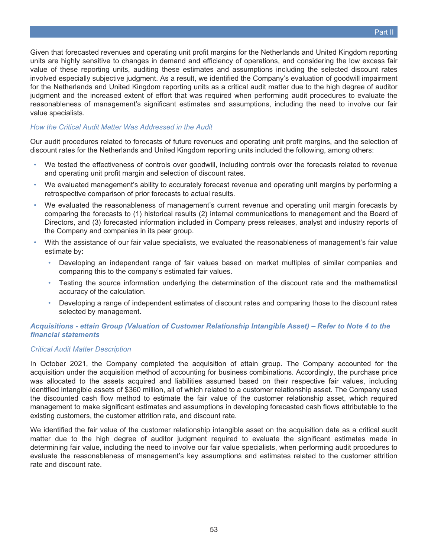Given that forecasted revenues and operating unit profit margins for the Netherlands and United Kingdom reporting units are highly sensitive to changes in demand and efficiency of operations, and considering the low excess fair value of these reporting units, auditing these estimates and assumptions including the selected discount rates involved especially subjective judgment. As a result, we identified the Company's evaluation of goodwill impairment for the Netherlands and United Kingdom reporting units as a critical audit matter due to the high degree of auditor judgment and the increased extent of effort that was required when performing audit procedures to evaluate the reasonableness of management's significant estimates and assumptions, including the need to involve our fair value specialists.

### *How the Critical Audit Matter Was Addressed in the Audit*

Our audit procedures related to forecasts of future revenues and operating unit profit margins, and the selection of discount rates for the Netherlands and United Kingdom reporting units included the following, among others:

- We tested the effectiveness of controls over goodwill, including controls over the forecasts related to revenue and operating unit profit margin and selection of discount rates.
- We evaluated management's ability to accurately forecast revenue and operating unit margins by performing a retrospective comparison of prior forecasts to actual results.
- We evaluated the reasonableness of management's current revenue and operating unit margin forecasts by comparing the forecasts to (1) historical results (2) internal communications to management and the Board of Directors, and (3) forecasted information included in Company press releases, analyst and industry reports of the Company and companies in its peer group.
- With the assistance of our fair value specialists, we evaluated the reasonableness of management's fair value estimate by:
	- Developing an independent range of fair values based on market multiples of similar companies and comparing this to the company's estimated fair values.
	- Testing the source information underlying the determination of the discount rate and the mathematical accuracy of the calculation.
	- Developing a range of independent estimates of discount rates and comparing those to the discount rates selected by management.

### *Acquisitions - ettain Group (Valuation of Customer Relationship Intangible Asset) – Refer to Note 4 to the financial statements*

### *Critical Audit Matter Description*

In October 2021, the Company completed the acquisition of ettain group. The Company accounted for the acquisition under the acquisition method of accounting for business combinations. Accordingly, the purchase price was allocated to the assets acquired and liabilities assumed based on their respective fair values, including identified intangible assets of \$360 million, all of which related to a customer relationship asset. The Company used the discounted cash flow method to estimate the fair value of the customer relationship asset, which required management to make significant estimates and assumptions in developing forecasted cash flows attributable to the existing customers, the customer attrition rate, and discount rate.

We identified the fair value of the customer relationship intangible asset on the acquisition date as a critical audit matter due to the high degree of auditor judgment required to evaluate the significant estimates made in determining fair value, including the need to involve our fair value specialists, when performing audit procedures to evaluate the reasonableness of management's key assumptions and estimates related to the customer attrition rate and discount rate.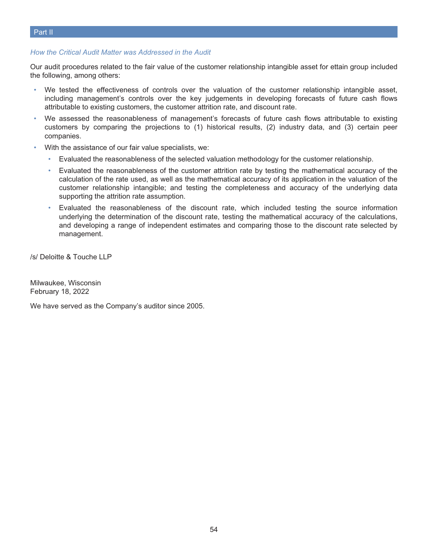### *How the Critical Audit Matter was Addressed in the Audit*

Our audit procedures related to the fair value of the customer relationship intangible asset for ettain group included the following, among others:

- We tested the effectiveness of controls over the valuation of the customer relationship intangible asset, including management's controls over the key judgements in developing forecasts of future cash flows attributable to existing customers, the customer attrition rate, and discount rate.
- We assessed the reasonableness of management's forecasts of future cash flows attributable to existing customers by comparing the projections to (1) historical results, (2) industry data, and (3) certain peer companies.
- With the assistance of our fair value specialists, we:
	- Evaluated the reasonableness of the selected valuation methodology for the customer relationship.
	- Evaluated the reasonableness of the customer attrition rate by testing the mathematical accuracy of the calculation of the rate used, as well as the mathematical accuracy of its application in the valuation of the customer relationship intangible; and testing the completeness and accuracy of the underlying data supporting the attrition rate assumption.
	- Evaluated the reasonableness of the discount rate, which included testing the source information underlying the determination of the discount rate, testing the mathematical accuracy of the calculations, and developing a range of independent estimates and comparing those to the discount rate selected by management.

/s/ Deloitte & Touche LLP

Milwaukee, Wisconsin February 18, 2022

We have served as the Company's auditor since 2005.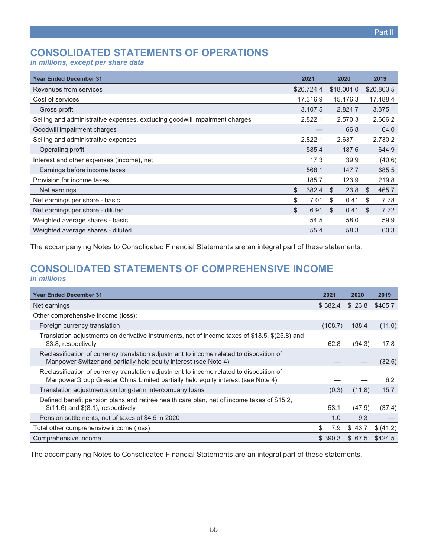# <span id="page-54-0"></span>**CONSOLIDATED STATEMENTS OF OPERATIONS**

*in millions, except per share data*

| <b>Year Ended December 31</b>                                              | 2021        | 2020       | 2019        |
|----------------------------------------------------------------------------|-------------|------------|-------------|
| Revenues from services                                                     | \$20,724.4  | \$18,001.0 | \$20,863.5  |
| Cost of services                                                           | 17,316.9    | 15,176.3   | 17,488.4    |
| Gross profit                                                               | 3,407.5     | 2,824.7    | 3,375.1     |
| Selling and administrative expenses, excluding goodwill impairment charges | 2,822.1     | 2,570.3    | 2,666.2     |
| Goodwill impairment charges                                                |             | 66.8       | 64.0        |
| Selling and administrative expenses                                        | 2,822.1     | 2,637.1    | 2,730.2     |
| Operating profit                                                           | 585.4       | 187.6      | 644.9       |
| Interest and other expenses (income), net                                  | 17.3        | 39.9       | (40.6)      |
| Earnings before income taxes                                               | 568.1       | 147.7      | 685.5       |
| Provision for income taxes                                                 | 185.7       | 123.9      | 219.8       |
| Net earnings                                                               | \$<br>382.4 | \$<br>23.8 | \$<br>465.7 |
| Net earnings per share - basic                                             | \$<br>7.01  | \$<br>0.41 | \$<br>7.78  |
| Net earnings per share - diluted                                           | \$<br>6.91  | \$<br>0.41 | \$<br>7.72  |
| Weighted average shares - basic                                            | 54.5        | 58.0       | 59.9        |
| Weighted average shares - diluted                                          | 55.4        | 58.3       | 60.3        |

<span id="page-54-1"></span>The accompanying Notes to Consolidated Financial Statements are an integral part of these statements.

### **CONSOLIDATED STATEMENTS OF COMPREHENSIVE INCOME** *in millions*

| <b>Year Ended December 31</b>                                                                                                                                              | 2021      | 2020    | 2019      |
|----------------------------------------------------------------------------------------------------------------------------------------------------------------------------|-----------|---------|-----------|
| Net earnings                                                                                                                                                               | \$382.4   | \$23.8  | \$465.7   |
| Other comprehensive income (loss):                                                                                                                                         |           |         |           |
| Foreign currency translation                                                                                                                                               | (108.7)   | 188.4   | (11.0)    |
| Translation adjustments on derivative instruments, net of income taxes of \$18.5, \$(25.8) and<br>\$3.8, respectively                                                      | 62.8      | (94.3)  | 17.8      |
| Reclassification of currency translation adjustment to income related to disposition of<br>Manpower Switzerland partially held equity interest (see Note 4)                |           |         | (32.5)    |
| Reclassification of currency translation adjustment to income related to disposition of<br>ManpowerGroup Greater China Limited partially held equity interest (see Note 4) |           |         | 6.2       |
| Translation adjustments on long-term intercompany loans                                                                                                                    | (0.3)     | (11.8)  | 15.7      |
| Defined benefit pension plans and retiree health care plan, net of income taxes of \$15.2,<br>$$(11.6)$ and $$(8.1)$ , respectively                                        | 53.1      | (47.9)  | (37.4)    |
| Pension settlements, net of taxes of \$4.5 in 2020                                                                                                                         | 1.0       | 9.3     |           |
| Total other comprehensive income (loss)                                                                                                                                    | \$<br>7.9 | \$43.7  | \$ (41.2) |
| Comprehensive income                                                                                                                                                       | \$390.3   | \$ 67.5 | \$424.5   |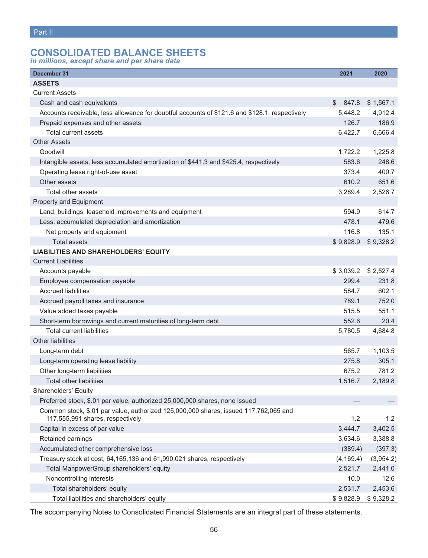# <span id="page-55-0"></span>**CONSOLIDATED BALANCE SHEETS**

*in millions, except share and per share data*

| December 31                                                                                                              | 2021        | 2020      |
|--------------------------------------------------------------------------------------------------------------------------|-------------|-----------|
| <b>ASSETS</b>                                                                                                            |             |           |
| <b>Current Assets</b>                                                                                                    |             |           |
| Cash and cash equivalents                                                                                                | \$<br>847.8 | \$1,567.1 |
| Accounts receivable, less allowance for doubtful accounts of \$121.6 and \$128.1, respectively                           | 5,448.2     | 4,912.4   |
| Prepaid expenses and other assets                                                                                        | 126.7       | 186.9     |
| Total current assets                                                                                                     | 6,422.7     | 6,666.4   |
| <b>Other Assets</b>                                                                                                      |             |           |
| Goodwill                                                                                                                 | 1,722.2     | 1,225.8   |
| Intangible assets, less accumulated amortization of \$441.3 and \$425.4, respectively                                    | 583.6       | 248.6     |
| Operating lease right-of-use asset                                                                                       | 373.4       | 400.7     |
| Other assets                                                                                                             | 610.2       | 651.6     |
| Total other assets                                                                                                       | 3,289.4     | 2,526.7   |
| Property and Equipment                                                                                                   |             |           |
| Land, buildings, leasehold improvements and equipment                                                                    | 594.9       | 614.7     |
| Less: accumulated depreciation and amortization                                                                          | 478.1       | 479.6     |
| Net property and equipment                                                                                               | 116.8       | 135.1     |
| <b>Total assets</b>                                                                                                      | \$9,828.9   | \$9,328.2 |
| <b>LIABILITIES AND SHAREHOLDERS' EQUITY</b>                                                                              |             |           |
| <b>Current Liabilities</b>                                                                                               |             |           |
| Accounts payable                                                                                                         | \$3,039.2   | \$2,527.4 |
| Employee compensation payable                                                                                            | 299.4       | 231.8     |
| <b>Accrued liabilities</b>                                                                                               | 584.7       | 602.1     |
| Accrued payroll taxes and insurance                                                                                      | 789.1       | 752.0     |
| Value added taxes payable                                                                                                | 515.5       | 551.1     |
| Short-term borrowings and current maturities of long-term debt                                                           | 552.6       | 20.4      |
| <b>Total current liabilities</b>                                                                                         | 5,780.5     | 4,684.8   |
| <b>Other liabilities</b>                                                                                                 |             |           |
| Long-term debt                                                                                                           | 565.7       | 1,103.5   |
| Long-term operating lease liability                                                                                      | 275.8       | 305.1     |
| Other long-term liabilities                                                                                              | 675.2       | 781.2     |
| <b>Total other liabilities</b>                                                                                           | 1,516.7     | 2,189.8   |
| Shareholders' Equity                                                                                                     |             |           |
| Preferred stock, \$.01 par value, authorized 25,000,000 shares, none issued                                              |             |           |
| Common stock, \$.01 par value, authorized 125,000,000 shares, issued 117,762,065 and<br>117,555,991 shares, respectively | 1.2         | 1.2       |
| Capital in excess of par value                                                                                           | 3,444.7     | 3,402.5   |
| Retained earnings                                                                                                        | 3,634.6     | 3,388.8   |
| Accumulated other comprehensive loss                                                                                     | (389.4)     | (397.3)   |
| Treasury stock at cost, 64, 165, 136 and 61, 990, 021 shares, respectively                                               | (4, 169.4)  | (3,954.2) |
| Total ManpowerGroup shareholders' equity                                                                                 | 2,521.7     | 2,441.0   |
| Noncontrolling interests                                                                                                 | 10.0        | 12.6      |
| Total shareholders' equity                                                                                               | 2,531.7     | 2,453.6   |
| Total liabilities and shareholders' equity                                                                               | \$9,828.9   | \$9,328.2 |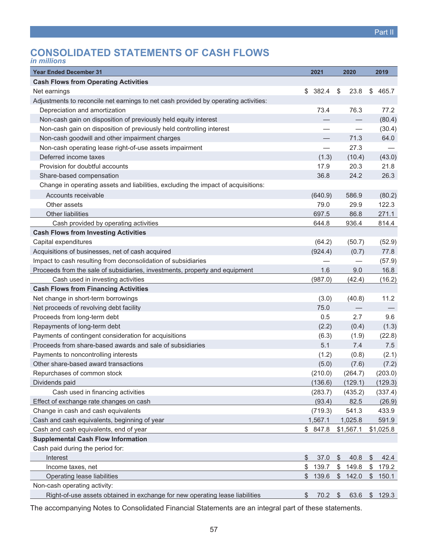# <span id="page-56-0"></span>**CONSOLIDATED STATEMENTS OF CASH FLOWS**

| <i>in millions</i> |  |
|--------------------|--|
|                    |  |
|                    |  |
|                    |  |

| <b>Year Ended December 31</b>                                                       | 2021                     |               | 2020      | 2019        |
|-------------------------------------------------------------------------------------|--------------------------|---------------|-----------|-------------|
| <b>Cash Flows from Operating Activities</b>                                         |                          |               |           |             |
| Net earnings                                                                        | \$<br>382.4              | \$            | 23.8      | \$<br>465.7 |
| Adjustments to reconcile net earnings to net cash provided by operating activities: |                          |               |           |             |
| Depreciation and amortization                                                       | 73.4                     |               | 76.3      | 77.2        |
| Non-cash gain on disposition of previously held equity interest                     |                          |               |           | (80.4)      |
| Non-cash gain on disposition of previously held controlling interest                |                          |               |           | (30.4)      |
| Non-cash goodwill and other impairment charges                                      |                          |               | 71.3      | 64.0        |
| Non-cash operating lease right-of-use assets impairment                             | $\overline{\phantom{0}}$ |               | 27.3      |             |
| Deferred income taxes                                                               | (1.3)                    |               | (10.4)    | (43.0)      |
| Provision for doubtful accounts                                                     | 17.9                     |               | 20.3      | 21.8        |
| Share-based compensation                                                            | 36.8                     |               | 24.2      | 26.3        |
| Change in operating assets and liabilities, excluding the impact of acquisitions:   |                          |               |           |             |
| Accounts receivable                                                                 | (640.9)                  |               | 586.9     | (80.2)      |
| Other assets                                                                        | 79.0                     |               | 29.9      | 122.3       |
| Other liabilities                                                                   | 697.5                    |               | 86.8      | 271.1       |
| Cash provided by operating activities                                               | 644.8                    |               | 936.4     | 814.4       |
| <b>Cash Flows from Investing Activities</b>                                         |                          |               |           |             |
| Capital expenditures                                                                | (64.2)                   |               | (50.7)    | (52.9)      |
| Acquisitions of businesses, net of cash acquired                                    | (924.4)                  |               | (0.7)     | 77.8        |
| Impact to cash resulting from deconsolidation of subsidiaries                       |                          |               |           | (57.9)      |
| Proceeds from the sale of subsidiaries, investments, property and equipment         | 1.6                      |               | 9.0       | 16.8        |
| Cash used in investing activities                                                   | (987.0)                  |               | (42.4)    | (16.2)      |
| <b>Cash Flows from Financing Activities</b>                                         |                          |               |           |             |
| Net change in short-term borrowings                                                 | (3.0)                    |               | (40.8)    | 11.2        |
| Net proceeds of revolving debt facility                                             | 75.0                     |               |           |             |
| Proceeds from long-term debt                                                        | 0.5                      |               | 2.7       | 9.6         |
| Repayments of long-term debt                                                        | (2.2)                    |               | (0.4)     | (1.3)       |
| Payments of contingent consideration for acquisitions                               | (6.3)                    |               | (1.9)     | (22.8)      |
| Proceeds from share-based awards and sale of subsidiaries                           | 5.1                      |               | 7.4       | 7.5         |
| Payments to noncontrolling interests                                                | (1.2)                    |               | (0.8)     | (2.1)       |
| Other share-based award transactions                                                | (5.0)                    |               | (7.6)     | (7.2)       |
| Repurchases of common stock                                                         | (210.0)                  |               | (264.7)   | (203.0)     |
| Dividends paid                                                                      | (136.6)                  |               | (129.1)   | (129.3)     |
| Cash used in financing activities                                                   | (283.7)                  |               | (435.2)   | (337.4)     |
| Effect of exchange rate changes on cash                                             | (93.4)                   |               | 82.5      | (26.9)      |
| Change in cash and cash equivalents                                                 | (719.3)                  |               | 541.3     | 433.9       |
| Cash and cash equivalents, beginning of year                                        | 1,567.1                  |               | 1,025.8   | 591.9       |
| Cash and cash equivalents, end of year                                              | \$847.8                  |               | \$1,567.1 | \$1,025.8   |
| <b>Supplemental Cash Flow Information</b>                                           |                          |               |           |             |
| Cash paid during the period for:                                                    |                          |               |           |             |
| Interest                                                                            | \$<br>37.0               | $\frac{1}{2}$ | 40.8      | \$<br>42.4  |
| Income taxes, net                                                                   | \$<br>139.7              | \$            | 149.8     | \$<br>179.2 |
| <b>Operating lease liabilities</b>                                                  | \$<br>139.6              | \$            | 142.0     | \$<br>150.1 |
| Non-cash operating activity:                                                        |                          |               |           |             |
| Right-of-use assets obtained in exchange for new operating lease liabilities        | \$<br>70.2               | \$            | 63.6      | \$<br>129.3 |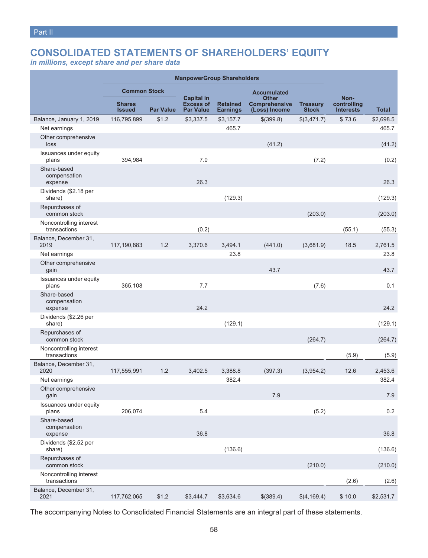# <span id="page-57-0"></span>**CONSOLIDATED STATEMENTS OF SHAREHOLDERS' EQUITY**

*in millions, except share and per share data*

| <b>ManpowerGroup Shareholders</b>       |                                |                  |                                                           |                             |                                                       |                                 |                                         |              |
|-----------------------------------------|--------------------------------|------------------|-----------------------------------------------------------|-----------------------------|-------------------------------------------------------|---------------------------------|-----------------------------------------|--------------|
|                                         | <b>Common Stock</b>            |                  |                                                           |                             | <b>Accumulated</b>                                    |                                 |                                         |              |
|                                         | <b>Shares</b><br><b>Issued</b> | <b>Par Value</b> | <b>Capital in</b><br><b>Excess of</b><br><b>Par Value</b> | <b>Retained</b><br>Earnings | <b>Other</b><br><b>Comprehensive</b><br>(Loss) Income | <b>Treasury</b><br><b>Stock</b> | Non-<br>controlling<br><b>Interests</b> | <b>Total</b> |
| Balance, January 1, 2019                | 116,795,899                    | \$1.2            | \$3,337.5                                                 | \$3,157.7                   | \$(399.8)                                             | \$(3,471.7)                     | \$73.6                                  | \$2,698.5    |
| Net earnings                            |                                |                  |                                                           | 465.7                       |                                                       |                                 |                                         | 465.7        |
| Other comprehensive<br>loss             |                                |                  |                                                           |                             | (41.2)                                                |                                 |                                         | (41.2)       |
| Issuances under equity<br>plans         | 394,984                        |                  | 7.0                                                       |                             |                                                       | (7.2)                           |                                         | (0.2)        |
| Share-based<br>compensation<br>expense  |                                |                  | 26.3                                                      |                             |                                                       |                                 |                                         | 26.3         |
| Dividends (\$2.18 per<br>share)         |                                |                  |                                                           | (129.3)                     |                                                       |                                 |                                         | (129.3)      |
| Repurchases of<br>common stock          |                                |                  |                                                           |                             |                                                       | (203.0)                         |                                         | (203.0)      |
| Noncontrolling interest<br>transactions |                                |                  | (0.2)                                                     |                             |                                                       |                                 | (55.1)                                  | (55.3)       |
| Balance, December 31,<br>2019           | 117,190,883                    | 1.2              | 3,370.6                                                   | 3,494.1                     | (441.0)                                               | (3,681.9)                       | 18.5                                    | 2,761.5      |
| Net earnings                            |                                |                  |                                                           | 23.8                        |                                                       |                                 |                                         | 23.8         |
| Other comprehensive<br>gain             |                                |                  |                                                           |                             | 43.7                                                  |                                 |                                         | 43.7         |
| Issuances under equity<br>plans         | 365,108                        |                  | 7.7                                                       |                             |                                                       | (7.6)                           |                                         | 0.1          |
| Share-based<br>compensation<br>expense  |                                |                  | 24.2                                                      |                             |                                                       |                                 |                                         | 24.2         |
| Dividends (\$2.26 per<br>share)         |                                |                  |                                                           | (129.1)                     |                                                       |                                 |                                         | (129.1)      |
| Repurchases of<br>common stock          |                                |                  |                                                           |                             |                                                       | (264.7)                         |                                         | (264.7)      |
| Noncontrolling interest<br>transactions |                                |                  |                                                           |                             |                                                       |                                 | (5.9)                                   | (5.9)        |
| Balance, December 31,<br>2020           | 117,555,991                    | 1.2              | 3,402.5                                                   | 3,388.8                     | (397.3)                                               | (3,954.2)                       | 12.6                                    | 2,453.6      |
| Net earnings                            |                                |                  |                                                           | 382.4                       |                                                       |                                 |                                         | 382.4        |
| Other comprehensive<br>gain             |                                |                  |                                                           |                             | 7.9                                                   |                                 |                                         | 7.9          |
| Issuances under equity<br>plans         | 206,074                        |                  | 5.4                                                       |                             |                                                       | (5.2)                           |                                         | 0.2          |
| Share-based<br>compensation<br>expense  |                                |                  | 36.8                                                      |                             |                                                       |                                 |                                         | 36.8         |
| Dividends (\$2.52 per<br>share)         |                                |                  |                                                           | (136.6)                     |                                                       |                                 |                                         | (136.6)      |
| Repurchases of<br>common stock          |                                |                  |                                                           |                             |                                                       | (210.0)                         |                                         | (210.0)      |
| Noncontrolling interest<br>transactions |                                |                  |                                                           |                             |                                                       |                                 | (2.6)                                   | (2.6)        |
| Balance, December 31,<br>2021           | 117,762,065                    | \$1.2            | \$3,444.7                                                 | \$3,634.6                   | \$(389.4)                                             | \$(4, 169.4)                    | \$10.0                                  | \$2,531.7    |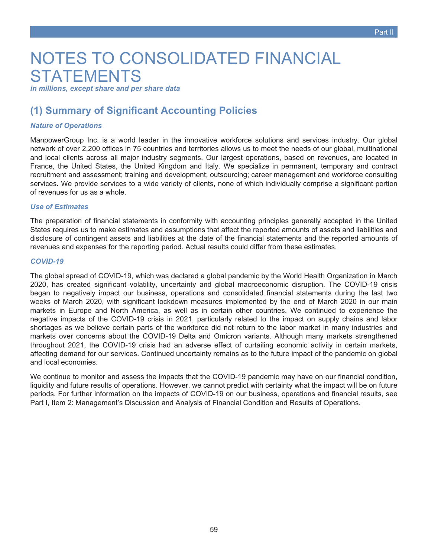# <span id="page-58-0"></span>NOTES TO CONSOLIDATED FINANCIAL **STATEMENTS**

*in millions, except share and per share data*

### **(1) Summary of Significant Accounting Policies**

### *Nature of Operations*

ManpowerGroup Inc. is a world leader in the innovative workforce solutions and services industry. Our global network of over 2,200 offices in 75 countries and territories allows us to meet the needs of our global, multinational and local clients across all major industry segments. Our largest operations, based on revenues, are located in France, the United States, the United Kingdom and Italy. We specialize in permanent, temporary and contract recruitment and assessment; training and development; outsourcing; career management and workforce consulting services. We provide services to a wide variety of clients, none of which individually comprise a significant portion of revenues for us as a whole.

### *Use of Estimates*

The preparation of financial statements in conformity with accounting principles generally accepted in the United States requires us to make estimates and assumptions that affect the reported amounts of assets and liabilities and disclosure of contingent assets and liabilities at the date of the financial statements and the reported amounts of revenues and expenses for the reporting period. Actual results could differ from these estimates.

### *COVID-19*

The global spread of COVID-19, which was declared a global pandemic by the World Health Organization in March 2020, has created significant volatility, uncertainty and global macroeconomic disruption. The COVID-19 crisis began to negatively impact our business, operations and consolidated financial statements during the last two weeks of March 2020, with significant lockdown measures implemented by the end of March 2020 in our main markets in Europe and North America, as well as in certain other countries. We continued to experience the negative impacts of the COVID-19 crisis in 2021, particularly related to the impact on supply chains and labor shortages as we believe certain parts of the workforce did not return to the labor market in many industries and markets over concerns about the COVID-19 Delta and Omicron variants. Although many markets strengthened throughout 2021, the COVID-19 crisis had an adverse effect of curtailing economic activity in certain markets, affecting demand for our services. Continued uncertainty remains as to the future impact of the pandemic on global and local economies.

We continue to monitor and assess the impacts that the COVID-19 pandemic may have on our financial condition, liquidity and future results of operations. However, we cannot predict with certainty what the impact will be on future periods. For further information on the impacts of COVID-19 on our business, operations and financial results, see Part I, Item 2: Management's Discussion and Analysis of Financial Condition and Results of Operations.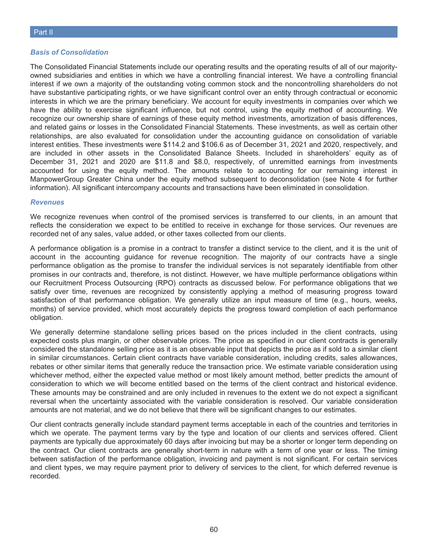### *Basis of Consolidation*

The Consolidated Financial Statements include our operating results and the operating results of all of our majorityowned subsidiaries and entities in which we have a controlling financial interest. We have a controlling financial interest if we own a majority of the outstanding voting common stock and the noncontrolling shareholders do not have substantive participating rights, or we have significant control over an entity through contractual or economic interests in which we are the primary beneficiary. We account for equity investments in companies over which we have the ability to exercise significant influence, but not control, using the equity method of accounting. We recognize our ownership share of earnings of these equity method investments, amortization of basis differences, and related gains or losses in the Consolidated Financial Statements. These investments, as well as certain other relationships, are also evaluated for consolidation under the accounting guidance on consolidation of variable interest entities. These investments were \$114.2 and \$106.6 as of December 31, 2021 and 2020, respectively, and are included in other assets in the Consolidated Balance Sheets. Included in shareholders' equity as of December 31, 2021 and 2020 are \$11.8 and \$8.0, respectively, of unremitted earnings from investments accounted for using the equity method. The amounts relate to accounting for our remaining interest in ManpowerGroup Greater China under the equity method subsequent to deconsolidation (see Note 4 for further information). All significant intercompany accounts and transactions have been eliminated in consolidation.

### *Revenues*

We recognize revenues when control of the promised services is transferred to our clients, in an amount that reflects the consideration we expect to be entitled to receive in exchange for those services. Our revenues are recorded net of any sales, value added, or other taxes collected from our clients.

A performance obligation is a promise in a contract to transfer a distinct service to the client, and it is the unit of account in the accounting guidance for revenue recognition. The majority of our contracts have a single performance obligation as the promise to transfer the individual services is not separately identifiable from other promises in our contracts and, therefore, is not distinct. However, we have multiple performance obligations within our Recruitment Process Outsourcing (RPO) contracts as discussed below. For performance obligations that we satisfy over time, revenues are recognized by consistently applying a method of measuring progress toward satisfaction of that performance obligation. We generally utilize an input measure of time (e.g., hours, weeks, months) of service provided, which most accurately depicts the progress toward completion of each performance obligation.

We generally determine standalone selling prices based on the prices included in the client contracts, using expected costs plus margin, or other observable prices. The price as specified in our client contracts is generally considered the standalone selling price as it is an observable input that depicts the price as if sold to a similar client in similar circumstances. Certain client contracts have variable consideration, including credits, sales allowances, rebates or other similar items that generally reduce the transaction price. We estimate variable consideration using whichever method, either the expected value method or most likely amount method, better predicts the amount of consideration to which we will become entitled based on the terms of the client contract and historical evidence. These amounts may be constrained and are only included in revenues to the extent we do not expect a significant reversal when the uncertainty associated with the variable consideration is resolved. Our variable consideration amounts are not material, and we do not believe that there will be significant changes to our estimates.

Our client contracts generally include standard payment terms acceptable in each of the countries and territories in which we operate. The payment terms vary by the type and location of our clients and services offered. Client payments are typically due approximately 60 days after invoicing but may be a shorter or longer term depending on the contract. Our client contracts are generally short-term in nature with a term of one year or less. The timing between satisfaction of the performance obligation, invoicing and payment is not significant. For certain services and client types, we may require payment prior to delivery of services to the client, for which deferred revenue is recorded.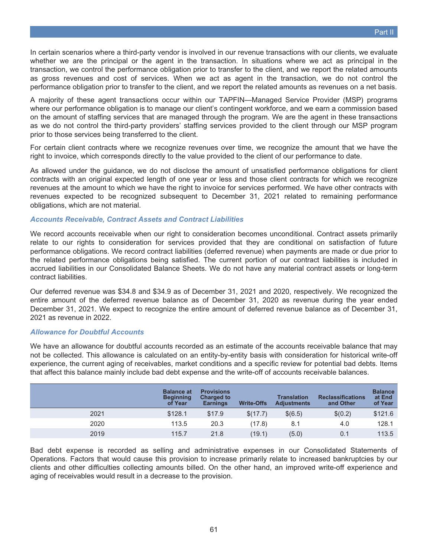In certain scenarios where a third-party vendor is involved in our revenue transactions with our clients, we evaluate whether we are the principal or the agent in the transaction. In situations where we act as principal in the transaction, we control the performance obligation prior to transfer to the client, and we report the related amounts as gross revenues and cost of services. When we act as agent in the transaction, we do not control the performance obligation prior to transfer to the client, and we report the related amounts as revenues on a net basis.

A majority of these agent transactions occur within our TAPFIN—Managed Service Provider (MSP) programs where our performance obligation is to manage our client's contingent workforce, and we earn a commission based on the amount of staffing services that are managed through the program. We are the agent in these transactions as we do not control the third-party providers' staffing services provided to the client through our MSP program prior to those services being transferred to the client.

For certain client contracts where we recognize revenues over time, we recognize the amount that we have the right to invoice, which corresponds directly to the value provided to the client of our performance to date.

As allowed under the guidance, we do not disclose the amount of unsatisfied performance obligations for client contracts with an original expected length of one year or less and those client contracts for which we recognize revenues at the amount to which we have the right to invoice for services performed. We have other contracts with revenues expected to be recognized subsequent to December 31, 2021 related to remaining performance obligations, which are not material.

### *Accounts Receivable, Contract Assets and Contract Liabilities*

We record accounts receivable when our right to consideration becomes unconditional. Contract assets primarily relate to our rights to consideration for services provided that they are conditional on satisfaction of future performance obligations. We record contract liabilities (deferred revenue) when payments are made or due prior to the related performance obligations being satisfied. The current portion of our contract liabilities is included in accrued liabilities in our Consolidated Balance Sheets. We do not have any material contract assets or long-term contract liabilities.

Our deferred revenue was \$34.8 and \$34.9 as of December 31, 2021 and 2020, respectively. We recognized the entire amount of the deferred revenue balance as of December 31, 2020 as revenue during the year ended December 31, 2021. We expect to recognize the entire amount of deferred revenue balance as of December 31, 2021 as revenue in 2022.

### *Allowance for Doubtful Accounts*

We have an allowance for doubtful accounts recorded as an estimate of the accounts receivable balance that may not be collected. This allowance is calculated on an entity-by-entity basis with consideration for historical write-off experience, the current aging of receivables, market conditions and a specific review for potential bad debts. Items that affect this balance mainly include bad debt expense and the write-off of accounts receivable balances.

|      | <b>Balance at</b><br><b>Beginning</b><br>of Year | <b>Provisions</b><br><b>Charged to</b><br><b>Earnings</b> | <b>Write-Offs</b> | Translation<br><b>Adiustments</b> | <b>Reclassifications</b><br>and Other | <b>Balance</b><br>at End<br>of Year |
|------|--------------------------------------------------|-----------------------------------------------------------|-------------------|-----------------------------------|---------------------------------------|-------------------------------------|
| 2021 | \$128.1                                          | \$17.9                                                    | \$(17.7)          | \$(6.5)                           | \$(0.2)                               | \$121.6                             |
| 2020 | 113.5                                            | 20.3                                                      | (17.8)            | 8.1                               | 4.0                                   | 128.1                               |
| 2019 | 115.7                                            | 21.8                                                      | (19.1)            | (5.0)                             | 0.1                                   | 113.5                               |

Bad debt expense is recorded as selling and administrative expenses in our Consolidated Statements of Operations. Factors that would cause this provision to increase primarily relate to increased bankruptcies by our clients and other difficulties collecting amounts billed. On the other hand, an improved write-off experience and aging of receivables would result in a decrease to the provision.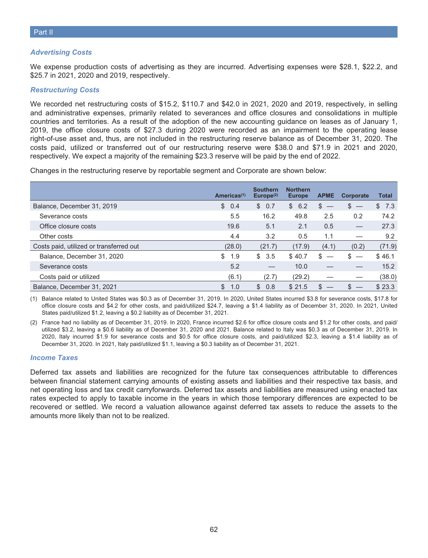### *Advertising Costs*

We expense production costs of advertising as they are incurred. Advertising expenses were \$28.1, \$22.2, and \$25.7 in 2021, 2020 and 2019, respectively.

#### *Restructuring Costs*

We recorded net restructuring costs of \$15.2, \$110.7 and \$42.0 in 2021, 2020 and 2019, respectively, in selling and administrative expenses, primarily related to severances and office closures and consolidations in multiple countries and territories. As a result of the adoption of the new accounting guidance on leases as of January 1, 2019, the office closure costs of \$27.3 during 2020 were recorded as an impairment to the operating lease right-of-use asset and, thus, are not included in the restructuring reserve balance as of December 31, 2020. The costs paid, utilized or transferred out of our restructuring reserve were \$38.0 and \$71.9 in 2021 and 2020, respectively. We expect a majority of the remaining \$23.3 reserve will be paid by the end of 2022.

Changes in the restructuring reserve by reportable segment and Corporate are shown below:

|                                         | Americas $(1)$ | <b>Southern</b><br>Europe <sup>(2)</sup> | <b>Northern</b><br><b>Europe</b> | <b>APME</b> | Corporate | <b>Total</b> |
|-----------------------------------------|----------------|------------------------------------------|----------------------------------|-------------|-----------|--------------|
| Balance, December 31, 2019              | \$<br>0.4      | \$0.7                                    | 6.2<br>S.                        | S.          | S         | 7.3<br>\$.   |
| Severance costs                         | 5.5            | 16.2                                     | 49.8                             | 2.5         | 0.2       | 74.2         |
| Office closure costs                    | 19.6           | 5.1                                      | 2.1                              | 0.5         |           | 27.3         |
| Other costs                             | 4.4            | 3.2                                      | 0.5                              | 1.1         |           | 9.2          |
| Costs paid, utilized or transferred out | (28.0)         | (21.7)                                   | (17.9)                           | (4.1)       | (0.2)     | (71.9)       |
| Balance, December 31, 2020              | \$<br>1.9      | \$<br>3.5                                | \$40.7                           | \$          |           | \$46.1       |
| Severance costs                         | 5.2            |                                          | 10.0                             |             |           | 15.2         |
| Costs paid or utilized                  | (6.1)          | (2.7)                                    | (29.2)                           |             |           | (38.0)       |
| Balance, December 31, 2021              | \$<br>1.0      | $\mathcal{S}$<br>0.8                     | \$21.5                           | \$          |           | \$23.3       |

(1) Balance related to United States was \$0.3 as of December 31, 2019. In 2020, United States incurred \$3.8 for severance costs, \$17.8 for office closure costs and \$4.2 for other costs, and paid/utilized \$24.7, leaving a \$1.4 liability as of December 31, 2020. In 2021, United States paid/utilized \$1.2, leaving a \$0.2 liability as of December 31, 2021.

(2) France had no liability as of December 31, 2019. In 2020, France incurred \$2.6 for office closure costs and \$1.2 for other costs, and paid/ utilized \$3.2, leaving a \$0.6 liability as of December 31, 2020 and 2021. Balance related to Italy was \$0.3 as of December 31, 2019. In 2020, Italy incurred \$1.9 for severance costs and \$0.5 for office closure costs, and paid/utilized \$2.3, leaving a \$1.4 liability as of December 31, 2020. In 2021, Italy paid/utilized \$1.1, leaving a \$0.3 liability as of December 31, 2021.

#### *Income Taxes*

Deferred tax assets and liabilities are recognized for the future tax consequences attributable to differences between financial statement carrying amounts of existing assets and liabilities and their respective tax basis, and net operating loss and tax credit carryforwards. Deferred tax assets and liabilities are measured using enacted tax rates expected to apply to taxable income in the years in which those temporary differences are expected to be recovered or settled. We record a valuation allowance against deferred tax assets to reduce the assets to the amounts more likely than not to be realized.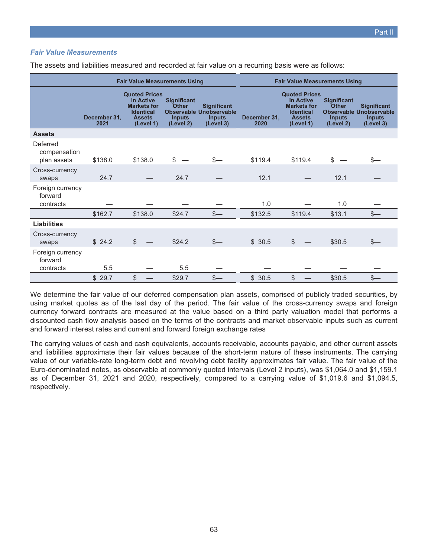### *Fair Value Measurements*

|                                          |                      | <b>Fair Value Measurements Using</b>                                                                      |                                                           |                                                                                    | <b>Fair Value Measurements Using</b> |                                                                                                           |                                                           |                                                                                    |  |  |  |
|------------------------------------------|----------------------|-----------------------------------------------------------------------------------------------------------|-----------------------------------------------------------|------------------------------------------------------------------------------------|--------------------------------------|-----------------------------------------------------------------------------------------------------------|-----------------------------------------------------------|------------------------------------------------------------------------------------|--|--|--|
|                                          | December 31.<br>2021 | <b>Quoted Prices</b><br>in Active<br><b>Markets for</b><br><b>Identical</b><br><b>Assets</b><br>(Level 1) | <b>Significant</b><br>Other<br><b>Inputs</b><br>(Level 2) | <b>Significant</b><br><b>Observable Unobservable</b><br><b>Inputs</b><br>(Level 3) | December 31.<br>2020                 | <b>Quoted Prices</b><br>in Active<br><b>Markets for</b><br><b>Identical</b><br><b>Assets</b><br>(Level 1) | <b>Significant</b><br>Other<br><b>Inputs</b><br>(Level 2) | <b>Significant</b><br><b>Observable Unobservable</b><br><b>Inputs</b><br>(Level 3) |  |  |  |
| <b>Assets</b>                            |                      |                                                                                                           |                                                           |                                                                                    |                                      |                                                                                                           |                                                           |                                                                                    |  |  |  |
| Deferred<br>compensation<br>plan assets  | \$138.0              | \$138.0                                                                                                   | \$                                                        | \$—                                                                                | \$119.4                              | \$119.4                                                                                                   | \$                                                        |                                                                                    |  |  |  |
| Cross-currency<br>swaps                  | 24.7                 |                                                                                                           | 24.7                                                      |                                                                                    | 12.1                                 |                                                                                                           | 12.1                                                      |                                                                                    |  |  |  |
| Foreign currency<br>forward<br>contracts |                      |                                                                                                           |                                                           |                                                                                    | 1.0                                  |                                                                                                           | 1.0                                                       |                                                                                    |  |  |  |
|                                          | \$162.7              | \$138.0                                                                                                   | \$24.7                                                    | $s-$                                                                               | \$132.5                              | \$119.4                                                                                                   | \$13.1                                                    | $S-$                                                                               |  |  |  |
| Liabilities                              |                      |                                                                                                           |                                                           |                                                                                    |                                      |                                                                                                           |                                                           |                                                                                    |  |  |  |
| Cross-currency<br>swaps                  | \$24.2               | $\mathbb{S}$                                                                                              | \$24.2                                                    | $s-$                                                                               | \$30.5                               | $\mathcal{L}$                                                                                             | \$30.5                                                    |                                                                                    |  |  |  |
| Foreign currency<br>forward<br>contracts | 5.5                  |                                                                                                           | 5.5                                                       |                                                                                    |                                      |                                                                                                           |                                                           |                                                                                    |  |  |  |
|                                          | \$29.7               | $\mathbb{S}$                                                                                              | \$29.7                                                    | $s-$                                                                               | \$30.5                               | $\mathbb{S}$                                                                                              | \$30.5                                                    | $s-$                                                                               |  |  |  |

The assets and liabilities measured and recorded at fair value on a recurring basis were as follows:

We determine the fair value of our deferred compensation plan assets, comprised of publicly traded securities, by using market quotes as of the last day of the period. The fair value of the cross-currency swaps and foreign currency forward contracts are measured at the value based on a third party valuation model that performs a discounted cash flow analysis based on the terms of the contracts and market observable inputs such as current and forward interest rates and current and forward foreign exchange rates

The carrying values of cash and cash equivalents, accounts receivable, accounts payable, and other current assets and liabilities approximate their fair values because of the short-term nature of these instruments. The carrying value of our variable-rate long-term debt and revolving debt facility approximates fair value. The fair value of the Euro-denominated notes, as observable at commonly quoted intervals (Level 2 inputs), was \$1,064.0 and \$1,159.1 as of December 31, 2021 and 2020, respectively, compared to a carrying value of \$1,019.6 and \$1,094.5, respectively.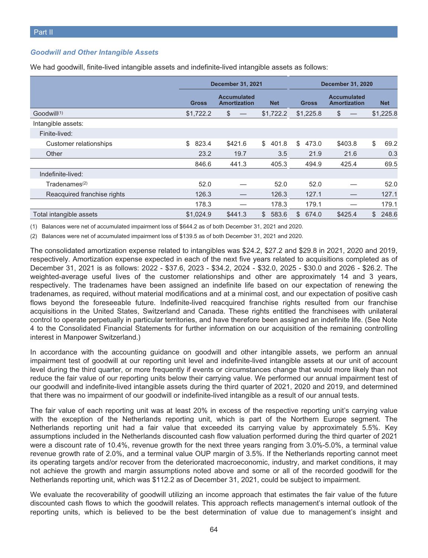### *Goodwill and Other Intangible Assets*

|                             |              | <b>December 31, 2021</b>                  |              | <b>December 31, 2020</b> |                                           |              |  |
|-----------------------------|--------------|-------------------------------------------|--------------|--------------------------|-------------------------------------------|--------------|--|
|                             | <b>Gross</b> | <b>Accumulated</b><br><b>Amortization</b> | <b>Net</b>   | <b>Gross</b>             | <b>Accumulated</b><br><b>Amortization</b> | <b>Net</b>   |  |
| Goodwill <sup>(1)</sup>     | \$1,722.2    | \$                                        | \$1,722.2    | \$1,225.8                | \$                                        | \$1,225.8    |  |
| Intangible assets:          |              |                                           |              |                          |                                           |              |  |
| Finite-lived:               |              |                                           |              |                          |                                           |              |  |
| Customer relationships      | \$<br>823.4  | \$421.6                                   | \$<br>401.8  | \$<br>473.0              | \$403.8                                   | \$<br>69.2   |  |
| Other                       | 23.2         | 19.7                                      | 3.5          | 21.9                     | 21.6                                      | 0.3          |  |
|                             | 846.6        | 441.3                                     | 405.3        | 494.9                    | 425.4                                     | 69.5         |  |
| Indefinite-lived:           |              |                                           |              |                          |                                           |              |  |
| Tradenames <sup>(2)</sup>   | 52.0         |                                           | 52.0         | 52.0                     |                                           | 52.0         |  |
| Reacquired franchise rights | 126.3        |                                           | 126.3        | 127.1                    |                                           | 127.1        |  |
|                             | 178.3        |                                           | 178.3        | 179.1                    |                                           | 179.1        |  |
| Total intangible assets     | \$1.024.9    | \$441.3                                   | 583.6<br>\$. | 674.0<br>\$              | \$425.4                                   | 248.6<br>\$. |  |

We had goodwill, finite-lived intangible assets and indefinite-lived intangible assets as follows:

(1) Balances were net of accumulated impairment loss of \$644.2 as of both December 31, 2021 and 2020.

(2) Balances were net of accumulated impairment loss of \$139.5 as of both December 31, 2021 and 2020.

The consolidated amortization expense related to intangibles was \$24.2, \$27.2 and \$29.8 in 2021, 2020 and 2019, respectively. Amortization expense expected in each of the next five years related to acquisitions completed as of December 31, 2021 is as follows: 2022 - \$37.6, 2023 - \$34.2, 2024 - \$32.0, 2025 - \$30.0 and 2026 - \$26.2. The weighted-average useful lives of the customer relationships and other are approximately 14 and 3 years, respectively. The tradenames have been assigned an indefinite life based on our expectation of renewing the tradenames, as required, without material modifications and at a minimal cost, and our expectation of positive cash flows beyond the foreseeable future. Indefinite-lived reacquired franchise rights resulted from our franchise acquisitions in the United States, Switzerland and Canada. These rights entitled the franchisees with unilateral control to operate perpetually in particular territories, and have therefore been assigned an indefinite life. (See Note 4 to the Consolidated Financial Statements for further information on our acquisition of the remaining controlling interest in Manpower Switzerland.)

In accordance with the accounting guidance on goodwill and other intangible assets, we perform an annual impairment test of goodwill at our reporting unit level and indefinite-lived intangible assets at our unit of account level during the third quarter, or more frequently if events or circumstances change that would more likely than not reduce the fair value of our reporting units below their carrying value. We performed our annual impairment test of our goodwill and indefinite-lived intangible assets during the third quarter of 2021, 2020 and 2019, and determined that there was no impairment of our goodwill or indefinite-lived intangible as a result of our annual tests.

The fair value of each reporting unit was at least 20% in excess of the respective reporting unit's carrying value with the exception of the Netherlands reporting unit, which is part of the Northern Europe segment. The Netherlands reporting unit had a fair value that exceeded its carrying value by approximately 5.5%. Key assumptions included in the Netherlands discounted cash flow valuation performed during the third quarter of 2021 were a discount rate of 10.4%, revenue growth for the next three years ranging from 3.0%-5.0%, a terminal value revenue growth rate of 2.0%, and a terminal value OUP margin of 3.5%. If the Netherlands reporting cannot meet its operating targets and/or recover from the deteriorated macroeconomic, industry, and market conditions, it may not achieve the growth and margin assumptions noted above and some or all of the recorded goodwill for the Netherlands reporting unit, which was \$112.2 as of December 31, 2021, could be subject to impairment.

We evaluate the recoverability of goodwill utilizing an income approach that estimates the fair value of the future discounted cash flows to which the goodwill relates. This approach reflects management's internal outlook of the reporting units, which is believed to be the best determination of value due to management's insight and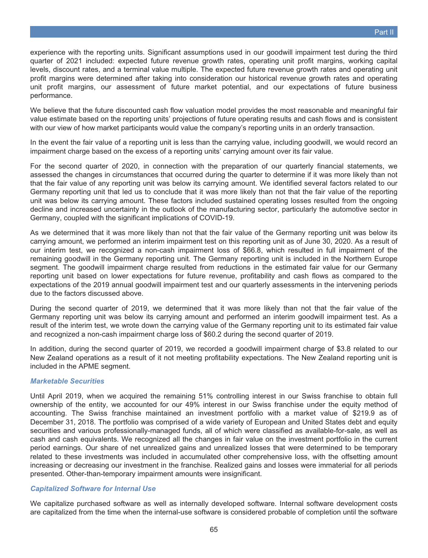experience with the reporting units. Significant assumptions used in our goodwill impairment test during the third quarter of 2021 included: expected future revenue growth rates, operating unit profit margins, working capital levels, discount rates, and a terminal value multiple. The expected future revenue growth rates and operating unit profit margins were determined after taking into consideration our historical revenue growth rates and operating unit profit margins, our assessment of future market potential, and our expectations of future business performance.

We believe that the future discounted cash flow valuation model provides the most reasonable and meaningful fair value estimate based on the reporting units' projections of future operating results and cash flows and is consistent with our view of how market participants would value the company's reporting units in an orderly transaction.

In the event the fair value of a reporting unit is less than the carrying value, including goodwill, we would record an impairment charge based on the excess of a reporting units' carrying amount over its fair value.

For the second quarter of 2020, in connection with the preparation of our quarterly financial statements, we assessed the changes in circumstances that occurred during the quarter to determine if it was more likely than not that the fair value of any reporting unit was below its carrying amount. We identified several factors related to our Germany reporting unit that led us to conclude that it was more likely than not that the fair value of the reporting unit was below its carrying amount. These factors included sustained operating losses resulted from the ongoing decline and increased uncertainty in the outlook of the manufacturing sector, particularly the automotive sector in Germany, coupled with the significant implications of COVID-19.

As we determined that it was more likely than not that the fair value of the Germany reporting unit was below its carrying amount, we performed an interim impairment test on this reporting unit as of June 30, 2020. As a result of our interim test, we recognized a non-cash impairment loss of \$66.8, which resulted in full impairment of the remaining goodwill in the Germany reporting unit. The Germany reporting unit is included in the Northern Europe segment. The goodwill impairment charge resulted from reductions in the estimated fair value for our Germany reporting unit based on lower expectations for future revenue, profitability and cash flows as compared to the expectations of the 2019 annual goodwill impairment test and our quarterly assessments in the intervening periods due to the factors discussed above.

During the second quarter of 2019, we determined that it was more likely than not that the fair value of the Germany reporting unit was below its carrying amount and performed an interim goodwill impairment test. As a result of the interim test, we wrote down the carrying value of the Germany reporting unit to its estimated fair value and recognized a non-cash impairment charge loss of \$60.2 during the second quarter of 2019.

In addition, during the second quarter of 2019, we recorded a goodwill impairment charge of \$3.8 related to our New Zealand operations as a result of it not meeting profitability expectations. The New Zealand reporting unit is included in the APME segment.

### *Marketable Securities*

Until April 2019, when we acquired the remaining 51% controlling interest in our Swiss franchise to obtain full ownership of the entity, we accounted for our 49% interest in our Swiss franchise under the equity method of accounting. The Swiss franchise maintained an investment portfolio with a market value of \$219.9 as of December 31, 2018. The portfolio was comprised of a wide variety of European and United States debt and equity securities and various professionally-managed funds, all of which were classified as available-for-sale, as well as cash and cash equivalents. We recognized all the changes in fair value on the investment portfolio in the current period earnings. Our share of net unrealized gains and unrealized losses that were determined to be temporary related to these investments was included in accumulated other comprehensive loss, with the offsetting amount increasing or decreasing our investment in the franchise. Realized gains and losses were immaterial for all periods presented. Other-than-temporary impairment amounts were insignificant.

### *Capitalized Software for Internal Use*

We capitalize purchased software as well as internally developed software. Internal software development costs are capitalized from the time when the internal-use software is considered probable of completion until the software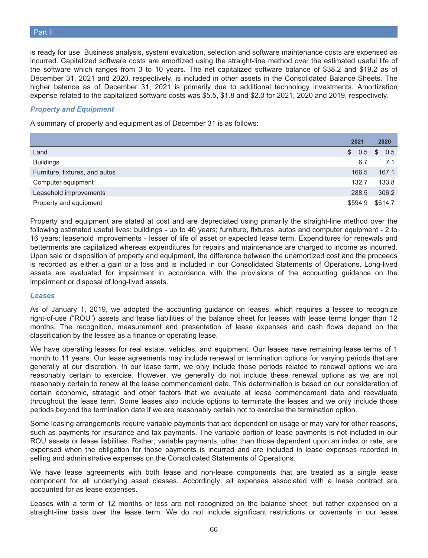is ready for use. Business analysis, system evaluation, selection and software maintenance costs are expensed as incurred. Capitalized software costs are amortized using the straight-line method over the estimated useful life of the software which ranges from 3 to 10 years. The net capitalized software balance of \$38.2 and \$19.2 as of December 31, 2021 and 2020, respectively, is included in other assets in the Consolidated Balance Sheets. The higher balance as of December 31, 2021 is primarily due to additional technology investments. Amortization expense related to the capitalized software costs was \$5.5, \$1.8 and \$2.0 for 2021, 2020 and 2019, respectively.

### *Property and Equipment*

A summary of property and equipment as of December 31 is as follows:

|                                | 2021      |    | 2020    |
|--------------------------------|-----------|----|---------|
| Land                           | 0.5<br>S. | -S | 0.5     |
| <b>Buildings</b>               | 6.7       |    | 7.1     |
| Furniture, fixtures, and autos | 166.5     |    | 167.1   |
| Computer equipment             | 132.7     |    | 133.8   |
| Leasehold improvements         | 288.5     |    | 306.2   |
| Property and equipment         | \$594.9   |    | \$614.7 |

Property and equipment are stated at cost and are depreciated using primarily the straight-line method over the following estimated useful lives: buildings - up to 40 years; furniture, fixtures, autos and computer equipment - 2 to 16 years; leasehold improvements - lesser of life of asset or expected lease term. Expenditures for renewals and betterments are capitalized whereas expenditures for repairs and maintenance are charged to income as incurred. Upon sale or disposition of property and equipment, the difference between the unamortized cost and the proceeds is recorded as either a gain or a loss and is included in our Consolidated Statements of Operations. Long-lived assets are evaluated for impairment in accordance with the provisions of the accounting guidance on the impairment or disposal of long-lived assets.

#### *Leases*

As of January 1, 2019, we adopted the accounting guidance on leases, which requires a lessee to recognize right-of-use ("ROU") assets and lease liabilities of the balance sheet for leases with lease terms longer than 12 months. The recognition, measurement and presentation of lease expenses and cash flows depend on the classification by the lessee as a finance or operating lease.

We have operating leases for real estate, vehicles, and equipment. Our leases have remaining lease terms of 1 month to 11 years. Our lease agreements may include renewal or termination options for varying periods that are generally at our discretion. In our lease term, we only include those periods related to renewal options we are reasonably certain to exercise. However, we generally do not include these renewal options as we are not reasonably certain to renew at the lease commencement date. This determination is based on our consideration of certain economic, strategic and other factors that we evaluate at lease commencement date and reevaluate throughout the lease term. Some leases also include options to terminate the leases and we only include those periods beyond the termination date if we are reasonably certain not to exercise the termination option.

Some leasing arrangements require variable payments that are dependent on usage or may vary for other reasons, such as payments for insurance and tax payments. The variable portion of lease payments is not included in our ROU assets or lease liabilities. Rather, variable payments, other than those dependent upon an index or rate, are expensed when the obligation for those payments is incurred and are included in lease expenses recorded in selling and administrative expenses on the Consolidated Statements of Operations.

We have lease agreements with both lease and non-lease components that are treated as a single lease component for all underlying asset classes. Accordingly, all expenses associated with a lease contract are accounted for as lease expenses.

Leases with a term of 12 months or less are not recognized on the balance sheet, but rather expensed on a straight-line basis over the lease term. We do not include significant restrictions or covenants in our lease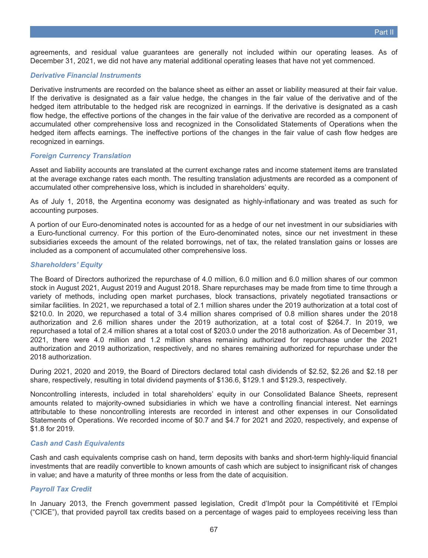agreements, and residual value guarantees are generally not included within our operating leases. As of December 31, 2021, we did not have any material additional operating leases that have not yet commenced.

### *Derivative Financial Instruments*

Derivative instruments are recorded on the balance sheet as either an asset or liability measured at their fair value. If the derivative is designated as a fair value hedge, the changes in the fair value of the derivative and of the hedged item attributable to the hedged risk are recognized in earnings. If the derivative is designated as a cash flow hedge, the effective portions of the changes in the fair value of the derivative are recorded as a component of accumulated other comprehensive loss and recognized in the Consolidated Statements of Operations when the hedged item affects earnings. The ineffective portions of the changes in the fair value of cash flow hedges are recognized in earnings.

### *Foreign Currency Translation*

Asset and liability accounts are translated at the current exchange rates and income statement items are translated at the average exchange rates each month. The resulting translation adjustments are recorded as a component of accumulated other comprehensive loss, which is included in shareholders' equity.

As of July 1, 2018, the Argentina economy was designated as highly-inflationary and was treated as such for accounting purposes.

A portion of our Euro-denominated notes is accounted for as a hedge of our net investment in our subsidiaries with a Euro-functional currency. For this portion of the Euro-denominated notes, since our net investment in these subsidiaries exceeds the amount of the related borrowings, net of tax, the related translation gains or losses are included as a component of accumulated other comprehensive loss.

### *Shareholders' Equity*

The Board of Directors authorized the repurchase of 4.0 million, 6.0 million and 6.0 million shares of our common stock in August 2021, August 2019 and August 2018. Share repurchases may be made from time to time through a variety of methods, including open market purchases, block transactions, privately negotiated transactions or similar facilities. In 2021, we repurchased a total of 2.1 million shares under the 2019 authorization at a total cost of \$210.0. In 2020, we repurchased a total of 3.4 million shares comprised of 0.8 million shares under the 2018 authorization and 2.6 million shares under the 2019 authorization, at a total cost of \$264.7. In 2019, we repurchased a total of 2.4 million shares at a total cost of \$203.0 under the 2018 authorization. As of December 31, 2021, there were 4.0 million and 1.2 million shares remaining authorized for repurchase under the 2021 authorization and 2019 authorization, respectively, and no shares remaining authorized for repurchase under the 2018 authorization.

During 2021, 2020 and 2019, the Board of Directors declared total cash dividends of \$2.52, \$2.26 and \$2.18 per share, respectively, resulting in total dividend payments of \$136.6, \$129.1 and \$129.3, respectively.

Noncontrolling interests, included in total shareholders' equity in our Consolidated Balance Sheets, represent amounts related to majority-owned subsidiaries in which we have a controlling financial interest. Net earnings attributable to these noncontrolling interests are recorded in interest and other expenses in our Consolidated Statements of Operations. We recorded income of \$0.7 and \$4.7 for 2021 and 2020, respectively, and expense of \$1.8 for 2019.

### *Cash and Cash Equivalents*

Cash and cash equivalents comprise cash on hand, term deposits with banks and short-term highly-liquid financial investments that are readily convertible to known amounts of cash which are subject to insignificant risk of changes in value; and have a maturity of three months or less from the date of acquisition.

### *Payroll Tax Credit*

In January 2013, the French government passed legislation, Credit d'Impôt pour la Compétitivité et l'Emploi ("CICE"), that provided payroll tax credits based on a percentage of wages paid to employees receiving less than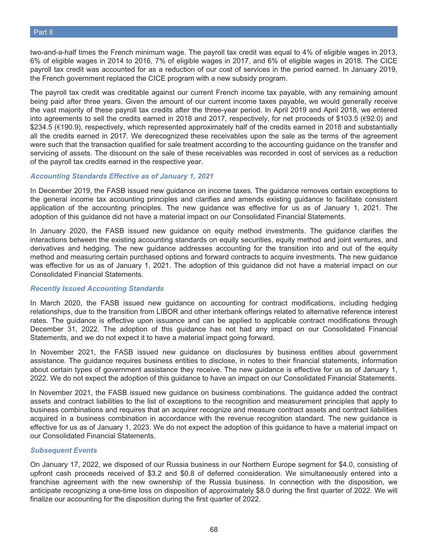two-and-a-half times the French minimum wage. The payroll tax credit was equal to 4% of eligible wages in 2013, 6% of eligible wages in 2014 to 2016, 7% of eligible wages in 2017, and 6% of eligible wages in 2018. The CICE payroll tax credit was accounted for as a reduction of our cost of services in the period earned. In January 2019, the French government replaced the CICE program with a new subsidy program.

The payroll tax credit was creditable against our current French income tax payable, with any remaining amount being paid after three years. Given the amount of our current income taxes payable, we would generally receive the vast majority of these payroll tax credits after the three-year period. In April 2019 and April 2018, we entered into agreements to sell the credits earned in 2018 and 2017, respectively, for net proceeds of \$103.5 (€92.0) and \$234.5 (€190.9), respectively, which represented approximately half of the credits earned in 2018 and substantially all the credits earned in 2017. We derecognized these receivables upon the sale as the terms of the agreement were such that the transaction qualified for sale treatment according to the accounting guidance on the transfer and servicing of assets. The discount on the sale of these receivables was recorded in cost of services as a reduction of the payroll tax credits earned in the respective year.

### *Accounting Standards Effective as of January 1, 2021*

In December 2019, the FASB issued new guidance on income taxes. The guidance removes certain exceptions to the general income tax accounting principles and clarifies and amends existing guidance to facilitate consistent application of the accounting principles. The new guidance was effective for us as of January 1, 2021. The adoption of this guidance did not have a material impact on our Consolidated Financial Statements.

In January 2020, the FASB issued new guidance on equity method investments. The guidance clarifies the interactions between the existing accounting standards on equity securities, equity method and joint ventures, and derivatives and hedging. The new guidance addresses accounting for the transition into and out of the equity method and measuring certain purchased options and forward contracts to acquire investments. The new guidance was effective for us as of January 1, 2021. The adoption of this guidance did not have a material impact on our Consolidated Financial Statements.

### *Recently Issued Accounting Standards*

In March 2020, the FASB issued new guidance on accounting for contract modifications, including hedging relationships, due to the transition from LIBOR and other interbank offerings related to alternative reference interest rates. The guidance is effective upon issuance and can be applied to applicable contract modifications through December 31, 2022. The adoption of this guidance has not had any impact on our Consolidated Financial Statements, and we do not expect it to have a material impact going forward.

In November 2021, the FASB issued new guidance on disclosures by business entities about government assistance. The guidance requires business entities to disclose, in notes to their financial statements, information about certain types of government assistance they receive. The new guidance is effective for us as of January 1, 2022. We do not expect the adoption of this guidance to have an impact on our Consolidated Financial Statements.

In November 2021, the FASB issued new guidance on business combinations. The guidance added the contract assets and contract liabilities to the list of exceptions to the recognition and measurement principles that apply to business combinations and requires that an acquirer recognize and measure contract assets and contract liabilities acquired in a business combination in accordance with the revenue recognition standard. The new guidance is effective for us as of January 1, 2023. We do not expect the adoption of this guidance to have a material impact on our Consolidated Financial Statements.

### *Subsequent Events*

On January 17, 2022, we disposed of our Russia business in our Northern Europe segment for \$4.0, consisting of upfront cash proceeds received of \$3.2 and \$0.8 of deferred consideration. We simultaneously entered into a franchise agreement with the new ownership of the Russia business. In connection with the disposition, we anticipate recognizing a one-time loss on disposition of approximately \$8.0 during the first quarter of 2022. We will finalize our accounting for the disposition during the first quarter of 2022.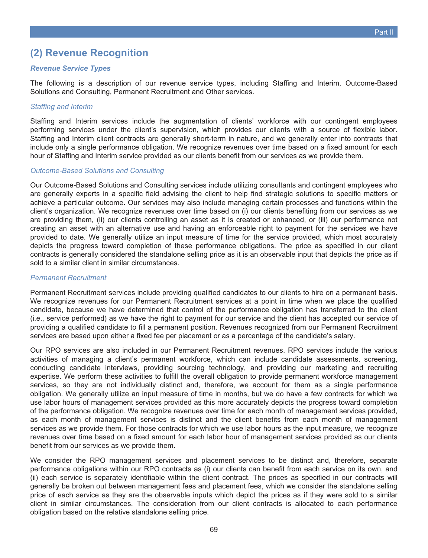## **(2) Revenue Recognition**

### *Revenue Service Types*

The following is a description of our revenue service types, including Staffing and Interim, Outcome-Based Solutions and Consulting, Permanent Recruitment and Other services.

### *Staffing and Interim*

Staffing and Interim services include the augmentation of clients' workforce with our contingent employees performing services under the client's supervision, which provides our clients with a source of flexible labor. Staffing and Interim client contracts are generally short-term in nature, and we generally enter into contracts that include only a single performance obligation. We recognize revenues over time based on a fixed amount for each hour of Staffing and Interim service provided as our clients benefit from our services as we provide them.

### *Outcome-Based Solutions and Consulting*

Our Outcome-Based Solutions and Consulting services include utilizing consultants and contingent employees who are generally experts in a specific field advising the client to help find strategic solutions to specific matters or achieve a particular outcome. Our services may also include managing certain processes and functions within the client's organization. We recognize revenues over time based on (i) our clients benefiting from our services as we are providing them, (ii) our clients controlling an asset as it is created or enhanced, or (iii) our performance not creating an asset with an alternative use and having an enforceable right to payment for the services we have provided to date. We generally utilize an input measure of time for the service provided, which most accurately depicts the progress toward completion of these performance obligations. The price as specified in our client contracts is generally considered the standalone selling price as it is an observable input that depicts the price as if sold to a similar client in similar circumstances.

### *Permanent Recruitment*

Permanent Recruitment services include providing qualified candidates to our clients to hire on a permanent basis. We recognize revenues for our Permanent Recruitment services at a point in time when we place the qualified candidate, because we have determined that control of the performance obligation has transferred to the client (i.e., service performed) as we have the right to payment for our service and the client has accepted our service of providing a qualified candidate to fill a permanent position. Revenues recognized from our Permanent Recruitment services are based upon either a fixed fee per placement or as a percentage of the candidate's salary.

Our RPO services are also included in our Permanent Recruitment revenues. RPO services include the various activities of managing a client's permanent workforce, which can include candidate assessments, screening, conducting candidate interviews, providing sourcing technology, and providing our marketing and recruiting expertise. We perform these activities to fulfill the overall obligation to provide permanent workforce management services, so they are not individually distinct and, therefore, we account for them as a single performance obligation. We generally utilize an input measure of time in months, but we do have a few contracts for which we use labor hours of management services provided as this more accurately depicts the progress toward completion of the performance obligation. We recognize revenues over time for each month of management services provided, as each month of management services is distinct and the client benefits from each month of management services as we provide them. For those contracts for which we use labor hours as the input measure, we recognize revenues over time based on a fixed amount for each labor hour of management services provided as our clients benefit from our services as we provide them.

We consider the RPO management services and placement services to be distinct and, therefore, separate performance obligations within our RPO contracts as (i) our clients can benefit from each service on its own, and (ii) each service is separately identifiable within the client contract. The prices as specified in our contracts will generally be broken out between management fees and placement fees, which we consider the standalone selling price of each service as they are the observable inputs which depict the prices as if they were sold to a similar client in similar circumstances. The consideration from our client contracts is allocated to each performance obligation based on the relative standalone selling price.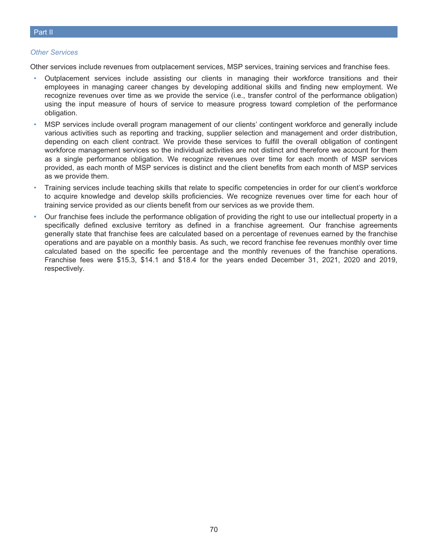### *Other Services*

Other services include revenues from outplacement services, MSP services, training services and franchise fees.

- Outplacement services include assisting our clients in managing their workforce transitions and their employees in managing career changes by developing additional skills and finding new employment. We recognize revenues over time as we provide the service (i.e., transfer control of the performance obligation) using the input measure of hours of service to measure progress toward completion of the performance obligation.
- MSP services include overall program management of our clients' contingent workforce and generally include various activities such as reporting and tracking, supplier selection and management and order distribution, depending on each client contract. We provide these services to fulfill the overall obligation of contingent workforce management services so the individual activities are not distinct and therefore we account for them as a single performance obligation. We recognize revenues over time for each month of MSP services provided, as each month of MSP services is distinct and the client benefits from each month of MSP services as we provide them.
- Training services include teaching skills that relate to specific competencies in order for our client's workforce to acquire knowledge and develop skills proficiencies. We recognize revenues over time for each hour of training service provided as our clients benefit from our services as we provide them.
- Our franchise fees include the performance obligation of providing the right to use our intellectual property in a specifically defined exclusive territory as defined in a franchise agreement. Our franchise agreements generally state that franchise fees are calculated based on a percentage of revenues earned by the franchise operations and are payable on a monthly basis. As such, we record franchise fee revenues monthly over time calculated based on the specific fee percentage and the monthly revenues of the franchise operations. Franchise fees were \$15.3, \$14.1 and \$18.4 for the years ended December 31, 2021, 2020 and 2019, respectively.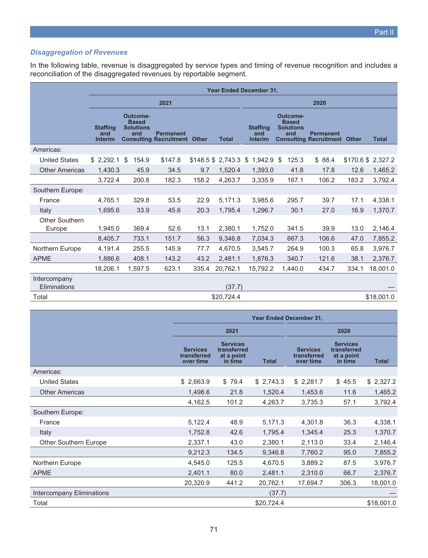### *Disaggregation of Revenues*

In the following table, revenue is disaggregated by service types and timing of revenue recognition and includes a reconciliation of the disaggregated revenues by reportable segment.

|                              | <b>Year Ended December 31,</b>           |    |                                                     |                                                         |       |                      |                                          |    |                                                     |                                                         |       |                   |  |
|------------------------------|------------------------------------------|----|-----------------------------------------------------|---------------------------------------------------------|-------|----------------------|------------------------------------------|----|-----------------------------------------------------|---------------------------------------------------------|-------|-------------------|--|
|                              |                                          |    |                                                     | 2021                                                    |       |                      | 2020                                     |    |                                                     |                                                         |       |                   |  |
|                              | <b>Staffing</b><br>and<br><b>Interim</b> |    | Outcome-<br><b>Based</b><br><b>Solutions</b><br>and | <b>Permanent</b><br><b>Consulting Recruitment Other</b> |       | <b>Total</b>         | <b>Staffing</b><br>and<br><b>Interim</b> |    | Outcome-<br><b>Based</b><br><b>Solutions</b><br>and | <b>Permanent</b><br><b>Consulting Recruitment Other</b> |       | <b>Total</b>      |  |
| Americas:                    |                                          |    |                                                     |                                                         |       |                      |                                          |    |                                                     |                                                         |       |                   |  |
| <b>United States</b>         | \$2,292.1                                | \$ | 154.9                                               | \$147.8                                                 |       | \$148.5 \$2,743.3 \$ | 1,942.9                                  | S. | 125.3                                               | \$88.4                                                  |       | \$170.6 \$2,327.2 |  |
| <b>Other Americas</b>        | 1,430.3                                  |    | 45.9                                                | 34.5                                                    | 9.7   | 1,520.4              | 1,393.0                                  |    | 41.8                                                | 17.8                                                    | 12.6  | 1,465.2           |  |
|                              | 3,722.4                                  |    | 200.8                                               | 182.3                                                   | 158.2 | 4,263.7              | 3,335.9                                  |    | 167.1                                               | 106.2                                                   | 183.2 | 3,792.4           |  |
| Southern Europe:             |                                          |    |                                                     |                                                         |       |                      |                                          |    |                                                     |                                                         |       |                   |  |
| France                       | 4,765.1                                  |    | 329.8                                               | 53.5                                                    | 22.9  | 5,171.3              | 3,985.6                                  |    | 295.7                                               | 39.7                                                    | 17.1  | 4,338.1           |  |
| Italy                        | 1,695.6                                  |    | 33.9                                                | 45.6                                                    | 20.3  | 1,795.4              | 1,296.7                                  |    | 30.1                                                | 27.0                                                    | 16.9  | 1,370.7           |  |
| Other Southern<br>Europe     | 1,945.0                                  |    | 369.4                                               | 52.6                                                    | 13.1  | 2,380.1              | 1,752.0                                  |    | 341.5                                               | 39.9                                                    | 13.0  | 2,146.4           |  |
|                              | 8,405.7                                  |    | 733.1                                               | 151.7                                                   | 56.3  | 9,346.8              | 7,034.3                                  |    | 667.3                                               | 106.6                                                   | 47.0  | 7,855.2           |  |
| Northern Europe              | 4,191.4                                  |    | 255.5                                               | 145.9                                                   | 77.7  | 4.670.5              | 3.545.7                                  |    | 264.9                                               | 100.3                                                   | 65.8  | 3,976.7           |  |
| <b>APME</b>                  | 1,886.6                                  |    | 408.1                                               | 143.2                                                   | 43.2  | 2,481.1              | 1,876.3                                  |    | 340.7                                               | 121.6                                                   | 38.1  | 2,376.7           |  |
|                              | 18,206.1                                 |    | 1,597.5                                             | 623.1                                                   | 335.4 | 20,762.1             | 15,792.2                                 |    | 1,440.0                                             | 434.7                                                   | 334.1 | 18,001.0          |  |
| Intercompany<br>Eliminations |                                          |    |                                                     |                                                         |       | (37.7)               |                                          |    |                                                     |                                                         |       |                   |  |
| Total                        |                                          |    |                                                     |                                                         |       | \$20,724.4           |                                          |    |                                                     |                                                         |       | \$18,001.0        |  |

|                           | <b>Year Ended December 31,</b>              |                                                         |              |                                             |                                                         |              |  |  |  |
|---------------------------|---------------------------------------------|---------------------------------------------------------|--------------|---------------------------------------------|---------------------------------------------------------|--------------|--|--|--|
|                           |                                             | 2021                                                    |              |                                             |                                                         |              |  |  |  |
|                           | <b>Services</b><br>transferred<br>over time | <b>Services</b><br>transferred<br>at a point<br>in time | <b>Total</b> | <b>Services</b><br>transferred<br>over time | <b>Services</b><br>transferred<br>at a point<br>in time | <b>Total</b> |  |  |  |
| Americas:                 |                                             |                                                         |              |                                             |                                                         |              |  |  |  |
| <b>United States</b>      | \$2,663.9                                   | \$79.4                                                  | \$2,743.3    | \$2,281.7                                   | \$45.5                                                  | \$2,327.2    |  |  |  |
| <b>Other Americas</b>     | 1,498.6                                     | 21.8                                                    | 1,520.4      | 1,453.6                                     | 11.6                                                    | 1,465.2      |  |  |  |
|                           | 4,162.5                                     | 101.2                                                   | 4,263.7      | 3,735.3                                     | 57.1                                                    | 3,792.4      |  |  |  |
| Southern Europe:          |                                             |                                                         |              |                                             |                                                         |              |  |  |  |
| France                    | 5,122.4                                     | 48.9                                                    | 5,171.3      | 4,301.8                                     | 36.3                                                    | 4,338.1      |  |  |  |
| Italy                     | 1,752.8                                     | 42.6                                                    | 1,795.4      | 1,345.4                                     | 25.3                                                    | 1,370.7      |  |  |  |
| Other Southern Europe     | 2,337.1                                     | 43.0                                                    | 2,380.1      | 2,113.0                                     | 33.4                                                    | 2,146.4      |  |  |  |
|                           | 9,212.3                                     | 134.5                                                   | 9,346.8      | 7,760.2                                     | 95.0                                                    | 7,855.2      |  |  |  |
| Northern Europe           | 4,545.0                                     | 125.5                                                   | 4,670.5      | 3,889.2                                     | 87.5                                                    | 3,976.7      |  |  |  |
| <b>APME</b>               | 2,401.1                                     | 80.0                                                    | 2,481.1      | 2,310.0                                     | 66.7                                                    | 2,376.7      |  |  |  |
|                           | 20,320.9                                    | 441.2                                                   | 20,762.1     | 17,694.7                                    | 306.3                                                   | 18,001.0     |  |  |  |
| Intercompany Eliminations |                                             |                                                         | (37.7)       |                                             |                                                         |              |  |  |  |
| Total                     |                                             |                                                         | \$20,724.4   |                                             |                                                         | \$18,001.0   |  |  |  |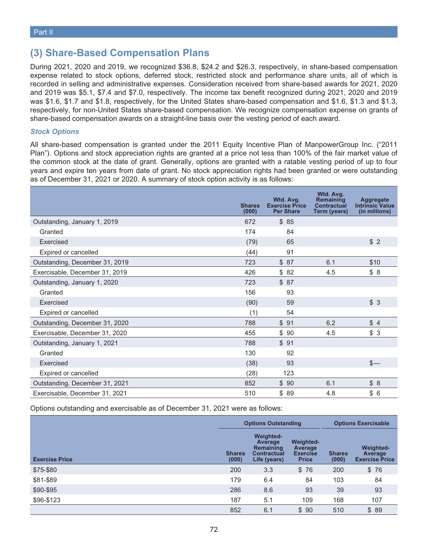### **(3) Share-Based Compensation Plans**

During 2021, 2020 and 2019, we recognized \$36.8, \$24.2 and \$26.3, respectively, in share-based compensation expense related to stock options, deferred stock, restricted stock and performance share units, all of which is recorded in selling and administrative expenses. Consideration received from share-based awards for 2021, 2020 and 2019 was \$5.1, \$7.4 and \$7.0, respectively. The income tax benefit recognized during 2021, 2020 and 2019 was \$1.6, \$1.7 and \$1.8, respectively, for the United States share-based compensation and \$1.6, \$1.3 and \$1.3, respectively, for non-United States share-based compensation. We recognize compensation expense on grants of share-based compensation awards on a straight-line basis over the vesting period of each award.

### *Stock Options*

All share-based compensation is granted under the 2011 Equity Incentive Plan of ManpowerGroup Inc. ("2011 Plan"). Options and stock appreciation rights are granted at a price not less than 100% of the fair market value of the common stock at the date of grant. Generally, options are granted with a ratable vesting period of up to four years and expire ten years from date of grant. No stock appreciation rights had been granted or were outstanding as of December 31, 2021 or 2020. A summary of stock option activity is as follows:

|                                | <b>Shares</b><br>(000) | Wtd. Avg.<br><b>Exercise Price</b><br><b>Per Share</b> | Wtd. Avg.<br><b>Remaining</b><br><b>Contractual</b><br>Term (years) | <b>Aggregate</b><br><b>Intrinsic Value</b><br>(in millions) |
|--------------------------------|------------------------|--------------------------------------------------------|---------------------------------------------------------------------|-------------------------------------------------------------|
| Outstanding, January 1, 2019   | 672                    | \$85                                                   |                                                                     |                                                             |
| Granted                        | 174                    | 84                                                     |                                                                     |                                                             |
| Exercised                      | (79)                   | 65                                                     |                                                                     | \$2                                                         |
| Expired or cancelled           | (44)                   | 91                                                     |                                                                     |                                                             |
| Outstanding, December 31, 2019 | 723                    | \$87                                                   | 6.1                                                                 | \$10                                                        |
| Exercisable, December 31, 2019 | 426                    | \$82                                                   | 4.5                                                                 | \$8                                                         |
| Outstanding, January 1, 2020   | 723                    | \$87                                                   |                                                                     |                                                             |
| Granted                        | 156                    | 93                                                     |                                                                     |                                                             |
| Exercised                      | (90)                   | 59                                                     |                                                                     | \$3                                                         |
| Expired or cancelled           | (1)                    | 54                                                     |                                                                     |                                                             |
| Outstanding, December 31, 2020 | 788                    | \$91                                                   | 6.2                                                                 | \$4                                                         |
| Exercisable, December 31, 2020 | 455                    | \$90                                                   | 4.5                                                                 | \$3                                                         |
| Outstanding, January 1, 2021   | 788                    | \$91                                                   |                                                                     |                                                             |
| Granted                        | 130                    | 92                                                     |                                                                     |                                                             |
| Exercised                      | (38)                   | 93                                                     |                                                                     | $s-$                                                        |
| Expired or cancelled           | (28)                   | 123                                                    |                                                                     |                                                             |
| Outstanding, December 31, 2021 | 852                    | \$90                                                   | 6.1                                                                 | \$8                                                         |
| Exercisable, December 31, 2021 | 510                    | \$89                                                   | 4.8                                                                 | \$<br>6                                                     |

Options outstanding and exercisable as of December 31, 2021 were as follows:

|                       |                        | <b>Options Outstanding</b>                                                            | <b>Options Exercisable</b>                                            |                        |                                                      |
|-----------------------|------------------------|---------------------------------------------------------------------------------------|-----------------------------------------------------------------------|------------------------|------------------------------------------------------|
| <b>Exercise Price</b> | <b>Shares</b><br>(000) | <b>Weighted-</b><br>Average<br><b>Remaining</b><br><b>Contractual</b><br>Life (years) | <b>Weighted-</b><br><b>Average</b><br><b>Exercise</b><br><b>Price</b> | <b>Shares</b><br>(000) | <b>Weighted-</b><br>Average<br><b>Exercise Price</b> |
| \$75-\$80             | 200                    | 3.3                                                                                   | \$76                                                                  | 200                    | \$76                                                 |
| \$81-\$89             | 179                    | 6.4                                                                                   | 84                                                                    | 103                    | 84                                                   |
| \$90-\$95             | 286                    | 8.6                                                                                   | 93                                                                    | 39                     | 93                                                   |
| \$96-\$123            | 187                    | 5.1                                                                                   | 109                                                                   | 168                    | 107                                                  |
|                       | 852                    | 6.1                                                                                   | \$90                                                                  | 510                    | \$89                                                 |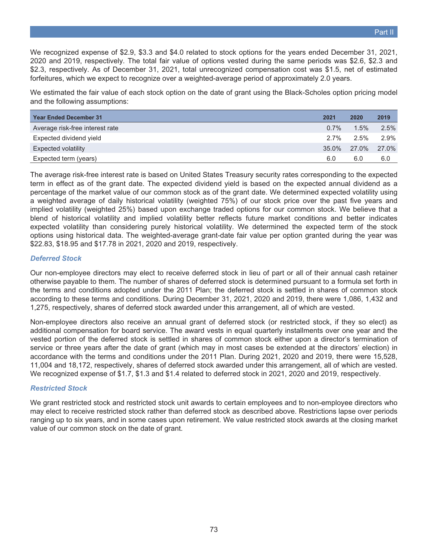We recognized expense of \$2.9, \$3.3 and \$4.0 related to stock options for the years ended December 31, 2021, 2020 and 2019, respectively. The total fair value of options vested during the same periods was \$2.6, \$2.3 and \$2.3, respectively. As of December 31, 2021, total unrecognized compensation cost was \$1.5, net of estimated forfeitures, which we expect to recognize over a weighted-average period of approximately 2.0 years.

We estimated the fair value of each stock option on the date of grant using the Black-Scholes option pricing model and the following assumptions:

| <b>Year Ended December 31</b>   | 2021    | 2020    | 2019  |
|---------------------------------|---------|---------|-------|
| Average risk-free interest rate | $0.7\%$ | $1.5\%$ | 2.5%  |
| Expected dividend yield         | $2.7\%$ | $2.5\%$ | 2.9%  |
| <b>Expected volatility</b>      | 35.0%   | 27.0%   | 27.0% |
| Expected term (years)           | 6.0     | 6.0     | 6.0   |

The average risk-free interest rate is based on United States Treasury security rates corresponding to the expected term in effect as of the grant date. The expected dividend yield is based on the expected annual dividend as a percentage of the market value of our common stock as of the grant date. We determined expected volatility using a weighted average of daily historical volatility (weighted 75%) of our stock price over the past five years and implied volatility (weighted 25%) based upon exchange traded options for our common stock. We believe that a blend of historical volatility and implied volatility better reflects future market conditions and better indicates expected volatility than considering purely historical volatility. We determined the expected term of the stock options using historical data. The weighted-average grant-date fair value per option granted during the year was \$22.83, \$18.95 and \$17.78 in 2021, 2020 and 2019, respectively.

### *Deferred Stock*

Our non-employee directors may elect to receive deferred stock in lieu of part or all of their annual cash retainer otherwise payable to them. The number of shares of deferred stock is determined pursuant to a formula set forth in the terms and conditions adopted under the 2011 Plan; the deferred stock is settled in shares of common stock according to these terms and conditions. During December 31, 2021, 2020 and 2019, there were 1,086, 1,432 and 1,275, respectively, shares of deferred stock awarded under this arrangement, all of which are vested.

Non-employee directors also receive an annual grant of deferred stock (or restricted stock, if they so elect) as additional compensation for board service. The award vests in equal quarterly installments over one year and the vested portion of the deferred stock is settled in shares of common stock either upon a director's termination of service or three years after the date of grant (which may in most cases be extended at the directors' election) in accordance with the terms and conditions under the 2011 Plan. During 2021, 2020 and 2019, there were 15,528, 11,004 and 18,172, respectively, shares of deferred stock awarded under this arrangement, all of which are vested. We recognized expense of \$1.7, \$1.3 and \$1.4 related to deferred stock in 2021, 2020 and 2019, respectively.

## *Restricted Stock*

We grant restricted stock and restricted stock unit awards to certain employees and to non-employee directors who may elect to receive restricted stock rather than deferred stock as described above. Restrictions lapse over periods ranging up to six years, and in some cases upon retirement. We value restricted stock awards at the closing market value of our common stock on the date of grant.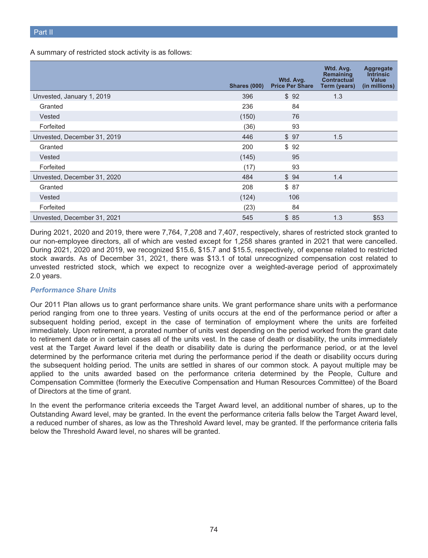A summary of restricted stock activity is as follows:

|                             | <b>Shares (000)</b> | Wtd. Avg.<br><b>Price Per Share</b> | Wtd. Avg.<br><b>Remaining</b><br><b>Contractual</b><br>Term (years) | Aggregate<br><b>Intrinsic</b><br>Value<br>(in millions) |
|-----------------------------|---------------------|-------------------------------------|---------------------------------------------------------------------|---------------------------------------------------------|
| Unvested, January 1, 2019   | 396                 | \$92                                | 1.3                                                                 |                                                         |
| Granted                     | 236                 | 84                                  |                                                                     |                                                         |
| Vested                      | (150)               | 76                                  |                                                                     |                                                         |
| Forfeited                   | (36)                | 93                                  |                                                                     |                                                         |
| Unvested, December 31, 2019 | 446                 | \$97                                | 1.5                                                                 |                                                         |
| Granted                     | 200                 | \$92                                |                                                                     |                                                         |
| Vested                      | (145)               | 95                                  |                                                                     |                                                         |
| Forfeited                   | (17)                | 93                                  |                                                                     |                                                         |
| Unvested, December 31, 2020 | 484                 | \$94                                | 1.4                                                                 |                                                         |
| Granted                     | 208                 | \$87                                |                                                                     |                                                         |
| Vested                      | (124)               | 106                                 |                                                                     |                                                         |
| Forfeited                   | (23)                | 84                                  |                                                                     |                                                         |
| Unvested, December 31, 2021 | 545                 | \$85                                | 1.3                                                                 | \$53                                                    |

During 2021, 2020 and 2019, there were 7,764, 7,208 and 7,407, respectively, shares of restricted stock granted to our non-employee directors, all of which are vested except for 1,258 shares granted in 2021 that were cancelled. During 2021, 2020 and 2019, we recognized \$15.6, \$15.7 and \$15.5, respectively, of expense related to restricted stock awards. As of December 31, 2021, there was \$13.1 of total unrecognized compensation cost related to unvested restricted stock, which we expect to recognize over a weighted-average period of approximately 2.0 years.

## *Performance Share Units*

Our 2011 Plan allows us to grant performance share units. We grant performance share units with a performance period ranging from one to three years. Vesting of units occurs at the end of the performance period or after a subsequent holding period, except in the case of termination of employment where the units are forfeited immediately. Upon retirement, a prorated number of units vest depending on the period worked from the grant date to retirement date or in certain cases all of the units vest. In the case of death or disability, the units immediately vest at the Target Award level if the death or disability date is during the performance period, or at the level determined by the performance criteria met during the performance period if the death or disability occurs during the subsequent holding period. The units are settled in shares of our common stock. A payout multiple may be applied to the units awarded based on the performance criteria determined by the People, Culture and Compensation Committee (formerly the Executive Compensation and Human Resources Committee) of the Board of Directors at the time of grant.

In the event the performance criteria exceeds the Target Award level, an additional number of shares, up to the Outstanding Award level, may be granted. In the event the performance criteria falls below the Target Award level, a reduced number of shares, as low as the Threshold Award level, may be granted. If the performance criteria falls below the Threshold Award level, no shares will be granted.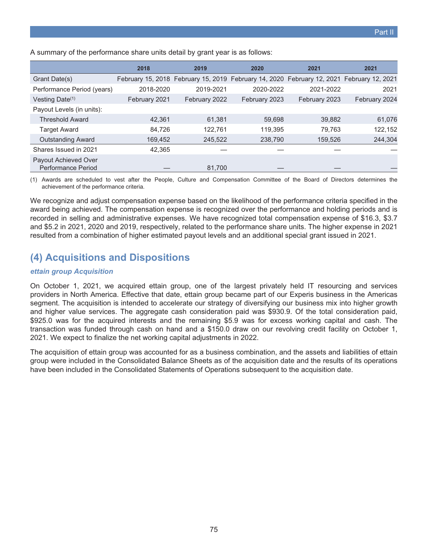A summary of the performance share units detail by grant year is as follows:

|                                            | 2018          | 2019          | 2020                                                                                      | 2021          | 2021          |
|--------------------------------------------|---------------|---------------|-------------------------------------------------------------------------------------------|---------------|---------------|
| Grant Date(s)                              |               |               | February 15, 2018 February 15, 2019 February 14, 2020 February 12, 2021 February 12, 2021 |               |               |
| Performance Period (years)                 | 2018-2020     | 2019-2021     | 2020-2022                                                                                 | 2021-2022     | 2021          |
| Vesting Date <sup>(1)</sup>                | February 2021 | February 2022 | February 2023                                                                             | February 2023 | February 2024 |
| Payout Levels (in units):                  |               |               |                                                                                           |               |               |
| <b>Threshold Award</b>                     | 42.361        | 61.381        | 59.698                                                                                    | 39.882        | 61,076        |
| <b>Target Award</b>                        | 84.726        | 122.761       | 119.395                                                                                   | 79.763        | 122,152       |
| <b>Outstanding Award</b>                   | 169,452       | 245,522       | 238,790                                                                                   | 159,526       | 244,304       |
| Shares Issued in 2021                      | 42.365        |               |                                                                                           |               |               |
| Payout Achieved Over<br>Performance Period |               | 81,700        |                                                                                           |               |               |

(1) Awards are scheduled to vest after the People, Culture and Compensation Committee of the Board of Directors determines the achievement of the performance criteria.

We recognize and adjust compensation expense based on the likelihood of the performance criteria specified in the award being achieved. The compensation expense is recognized over the performance and holding periods and is recorded in selling and administrative expenses. We have recognized total compensation expense of \$16.3, \$3.7 and \$5.2 in 2021, 2020 and 2019, respectively, related to the performance share units. The higher expense in 2021 resulted from a combination of higher estimated payout levels and an additional special grant issued in 2021.

## **(4) Acquisitions and Dispositions**

#### *ettain group Acquisition*

On October 1, 2021, we acquired ettain group, one of the largest privately held IT resourcing and services providers in North America. Effective that date, ettain group became part of our Experis business in the Americas segment. The acquisition is intended to accelerate our strategy of diversifying our business mix into higher growth and higher value services. The aggregate cash consideration paid was \$930.9. Of the total consideration paid, \$925.0 was for the acquired interests and the remaining \$5.9 was for excess working capital and cash. The transaction was funded through cash on hand and a \$150.0 draw on our revolving credit facility on October 1, 2021. We expect to finalize the net working capital adjustments in 2022.

The acquisition of ettain group was accounted for as a business combination, and the assets and liabilities of ettain group were included in the Consolidated Balance Sheets as of the acquisition date and the results of its operations have been included in the Consolidated Statements of Operations subsequent to the acquisition date.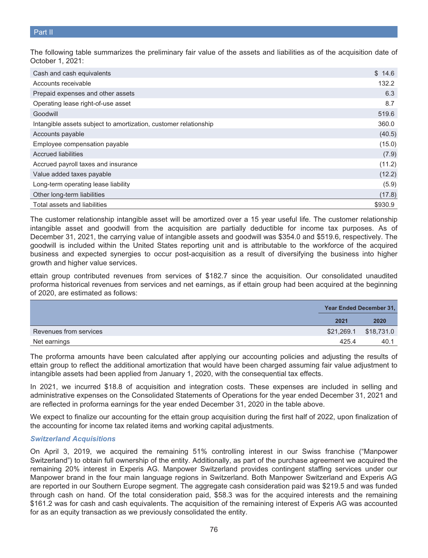The following table summarizes the preliminary fair value of the assets and liabilities as of the acquisition date of October 1, 2021:

| Cash and cash equivalents                                        | \$14.6  |
|------------------------------------------------------------------|---------|
| Accounts receivable                                              | 132.2   |
| Prepaid expenses and other assets                                | 6.3     |
| Operating lease right-of-use asset                               | 8.7     |
| Goodwill                                                         | 519.6   |
| Intangible assets subject to amortization, customer relationship | 360.0   |
| Accounts payable                                                 | (40.5)  |
| Employee compensation payable                                    | (15.0)  |
| <b>Accrued liabilities</b>                                       | (7.9)   |
| Accrued payroll taxes and insurance                              | (11.2)  |
| Value added taxes payable                                        | (12.2)  |
| Long-term operating lease liability                              | (5.9)   |
| Other long-term liabilities                                      | (17.8)  |
| Total assets and liabilities                                     | \$930.9 |

The customer relationship intangible asset will be amortized over a 15 year useful life. The customer relationship intangible asset and goodwill from the acquisition are partially deductible for income tax purposes. As of December 31, 2021, the carrying value of intangible assets and goodwill was \$354.0 and \$519.6, respectively. The goodwill is included within the United States reporting unit and is attributable to the workforce of the acquired business and expected synergies to occur post-acquisition as a result of diversifying the business into higher growth and higher value services.

ettain group contributed revenues from services of \$182.7 since the acquisition. Our consolidated unaudited proforma historical revenues from services and net earnings, as if ettain group had been acquired at the beginning of 2020, are estimated as follows:

|                        |       | Year Ended December 31, |
|------------------------|-------|-------------------------|
|                        | 2021  | 2020                    |
| Revenues from services |       |                         |
| Net earnings           | 425.4 | 40.1                    |

The proforma amounts have been calculated after applying our accounting policies and adjusting the results of ettain group to reflect the additional amortization that would have been charged assuming fair value adjustment to intangible assets had been applied from January 1, 2020, with the consequential tax effects.

In 2021, we incurred \$18.8 of acquisition and integration costs. These expenses are included in selling and administrative expenses on the Consolidated Statements of Operations for the year ended December 31, 2021 and are reflected in proforma earnings for the year ended December 31, 2020 in the table above.

We expect to finalize our accounting for the ettain group acquisition during the first half of 2022, upon finalization of the accounting for income tax related items and working capital adjustments.

## *Switzerland Acquisitions*

On April 3, 2019, we acquired the remaining 51% controlling interest in our Swiss franchise ("Manpower Switzerland") to obtain full ownership of the entity. Additionally, as part of the purchase agreement we acquired the remaining 20% interest in Experis AG. Manpower Switzerland provides contingent staffing services under our Manpower brand in the four main language regions in Switzerland. Both Manpower Switzerland and Experis AG are reported in our Southern Europe segment. The aggregate cash consideration paid was \$219.5 and was funded through cash on hand. Of the total consideration paid, \$58.3 was for the acquired interests and the remaining \$161.2 was for cash and cash equivalents. The acquisition of the remaining interest of Experis AG was accounted for as an equity transaction as we previously consolidated the entity.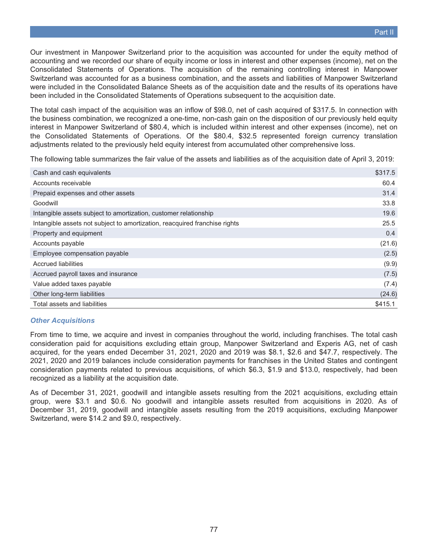Our investment in Manpower Switzerland prior to the acquisition was accounted for under the equity method of accounting and we recorded our share of equity income or loss in interest and other expenses (income), net on the Consolidated Statements of Operations. The acquisition of the remaining controlling interest in Manpower Switzerland was accounted for as a business combination, and the assets and liabilities of Manpower Switzerland were included in the Consolidated Balance Sheets as of the acquisition date and the results of its operations have been included in the Consolidated Statements of Operations subsequent to the acquisition date.

The total cash impact of the acquisition was an inflow of \$98.0, net of cash acquired of \$317.5. In connection with the business combination, we recognized a one-time, non-cash gain on the disposition of our previously held equity interest in Manpower Switzerland of \$80.4, which is included within interest and other expenses (income), net on the Consolidated Statements of Operations. Of the \$80.4, \$32.5 represented foreign currency translation adjustments related to the previously held equity interest from accumulated other comprehensive loss.

The following table summarizes the fair value of the assets and liabilities as of the acquisition date of April 3, 2019:

| Cash and cash equivalents                                                  | \$317.5 |
|----------------------------------------------------------------------------|---------|
| Accounts receivable                                                        | 60.4    |
| Prepaid expenses and other assets                                          | 31.4    |
| Goodwill                                                                   | 33.8    |
| Intangible assets subject to amortization, customer relationship           | 19.6    |
| Intangible assets not subject to amortization, reacquired franchise rights | 25.5    |
| Property and equipment                                                     | 0.4     |
| Accounts payable                                                           | (21.6)  |
| Employee compensation payable                                              | (2.5)   |
| <b>Accrued liabilities</b>                                                 | (9.9)   |
| Accrued payroll taxes and insurance                                        | (7.5)   |
| Value added taxes payable                                                  | (7.4)   |
| Other long-term liabilities                                                | (24.6)  |
| Total assets and liabilities                                               | \$415.1 |

## *Other Acquisitions*

From time to time, we acquire and invest in companies throughout the world, including franchises. The total cash consideration paid for acquisitions excluding ettain group, Manpower Switzerland and Experis AG, net of cash acquired, for the years ended December 31, 2021, 2020 and 2019 was \$8.1, \$2.6 and \$47.7, respectively. The 2021, 2020 and 2019 balances include consideration payments for franchises in the United States and contingent consideration payments related to previous acquisitions, of which \$6.3, \$1.9 and \$13.0, respectively, had been recognized as a liability at the acquisition date.

As of December 31, 2021, goodwill and intangible assets resulting from the 2021 acquisitions, excluding ettain group, were \$3.1 and \$0.6. No goodwill and intangible assets resulted from acquisitions in 2020. As of December 31, 2019, goodwill and intangible assets resulting from the 2019 acquisitions, excluding Manpower Switzerland, were \$14.2 and \$9.0, respectively.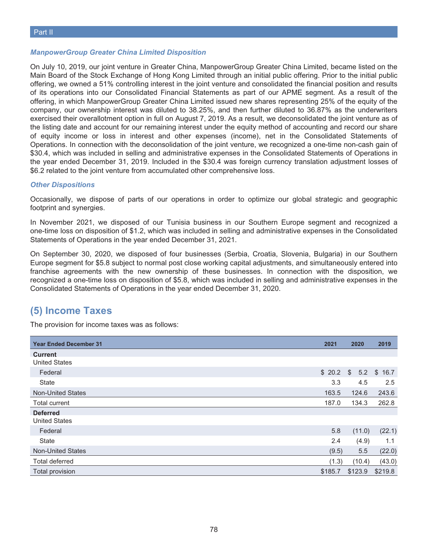#### *ManpowerGroup Greater China Limited Disposition*

On July 10, 2019, our joint venture in Greater China, ManpowerGroup Greater China Limited, became listed on the Main Board of the Stock Exchange of Hong Kong Limited through an initial public offering. Prior to the initial public offering, we owned a 51% controlling interest in the joint venture and consolidated the financial position and results of its operations into our Consolidated Financial Statements as part of our APME segment. As a result of the offering, in which ManpowerGroup Greater China Limited issued new shares representing 25% of the equity of the company, our ownership interest was diluted to 38.25%, and then further diluted to 36.87% as the underwriters exercised their overallotment option in full on August 7, 2019. As a result, we deconsolidated the joint venture as of the listing date and account for our remaining interest under the equity method of accounting and record our share of equity income or loss in interest and other expenses (income), net in the Consolidated Statements of Operations. In connection with the deconsolidation of the joint venture, we recognized a one-time non-cash gain of \$30.4, which was included in selling and administrative expenses in the Consolidated Statements of Operations in the year ended December 31, 2019. Included in the \$30.4 was foreign currency translation adjustment losses of \$6.2 related to the joint venture from accumulated other comprehensive loss.

#### *Other Dispositions*

Occasionally, we dispose of parts of our operations in order to optimize our global strategic and geographic footprint and synergies.

In November 2021, we disposed of our Tunisia business in our Southern Europe segment and recognized a one-time loss on disposition of \$1.2, which was included in selling and administrative expenses in the Consolidated Statements of Operations in the year ended December 31, 2021.

On September 30, 2020, we disposed of four businesses (Serbia, Croatia, Slovenia, Bulgaria) in our Southern Europe segment for \$5.8 subject to normal post close working capital adjustments, and simultaneously entered into franchise agreements with the new ownership of these businesses. In connection with the disposition, we recognized a one-time loss on disposition of \$5.8, which was included in selling and administrative expenses in the Consolidated Statements of Operations in the year ended December 31, 2020.

## **(5) Income Taxes**

The provision for income taxes was as follows:

| <b>Year Ended December 31</b> | 2021    | 2020           | 2019    |
|-------------------------------|---------|----------------|---------|
| <b>Current</b>                |         |                |         |
| <b>United States</b>          |         |                |         |
| Federal                       |         | $$20.2$ \$ 5.2 | \$16.7  |
| State                         | 3.3     | 4.5            | 2.5     |
| <b>Non-United States</b>      | 163.5   | 124.6          | 243.6   |
| <b>Total current</b>          | 187.0   | 134.3          | 262.8   |
| <b>Deferred</b>               |         |                |         |
| <b>United States</b>          |         |                |         |
| Federal                       | 5.8     | (11.0)         | (22.1)  |
| State                         | 2.4     | (4.9)          | 1.1     |
| <b>Non-United States</b>      | (9.5)   | 5.5            | (22.0)  |
| Total deferred                | (1.3)   | (10.4)         | (43.0)  |
| Total provision               | \$185.7 | \$123.9        | \$219.8 |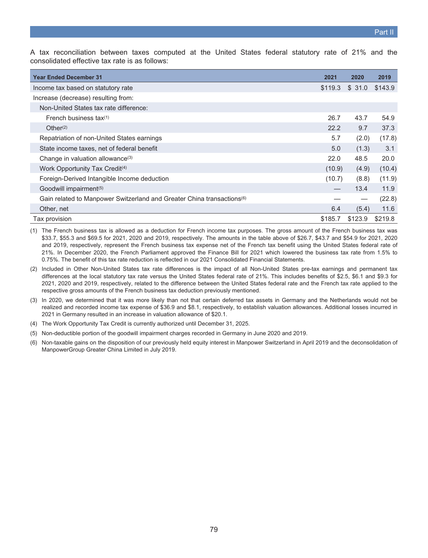A tax reconciliation between taxes computed at the United States federal statutory rate of 21% and the consolidated effective tax rate is as follows:

| <b>Year Ended December 31</b>                                                      | 2021    | 2020    | 2019    |
|------------------------------------------------------------------------------------|---------|---------|---------|
| Income tax based on statutory rate                                                 | \$119.3 | \$31.0  | \$143.9 |
| Increase (decrease) resulting from:                                                |         |         |         |
| Non-United States tax rate difference:                                             |         |         |         |
| French business tax(1)                                                             | 26.7    | 43.7    | 54.9    |
| Other $(2)$                                                                        | 22.2    | 9.7     | 37.3    |
| Repatriation of non-United States earnings                                         | 5.7     | (2.0)   | (17.8)  |
| State income taxes, net of federal benefit                                         | 5.0     | (1.3)   | 3.1     |
| Change in valuation allowance <sup>(3)</sup>                                       | 22.0    | 48.5    | 20.0    |
| Work Opportunity Tax Credit <sup>(4)</sup>                                         | (10.9)  | (4.9)   | (10.4)  |
| Foreign-Derived Intangible Income deduction                                        | (10.7)  | (8.8)   | (11.9)  |
| Goodwill impairment <sup>(5)</sup>                                                 |         | 13.4    | 11.9    |
| Gain related to Manpower Switzerland and Greater China transactions <sup>(6)</sup> |         |         | (22.8)  |
| Other, net                                                                         | 6.4     | (5.4)   | 11.6    |
| Tax provision                                                                      | \$185.7 | \$123.9 | \$219.8 |

(1) The French business tax is allowed as a deduction for French income tax purposes. The gross amount of the French business tax was \$33.7, \$55.3 and \$69.5 for 2021, 2020 and 2019, respectively. The amounts in the table above of \$26.7, \$43.7 and \$54.9 for 2021, 2020 and 2019, respectively, represent the French business tax expense net of the French tax benefit using the United States federal rate of 21%. In December 2020, the French Parliament approved the Finance Bill for 2021 which lowered the business tax rate from 1.5% to 0.75%. The benefit of this tax rate reduction is reflected in our 2021 Consolidated Financial Statements.

- (2) Included in Other Non-United States tax rate differences is the impact of all Non-United States pre-tax earnings and permanent tax differences at the local statutory tax rate versus the United States federal rate of 21%. This includes benefits of \$2.5, \$6.1 and \$9.3 for 2021, 2020 and 2019, respectively, related to the difference between the United States federal rate and the French tax rate applied to the respective gross amounts of the French business tax deduction previously mentioned.
- (3) In 2020, we determined that it was more likely than not that certain deferred tax assets in Germany and the Netherlands would not be realized and recorded income tax expense of \$36.9 and \$8.1, respectively, to establish valuation allowances. Additional losses incurred in 2021 in Germany resulted in an increase in valuation allowance of \$20.1.
- (4) The Work Opportunity Tax Credit is currently authorized until December 31, 2025.
- (5) Non-deductible portion of the goodwill impairment charges recorded in Germany in June 2020 and 2019.
- (6) Non-taxable gains on the disposition of our previously held equity interest in Manpower Switzerland in April 2019 and the deconsolidation of ManpowerGroup Greater China Limited in July 2019.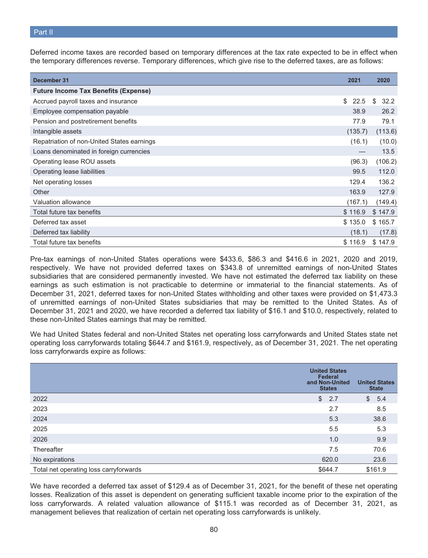Deferred income taxes are recorded based on temporary differences at the tax rate expected to be in effect when the temporary differences reverse. Temporary differences, which give rise to the deferred taxes, are as follows:

| December 31                                 | 2021                 | 2020       |
|---------------------------------------------|----------------------|------------|
| <b>Future Income Tax Benefits (Expense)</b> |                      |            |
| Accrued payroll taxes and insurance         | $\mathbb{S}$<br>22.5 | 32.2<br>\$ |
| Employee compensation payable               | 38.9                 | 26.2       |
| Pension and postretirement benefits         | 77.9                 | 79.1       |
| Intangible assets                           | (135.7)              | (113.6)    |
| Repatriation of non-United States earnings  | (16.1)               | (10.0)     |
| Loans denominated in foreign currencies     |                      | 13.5       |
| Operating lease ROU assets                  | (96.3)               | (106.2)    |
| Operating lease liabilities                 | 99.5                 | 112.0      |
| Net operating losses                        | 129.4                | 136.2      |
| Other                                       | 163.9                | 127.9      |
| Valuation allowance                         | (167.1)              | (149.4)    |
| Total future tax benefits                   | \$116.9              | \$147.9    |
| Deferred tax asset                          | \$135.0              | \$165.7    |
| Deferred tax liability                      | (18.1)               | (17.8)     |
| Total future tax benefits                   | \$116.9              | \$147.9    |

Pre-tax earnings of non-United States operations were \$433.6, \$86.3 and \$416.6 in 2021, 2020 and 2019, respectively. We have not provided deferred taxes on \$343.8 of unremitted earnings of non-United States subsidiaries that are considered permanently invested. We have not estimated the deferred tax liability on these earnings as such estimation is not practicable to determine or immaterial to the financial statements. As of December 31, 2021, deferred taxes for non-United States withholding and other taxes were provided on \$1,473.3 of unremitted earnings of non-United States subsidiaries that may be remitted to the United States. As of December 31, 2021 and 2020, we have recorded a deferred tax liability of \$16.1 and \$10.0, respectively, related to these non-United States earnings that may be remitted.

We had United States federal and non-United States net operating loss carryforwards and United States state net operating loss carryforwards totaling \$644.7 and \$161.9, respectively, as of December 31, 2021. The net operating loss carryforwards expire as follows:

|                                        | <b>United States</b><br><b>Federal</b><br>and Non-United<br><b>States</b> | <b>United States</b><br><b>State</b> |
|----------------------------------------|---------------------------------------------------------------------------|--------------------------------------|
| 2022                                   | $\mathcal{L}$<br>2.7                                                      | $\frac{1}{2}$<br>5.4                 |
| 2023                                   | 2.7                                                                       | 8.5                                  |
| 2024                                   | 5.3                                                                       | 38.6                                 |
| 2025                                   | 5.5                                                                       | 5.3                                  |
| 2026                                   | 1.0                                                                       | 9.9                                  |
| Thereafter                             | 7.5                                                                       | 70.6                                 |
| No expirations                         | 620.0                                                                     | 23.6                                 |
| Total net operating loss carryforwards | \$644.7                                                                   | \$161.9                              |

We have recorded a deferred tax asset of \$129.4 as of December 31, 2021, for the benefit of these net operating losses. Realization of this asset is dependent on generating sufficient taxable income prior to the expiration of the loss carryforwards. A related valuation allowance of \$115.1 was recorded as of December 31, 2021, as management believes that realization of certain net operating loss carryforwards is unlikely.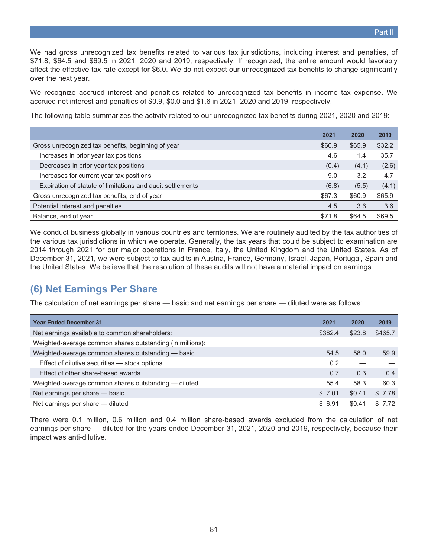We had gross unrecognized tax benefits related to various tax jurisdictions, including interest and penalties, of \$71.8, \$64.5 and \$69.5 in 2021, 2020 and 2019, respectively. If recognized, the entire amount would favorably affect the effective tax rate except for \$6.0. We do not expect our unrecognized tax benefits to change significantly over the next year.

We recognize accrued interest and penalties related to unrecognized tax benefits in income tax expense. We accrued net interest and penalties of \$0.9, \$0.0 and \$1.6 in 2021, 2020 and 2019, respectively.

The following table summarizes the activity related to our unrecognized tax benefits during 2021, 2020 and 2019:

|                                                            | 2021   | 2020   | 2019   |
|------------------------------------------------------------|--------|--------|--------|
| Gross unrecognized tax benefits, beginning of year         | \$60.9 | \$65.9 | \$32.2 |
| Increases in prior year tax positions                      | 4.6    | 1.4    | 35.7   |
| Decreases in prior year tax positions                      | (0.4)  | (4.1)  | (2.6)  |
| Increases for current year tax positions                   | 9.0    | 3.2    | 4.7    |
| Expiration of statute of limitations and audit settlements | (6.8)  | (5.5)  | (4.1)  |
| Gross unrecognized tax benefits, end of year               | \$67.3 | \$60.9 | \$65.9 |
| Potential interest and penalties                           | 4.5    | 3.6    | 3.6    |
| Balance, end of year                                       | \$71.8 | \$64.5 | \$69.5 |

We conduct business globally in various countries and territories. We are routinely audited by the tax authorities of the various tax jurisdictions in which we operate. Generally, the tax years that could be subject to examination are 2014 through 2021 for our major operations in France, Italy, the United Kingdom and the United States. As of December 31, 2021, we were subject to tax audits in Austria, France, Germany, Israel, Japan, Portugal, Spain and the United States. We believe that the resolution of these audits will not have a material impact on earnings.

## **(6) Net Earnings Per Share**

The calculation of net earnings per share — basic and net earnings per share — diluted were as follows:

| <b>Year Ended December 31</b>                             | 2021    | 2020   | 2019    |
|-----------------------------------------------------------|---------|--------|---------|
| Net earnings available to common shareholders:            | \$382.4 | \$23.8 | \$465.7 |
| Weighted-average common shares outstanding (in millions): |         |        |         |
| Weighted-average common shares outstanding - basic        | 54.5    | 58.0   | 59.9    |
| Effect of dilutive securities - stock options             | 0.2     |        |         |
| Effect of other share-based awards                        | 0.7     | 0.3    | 0.4     |
| Weighted-average common shares outstanding - diluted      | 55.4    | 58.3   | 60.3    |
| Net earnings per share - basic                            | \$7.01  | \$0.41 | \$7.78  |
| Net earnings per share - diluted                          | \$6.91  | \$0.41 | \$7.72  |

There were 0.1 million, 0.6 million and 0.4 million share-based awards excluded from the calculation of net earnings per share — diluted for the years ended December 31, 2021, 2020 and 2019, respectively, because their impact was anti-dilutive.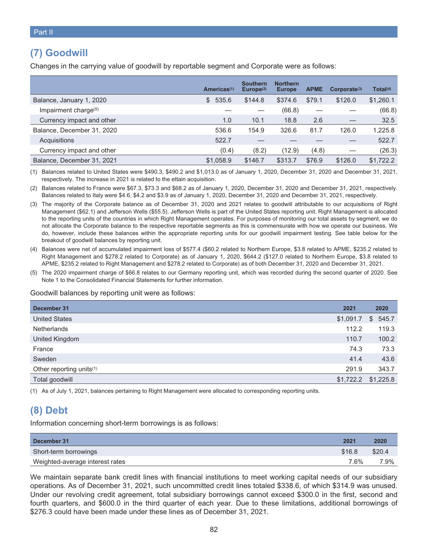# **(7) Goodwill**

Changes in the carrying value of goodwill by reportable segment and Corporate were as follows:

|                                  | Americas <sup>(1)</sup> | <b>Southern</b><br>Europe <sup>(2)</sup> | <b>Northern</b><br><b>Europe</b> | <b>APME</b> | Corporate <sup>(3)</sup> | Total(4)  |
|----------------------------------|-------------------------|------------------------------------------|----------------------------------|-------------|--------------------------|-----------|
| Balance, January 1, 2020         | 535.6<br>\$.            | \$144.8                                  | \$374.6                          | \$79.1      | \$126.0                  | \$1,260.1 |
| Impairment charge <sup>(5)</sup> |                         |                                          | (66.8)                           |             |                          | (66.8)    |
| Currency impact and other        | 1.0                     | 10.1                                     | 18.8                             | 2.6         |                          | 32.5      |
| Balance, December 31, 2020       | 536.6                   | 154.9                                    | 326.6                            | 81.7        | 126.0                    | 1,225.8   |
| Acquisitions                     | 522.7                   |                                          |                                  |             |                          | 522.7     |
| Currency impact and other        | (0.4)                   | (8.2)                                    | (12.9)                           | (4.8)       |                          | (26.3)    |
| Balance, December 31, 2021       | \$1.058.9               | \$146.7                                  | \$313.7                          | \$76.9      | \$126.0                  | \$1,722.2 |

(1) Balances related to United States were \$490.3, \$490.2 and \$1,013.0 as of January 1, 2020, December 31, 2020 and December 31, 2021, respectively. The increase in 2021 is related to the ettain acquisition.

(2) Balances related to France were \$67.3, \$73.3 and \$68.2 as of January 1, 2020, December 31, 2020 and December 31, 2021, respectively. Balances related to Italy were \$4.6, \$4.2 and \$3.9 as of January 1, 2020, December 31, 2020 and December 31, 2021, respectively.

(3) The majority of the Corporate balance as of December 31, 2020 and 2021 relates to goodwill attributable to our acquisitions of Right Management (\$62.1) and Jefferson Wells (\$55.5). Jefferson Wells is part of the United States reporting unit. Right Management is allocated to the reporting units of the countries in which Right Management operates. For purposes of monitoring our total assets by segment, we do not allocate the Corporate balance to the respective reportable segments as this is commensurate with how we operate our business. We do, however, include these balances within the appropriate reporting units for our goodwill impairment testing. See table below for the breakout of goodwill balances by reporting unit.

- (4) Balances were net of accumulated impairment loss of \$577.4 (\$60.2 related to Northern Europe, \$3.8 related to APME, \$235.2 related to Right Management and \$278.2 related to Corporate) as of January 1, 2020, \$644.2 (\$127.0 related to Northern Europe, \$3.8 related to APME, \$235.2 related to Right Management and \$278.2 related to Corporate) as of both December 31, 2020 and December 31, 2021.
- (5) The 2020 impairment charge of \$66.8 relates to our Germany reporting unit, which was recorded during the second quarter of 2020. See Note 1 to the Consolidated Financial Statements for further information.

Goodwill balances by reporting unit were as follows:

| December 31                          | 2021      | 2020      |
|--------------------------------------|-----------|-----------|
| <b>United States</b>                 | \$1,091.7 | \$545.7   |
| <b>Netherlands</b>                   | 112.2     | 119.3     |
| United Kingdom                       | 110.7     | 100.2     |
| France                               | 74.3      | 73.3      |
| Sweden                               | 41.4      | 43.6      |
| Other reporting units <sup>(1)</sup> | 291.9     | 343.7     |
| Total goodwill                       | \$1,722.2 | \$1,225.8 |

(1) As of July 1, 2021, balances pertaining to Right Management were allocated to corresponding reporting units.

# **(8) Debt**

Information concerning short-term borrowings is as follows:

| December 31                     | 2021   | 2020   |
|---------------------------------|--------|--------|
| Short-term borrowings           | \$16.8 | \$20.4 |
| Weighted-average interest rates | 7.6%   | 7.9%   |

We maintain separate bank credit lines with financial institutions to meet working capital needs of our subsidiary operations. As of December 31, 2021, such uncommitted credit lines totaled \$338.6, of which \$314.9 was unused. Under our revolving credit agreement, total subsidiary borrowings cannot exceed \$300.0 in the first, second and fourth quarters, and \$600.0 in the third quarter of each year. Due to these limitations, additional borrowings of \$276.3 could have been made under these lines as of December 31, 2021.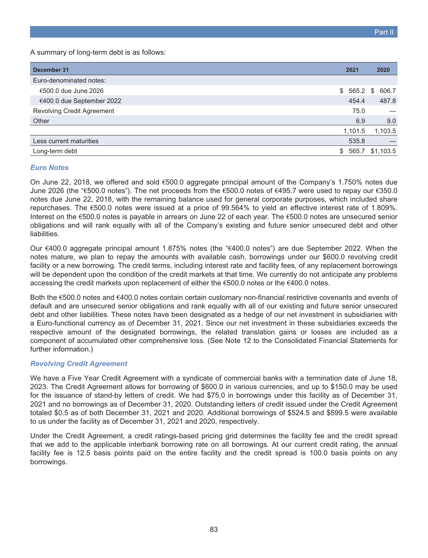A summary of long-term debt is as follows:

| December 31                | 2021    | 2020                 |
|----------------------------|---------|----------------------|
| Euro-denominated notes:    |         |                      |
| €500.0 due June 2026       |         | $$565.2$ \$<br>606.7 |
| €400.0 due September 2022  |         | 487.8<br>454.4       |
| Revolving Credit Agreement |         | 75.0                 |
| Other                      |         | 9.0<br>6.9           |
|                            | 1,101.5 | 1,103.5              |
| Less current maturities    |         | 535.8                |
| Long-term debt             | \$      | \$1,103.5<br>565.7   |

### *Euro Notes*

On June 22, 2018, we offered and sold €500.0 aggregate principal amount of the Company's 1.750% notes due June 2026 (the "€500.0 notes"). The net proceeds from the €500.0 notes of €495.7 were used to repay our €350.0 notes due June 22, 2018, with the remaining balance used for general corporate purposes, which included share repurchases. The €500.0 notes were issued at a price of 99.564% to yield an effective interest rate of 1.809%. Interest on the €500.0 notes is payable in arrears on June 22 of each year. The €500.0 notes are unsecured senior obligations and will rank equally with all of the Company's existing and future senior unsecured debt and other liabilities.

Our €400.0 aggregate principal amount 1.875% notes (the "€400.0 notes") are due September 2022. When the notes mature, we plan to repay the amounts with available cash, borrowings under our \$600.0 revolving credit facility or a new borrowing. The credit terms, including interest rate and facility fees, of any replacement borrowings will be dependent upon the condition of the credit markets at that time. We currently do not anticipate any problems accessing the credit markets upon replacement of either the  $\epsilon$ 500.0 notes or the  $\epsilon$ 400.0 notes.

Both the €500.0 notes and €400.0 notes contain certain customary non-financial restrictive covenants and events of default and are unsecured senior obligations and rank equally with all of our existing and future senior unsecured debt and other liabilities. These notes have been designated as a hedge of our net investment in subsidiaries with a Euro-functional currency as of December 31, 2021. Since our net investment in these subsidiaries exceeds the respective amount of the designated borrowings, the related translation gains or losses are included as a component of accumulated other comprehensive loss. (See Note 12 to the Consolidated Financial Statements for further information.)

#### *Revolving Credit Agreement*

We have a Five Year Credit Agreement with a syndicate of commercial banks with a termination date of June 18, 2023. The Credit Agreement allows for borrowing of \$600.0 in various currencies, and up to \$150.0 may be used for the issuance of stand-by letters of credit. We had \$75.0 in borrowings under this facility as of December 31, 2021 and no borrowings as of December 31, 2020. Outstanding letters of credit issued under the Credit Agreement totaled \$0.5 as of both December 31, 2021 and 2020. Additional borrowings of \$524.5 and \$599.5 were available to us under the facility as of December 31, 2021 and 2020, respectively.

Under the Credit Agreement, a credit ratings-based pricing grid determines the facility fee and the credit spread that we add to the applicable interbank borrowing rate on all borrowings. At our current credit rating, the annual facility fee is 12.5 basis points paid on the entire facility and the credit spread is 100.0 basis points on any borrowings.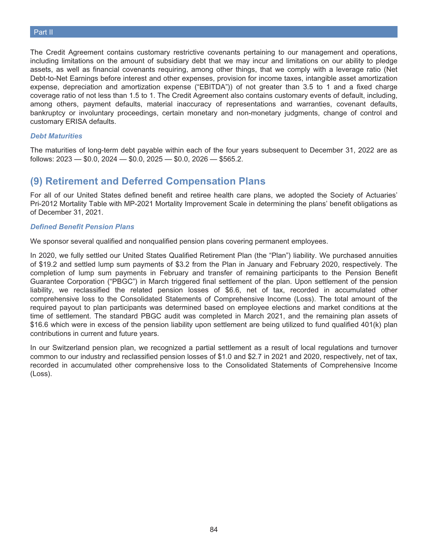The Credit Agreement contains customary restrictive covenants pertaining to our management and operations, including limitations on the amount of subsidiary debt that we may incur and limitations on our ability to pledge assets, as well as financial covenants requiring, among other things, that we comply with a leverage ratio (Net Debt-to-Net Earnings before interest and other expenses, provision for income taxes, intangible asset amortization expense, depreciation and amortization expense ("EBITDA")) of not greater than 3.5 to 1 and a fixed charge coverage ratio of not less than 1.5 to 1. The Credit Agreement also contains customary events of default, including, among others, payment defaults, material inaccuracy of representations and warranties, covenant defaults, bankruptcy or involuntary proceedings, certain monetary and non-monetary judgments, change of control and customary ERISA defaults.

#### *Debt Maturities*

The maturities of long-term debt payable within each of the four years subsequent to December 31, 2022 are as follows:  $2023 - 0.0$ ,  $2024 - 0.0$ ,  $2025 - 0.0$ ,  $2026 - 0.5565$ .2.

## **(9) Retirement and Deferred Compensation Plans**

For all of our United States defined benefit and retiree health care plans, we adopted the Society of Actuaries' Pri-2012 Mortality Table with MP-2021 Mortality Improvement Scale in determining the plans' benefit obligations as of December 31, 2021.

#### *Defined Benefit Pension Plans*

We sponsor several qualified and nonqualified pension plans covering permanent employees.

In 2020, we fully settled our United States Qualified Retirement Plan (the "Plan") liability. We purchased annuities of \$19.2 and settled lump sum payments of \$3.2 from the Plan in January and February 2020, respectively. The completion of lump sum payments in February and transfer of remaining participants to the Pension Benefit Guarantee Corporation ("PBGC") in March triggered final settlement of the plan. Upon settlement of the pension liability, we reclassified the related pension losses of \$6.6, net of tax, recorded in accumulated other comprehensive loss to the Consolidated Statements of Comprehensive Income (Loss). The total amount of the required payout to plan participants was determined based on employee elections and market conditions at the time of settlement. The standard PBGC audit was completed in March 2021, and the remaining plan assets of \$16.6 which were in excess of the pension liability upon settlement are being utilized to fund qualified 401(k) plan contributions in current and future years.

In our Switzerland pension plan, we recognized a partial settlement as a result of local regulations and turnover common to our industry and reclassified pension losses of \$1.0 and \$2.7 in 2021 and 2020, respectively, net of tax, recorded in accumulated other comprehensive loss to the Consolidated Statements of Comprehensive Income (Loss).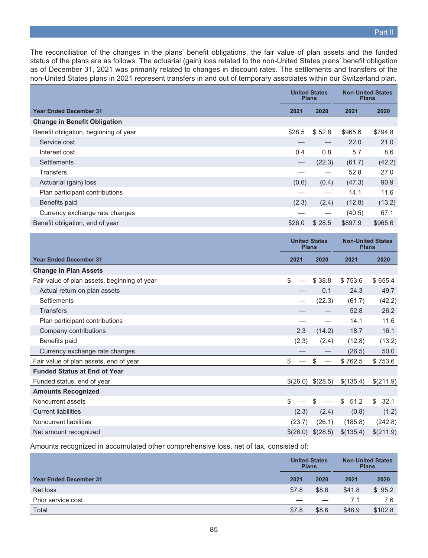The reconciliation of the changes in the plans' benefit obligations, the fair value of plan assets and the funded status of the plans are as follows. The actuarial (gain) loss related to the non-United States plans' benefit obligation as of December 31, 2021 was primarily related to changes in discount rates. The settlements and transfers of the non-United States plans in 2021 represent transfers in and out of temporary associates within our Switzerland plan.

|                                       | <b>Plans</b> | <b>United States</b> | <b>Non-United States</b><br><b>Plans</b> |         |
|---------------------------------------|--------------|----------------------|------------------------------------------|---------|
| <b>Year Ended December 31</b>         | 2021         | 2020                 | 2021                                     | 2020    |
| <b>Change in Benefit Obligation</b>   |              |                      |                                          |         |
| Benefit obligation, beginning of year | \$28.5       | \$52.8               | \$965.6                                  | \$794.8 |
| Service cost                          |              |                      | 22.0                                     | 21.0    |
| Interest cost                         | 0.4          | 0.8                  | 5.7                                      | 8.6     |
| <b>Settlements</b>                    |              | (22.3)               | (61.7)                                   | (42.2)  |
| Transfers                             |              |                      | 52.8                                     | 27.0    |
| Actuarial (gain) loss                 | (0.6)        | (0.4)                | (47.3)                                   | 90.9    |
| Plan participant contributions        |              |                      | 14.1                                     | 11.6    |
| Benefits paid                         | (2.3)        | (2.4)                | (12.8)                                   | (13.2)  |
| Currency exchange rate changes        |              |                      | (40.5)                                   | 67.1    |
| Benefit obligation, end of year       | \$26.0       | \$28.5               | \$897.9                                  | \$965.6 |

|                                              | <b>United States</b><br><b>Plans</b> |          | <b>Non-United States</b><br><b>Plans</b> |            |  |  |  |      |
|----------------------------------------------|--------------------------------------|----------|------------------------------------------|------------|--|--|--|------|
| <b>Year Ended December 31</b>                | 2021                                 | 2020     |                                          | 2021       |  |  |  | 2020 |
| <b>Change in Plan Assets</b>                 |                                      |          |                                          |            |  |  |  |      |
| Fair value of plan assets, beginning of year | \$                                   | \$38.8   | \$753.6                                  | \$655.4    |  |  |  |      |
| Actual return on plan assets                 |                                      | 0.1      | 24.3                                     | 49.7       |  |  |  |      |
| <b>Settlements</b>                           |                                      | (22.3)   | (61.7)                                   | (42.2)     |  |  |  |      |
| <b>Transfers</b>                             |                                      |          | 52.8                                     | 26.2       |  |  |  |      |
| Plan participant contributions               |                                      |          | 14.1                                     | 11.6       |  |  |  |      |
| Company contributions                        | 2.3                                  | (14.2)   | 18.7                                     | 16.1       |  |  |  |      |
| Benefits paid                                | (2.3)                                | (2.4)    | (12.8)                                   | (13.2)     |  |  |  |      |
| Currency exchange rate changes               |                                      |          | (26.5)                                   | 50.0       |  |  |  |      |
| Fair value of plan assets, end of year       | \$                                   | \$.      | \$762.5                                  | \$753.6    |  |  |  |      |
| <b>Funded Status at End of Year</b>          |                                      |          |                                          |            |  |  |  |      |
| Funded status, end of year                   | \$(26.0)                             | \$(28.5) | \$(135.4)                                | \$(211.9)  |  |  |  |      |
| <b>Amounts Recognized</b>                    |                                      |          |                                          |            |  |  |  |      |
| Noncurrent assets                            | \$                                   | \$       | \$<br>51.2                               | \$<br>32.1 |  |  |  |      |
| <b>Current liabilities</b>                   | (2.3)                                | (2.4)    | (0.8)                                    | (1.2)      |  |  |  |      |
| Noncurrent liabilities                       | (23.7)                               | (26.1)   | (185.8)                                  | (242.8)    |  |  |  |      |
| Net amount recognized                        | \$(26.0)                             | \$(28.5) | \$(135.4)                                | \$(211.9)  |  |  |  |      |

Amounts recognized in accumulated other comprehensive loss, net of tax, consisted of:

|                               |       | <b>United States</b><br><b>Plans</b> |        | <b>Non-United States</b><br><b>Plans</b> |
|-------------------------------|-------|--------------------------------------|--------|------------------------------------------|
| <b>Year Ended December 31</b> | 2021  | 2020                                 | 2021   | 2020                                     |
| Net loss                      | \$7.8 | \$8.6                                | \$41.8 | \$95.2                                   |
| Prior service cost            |       |                                      | 7.1    | 7.6                                      |
| Total                         | \$7.8 | \$8.6                                | \$48.9 | \$102.8                                  |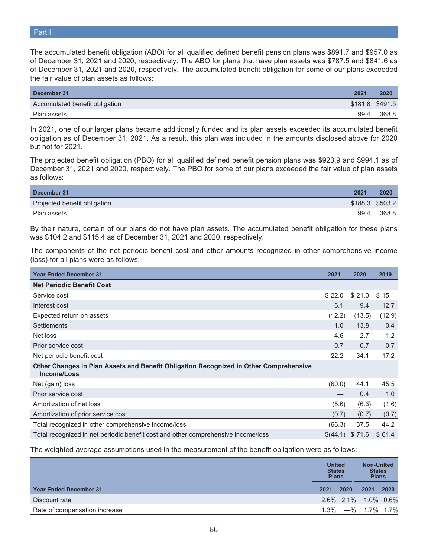The accumulated benefit obligation (ABO) for all qualified defined benefit pension plans was \$891.7 and \$957.0 as of December 31, 2021 and 2020, respectively. The ABO for plans that have plan assets was \$787.5 and \$841.6 as of December 31, 2021 and 2020, respectively. The accumulated benefit obligation for some of our plans exceeded the fair value of plan assets as follows:

| December 31                    | 2021 | 2020            |
|--------------------------------|------|-----------------|
| Accumulated benefit obligation |      | \$181.8 \$491.5 |
| Plan assets                    | 99.4 | 368.8           |

In 2021, one of our larger plans became additionally funded and its plan assets exceeded its accumulated benefit obligation as of December 31, 2021. As a result, this plan was included in the amounts disclosed above for 2020 but not for 2021.

The projected benefit obligation (PBO) for all qualified defined benefit pension plans was \$923.9 and \$994.1 as of December 31, 2021 and 2020, respectively. The PBO for some of our plans exceeded the fair value of plan assets as follows:

| December 31                  | 2021 | 2020            |
|------------------------------|------|-----------------|
| Projected benefit obligation |      | \$188.3 \$503.2 |
| Plan assets                  | 99.4 | 368.8           |

By their nature, certain of our plans do not have plan assets. The accumulated benefit obligation for these plans was \$104.2 and \$115.4 as of December 31, 2021 and 2020, respectively.

The components of the net periodic benefit cost and other amounts recognized in other comprehensive income (loss) for all plans were as follows:

| <b>Year Ended December 31</b>                                                                        | 2021     | 2020   | 2019          |
|------------------------------------------------------------------------------------------------------|----------|--------|---------------|
| <b>Net Periodic Benefit Cost</b>                                                                     |          |        |               |
| Service cost                                                                                         | \$22.0   | \$21.0 | \$15.1        |
| Interest cost                                                                                        | 6.1      | 9.4    | 12.7          |
| Expected return on assets                                                                            | (12.2)   | (13.5) | (12.9)        |
| <b>Settlements</b>                                                                                   | 1.0      | 13.8   | $0.4^{\circ}$ |
| Net loss                                                                                             | 4.6      | 2.7    | 1.2           |
| Prior service cost                                                                                   | 0.7      | 0.7    | 0.7           |
| Net periodic benefit cost                                                                            | 22.2     | 34.1   | 17.2          |
| Other Changes in Plan Assets and Benefit Obligation Recognized in Other Comprehensive<br>Income/Loss |          |        |               |
| Net (gain) loss                                                                                      | (60.0)   | 44.1   | 45.5          |
| Prior service cost                                                                                   |          | 0.4    | 1.0           |
| Amortization of net loss                                                                             | (5.6)    | (6.3)  | (1.6)         |
| Amortization of prior service cost                                                                   | (0.7)    | (0.7)  | (0.7)         |
| Total recognized in other comprehensive income/loss                                                  | (66.3)   | 37.5   | 44.2          |
| Total recognized in net periodic benefit cost and other comprehensive income/loss                    | \$(44.1) | \$71.6 | \$61.4        |

The weighted-average assumptions used in the measurement of the benefit obligation were as follows:

|                               | <b>United</b><br><b>States</b><br><b>Plans</b> |      | <b>Non-United</b><br><b>States</b><br><b>Plans</b> |      |
|-------------------------------|------------------------------------------------|------|----------------------------------------------------|------|
| <b>Year Ended December 31</b> | 2021                                           | 2020 | 2021                                               | 2020 |
| Discount rate                 |                                                |      | 2.6% 2.1% 1.0% 0.6%                                |      |
| Rate of compensation increase |                                                |      | $1.3\%$ $-$ % $1.7\%$ 1.7%                         |      |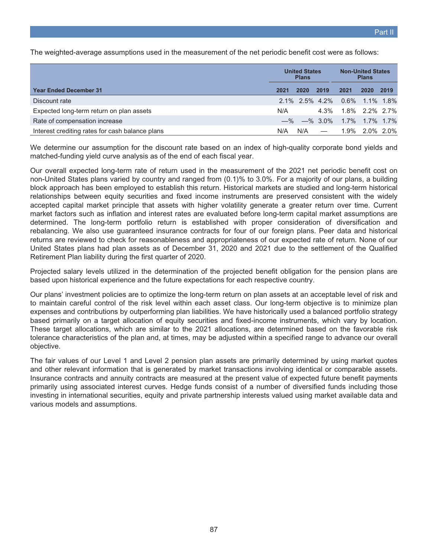The weighted-average assumptions used in the measurement of the net periodic benefit cost were as follows:

|                                                 | <b>United States</b><br><b>Plans</b> |      |                          | <b>Non-United States</b><br><b>Plans</b> |                |      |
|-------------------------------------------------|--------------------------------------|------|--------------------------|------------------------------------------|----------------|------|
| <b>Year Ended December 31</b>                   | 2021                                 | 2020 | 2019                     | 2021                                     | 2020           | 2019 |
| Discount rate                                   |                                      |      |                          | 2.1% 2.5% 4.2% 0.6% 1.1% 1.8%            |                |      |
| Expected long-term return on plan assets        | N/A                                  |      | 4.3%                     |                                          | 1.8% 2.2% 2.7% |      |
| Rate of compensation increase                   |                                      |      | $-$ % $-$ % 3.0%         |                                          | 1.7% 1.7% 1.7% |      |
| Interest crediting rates for cash balance plans | N/A                                  | N/A  | $\overline{\phantom{m}}$ |                                          | 1.9% 2.0% 2.0% |      |

We determine our assumption for the discount rate based on an index of high-quality corporate bond yields and matched-funding yield curve analysis as of the end of each fiscal year.

Our overall expected long-term rate of return used in the measurement of the 2021 net periodic benefit cost on non-United States plans varied by country and ranged from (0.1)% to 3.0%. For a majority of our plans, a building block approach has been employed to establish this return. Historical markets are studied and long-term historical relationships between equity securities and fixed income instruments are preserved consistent with the widely accepted capital market principle that assets with higher volatility generate a greater return over time. Current market factors such as inflation and interest rates are evaluated before long-term capital market assumptions are determined. The long-term portfolio return is established with proper consideration of diversification and rebalancing. We also use guaranteed insurance contracts for four of our foreign plans. Peer data and historical returns are reviewed to check for reasonableness and appropriateness of our expected rate of return. None of our United States plans had plan assets as of December 31, 2020 and 2021 due to the settlement of the Qualified Retirement Plan liability during the first quarter of 2020.

Projected salary levels utilized in the determination of the projected benefit obligation for the pension plans are based upon historical experience and the future expectations for each respective country.

Our plans' investment policies are to optimize the long-term return on plan assets at an acceptable level of risk and to maintain careful control of the risk level within each asset class. Our long-term objective is to minimize plan expenses and contributions by outperforming plan liabilities. We have historically used a balanced portfolio strategy based primarily on a target allocation of equity securities and fixed-income instruments, which vary by location. These target allocations, which are similar to the 2021 allocations, are determined based on the favorable risk tolerance characteristics of the plan and, at times, may be adjusted within a specified range to advance our overall objective.

The fair values of our Level 1 and Level 2 pension plan assets are primarily determined by using market quotes and other relevant information that is generated by market transactions involving identical or comparable assets. Insurance contracts and annuity contracts are measured at the present value of expected future benefit payments primarily using associated interest curves. Hedge funds consist of a number of diversified funds including those investing in international securities, equity and private partnership interests valued using market available data and various models and assumptions.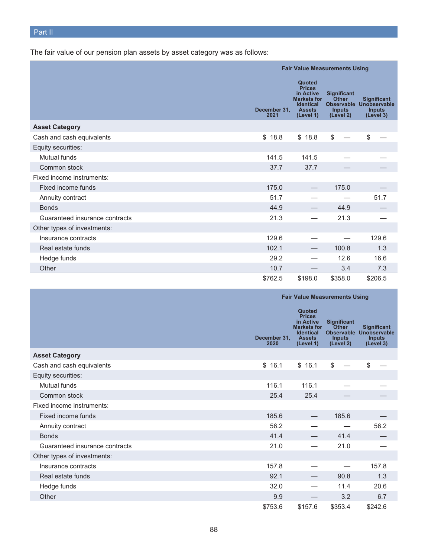The fair value of our pension plan assets by asset category was as follows:

|                                |                      | <b>Fair Value Measurements Using</b>                                                                         |                                                                                       |                                                                  |  |
|--------------------------------|----------------------|--------------------------------------------------------------------------------------------------------------|---------------------------------------------------------------------------------------|------------------------------------------------------------------|--|
|                                | December 31,<br>2021 | Quoted<br><b>Prices</b><br>in Active<br><b>Markets for</b><br><b>Identical</b><br><b>Assets</b><br>(Level 1) | <b>Significant</b><br><b>Other</b><br><b>Observable</b><br><b>Inputs</b><br>(Level 2) | <b>Significant</b><br>Unobservable<br><b>Inputs</b><br>(Level 3) |  |
| <b>Asset Category</b>          |                      |                                                                                                              |                                                                                       |                                                                  |  |
| Cash and cash equivalents      | \$<br>18.8           | \$18.8                                                                                                       | \$                                                                                    | \$                                                               |  |
| Equity securities:             |                      |                                                                                                              |                                                                                       |                                                                  |  |
| Mutual funds                   | 141.5                | 141.5                                                                                                        |                                                                                       |                                                                  |  |
| Common stock                   | 37.7                 | 37.7                                                                                                         |                                                                                       |                                                                  |  |
| Fixed income instruments:      |                      |                                                                                                              |                                                                                       |                                                                  |  |
| Fixed income funds             | 175.0                |                                                                                                              | 175.0                                                                                 |                                                                  |  |
| Annuity contract               | 51.7                 |                                                                                                              |                                                                                       | 51.7                                                             |  |
| <b>Bonds</b>                   | 44.9                 |                                                                                                              | 44.9                                                                                  |                                                                  |  |
| Guaranteed insurance contracts | 21.3                 |                                                                                                              | 21.3                                                                                  |                                                                  |  |
| Other types of investments:    |                      |                                                                                                              |                                                                                       |                                                                  |  |
| Insurance contracts            | 129.6                |                                                                                                              |                                                                                       | 129.6                                                            |  |
| Real estate funds              | 102.1                |                                                                                                              | 100.8                                                                                 | 1.3                                                              |  |
| Hedge funds                    | 29.2                 |                                                                                                              | 12.6                                                                                  | 16.6                                                             |  |
| Other                          | 10.7                 |                                                                                                              | 3.4                                                                                   | 7.3                                                              |  |
|                                | \$762.5              | \$198.0                                                                                                      | \$358.0                                                                               | \$206.5                                                          |  |

|                                |                      | <b>Fair Value Measurements Using</b>                                                                         |                                                           |                                                                             |  |
|--------------------------------|----------------------|--------------------------------------------------------------------------------------------------------------|-----------------------------------------------------------|-----------------------------------------------------------------------------|--|
|                                | December 31,<br>2020 | Quoted<br><b>Prices</b><br>in Active<br><b>Markets for</b><br><b>Identical</b><br><b>Assets</b><br>(Level 1) | <b>Significant</b><br>Other<br><b>Inputs</b><br>(Level 2) | <b>Significant</b><br>Observable Unobservable<br><b>Inputs</b><br>(Level 3) |  |
| <b>Asset Category</b>          |                      |                                                                                                              |                                                           |                                                                             |  |
| Cash and cash equivalents      | \$16.1               | \$16.1                                                                                                       | \$                                                        | \$                                                                          |  |
| Equity securities:             |                      |                                                                                                              |                                                           |                                                                             |  |
| Mutual funds                   | 116.1                | 116.1                                                                                                        |                                                           |                                                                             |  |
| Common stock                   | 25.4                 | 25.4                                                                                                         |                                                           |                                                                             |  |
| Fixed income instruments:      |                      |                                                                                                              |                                                           |                                                                             |  |
| Fixed income funds             | 185.6                |                                                                                                              | 185.6                                                     |                                                                             |  |
| Annuity contract               | 56.2                 |                                                                                                              |                                                           | 56.2                                                                        |  |
| <b>Bonds</b>                   | 41.4                 |                                                                                                              | 41.4                                                      |                                                                             |  |
| Guaranteed insurance contracts | 21.0                 |                                                                                                              | 21.0                                                      |                                                                             |  |
| Other types of investments:    |                      |                                                                                                              |                                                           |                                                                             |  |
| Insurance contracts            | 157.8                |                                                                                                              |                                                           | 157.8                                                                       |  |
| Real estate funds              | 92.1                 |                                                                                                              | 90.8                                                      | 1.3                                                                         |  |
| Hedge funds                    | 32.0                 |                                                                                                              | 11.4                                                      | 20.6                                                                        |  |
| Other                          | 9.9                  |                                                                                                              | 3.2                                                       | 6.7                                                                         |  |
|                                | \$753.6              | \$157.6                                                                                                      | \$353.4                                                   | \$242.6                                                                     |  |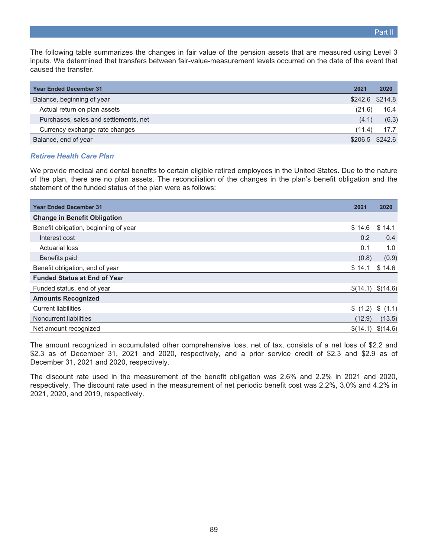The following table summarizes the changes in fair value of the pension assets that are measured using Level 3 inputs. We determined that transfers between fair-value-measurement levels occurred on the date of the event that caused the transfer.

| <b>Year Ended December 31</b>         | 2021   | 2020              |
|---------------------------------------|--------|-------------------|
| Balance, beginning of year            |        | \$242.6 \$214.8   |
| Actual return on plan assets          | (21.6) | 16.4              |
| Purchases, sales and settlements, net | (4.1)  | (6.3)             |
| Currency exchange rate changes        | (11.4) | 17.7              |
| Balance, end of year                  |        | $$206.5$ $$242.6$ |

#### *Retiree Health Care Plan*

We provide medical and dental benefits to certain eligible retired employees in the United States. Due to the nature of the plan, there are no plan assets. The reconciliation of the changes in the plan's benefit obligation and the statement of the funded status of the plan were as follows:

| <b>Year Ended December 31</b>         | 2021     | 2020            |
|---------------------------------------|----------|-----------------|
| <b>Change in Benefit Obligation</b>   |          |                 |
| Benefit obligation, beginning of year | \$14.6   | \$14.1          |
| Interest cost                         | 0.2      | 0.4             |
| <b>Actuarial loss</b>                 | 0.1      | 1.0             |
| Benefits paid                         | (0.8)    | (0.9)           |
| Benefit obligation, end of year       | \$14.1   | \$14.6          |
| <b>Funded Status at End of Year</b>   |          |                 |
| Funded status, end of year            | \$(14.1) | \$(14.6)        |
| <b>Amounts Recognized</b>             |          |                 |
| <b>Current liabilities</b>            |          | \$(1.2) \$(1.1) |
| Noncurrent liabilities                | (12.9)   | (13.5)          |
| Net amount recognized                 | \$(14.1) | \$(14.6)        |

The amount recognized in accumulated other comprehensive loss, net of tax, consists of a net loss of \$2.2 and \$2.3 as of December 31, 2021 and 2020, respectively, and a prior service credit of \$2.3 and \$2.9 as of December 31, 2021 and 2020, respectively.

The discount rate used in the measurement of the benefit obligation was 2.6% and 2.2% in 2021 and 2020, respectively. The discount rate used in the measurement of net periodic benefit cost was 2.2%, 3.0% and 4.2% in 2021, 2020, and 2019, respectively.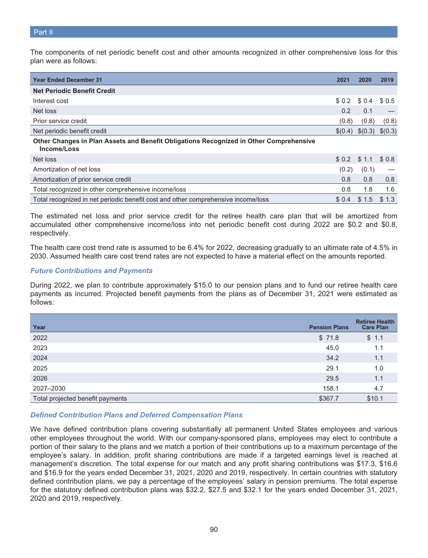The components of net periodic benefit cost and other amounts recognized in other comprehensive loss for this plan were as follows:

| <b>Year Ended December 31</b>                                                                         | 2021   | 2020                     | 2019  |
|-------------------------------------------------------------------------------------------------------|--------|--------------------------|-------|
| <b>Net Periodic Benefit Credit</b>                                                                    |        |                          |       |
| Interest cost                                                                                         | \$0.2  | \$0.4                    | \$0.5 |
| Net loss                                                                                              | 0.2    | 0.1                      |       |
| Prior service credit                                                                                  | (0.8)  | (0.8)                    | (0.8) |
| Net periodic benefit credit                                                                           |        | $$(0.4) \$(0.3) \$(0.3)$ |       |
| Other Changes in Plan Assets and Benefit Obligations Recognized in Other Comprehensive<br>Income/Loss |        |                          |       |
| Net loss                                                                                              |        | $$0.2$ $$1.1$            | \$0.8 |
| Amortization of net loss                                                                              | (0.2)  | (0.1)                    |       |
| Amortization of prior service credit                                                                  | 0.8    | 0.8                      | 0.8   |
| Total recognized in other comprehensive income/loss                                                   | 0.8    | 1.8                      | 1.6   |
| Total recognized in net periodic benefit cost and other comprehensive income/loss                     | \$ 0.4 | \$1.5                    | \$1.3 |

The estimated net loss and prior service credit for the retiree health care plan that will be amortized from accumulated other comprehensive income/loss into net periodic benefit cost during 2022 are \$0.2 and \$0.8, respectively.

The health care cost trend rate is assumed to be 6.4% for 2022, decreasing gradually to an ultimate rate of 4.5% in 2030. Assumed health care cost trend rates are not expected to have a material effect on the amounts reported.

### *Future Contributions and Payments*

During 2022, we plan to contribute approximately \$15.0 to our pension plans and to fund our retiree health care payments as incurred. Projected benefit payments from the plans as of December 31, 2021 were estimated as follows:

| Year                             | <b>Pension Plans</b> | <b>Retiree Health</b><br><b>Care Plan</b> |
|----------------------------------|----------------------|-------------------------------------------|
| 2022                             | \$71.8               | \$1.1                                     |
| 2023                             | 45.0                 | 1.1                                       |
| 2024                             | 34.2                 | 1.1                                       |
| 2025                             | 29.1                 | 1.0                                       |
| 2026                             | 29.5                 | 1.1                                       |
| 2027-2030                        | 158.1                | 4.7                                       |
| Total projected benefit payments | \$367.7              | \$10.1                                    |

## *Defined Contribution Plans and Deferred Compensation Plans*

We have defined contribution plans covering substantially all permanent United States employees and various other employees throughout the world. With our company-sponsored plans, employees may elect to contribute a portion of their salary to the plans and we match a portion of their contributions up to a maximum percentage of the employee's salary. In addition, profit sharing contributions are made if a targeted earnings level is reached at management's discretion. The total expense for our match and any profit sharing contributions was \$17.3, \$16.6 and \$16.9 for the years ended December 31, 2021, 2020 and 2019, respectively. In certain countries with statutory defined contribution plans, we pay a percentage of the employees' salary in pension premiums. The total expense for the statutory defined contribution plans was \$32.2, \$27.5 and \$32.1 for the years ended December 31, 2021, 2020 and 2019, respectively.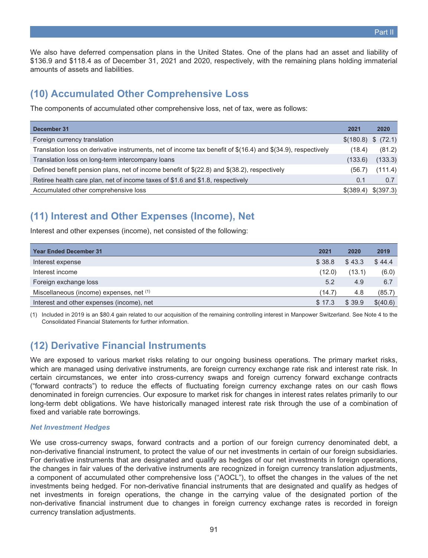We also have deferred compensation plans in the United States. One of the plans had an asset and liability of \$136.9 and \$118.4 as of December 31, 2021 and 2020, respectively, with the remaining plans holding immaterial amounts of assets and liabilities.

## **(10) Accumulated Other Comprehensive Loss**

The components of accumulated other comprehensive loss, net of tax, were as follows:

| December 31                                                                                                  | 2021      | 2020                  |
|--------------------------------------------------------------------------------------------------------------|-----------|-----------------------|
| Foreign currency translation                                                                                 |           | \$(180.8) \$ (\$72.1) |
| Translation loss on derivative instruments, net of income tax benefit of \$(16.4) and \$(34.9), respectively | (18.4)    | (81.2)                |
| Translation loss on long-term intercompany loans                                                             | (133.6)   | (133.3)               |
| Defined benefit pension plans, net of income benefit of $(22.8)$ and $(38.2)$ , respectively                 | (56.7)    | (111.4)               |
| Retiree health care plan, net of income taxes of \$1.6 and \$1.8, respectively                               | 0.1       | 0.7                   |
| Accumulated other comprehensive loss                                                                         | \$(389.4) | \$(397.3)             |

# **(11) Interest and Other Expenses (Income), Net**

Interest and other expenses (income), net consisted of the following:

| <b>Year Ended December 31</b>             | 2021   | 2020   | 2019     |
|-------------------------------------------|--------|--------|----------|
| Interest expense                          | \$38.8 | \$43.3 | \$44.4   |
| Interest income                           | (12.0) | (13.1) | (6.0)    |
| Foreign exchange loss                     | 5.2    | 4.9    | 6.7      |
| Miscellaneous (income) expenses, net (1)  | (14.7) | 4.8    | (85.7)   |
| Interest and other expenses (income), net | \$17.3 | \$39.9 | \$(40.6) |

(1) Included in 2019 is an \$80.4 gain related to our acquisition of the remaining controlling interest in Manpower Switzerland. See Note 4 to the Consolidated Financial Statements for further information.

# **(12) Derivative Financial Instruments**

We are exposed to various market risks relating to our ongoing business operations. The primary market risks, which are managed using derivative instruments, are foreign currency exchange rate risk and interest rate risk. In certain circumstances, we enter into cross-currency swaps and foreign currency forward exchange contracts ("forward contracts") to reduce the effects of fluctuating foreign currency exchange rates on our cash flows denominated in foreign currencies. Our exposure to market risk for changes in interest rates relates primarily to our long-term debt obligations. We have historically managed interest rate risk through the use of a combination of fixed and variable rate borrowings.

## *Net Investment Hedges*

We use cross-currency swaps, forward contracts and a portion of our foreign currency denominated debt, a non-derivative financial instrument, to protect the value of our net investments in certain of our foreign subsidiaries. For derivative instruments that are designated and qualify as hedges of our net investments in foreign operations, the changes in fair values of the derivative instruments are recognized in foreign currency translation adjustments, a component of accumulated other comprehensive loss ("AOCL"), to offset the changes in the values of the net investments being hedged. For non-derivative financial instruments that are designated and qualify as hedges of net investments in foreign operations, the change in the carrying value of the designated portion of the non-derivative financial instrument due to changes in foreign currency exchange rates is recorded in foreign currency translation adjustments.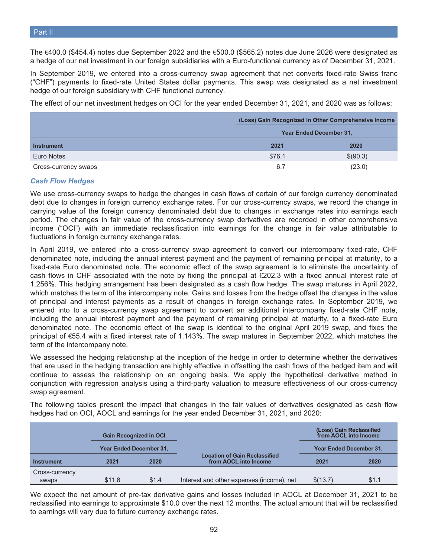The €400.0 (\$454.4) notes due September 2022 and the €500.0 (\$565.2) notes due June 2026 were designated as a hedge of our net investment in our foreign subsidiaries with a Euro-functional currency as of December 31, 2021.

In September 2019, we entered into a cross-currency swap agreement that net converts fixed-rate Swiss franc ("CHF") payments to fixed-rate United States dollar payments. This swap was designated as a net investment hedge of our foreign subsidiary with CHF functional currency.

The effect of our net investment hedges on OCI for the year ended December 31, 2021, and 2020 was as follows:

|                      |        | (Loss) Gain Recognized in Other Comprehensive Income |
|----------------------|--------|------------------------------------------------------|
|                      |        | <b>Year Ended December 31,</b>                       |
| <b>Instrument</b>    | 2021   | 2020                                                 |
| Euro Notes           | \$76.1 | \$(90.3)                                             |
| Cross-currency swaps | 6.7    | (23.0)                                               |

#### *Cash Flow Hedges*

We use cross-currency swaps to hedge the changes in cash flows of certain of our foreign currency denominated debt due to changes in foreign currency exchange rates. For our cross-currency swaps, we record the change in carrying value of the foreign currency denominated debt due to changes in exchange rates into earnings each period. The changes in fair value of the cross-currency swap derivatives are recorded in other comprehensive income ("OCI") with an immediate reclassification into earnings for the change in fair value attributable to fluctuations in foreign currency exchange rates.

In April 2019, we entered into a cross-currency swap agreement to convert our intercompany fixed-rate, CHF denominated note, including the annual interest payment and the payment of remaining principal at maturity, to a fixed-rate Euro denominated note. The economic effect of the swap agreement is to eliminate the uncertainty of cash flows in CHF associated with the note by fixing the principal at  $\epsilon$ 202.3 with a fixed annual interest rate of 1.256%. This hedging arrangement has been designated as a cash flow hedge. The swap matures in April 2022, which matches the term of the intercompany note. Gains and losses from the hedge offset the changes in the value of principal and interest payments as a result of changes in foreign exchange rates. In September 2019, we entered into to a cross-currency swap agreement to convert an additional intercompany fixed-rate CHF note, including the annual interest payment and the payment of remaining principal at maturity, to a fixed-rate Euro denominated note. The economic effect of the swap is identical to the original April 2019 swap, and fixes the principal of €55.4 with a fixed interest rate of 1.143%. The swap matures in September 2022, which matches the term of the intercompany note.

We assessed the hedging relationship at the inception of the hedge in order to determine whether the derivatives that are used in the hedging transaction are highly effective in offsetting the cash flows of the hedged item and will continue to assess the relationship on an ongoing basis. We apply the hypothetical derivative method in conjunction with regression analysis using a third-party valuation to measure effectiveness of our cross-currency swap agreement.

The following tables present the impact that changes in the fair values of derivatives designated as cash flow hedges had on OCI, AOCL and earnings for the year ended December 31, 2021, and 2020:

|                |        | <b>Gain Recognized in OCI</b>  |                                                               | (Loss) Gain Reclassified<br>from AOCL into Income |       |
|----------------|--------|--------------------------------|---------------------------------------------------------------|---------------------------------------------------|-------|
|                |        | <b>Year Ended December 31,</b> |                                                               | <b>Year Ended December 31.</b>                    |       |
| Instrument     | 2021   | 2020                           | <b>Location of Gain Reclassified</b><br>from AOCL into Income | 2021                                              | 2020  |
| Cross-currency |        |                                |                                                               |                                                   |       |
| swaps          | \$11.8 | \$1.4                          | Interest and other expenses (income), net                     | \$(13.7)                                          | \$1.1 |

We expect the net amount of pre-tax derivative gains and losses included in AOCL at December 31, 2021 to be reclassified into earnings to approximate \$10.0 over the next 12 months. The actual amount that will be reclassified to earnings will vary due to future currency exchange rates.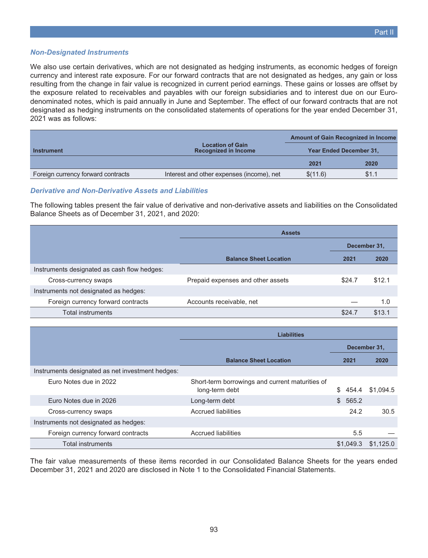#### *Non-Designated Instruments*

We also use certain derivatives, which are not designated as hedging instruments, as economic hedges of foreign currency and interest rate exposure. For our forward contracts that are not designated as hedges, any gain or loss resulting from the change in fair value is recognized in current period earnings. These gains or losses are offset by the exposure related to receivables and payables with our foreign subsidiaries and to interest due on our Eurodenominated notes, which is paid annually in June and September. The effect of our forward contracts that are not designated as hedging instruments on the consolidated statements of operations for the year ended December 31, 2021 was as follows:

|                                    |                                                        | <b>Amount of Gain Recognized in Income</b> |       |
|------------------------------------|--------------------------------------------------------|--------------------------------------------|-------|
| <b>Instrument</b>                  | <b>Location of Gain</b><br><b>Recognized in Income</b> | <b>Year Ended December 31,</b>             |       |
|                                    |                                                        | 2021                                       | 2020  |
| Foreign currency forward contracts | Interest and other expenses (income), net              | \$(11.6)                                   | \$1.1 |

### *Derivative and Non-Derivative Assets and Liabilities*

The following tables present the fair value of derivative and non-derivative assets and liabilities on the Consolidated Balance Sheets as of December 31, 2021, and 2020:

| <b>Assets</b>                     |        |        |
|-----------------------------------|--------|--------|
| December 31,                      |        |        |
| <b>Balance Sheet Location</b>     | 2021   | 2020   |
|                                   |        |        |
| Prepaid expenses and other assets | \$24.7 | \$12.1 |
|                                   |        |        |
| Accounts receivable, net          |        | 1.0    |
|                                   | \$24.7 | \$13.1 |
|                                   |        |        |

|                                                  | <b>Liabilities</b>                                                |              |           |
|--------------------------------------------------|-------------------------------------------------------------------|--------------|-----------|
|                                                  |                                                                   | December 31, |           |
|                                                  | <b>Balance Sheet Location</b>                                     | 2021         | 2020      |
| Instruments designated as net investment hedges: |                                                                   |              |           |
| Euro Notes due in 2022                           | Short-term borrowings and current maturities of<br>long-term debt | 454.4<br>S.  | \$1,094.5 |
| Euro Notes due in 2026                           | Long-term debt                                                    | \$565.2      |           |
| Cross-currency swaps                             | Accrued liabilities                                               | 24.2         | 30.5      |
| Instruments not designated as hedges:            |                                                                   |              |           |
| Foreign currency forward contracts               | Accrued liabilities                                               | 5.5          |           |
| <b>Total instruments</b>                         |                                                                   | \$1.049.3    | \$1.125.0 |

The fair value measurements of these items recorded in our Consolidated Balance Sheets for the years ended December 31, 2021 and 2020 are disclosed in Note 1 to the Consolidated Financial Statements.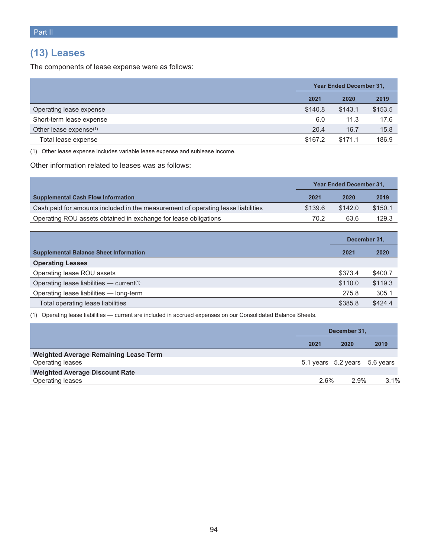# **(13) Leases**

The components of lease expense were as follows:

|                                    | <b>Year Ended December 31,</b> |         |         |
|------------------------------------|--------------------------------|---------|---------|
|                                    | 2021                           | 2020    | 2019    |
| Operating lease expense            | \$140.8                        | \$143.1 | \$153.5 |
| Short-term lease expense           | 6.0                            | 11.3    | 17.6    |
| Other lease expense <sup>(1)</sup> | 20.4                           | 16.7    | 15.8    |
| Total lease expense                | \$167.2                        | \$171.1 | 186.9   |

(1) Other lease expense includes variable lease expense and sublease income.

Other information related to leases was as follows:

|                                                                                  | <b>Year Ended December 31,</b> |         |         |
|----------------------------------------------------------------------------------|--------------------------------|---------|---------|
| <b>Supplemental Cash Flow Information</b>                                        | 2021                           | 2020    | 2019    |
| Cash paid for amounts included in the measurement of operating lease liabilities | \$139.6                        | \$142.0 | \$150.1 |
| Operating ROU assets obtained in exchange for lease obligations                  | 70.2                           | 63.6    | 129.3   |

|                                                      | December 31. |         |
|------------------------------------------------------|--------------|---------|
| <b>Supplemental Balance Sheet Information</b>        | 2021         | 2020    |
| <b>Operating Leases</b>                              |              |         |
| Operating lease ROU assets                           | \$373.4      | \$400.7 |
| Operating lease liabilities — current <sup>(1)</sup> | \$110.0      | \$119.3 |
| Operating lease liabilities - long-term              | 275.8        | 305.1   |
| Total operating lease liabilities                    | \$385.8      | \$424.4 |

(1) Operating lease liabilities — current are included in accrued expenses on our Consolidated Balance Sheets.

|                                              | December 31. |                               |      |
|----------------------------------------------|--------------|-------------------------------|------|
|                                              | 2021         | 2020                          | 2019 |
| <b>Weighted Average Remaining Lease Term</b> |              |                               |      |
| Operating leases                             |              | 5.1 years 5.2 years 5.6 years |      |
| <b>Weighted Average Discount Rate</b>        |              |                               |      |
| Operating leases                             | 2.6%         | 2.9%                          | 3.1% |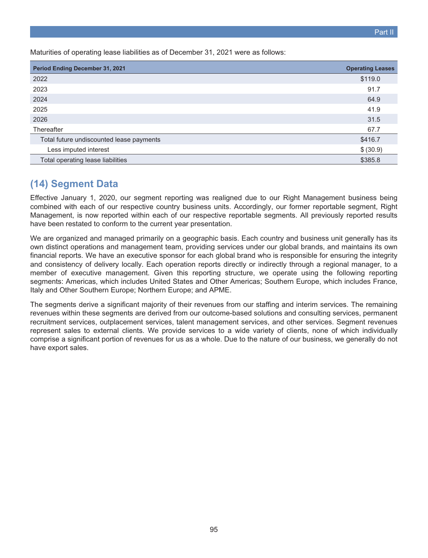Maturities of operating lease liabilities as of December 31, 2021 were as follows:

| <b>Period Ending December 31, 2021</b>   | <b>Operating Leases</b> |
|------------------------------------------|-------------------------|
| 2022                                     | \$119.0                 |
| 2023                                     | 91.7                    |
| 2024                                     | 64.9                    |
| 2025                                     | 41.9                    |
| 2026                                     | 31.5                    |
| Thereafter                               | 67.7                    |
| Total future undiscounted lease payments | \$416.7                 |
| Less imputed interest                    | \$ (30.9)               |
| Total operating lease liabilities        | \$385.8                 |

## **(14) Segment Data**

Effective January 1, 2020, our segment reporting was realigned due to our Right Management business being combined with each of our respective country business units. Accordingly, our former reportable segment, Right Management, is now reported within each of our respective reportable segments. All previously reported results have been restated to conform to the current year presentation.

We are organized and managed primarily on a geographic basis. Each country and business unit generally has its own distinct operations and management team, providing services under our global brands, and maintains its own financial reports. We have an executive sponsor for each global brand who is responsible for ensuring the integrity and consistency of delivery locally. Each operation reports directly or indirectly through a regional manager, to a member of executive management. Given this reporting structure, we operate using the following reporting segments: Americas, which includes United States and Other Americas; Southern Europe, which includes France, Italy and Other Southern Europe; Northern Europe; and APME.

The segments derive a significant majority of their revenues from our staffing and interim services. The remaining revenues within these segments are derived from our outcome-based solutions and consulting services, permanent recruitment services, outplacement services, talent management services, and other services. Segment revenues represent sales to external clients. We provide services to a wide variety of clients, none of which individually comprise a significant portion of revenues for us as a whole. Due to the nature of our business, we generally do not have export sales.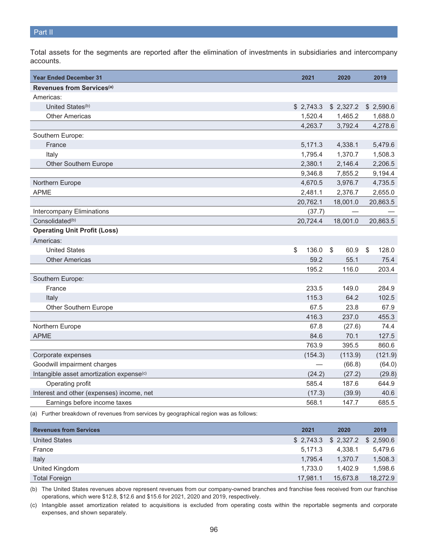Total assets for the segments are reported after the elimination of investments in subsidiaries and intercompany accounts.

| <b>Year Ended December 31</b>                                                          | 2021        | 2020       | 2019                  |
|----------------------------------------------------------------------------------------|-------------|------------|-----------------------|
| Revenues from Services <sup>(a)</sup>                                                  |             |            |                       |
| Americas:                                                                              |             |            |                       |
| United States <sup>(b)</sup>                                                           | \$2,743.3   | \$2,327.2  | \$2,590.6             |
| <b>Other Americas</b>                                                                  | 1,520.4     | 1,465.2    | 1,688.0               |
|                                                                                        | 4,263.7     | 3,792.4    | 4,278.6               |
| Southern Europe:                                                                       |             |            |                       |
| France                                                                                 | 5,171.3     | 4,338.1    | 5,479.6               |
| Italy                                                                                  | 1,795.4     | 1,370.7    | 1,508.3               |
| Other Southern Europe                                                                  | 2,380.1     | 2,146.4    | 2,206.5               |
|                                                                                        | 9,346.8     | 7,855.2    | 9,194.4               |
| Northern Europe                                                                        | 4,670.5     | 3,976.7    | 4,735.5               |
| <b>APME</b>                                                                            | 2,481.1     | 2,376.7    | 2,655.0               |
|                                                                                        | 20,762.1    | 18,001.0   | 20,863.5              |
| <b>Intercompany Eliminations</b>                                                       | (37.7)      |            |                       |
| Consolidated <sup>(b)</sup>                                                            | 20,724.4    | 18,001.0   | 20,863.5              |
| <b>Operating Unit Profit (Loss)</b>                                                    |             |            |                       |
| Americas:                                                                              |             |            |                       |
| <b>United States</b>                                                                   | \$<br>136.0 | \$<br>60.9 | $\mathbb{S}$<br>128.0 |
| <b>Other Americas</b>                                                                  | 59.2        | 55.1       | 75.4                  |
|                                                                                        | 195.2       | 116.0      | 203.4                 |
| Southern Europe:                                                                       |             |            |                       |
| France                                                                                 | 233.5       | 149.0      | 284.9                 |
| Italy                                                                                  | 115.3       | 64.2       | 102.5                 |
| Other Southern Europe                                                                  | 67.5        | 23.8       | 67.9                  |
|                                                                                        | 416.3       | 237.0      | 455.3                 |
| Northern Europe                                                                        | 67.8        | (27.6)     | 74.4                  |
| <b>APME</b>                                                                            | 84.6        | 70.1       | 127.5                 |
|                                                                                        | 763.9       | 395.5      | 860.6                 |
| Corporate expenses                                                                     | (154.3)     | (113.9)    | (121.9)               |
| Goodwill impairment charges                                                            |             | (66.8)     | (64.0)                |
| Intangible asset amortization expense <sup>(c)</sup>                                   | (24.2)      | (27.2)     | (29.8)                |
| Operating profit                                                                       | 585.4       | 187.6      | 644.9                 |
| Interest and other (expenses) income, net                                              | (17.3)      | (39.9)     | 40.6                  |
| Earnings before income taxes                                                           | 568.1       | 147.7      | 685.5                 |
| (a) Further breakdown of revenues from services by geographical region was as follows: |             |            |                       |

| <b>Revenues from Services</b> | 2021     | 2020                             | 2019     |
|-------------------------------|----------|----------------------------------|----------|
| <b>United States</b>          |          | $$2,743.3$ $$2,327.2$ $$2,590.6$ |          |
| France                        | 5.171.3  | 4.338.1                          | 5.479.6  |
| Italy                         | 1.795.4  | 1.370.7                          | 1,508.3  |
| United Kingdom                | 1.733.0  | 1.402.9                          | 1,598.6  |
| <b>Total Foreign</b>          | 17.981.1 | 15,673.8                         | 18.272.9 |

(b) The United States revenues above represent revenues from our company-owned branches and franchise fees received from our franchise operations, which were \$12.8, \$12.6 and \$15.6 for 2021, 2020 and 2019, respectively.

(c) Intangible asset amortization related to acquisitions is excluded from operating costs within the reportable segments and corporate expenses, and shown separately.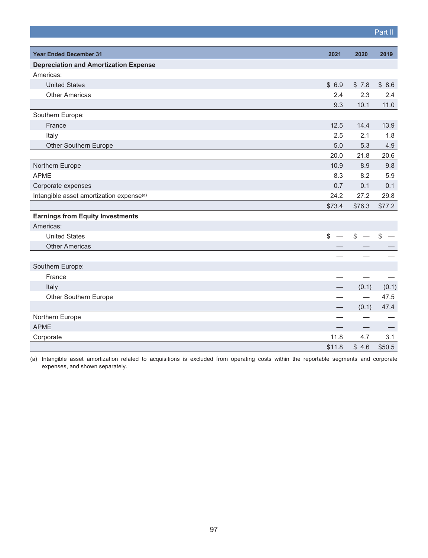|                                                      |                                          |                          | Part II                  |
|------------------------------------------------------|------------------------------------------|--------------------------|--------------------------|
|                                                      |                                          |                          |                          |
| <b>Year Ended December 31</b>                        | 2021                                     | 2020                     | 2019                     |
| <b>Depreciation and Amortization Expense</b>         |                                          |                          |                          |
| Americas:                                            |                                          |                          |                          |
| <b>United States</b>                                 | \$6.9                                    | \$7.8                    | \$8.6                    |
| <b>Other Americas</b>                                | 2.4                                      | 2.3                      | 2.4                      |
|                                                      | 9.3                                      | 10.1                     | 11.0                     |
| Southern Europe:                                     |                                          |                          |                          |
| France                                               | 12.5                                     | 14.4                     | 13.9                     |
| Italy                                                | 2.5                                      | 2.1                      | 1.8                      |
| Other Southern Europe                                | 5.0                                      | 5.3                      | 4.9                      |
|                                                      | 20.0                                     | 21.8                     | 20.6                     |
| Northern Europe                                      | 10.9                                     | 8.9                      | 9.8                      |
| <b>APME</b>                                          | 8.3                                      | 8.2                      | 5.9                      |
| Corporate expenses                                   | 0.7                                      | 0.1                      | 0.1                      |
| Intangible asset amortization expense <sup>(a)</sup> | 24.2                                     | 27.2                     | 29.8                     |
|                                                      | \$73.4                                   | \$76.3                   | \$77.2                   |
| <b>Earnings from Equity Investments</b>              |                                          |                          |                          |
| Americas:                                            |                                          |                          |                          |
| <b>United States</b>                                 | $\mathbb{S}$<br>$\overline{\phantom{0}}$ | $$ - $$                  | $\overline{\phantom{0}}$ |
| <b>Other Americas</b>                                |                                          |                          |                          |
|                                                      |                                          |                          |                          |
| Southern Europe:                                     |                                          |                          |                          |
| France                                               |                                          |                          |                          |
| Italy                                                |                                          | (0.1)                    | (0.1)                    |
| Other Southern Europe                                |                                          |                          | 47.5                     |
|                                                      |                                          | (0.1)                    | 47.4                     |
| Northern Europe                                      |                                          |                          |                          |
| <b>APME</b>                                          |                                          | $\overline{\phantom{0}}$ |                          |
| Corporate                                            | 11.8                                     | 4.7                      | 3.1                      |
|                                                      | \$11.8                                   | \$4.6                    | \$50.5                   |

(a) Intangible asset amortization related to acquisitions is excluded from operating costs within the reportable segments and corporate expenses, and shown separately.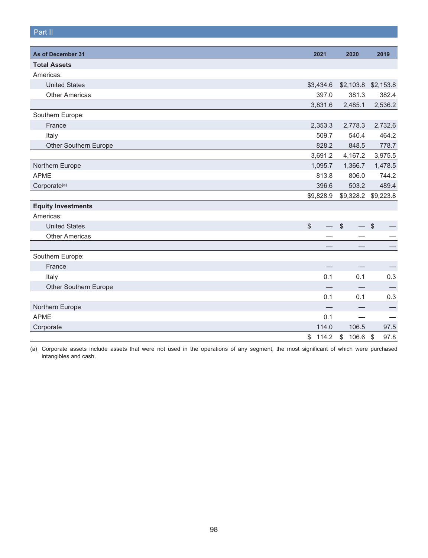## Part II

| As of December 31         | 2021                    | 2020                                       | 2019                            |
|---------------------------|-------------------------|--------------------------------------------|---------------------------------|
| <b>Total Assets</b>       |                         |                                            |                                 |
| Americas:                 |                         |                                            |                                 |
| <b>United States</b>      | \$3,434.6               | \$2,103.8                                  | \$2,153.8                       |
| <b>Other Americas</b>     | 397.0                   | 381.3                                      | 382.4                           |
|                           | 3,831.6                 | 2,485.1                                    | 2,536.2                         |
| Southern Europe:          |                         |                                            |                                 |
| France                    | 2,353.3                 | 2,778.3                                    | 2,732.6                         |
| Italy                     | 509.7                   | 540.4                                      | 464.2                           |
| Other Southern Europe     | 828.2                   | 848.5                                      | 778.7                           |
|                           | 3,691.2                 | 4,167.2                                    | 3,975.5                         |
| Northern Europe           | 1,095.7                 | 1,366.7                                    | 1,478.5                         |
| <b>APME</b>               | 813.8                   | 806.0                                      | 744.2                           |
| Corporate <sup>(a)</sup>  | 396.6                   | 503.2                                      | 489.4                           |
|                           | \$9,828.9               |                                            | \$9,328.2 \$9,223.8             |
| <b>Equity Investments</b> |                         |                                            |                                 |
| Americas:                 |                         |                                            |                                 |
| <b>United States</b>      | \$<br>$\qquad \qquad -$ | $$\mathbb{S}$$<br>$\overline{\phantom{0}}$ | $\sqrt[6]{\frac{1}{2}}$         |
| <b>Other Americas</b>     |                         |                                            |                                 |
|                           |                         |                                            |                                 |
| Southern Europe:          |                         |                                            |                                 |
| France                    |                         |                                            |                                 |
| Italy                     | 0.1                     | 0.1                                        | 0.3                             |
| Other Southern Europe     |                         |                                            |                                 |
|                           | 0.1                     | 0.1                                        | 0.3                             |
| Northern Europe           |                         |                                            |                                 |
| <b>APME</b>               | 0.1                     |                                            |                                 |
| Corporate                 | 114.0                   | 106.5                                      | 97.5                            |
|                           | \$<br>114.2             | \$<br>106.6                                | 97.8<br>$\sqrt[6]{\frac{1}{2}}$ |

(a) Corporate assets include assets that were not used in the operations of any segment, the most significant of which were purchased intangibles and cash.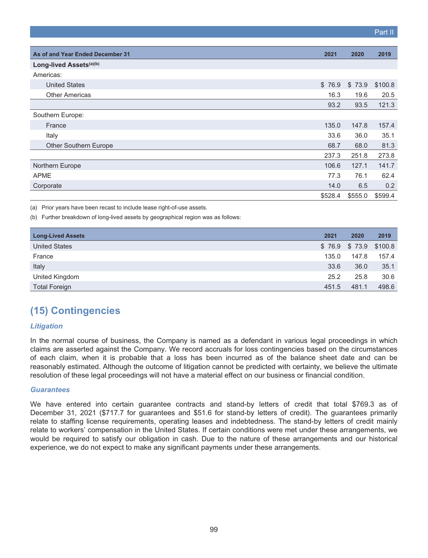|                                  |         |         | Part II |
|----------------------------------|---------|---------|---------|
|                                  |         |         |         |
| As of and Year Ended December 31 | 2021    | 2020    | 2019    |
| Long-lived Assets(a)(b)          |         |         |         |
| Americas:                        |         |         |         |
| <b>United States</b>             | \$76.9  | \$73.9  | \$100.8 |
| <b>Other Americas</b>            | 16.3    | 19.6    | 20.5    |
|                                  | 93.2    | 93.5    | 121.3   |
| Southern Europe:                 |         |         |         |
| France                           | 135.0   | 147.8   | 157.4   |
| Italy                            | 33.6    | 36.0    | 35.1    |
| Other Southern Europe            | 68.7    | 68.0    | 81.3    |
|                                  | 237.3   | 251.8   | 273.8   |
| Northern Europe                  | 106.6   | 127.1   | 141.7   |
| <b>APME</b>                      | 77.3    | 76.1    | 62.4    |
| Corporate                        | 14.0    | 6.5     | 0.2     |
|                                  | \$528.4 | \$555.0 | \$599.4 |

(a) Prior years have been recast to include lease right-of-use assets.

(b) Further breakdown of long-lived assets by geographical region was as follows:

| <b>Long-Lived Assets</b> | 2021  | 2020                     | 2019  |
|--------------------------|-------|--------------------------|-------|
| <b>United States</b>     |       | $$76.9$ $$73.9$ $$100.8$ |       |
| France                   | 135.0 | 147.8                    | 157.4 |
| Italy                    | 33.6  | 36.0                     | 35.1  |
| United Kingdom           | 25.2  | 25.8                     | 30.6  |
| <b>Total Foreign</b>     | 451.5 | 481.1                    | 498.6 |

# **(15) Contingencies**

## *Litigation*

In the normal course of business, the Company is named as a defendant in various legal proceedings in which claims are asserted against the Company. We record accruals for loss contingencies based on the circumstances of each claim, when it is probable that a loss has been incurred as of the balance sheet date and can be reasonably estimated. Although the outcome of litigation cannot be predicted with certainty, we believe the ultimate resolution of these legal proceedings will not have a material effect on our business or financial condition.

#### *Guarantees*

We have entered into certain guarantee contracts and stand-by letters of credit that total \$769.3 as of December 31, 2021 (\$717.7 for guarantees and \$51.6 for stand-by letters of credit). The guarantees primarily relate to staffing license requirements, operating leases and indebtedness. The stand-by letters of credit mainly relate to workers' compensation in the United States. If certain conditions were met under these arrangements, we would be required to satisfy our obligation in cash. Due to the nature of these arrangements and our historical experience, we do not expect to make any significant payments under these arrangements.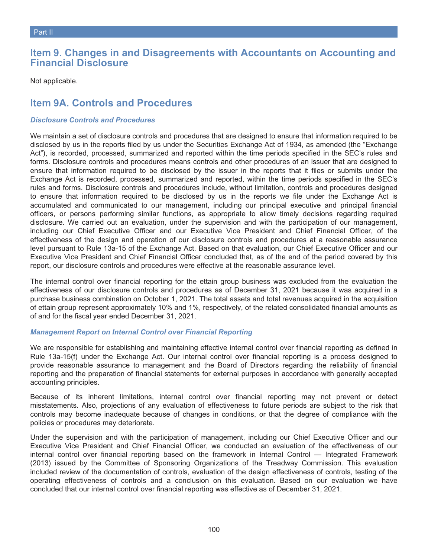## **Item 9. Changes in and Disagreements with Accountants on Accounting and Financial Disclosure**

Not applicable.

## **Item 9A. Controls and Procedures**

## *Disclosure Controls and Procedures*

We maintain a set of disclosure controls and procedures that are designed to ensure that information required to be disclosed by us in the reports filed by us under the Securities Exchange Act of 1934, as amended (the "Exchange Act"), is recorded, processed, summarized and reported within the time periods specified in the SEC's rules and forms. Disclosure controls and procedures means controls and other procedures of an issuer that are designed to ensure that information required to be disclosed by the issuer in the reports that it files or submits under the Exchange Act is recorded, processed, summarized and reported, within the time periods specified in the SEC's rules and forms. Disclosure controls and procedures include, without limitation, controls and procedures designed to ensure that information required to be disclosed by us in the reports we file under the Exchange Act is accumulated and communicated to our management, including our principal executive and principal financial officers, or persons performing similar functions, as appropriate to allow timely decisions regarding required disclosure. We carried out an evaluation, under the supervision and with the participation of our management, including our Chief Executive Officer and our Executive Vice President and Chief Financial Officer, of the effectiveness of the design and operation of our disclosure controls and procedures at a reasonable assurance level pursuant to Rule 13a-15 of the Exchange Act. Based on that evaluation, our Chief Executive Officer and our Executive Vice President and Chief Financial Officer concluded that, as of the end of the period covered by this report, our disclosure controls and procedures were effective at the reasonable assurance level.

The internal control over financial reporting for the ettain group business was excluded from the evaluation the effectiveness of our disclosure controls and procedures as of December 31, 2021 because it was acquired in a purchase business combination on October 1, 2021. The total assets and total revenues acquired in the acquisition of ettain group represent approximately 10% and 1%, respectively, of the related consolidated financial amounts as of and for the fiscal year ended December 31, 2021.

## *Management Report on Internal Control over Financial Reporting*

We are responsible for establishing and maintaining effective internal control over financial reporting as defined in Rule 13a-15(f) under the Exchange Act. Our internal control over financial reporting is a process designed to provide reasonable assurance to management and the Board of Directors regarding the reliability of financial reporting and the preparation of financial statements for external purposes in accordance with generally accepted accounting principles.

Because of its inherent limitations, internal control over financial reporting may not prevent or detect misstatements. Also, projections of any evaluation of effectiveness to future periods are subject to the risk that controls may become inadequate because of changes in conditions, or that the degree of compliance with the policies or procedures may deteriorate.

Under the supervision and with the participation of management, including our Chief Executive Officer and our Executive Vice President and Chief Financial Officer, we conducted an evaluation of the effectiveness of our internal control over financial reporting based on the framework in Internal Control — Integrated Framework (2013) issued by the Committee of Sponsoring Organizations of the Treadway Commission. This evaluation included review of the documentation of controls, evaluation of the design effectiveness of controls, testing of the operating effectiveness of controls and a conclusion on this evaluation. Based on our evaluation we have concluded that our internal control over financial reporting was effective as of December 31, 2021.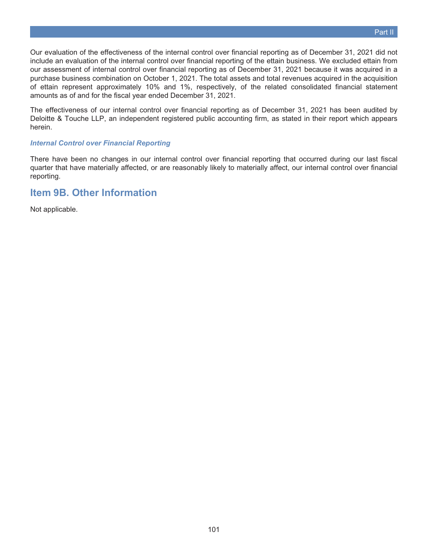Our evaluation of the effectiveness of the internal control over financial reporting as of December 31, 2021 did not include an evaluation of the internal control over financial reporting of the ettain business. We excluded ettain from our assessment of internal control over financial reporting as of December 31, 2021 because it was acquired in a purchase business combination on October 1, 2021. The total assets and total revenues acquired in the acquisition of ettain represent approximately 10% and 1%, respectively, of the related consolidated financial statement amounts as of and for the fiscal year ended December 31, 2021.

The effectiveness of our internal control over financial reporting as of December 31, 2021 has been audited by Deloitte & Touche LLP, an independent registered public accounting firm, as stated in their report which appears herein.

### *Internal Control over Financial Reporting*

There have been no changes in our internal control over financial reporting that occurred during our last fiscal quarter that have materially affected, or are reasonably likely to materially affect, our internal control over financial reporting.

## **Item 9B. Other Information**

Not applicable.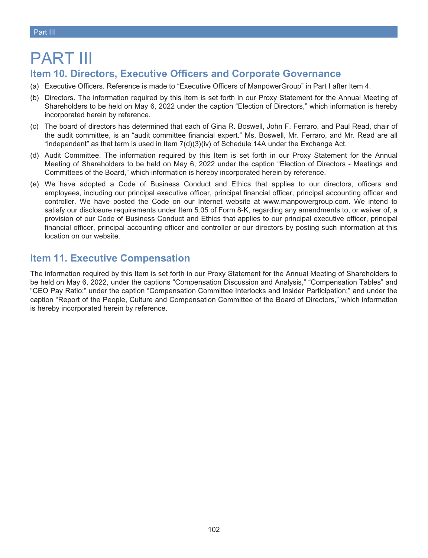# PART III

## **Item 10. Directors, Executive Officers and Corporate Governance**

- (a) Executive Officers. Reference is made to "Executive Officers of ManpowerGroup" in Part I after Item 4.
- (b) Directors. The information required by this Item is set forth in our Proxy Statement for the Annual Meeting of Shareholders to be held on May 6, 2022 under the caption "Election of Directors," which information is hereby incorporated herein by reference.
- (c) The board of directors has determined that each of Gina R. Boswell, John F. Ferraro, and Paul Read, chair of the audit committee, is an "audit committee financial expert." Ms. Boswell, Mr. Ferraro, and Mr. Read are all "independent" as that term is used in Item  $7(d)(3)(iv)$  of Schedule 14A under the Exchange Act.
- (d) Audit Committee. The information required by this Item is set forth in our Proxy Statement for the Annual Meeting of Shareholders to be held on May 6, 2022 under the caption "Election of Directors - Meetings and Committees of the Board," which information is hereby incorporated herein by reference.
- (e) We have adopted a Code of Business Conduct and Ethics that applies to our directors, officers and employees, including our principal executive officer, principal financial officer, principal accounting officer and controller. We have posted the Code on our Internet website at www.manpowergroup.com. We intend to satisfy our disclosure requirements under Item 5.05 of Form 8-K, regarding any amendments to, or waiver of, a provision of our Code of Business Conduct and Ethics that applies to our principal executive officer, principal financial officer, principal accounting officer and controller or our directors by posting such information at this location on our website.

## **Item 11. Executive Compensation**

The information required by this Item is set forth in our Proxy Statement for the Annual Meeting of Shareholders to be held on May 6, 2022, under the captions "Compensation Discussion and Analysis," "Compensation Tables" and "CEO Pay Ratio;" under the caption "Compensation Committee Interlocks and Insider Participation;" and under the caption "Report of the People, Culture and Compensation Committee of the Board of Directors," which information is hereby incorporated herein by reference.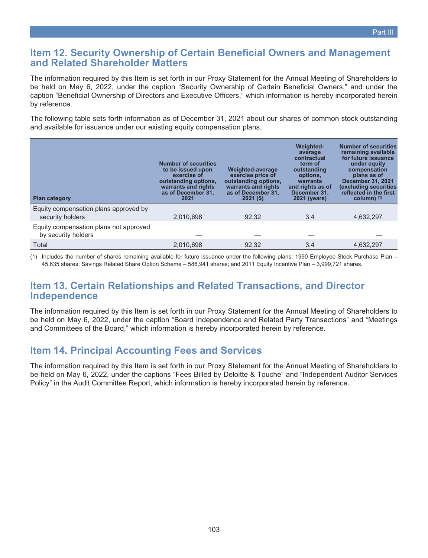## **Item 12. Security Ownership of Certain Beneficial Owners and Management and Related Shareholder Matters**

The information required by this Item is set forth in our Proxy Statement for the Annual Meeting of Shareholders to be held on May 6, 2022, under the caption "Security Ownership of Certain Beneficial Owners," and under the caption "Beneficial Ownership of Directors and Executive Officers," which information is hereby incorporated herein by reference.

The following table sets forth information as of December 31, 2021 about our shares of common stock outstanding and available for issuance under our existing equity compensation plans.

| <b>Plan category</b>                                          | <b>Number of securities</b><br>to be issued upon<br>exercise of<br>outstanding options,<br>warrants and rights<br>as of December 31,<br>2021 | Weighted-average<br>exercise price of<br>outstanding options,<br>warrants and rights<br>as of December 31,<br>$2021($ \$) | <b>Weighted-</b><br>average<br>contractual<br>term of<br>outstanding<br>options,<br>warrants<br>and rights as of<br>December 31.<br><b>2021 (years)</b> | <b>Number of securities</b><br>remaining available<br>for future issuance<br>under equity<br>compensation<br>plans as of<br><b>December 31, 2021</b><br>(excluding securities<br>reflected in the first<br>$column)$ (1) |
|---------------------------------------------------------------|----------------------------------------------------------------------------------------------------------------------------------------------|---------------------------------------------------------------------------------------------------------------------------|---------------------------------------------------------------------------------------------------------------------------------------------------------|--------------------------------------------------------------------------------------------------------------------------------------------------------------------------------------------------------------------------|
| Equity compensation plans approved by<br>security holders     | 2,010,698                                                                                                                                    | 92.32                                                                                                                     | 3.4                                                                                                                                                     | 4,632,297                                                                                                                                                                                                                |
| Equity compensation plans not approved<br>by security holders |                                                                                                                                              |                                                                                                                           |                                                                                                                                                         |                                                                                                                                                                                                                          |
| Total                                                         | 2.010.698                                                                                                                                    | 92.32                                                                                                                     | 3.4                                                                                                                                                     | 4.632.297                                                                                                                                                                                                                |

(1) Includes the number of shares remaining available for future issuance under the following plans: 1990 Employee Stock Purchase Plan – 45,635 shares; Savings Related Share Option Scheme – 586,941 shares; and 2011 Equity Incentive Plan – 3,999,721 shares.

## **Item 13. Certain Relationships and Related Transactions, and Director Independence**

The information required by this Item is set forth in our Proxy Statement for the Annual Meeting of Shareholders to be held on May 6, 2022, under the caption "Board Independence and Related Party Transactions" and "Meetings and Committees of the Board," which information is hereby incorporated herein by reference.

## **Item 14. Principal Accounting Fees and Services**

The information required by this Item is set forth in our Proxy Statement for the Annual Meeting of Shareholders to be held on May 6, 2022, under the captions "Fees Billed by Deloitte & Touche" and "Independent Auditor Services Policy" in the Audit Committee Report, which information is hereby incorporated herein by reference.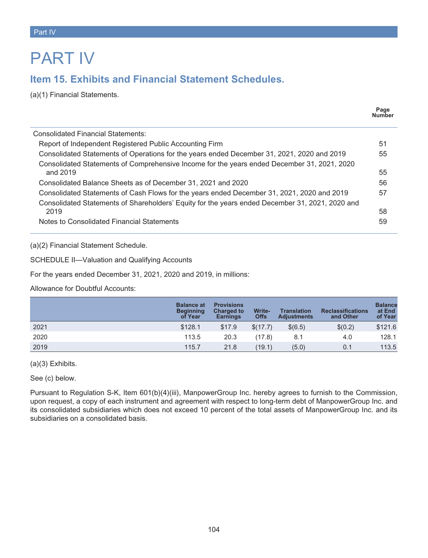# PART IV

# **Item 15. Exhibits and Financial Statement Schedules.**

(a)(1) Financial Statements.

|                                                                                                 | Page<br><b>Number</b> |
|-------------------------------------------------------------------------------------------------|-----------------------|
| Consolidated Financial Statements:                                                              |                       |
| Report of Independent Registered Public Accounting Firm                                         | 51                    |
| Consolidated Statements of Operations for the years ended December 31, 2021, 2020 and 2019      | 55                    |
| Consolidated Statements of Comprehensive Income for the years ended December 31, 2021, 2020     |                       |
| and 2019                                                                                        | 55                    |
| Consolidated Balance Sheets as of December 31, 2021 and 2020                                    | 56                    |
| Consolidated Statements of Cash Flows for the years ended December 31, 2021, 2020 and 2019      | 57                    |
| Consolidated Statements of Shareholders' Equity for the years ended December 31, 2021, 2020 and |                       |
| 2019                                                                                            | 58                    |
| Notes to Consolidated Financial Statements                                                      | 59                    |
|                                                                                                 |                       |

(a)(2) Financial Statement Schedule.

SCHEDULE II—Valuation and Qualifying Accounts

For the years ended December 31, 2021, 2020 and 2019, in millions:

Allowance for Doubtful Accounts:

|      | <b>Balance at</b><br><b>Beginning</b><br>of Year | <b>Provisions</b><br><b>Charged to</b><br><b>Earnings</b> | <b>Write-</b><br><b>Offs</b> | <b>Translation</b><br><b>Adjustments</b> | <b>Reclassifications</b><br>and Other | <b>Balance</b><br>at End<br>of Year |
|------|--------------------------------------------------|-----------------------------------------------------------|------------------------------|------------------------------------------|---------------------------------------|-------------------------------------|
| 2021 | \$128.1                                          | \$17.9                                                    | \$(17.7)                     | \$(6.5)                                  | \$(0.2)                               | \$121.6                             |
| 2020 | 113.5                                            | 20.3                                                      | (17.8)                       | 8.1                                      | 4.0                                   | 128.1                               |
| 2019 | 115.7                                            | 21.8                                                      | (19.1)                       | (5.0)                                    | 0.1                                   | 113.5                               |

(a)(3) Exhibits.

See (c) below.

Pursuant to Regulation S-K, Item 601(b)(4)(iii), ManpowerGroup Inc. hereby agrees to furnish to the Commission, upon request, a copy of each instrument and agreement with respect to long-term debt of ManpowerGroup Inc. and its consolidated subsidiaries which does not exceed 10 percent of the total assets of ManpowerGroup Inc. and its subsidiaries on a consolidated basis.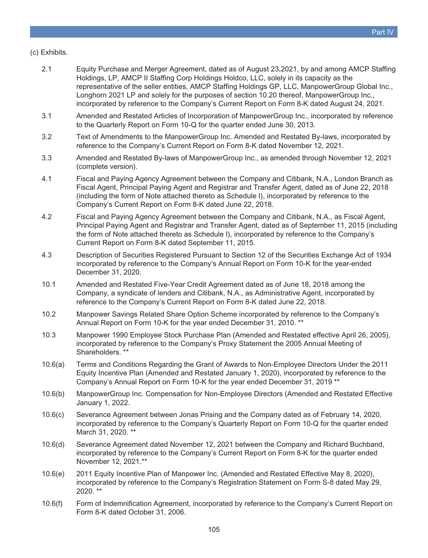### (c) Exhibits.

- 2.1 [Equity Purchase and Merger Agreement, dated as of August 23,2021, by and among AMCP Staffing](https://www.sec.gov/Archives/edgar/data/871763/000119312521254476/d112970dex21.htm) [Holdings, LP, AMCP II Staffing Corp Holdings Holdco, LLC, solely in its capacity as the](https://www.sec.gov/Archives/edgar/data/871763/000119312521254476/d112970dex21.htm) [representative of the seller entities, AMCP Staffing Holdings GP, LLC, ManpowerGroup Global Inc.,](https://www.sec.gov/Archives/edgar/data/871763/000119312521254476/d112970dex21.htm) [Longhorn 2021 LP and solely for the purposes of section 10.20 thereof, ManpowerGroup Inc.,](https://www.sec.gov/Archives/edgar/data/871763/000119312521254476/d112970dex21.htm) [incorporated by reference to the Company's Current Report on Form 8-K dated August 24, 2021.](https://www.sec.gov/Archives/edgar/data/871763/000119312521254476/d112970dex21.htm)
- 3.1 [Amended and Restated Articles of Incorporation of ManpowerGroup Inc., incorporated by reference](https://www.sec.gov/Archives/edgar/data/871763/000087176313000024/exhibit_3-2.htm) [to the Quarterly Report on Form 10-Q for the quarter ended June 30, 2013.](https://www.sec.gov/Archives/edgar/data/871763/000087176313000024/exhibit_3-2.htm)
- 3.2 [Text of Amendments to the ManpowerGroup Inc. Amended and Restated By-laws, incorporated by](https://www.sec.gov/ix?doc=/Archives/edgar/data/871763/000095017021004391/man-20211112.htm) [reference to the Company's Current Report on Form 8-K dated November 12, 2021.](https://www.sec.gov/ix?doc=/Archives/edgar/data/871763/000095017021004391/man-20211112.htm)
- 3.3 [Amended and Restated By-laws of ManpowerGroup Inc., as amended through November 12, 2021](https://www.sec.gov/ix?doc=/Archives/edgar/data/871763/000095017021004391/man-20211112.htm) [\(complete version\).](https://www.sec.gov/ix?doc=/Archives/edgar/data/871763/000095017021004391/man-20211112.htm)
- 4.1 [Fiscal and Paying Agency Agreement between the Company and Citibank, N.A., London Branch as](https://www.sec.gov/Archives/edgar/data/871763/000089271218000301/exhibit41.htm) [Fiscal Agent, Principal Paying Agent and Registrar and Transfer Agent, dated as of June 22, 2018](https://www.sec.gov/Archives/edgar/data/871763/000089271218000301/exhibit41.htm) [\(including the form of Note attached thereto as Schedule I\), incorporated by reference to the](https://www.sec.gov/Archives/edgar/data/871763/000089271218000301/exhibit41.htm) [Company's Current Report on Form 8-K dated June 22, 2018.](https://www.sec.gov/Archives/edgar/data/871763/000089271218000301/exhibit41.htm)
- 4.2 [Fiscal and Paying Agency Agreement between the Company and Citibank, N.A., as Fiscal Agent,](https://www.sec.gov/Archives/edgar/data/871763/000087176315000042/exhibit_41september112015.htm) [Principal Paying Agent and Registrar and Transfer Agent, dated as of September 11, 2015 \(including](https://www.sec.gov/Archives/edgar/data/871763/000087176315000042/exhibit_41september112015.htm) [the form of Note attached thereto as Schedule I\), incorporated by reference to the Company's](https://www.sec.gov/Archives/edgar/data/871763/000087176315000042/exhibit_41september112015.htm) [Current Report on Form 8-K dated September 11, 2015.](https://www.sec.gov/Archives/edgar/data/871763/000087176315000042/exhibit_41september112015.htm)
- 4.3 [Description of Securities Registered Pursuant to Section 12 of the Securities Exchange Act of 1934](https://www.sec.gov/Archives/edgar/data/871763/000156459020005762/man-ex43_525.htm) [incorporated by reference to the Company's Annual Report on Form 10-K for the year-ended](https://www.sec.gov/Archives/edgar/data/871763/000156459020005762/man-ex43_525.htm) [December 31, 2020.](https://www.sec.gov/Archives/edgar/data/871763/000156459020005762/man-ex43_525.htm)
- 10.1 [Amended and Restated Five-Year Credit Agreement dated as of June 18, 2018 among the](https://www.sec.gov/Archives/edgar/data/871763/000089271218000301/exhibit10-1.htm) [Company, a syndicate of lenders and Citibank, N.A., as Administrative Agent, incorporated by](https://www.sec.gov/Archives/edgar/data/871763/000089271218000301/exhibit10-1.htm) [reference to the Company's Current Report on Form 8-K dated June 22, 2018.](https://www.sec.gov/Archives/edgar/data/871763/000089271218000301/exhibit10-1.htm)
- 10.2 [Manpower Savings Related Share Option Scheme incorporated by reference to the Company's](https://www.sec.gov/Archives/edgar/data/871763/000087176311000011/exhibit_10-4.htm) [Annual Report on Form 10-K for the year ended December 31, 2010. \\*\\*](https://www.sec.gov/Archives/edgar/data/871763/000087176311000011/exhibit_10-4.htm)
- 10.3 [Manpower 1990 Employee Stock Purchase Plan \(Amended and Restated effective April 26, 2005\),](https://www.sec.gov/Archives/edgar/data/871763/000119312505051218/ddef14a.htm) [incorporated by reference to the Company's Proxy Statement the 2005 Annual Meeting of](https://www.sec.gov/Archives/edgar/data/871763/000119312505051218/ddef14a.htm) [Shareholders. \\*\\*](https://www.sec.gov/Archives/edgar/data/871763/000119312505051218/ddef14a.htm)
- 10.6(a) [Terms and Conditions Regarding the Grant of Awards to Non-Employee Directors Under the 2011](https://www.sec.gov/Archives/edgar/data/871763/000156459020005762/man-ex106a_524.htm) [Equity Incentive Plan \(Amended and Restated January 1, 2020\), incorporated by reference to the](https://www.sec.gov/Archives/edgar/data/871763/000156459020005762/man-ex106a_524.htm) [Company's Annual Report on Form 10-K for the year ended December 31, 2019 \\*\\*](https://www.sec.gov/Archives/edgar/data/871763/000156459020005762/man-ex106a_524.htm)
- 10.6(b) ManpowerGroup Inc. Compensation for Non-Employee Directors (Amended and Restated Effective January 1, 2022.
- 10.6(c) [Severance Agreement between Jonas Prising and the Company dated as of February 14, 2020,](https://www.sec.gov/Archives/edgar/data/871763/000156459020004814/man-ex101_6.htm) [incorporated by reference to the Company's Quarterly Report on Form 10-Q for the quarter ended](https://www.sec.gov/Archives/edgar/data/871763/000156459020004814/man-ex101_6.htm) [March 31, 2020. \\*\\*](https://www.sec.gov/Archives/edgar/data/871763/000156459020004814/man-ex101_6.htm)
- 10.6(d) [Severance Agreement dated November 12, 2021 between the Company and Richard Buchband,](https://www.sec.gov/Archives/edgar/data/871763/000095017021004391/man-ex10_2.htm) [incorporated by reference to the Company's Current Report on Form 8-K for the quarter ended](https://www.sec.gov/Archives/edgar/data/871763/000095017021004391/man-ex10_2.htm) [November 12, 2021.\\*\\*](https://www.sec.gov/Archives/edgar/data/871763/000095017021004391/man-ex10_2.htm)
- 10.6(e) [2011 Equity Incentive Plan of Manpower Inc. \(Amended and Restated Effective May 8, 2020\),](https://www.sec.gov/Archives/edgar/data/871763/000089271220000224/exhibit41.htm) [incorporated by reference to the Company's Registration Statement on Form S-8 dated May 29,](https://www.sec.gov/Archives/edgar/data/871763/000089271220000224/exhibit41.htm) [2020. \\*\\*](https://www.sec.gov/Archives/edgar/data/871763/000089271220000224/exhibit41.htm)
- 10.6(f) [Form of Indemnification Agreement, incorporated by reference to the Company's Current Report on](https://www.sec.gov/Archives/edgar/data/871763/000119312506224722/dex991.htm) [Form 8-K dated October 31, 2006.](https://www.sec.gov/Archives/edgar/data/871763/000119312506224722/dex991.htm)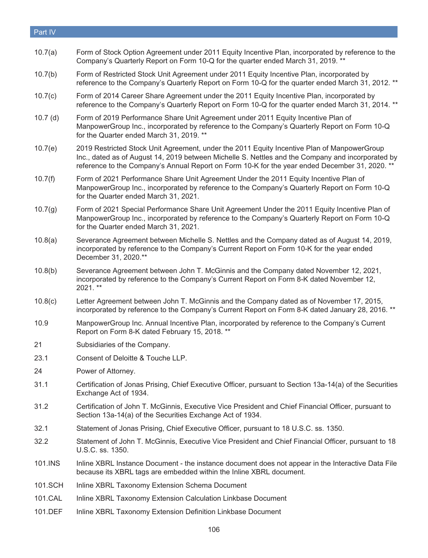#### Part IV

- 10.7(a) [Form of Stock Option Agreement under 2011 Equity Incentive Plan, incorporated by reference to the](https://www.sec.gov/Archives/edgar/data/871763/000087176319000059/q12019exhibit101.htm) [Company's Quarterly Report on Form 10-Q for the quarter ended March 31, 2019. \\*\\*](https://www.sec.gov/Archives/edgar/data/871763/000087176319000059/q12019exhibit101.htm)
- 10.7(b) [Form of Restricted Stock Unit Agreement under 2011 Equity Incentive Plan, incorporated by](https://www.sec.gov/Archives/edgar/data/871763/000087176312000023/exhibit_10-4.htm) [reference to the Company's Quarterly Report on Form 10-Q for the quarter ended March 31, 2012. \\*\\*](https://www.sec.gov/Archives/edgar/data/871763/000087176312000023/exhibit_10-4.htm)
- 10.7(c) [Form of 2014 Career Share Agreement under the 2011 Equity Incentive Plan, incorporated by](https://www.sec.gov/Archives/edgar/data/871763/000087176314000019/exhibit_10-1.htm) [reference to the Company's Quarterly Report on Form 10-Q for the quarter ended March 31, 2014. \\*\\*](https://www.sec.gov/Archives/edgar/data/871763/000087176314000019/exhibit_10-1.htm)
- 10.7 (d) [Form of 2019 Performance Share Unit Agreement under 2011 Equity Incentive Plan of](https://www.sec.gov/Archives/edgar/data/871763/000087176319000059/q12019exhibit102.htm) [ManpowerGroup Inc., incorporated by reference to the Company's Quarterly Report on Form 10-Q](https://www.sec.gov/Archives/edgar/data/871763/000087176319000059/q12019exhibit102.htm) [for the Quarter ended March 31, 2019. \\*\\*](https://www.sec.gov/Archives/edgar/data/871763/000087176319000059/q12019exhibit102.htm)
- 10.7(e) 2019 Restricted Stock Unit Agreement, under the 2011 Equity Incentive Plan of ManpowerGroup Inc., dated as of August 14, 2019 between Michelle S. Nettles and the Company and incorporated by reference to the Company's Annual Report on Form 10-K for the year ended December 31, 2020. \*\*
- 10.7(f) [Form of 2021 Performance Share Unit Agreement Under the 2011 Equity Incentive Plan of](https://www.sec.gov/Archives/edgar/data/871763/000156459021025566/man-ex101_132.htm) [ManpowerGroup Inc., incorporated by reference to the Company's Quarterly Report on Form 10-Q](https://www.sec.gov/Archives/edgar/data/871763/000156459021025566/man-ex101_132.htm) [for the Quarter ended March 31, 2021.](https://www.sec.gov/Archives/edgar/data/871763/000156459021025566/man-ex101_132.htm)
- 10.7(g) [Form of 2021 Special Performance Share Unit Agreement Under the 2011 Equity Incentive Plan of](https://www.sec.gov/Archives/edgar/data/871763/000156459021025566/man-ex102_131.htm) [ManpowerGroup Inc., incorporated by reference to the Company's Quarterly Report on Form 10-Q](https://www.sec.gov/Archives/edgar/data/871763/000156459021025566/man-ex102_131.htm) [for the Quarter ended March 31, 2021.](https://www.sec.gov/Archives/edgar/data/871763/000156459021025566/man-ex102_131.htm)
- 10.8(a) [Severance Agreement between Michelle S. Nettles and the Company dated as of August 14, 2019,](https://www.sec.gov/Archives/edgar/data/871763/000156459021006974/man-ex108a_108.htm) [incorporated by reference to the Company's Current Report on Form 10-K for the year ended](https://www.sec.gov/Archives/edgar/data/871763/000156459021006974/man-ex108a_108.htm) [December 31, 2020.\\*\\*](https://www.sec.gov/Archives/edgar/data/871763/000156459021006974/man-ex108a_108.htm)
- 10.8(b) [Severance Agreement between John T. McGinnis and the Company dated November 12, 2021,](https://www.sec.gov/Archives/edgar/data/871763/000095017021004391/man-ex10_1.htm) [incorporated by reference to the Company's Current Report on Form 8-K dated November 12,](https://www.sec.gov/Archives/edgar/data/871763/000095017021004391/man-ex10_1.htm) [2021. \\*\\*](https://www.sec.gov/Archives/edgar/data/871763/000095017021004391/man-ex10_1.htm)
- 10.8(c) [Letter Agreement between John T. McGinnis and the Company dated as of November 17, 2015,](https://www.sec.gov/Archives/edgar/data/871763/000087176316000113/projectryeofferletterfinal.htm) [incorporated by reference to the Company's Current Report on Form 8-K dated January 28, 2016. \\*\\*](https://www.sec.gov/Archives/edgar/data/871763/000087176316000113/projectryeofferletterfinal.htm)
- 10.9 [ManpowerGroup Inc. Annual Incentive Plan, incorporated by reference to the Company's Current](https://www.sec.gov/Archives/edgar/data/871763/000087176318000054/a02152018ex101manpowergrou.htm) [Report on Form 8-K dated February 15, 2018. \\*\\*](https://www.sec.gov/Archives/edgar/data/871763/000087176318000054/a02152018ex101manpowergrou.htm)
- 21 Subsidiaries of the Company.
- 23.1 Consent of Deloitte & Touche LLP.
- 24 Power of Attorney.
- 31.1 Certification of Jonas Prising, Chief Executive Officer, pursuant to Section 13a-14(a) of the Securities Exchange Act of 1934.
- 31.2 Certification of John T. McGinnis, Executive Vice President and Chief Financial Officer, pursuant to Section 13a-14(a) of the Securities Exchange Act of 1934.
- 32.1 Statement of Jonas Prising, Chief Executive Officer, pursuant to 18 U.S.C. ss. 1350.
- 32.2 Statement of John T. McGinnis, Executive Vice President and Chief Financial Officer, pursuant to 18 U.S.C. ss. 1350.
- 101.INS Inline XBRL Instance Document the instance document does not appear in the Interactive Data File because its XBRL tags are embedded within the Inline XBRL document.
- 101.SCH Inline XBRL Taxonomy Extension Schema Document
- 101.CAL Inline XBRL Taxonomy Extension Calculation Linkbase Document
- 101.DEF Inline XBRL Taxonomy Extension Definition Linkbase Document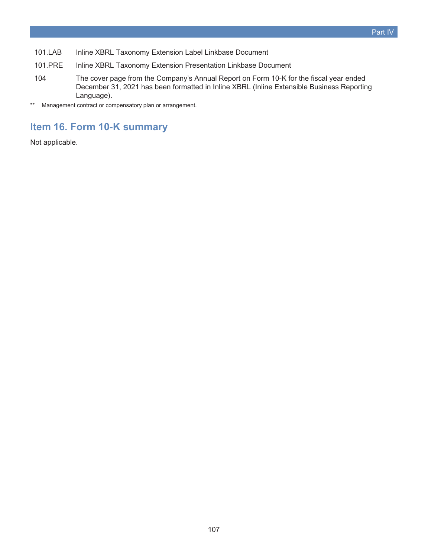- 101.LAB Inline XBRL Taxonomy Extension Label Linkbase Document
- 101.PRE Inline XBRL Taxonomy Extension Presentation Linkbase Document
- 104 The cover page from the Company's Annual Report on Form 10-K for the fiscal year ended December 31, 2021 has been formatted in Inline XBRL (Inline Extensible Business Reporting Language).
- \*\* Management contract or compensatory plan or arrangement.

## **Item 16. Form 10-K summary**

Not applicable.